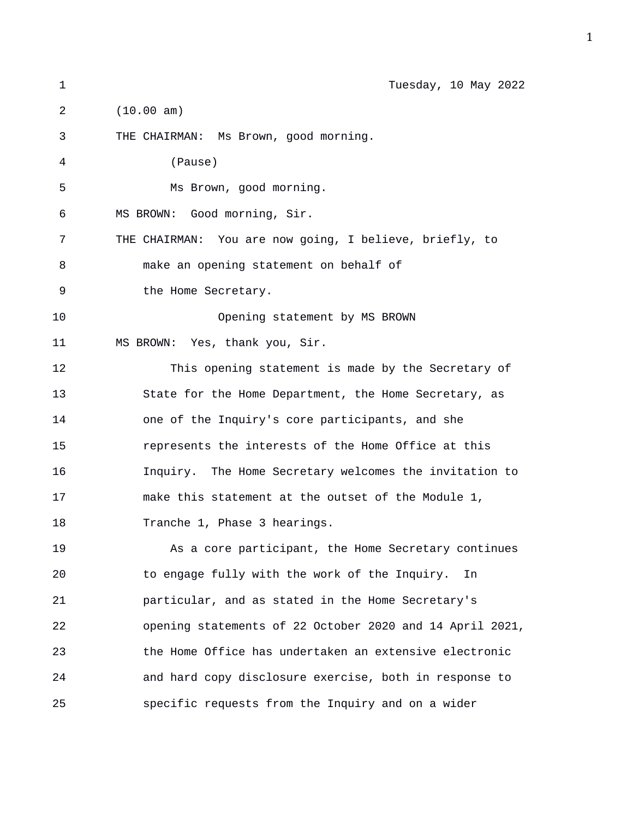| $\mathbf{1}$   | Tuesday, 10 May 2022                                     |
|----------------|----------------------------------------------------------|
| $\overline{a}$ | (10.00 am)                                               |
| 3              | THE CHAIRMAN: Ms Brown, good morning.                    |
| 4              | (Pause)                                                  |
| 5              | Ms Brown, good morning.                                  |
| 6              | MS BROWN: Good morning, Sir.                             |
| 7              | THE CHAIRMAN: You are now going, I believe, briefly, to  |
| 8              | make an opening statement on behalf of                   |
| 9              | the Home Secretary.                                      |
| 10             | Opening statement by MS BROWN                            |
| 11             | MS BROWN: Yes, thank you, Sir.                           |
| 12             | This opening statement is made by the Secretary of       |
| 13             | State for the Home Department, the Home Secretary, as    |
| 14             | one of the Inquiry's core participants, and she          |
| 15             | represents the interests of the Home Office at this      |
| 16             | Inquiry. The Home Secretary welcomes the invitation to   |
| 17             | make this statement at the outset of the Module 1,       |
| 18             | Tranche 1, Phase 3 hearings.                             |
| 19             | As a core participant, the Home Secretary continues      |
| 20             | to engage fully with the work of the Inquiry.<br>In      |
| 21             | particular, and as stated in the Home Secretary's        |
| 22             | opening statements of 22 October 2020 and 14 April 2021, |
| 23             | the Home Office has undertaken an extensive electronic   |
| 24             | and hard copy disclosure exercise, both in response to   |
| 25             | specific requests from the Inquiry and on a wider        |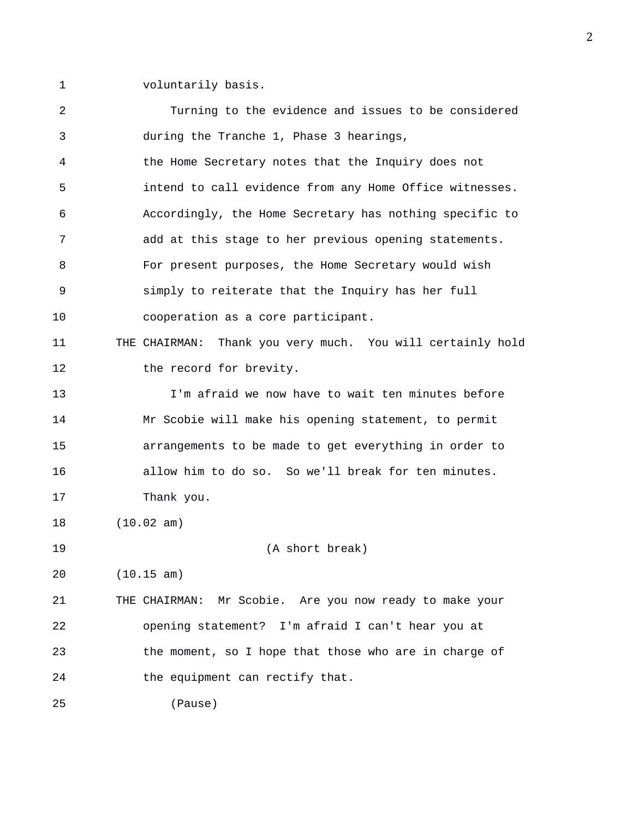1 voluntarily basis.

| 2  | Turning to the evidence and issues to be considered        |
|----|------------------------------------------------------------|
| 3  | during the Tranche 1, Phase 3 hearings,                    |
| 4  | the Home Secretary notes that the Inquiry does not         |
| 5  | intend to call evidence from any Home Office witnesses.    |
| 6  | Accordingly, the Home Secretary has nothing specific to    |
| 7  | add at this stage to her previous opening statements.      |
| 8  | For present purposes, the Home Secretary would wish        |
| 9  | simply to reiterate that the Inquiry has her full          |
| 10 | cooperation as a core participant.                         |
| 11 | THE CHAIRMAN: Thank you very much. You will certainly hold |
| 12 | the record for brevity.                                    |
| 13 | I'm afraid we now have to wait ten minutes before          |
| 14 | Mr Scobie will make his opening statement, to permit       |
| 15 | arrangements to be made to get everything in order to      |
| 16 | allow him to do so. So we'll break for ten minutes.        |
| 17 | Thank you.                                                 |
| 18 | (10.02 am)                                                 |
| 19 | (A short break)                                            |
| 20 | (10.15 am)                                                 |
| 21 | THE CHAIRMAN: Mr Scobie. Are you now ready to make your    |
| 22 | opening statement? I'm afraid I can't hear you at          |
| 23 | the moment, so I hope that those who are in charge of      |
| 24 | the equipment can rectify that.                            |
| 25 | (Pause)                                                    |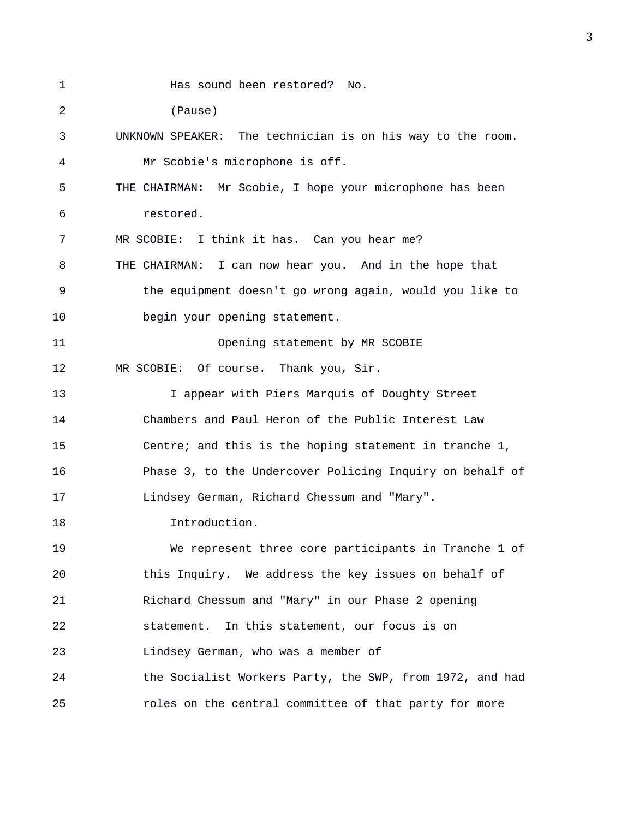1 Has sound been restored? No. 2 (Pause) 3 UNKNOWN SPEAKER: The technician is on his way to the room. 4 Mr Scobie's microphone is off. 5 THE CHAIRMAN: Mr Scobie, I hope your microphone has been 6 restored. 7 MR SCOBIE: I think it has. Can you hear me? 8 THE CHAIRMAN: I can now hear you. And in the hope that 9 the equipment doesn't go wrong again, would you like to 10 begin your opening statement. 11 Opening statement by MR SCOBIE 12 MR SCOBIE: Of course. Thank you, Sir. 13 I appear with Piers Marquis of Doughty Street 14 Chambers and Paul Heron of the Public Interest Law 15 Centre; and this is the hoping statement in tranche 1, 16 Phase 3, to the Undercover Policing Inquiry on behalf of 17 Lindsey German, Richard Chessum and "Mary". 18 Introduction. 19 We represent three core participants in Tranche 1 of 20 this Inquiry. We address the key issues on behalf of 21 Richard Chessum and "Mary" in our Phase 2 opening 22 statement. In this statement, our focus is on 23 Lindsey German, who was a member of 24 the Socialist Workers Party, the SWP, from 1972, and had 25 roles on the central committee of that party for more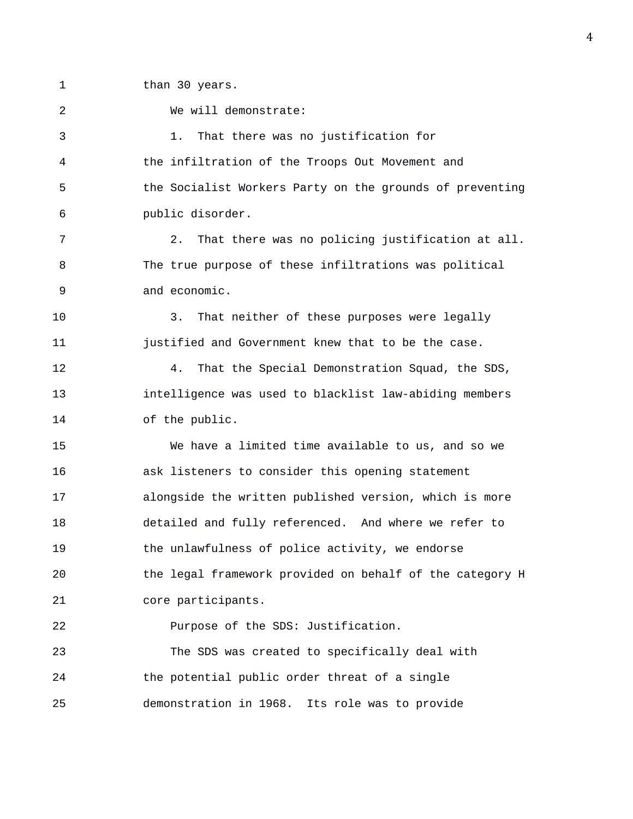1 than 30 years.

2 We will demonstrate: 3 1. That there was no justification for 4 the infiltration of the Troops Out Movement and 5 the Socialist Workers Party on the grounds of preventing 6 public disorder. 7 2. That there was no policing justification at all. 8 The true purpose of these infiltrations was political 9 and economic. 10 3. That neither of these purposes were legally 11 **justified and Government knew that to be the case.** 12 4. That the Special Demonstration Squad, the SDS, 13 intelligence was used to blacklist law-abiding members 14 of the public. 15 We have a limited time available to us, and so we 16 ask listeners to consider this opening statement 17 alongside the written published version, which is more 18 detailed and fully referenced. And where we refer to 19 the unlawfulness of police activity, we endorse 20 the legal framework provided on behalf of the category H 21 core participants. 22 Purpose of the SDS: Justification. 23 The SDS was created to specifically deal with 24 the potential public order threat of a single 25 demonstration in 1968. Its role was to provide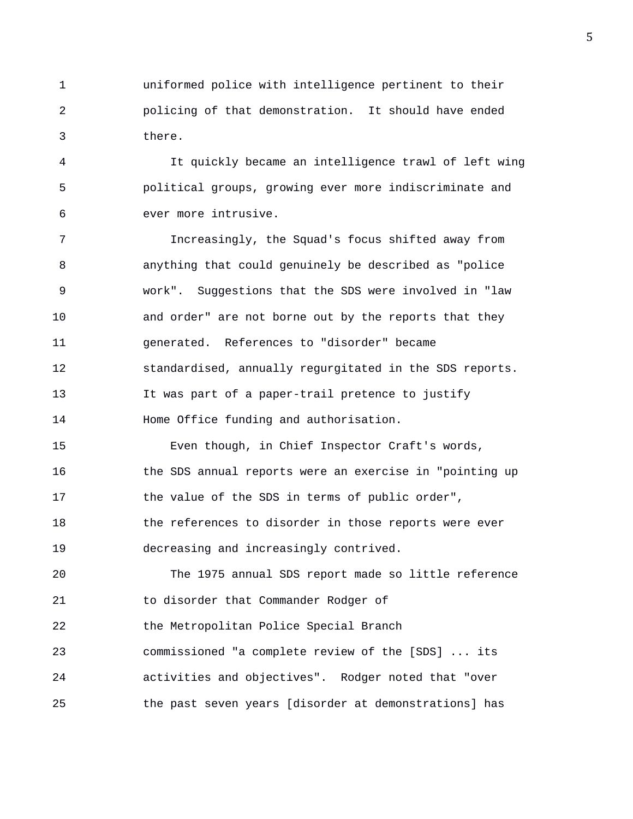1 uniformed police with intelligence pertinent to their 2 policing of that demonstration. It should have ended 3 there.

4 It quickly became an intelligence trawl of left wing 5 political groups, growing ever more indiscriminate and 6 ever more intrusive.

7 Increasingly, the Squad's focus shifted away from 8 anything that could genuinely be described as "police 9 work". Suggestions that the SDS were involved in "law 10 and order" are not borne out by the reports that they 11 generated. References to "disorder" became 12 standardised, annually regurgitated in the SDS reports. 13 It was part of a paper-trail pretence to justify 14 Home Office funding and authorisation.

15 Even though, in Chief Inspector Craft's words, 16 **the SDS annual reports were an exercise in "pointing up** 17 the value of the SDS in terms of public order", 18 the references to disorder in those reports were ever 19 decreasing and increasingly contrived.

20 The 1975 annual SDS report made so little reference 21 to disorder that Commander Rodger of 22 the Metropolitan Police Special Branch 23 commissioned "a complete review of the [SDS] ... its 24 activities and objectives". Rodger noted that "over 25 the past seven years [disorder at demonstrations] has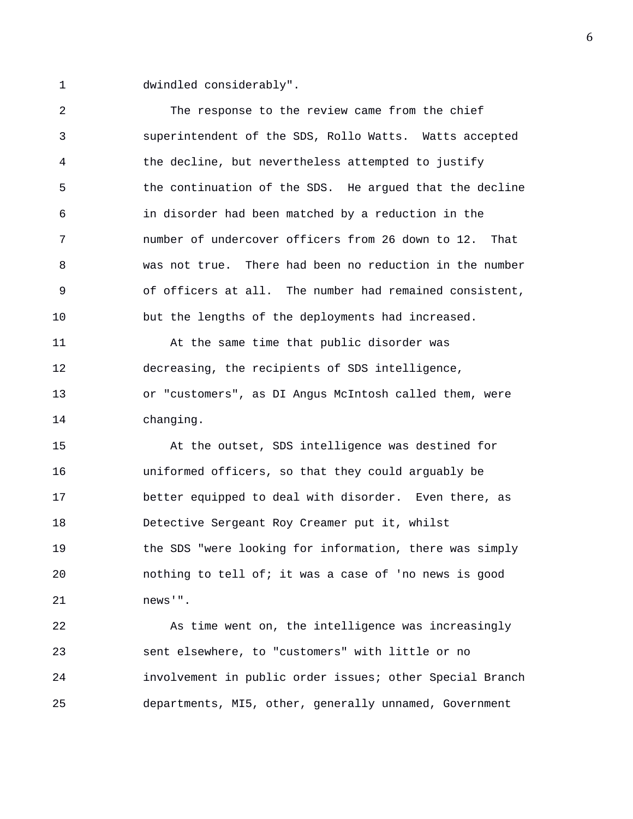1 dwindled considerably".

2 The response to the review came from the chief 3 superintendent of the SDS, Rollo Watts. Watts accepted 4 the decline, but nevertheless attempted to justify 5 the continuation of the SDS. He argued that the decline 6 in disorder had been matched by a reduction in the 7 number of undercover officers from 26 down to 12. That 8 was not true. There had been no reduction in the number 9 of officers at all. The number had remained consistent, 10 but the lengths of the deployments had increased. 11 At the same time that public disorder was 12 decreasing, the recipients of SDS intelligence, 13 or "customers", as DI Angus McIntosh called them, were 14 changing. 15 At the outset, SDS intelligence was destined for 16 uniformed officers, so that they could arguably be 17 better equipped to deal with disorder. Even there, as 18 Detective Sergeant Roy Creamer put it, whilst 19 the SDS "were looking for information, there was simply 20 nothing to tell of; it was a case of 'no news is good 21 news'". 22 As time went on, the intelligence was increasingly

23 sent elsewhere, to "customers" with little or no 24 involvement in public order issues; other Special Branch 25 departments, MI5, other, generally unnamed, Government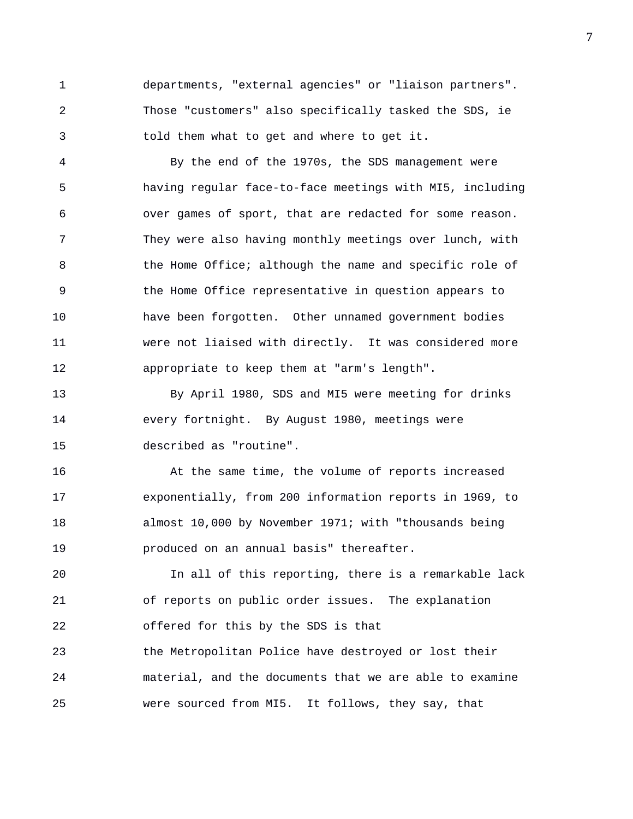1 departments, "external agencies" or "liaison partners". 2 Those "customers" also specifically tasked the SDS, ie 3 told them what to get and where to get it.

4 By the end of the 1970s, the SDS management were 5 having regular face-to-face meetings with MI5, including 6 over games of sport, that are redacted for some reason. 7 They were also having monthly meetings over lunch, with 8 the Home Office; although the name and specific role of 9 the Home Office representative in question appears to 10 have been forgotten. Other unnamed government bodies 11 were not liaised with directly. It was considered more 12 appropriate to keep them at "arm's length".

13 By April 1980, SDS and MI5 were meeting for drinks 14 every fortnight. By August 1980, meetings were 15 described as "routine".

16 At the same time, the volume of reports increased 17 exponentially, from 200 information reports in 1969, to 18 almost 10,000 by November 1971; with "thousands being 19 produced on an annual basis" thereafter.

20 In all of this reporting, there is a remarkable lack 21 of reports on public order issues. The explanation 22 offered for this by the SDS is that 23 the Metropolitan Police have destroyed or lost their 24 material, and the documents that we are able to examine 25 were sourced from MI5. It follows, they say, that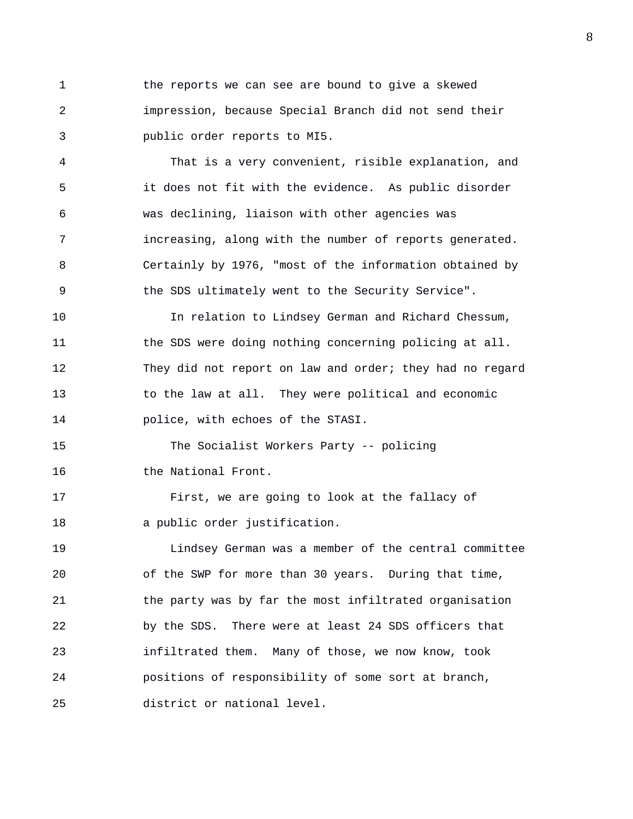1 the reports we can see are bound to give a skewed 2 impression, because Special Branch did not send their 3 public order reports to MI5.

4 That is a very convenient, risible explanation, and 5 it does not fit with the evidence. As public disorder 6 was declining, liaison with other agencies was 7 increasing, along with the number of reports generated. 8 Certainly by 1976, "most of the information obtained by 9 the SDS ultimately went to the Security Service".

10 In relation to Lindsey German and Richard Chessum, 11 the SDS were doing nothing concerning policing at all. 12 They did not report on law and order; they had no regard 13 to the law at all. They were political and economic 14 police, with echoes of the STASI.

15 The Socialist Workers Party -- policing 16 the National Front.

17 First, we are going to look at the fallacy of 18 a public order justification.

19 Lindsey German was a member of the central committee 20 of the SWP for more than 30 years. During that time, 21 the party was by far the most infiltrated organisation 22 by the SDS. There were at least 24 SDS officers that 23 infiltrated them. Many of those, we now know, took 24 positions of responsibility of some sort at branch, 25 district or national level.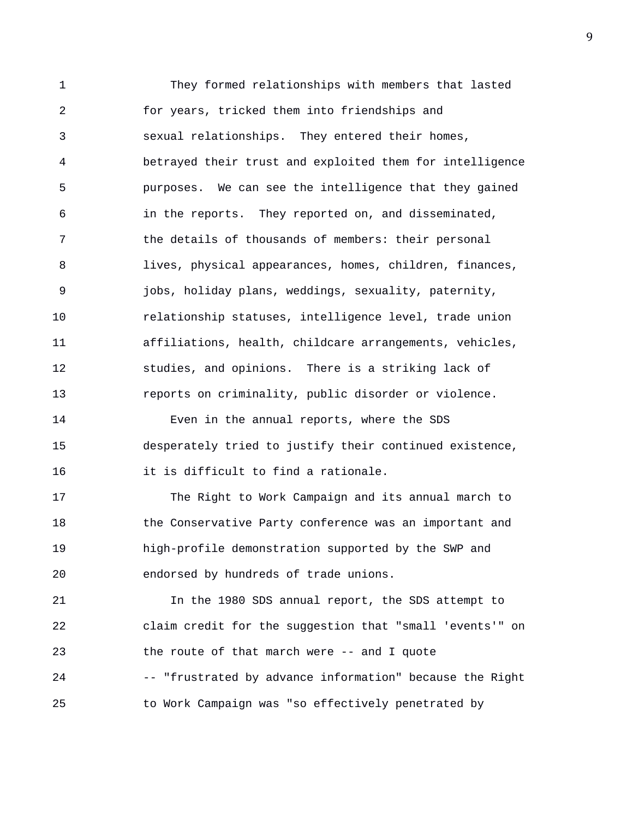1 They formed relationships with members that lasted 2 for years, tricked them into friendships and 3 sexual relationships. They entered their homes, 4 betrayed their trust and exploited them for intelligence 5 purposes. We can see the intelligence that they gained 6 in the reports. They reported on, and disseminated, 7 the details of thousands of members: their personal 8 lives, physical appearances, homes, children, finances, 9 jobs, holiday plans, weddings, sexuality, paternity, 10 relationship statuses, intelligence level, trade union 11 affiliations, health, childcare arrangements, vehicles, 12 studies, and opinions. There is a striking lack of 13 reports on criminality, public disorder or violence. 14 Even in the annual reports, where the SDS 15 desperately tried to justify their continued existence, 16 it is difficult to find a rationale. 17 The Right to Work Campaign and its annual march to 18 the Conservative Party conference was an important and 19 high-profile demonstration supported by the SWP and 20 endorsed by hundreds of trade unions. 21 120 In the 1980 SDS annual report, the SDS attempt to 22 claim credit for the suggestion that "small 'events'" on 23 the route of that march were -- and I quote 24 -- "frustrated by advance information" because the Right 25 to Work Campaign was "so effectively penetrated by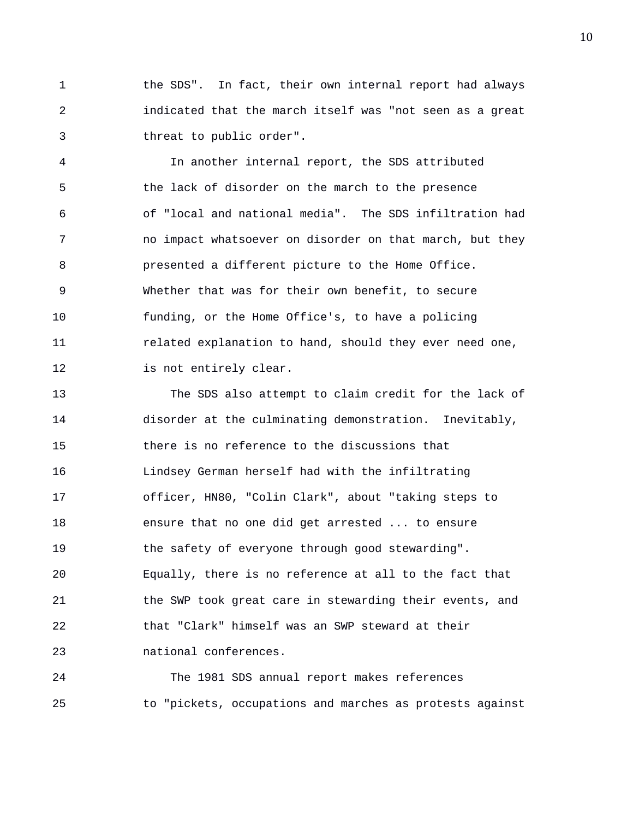1 the SDS". In fact, their own internal report had always 2 indicated that the march itself was "not seen as a great 3 threat to public order".

4 In another internal report, the SDS attributed 5 the lack of disorder on the march to the presence 6 of "local and national media". The SDS infiltration had 7 no impact whatsoever on disorder on that march, but they 8 presented a different picture to the Home Office. 9 Whether that was for their own benefit, to secure 10 funding, or the Home Office's, to have a policing 11 related explanation to hand, should they ever need one, 12 is not entirely clear.

13 The SDS also attempt to claim credit for the lack of 14 disorder at the culminating demonstration. Inevitably, 15 there is no reference to the discussions that 16 Lindsey German herself had with the infiltrating 17 officer, HN80, "Colin Clark", about "taking steps to 18 ensure that no one did get arrested ... to ensure 19 the safety of everyone through good stewarding". 20 Equally, there is no reference at all to the fact that 21 the SWP took great care in stewarding their events, and 22 that "Clark" himself was an SWP steward at their 23 national conferences.

24 The 1981 SDS annual report makes references 25 to "pickets, occupations and marches as protests against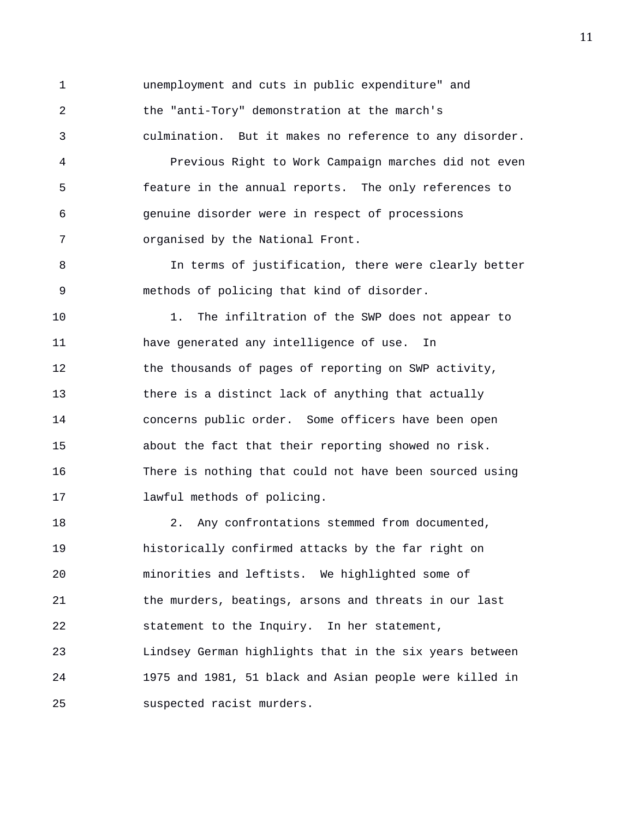1 unemployment and cuts in public expenditure" and 2 the "anti-Tory" demonstration at the march's 3 culmination. But it makes no reference to any disorder. 4 Previous Right to Work Campaign marches did not even 5 feature in the annual reports. The only references to 6 genuine disorder were in respect of processions 7 organised by the National Front. 8 In terms of justification, there were clearly better 9 methods of policing that kind of disorder. 10 1. The infiltration of the SWP does not appear to 11 have generated any intelligence of use. In 12 the thousands of pages of reporting on SWP activity, 13 there is a distinct lack of anything that actually 14 concerns public order. Some officers have been open 15 about the fact that their reporting showed no risk. 16 There is nothing that could not have been sourced using 17 lawful methods of policing. 18 2. Any confrontations stemmed from documented, 19 historically confirmed attacks by the far right on 20 minorities and leftists. We highlighted some of 21 the murders, beatings, arsons and threats in our last 22 statement to the Inquiry. In her statement, 23 Lindsey German highlights that in the six years between 24 1975 and 1981, 51 black and Asian people were killed in 25 suspected racist murders.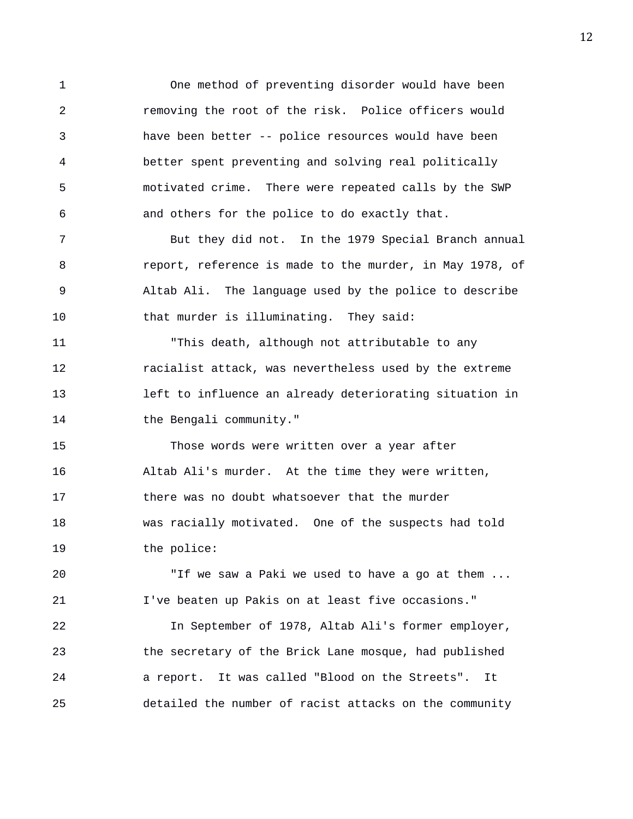1 One method of preventing disorder would have been 2 removing the root of the risk. Police officers would 3 have been better -- police resources would have been 4 better spent preventing and solving real politically 5 motivated crime. There were repeated calls by the SWP 6 and others for the police to do exactly that.

7 But they did not. In the 1979 Special Branch annual 8 report, reference is made to the murder, in May 1978, of 9 Altab Ali. The language used by the police to describe 10 that murder is illuminating. They said:

11 "This death, although not attributable to any 12 racialist attack, was nevertheless used by the extreme 13 left to influence an already deteriorating situation in 14 the Bengali community."

15 Those words were written over a year after 16 Altab Ali's murder. At the time they were written, 17 there was no doubt whatsoever that the murder 18 was racially motivated. One of the suspects had told 19 the police:

20 "If we saw a Paki we used to have a go at them ... 21 I've beaten up Pakis on at least five occasions."

22 In September of 1978, Altab Ali's former employer, 23 the secretary of the Brick Lane mosque, had published 24 a report. It was called "Blood on the Streets". It 25 detailed the number of racist attacks on the community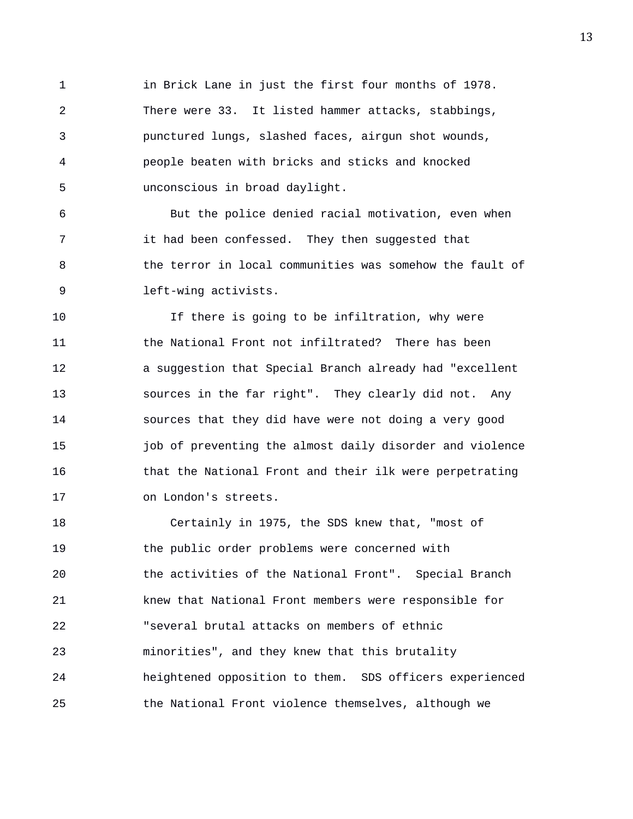1 in Brick Lane in just the first four months of 1978. 2 There were 33. It listed hammer attacks, stabbings, 3 punctured lungs, slashed faces, airgun shot wounds, 4 people beaten with bricks and sticks and knocked 5 unconscious in broad daylight.

6 But the police denied racial motivation, even when 7 it had been confessed. They then suggested that 8 the terror in local communities was somehow the fault of 9 left-wing activists.

10 If there is going to be infiltration, why were 11 the National Front not infiltrated? There has been 12 a suggestion that Special Branch already had "excellent 13 sources in the far right". They clearly did not. Any 14 sources that they did have were not doing a very good 15 job of preventing the almost daily disorder and violence 16 that the National Front and their ilk were perpetrating 17 on London's streets.

18 Certainly in 1975, the SDS knew that, "most of 19 the public order problems were concerned with 20 the activities of the National Front". Special Branch 21 knew that National Front members were responsible for 22 "several brutal attacks on members of ethnic 23 minorities", and they knew that this brutality 24 heightened opposition to them. SDS officers experienced 25 the National Front violence themselves, although we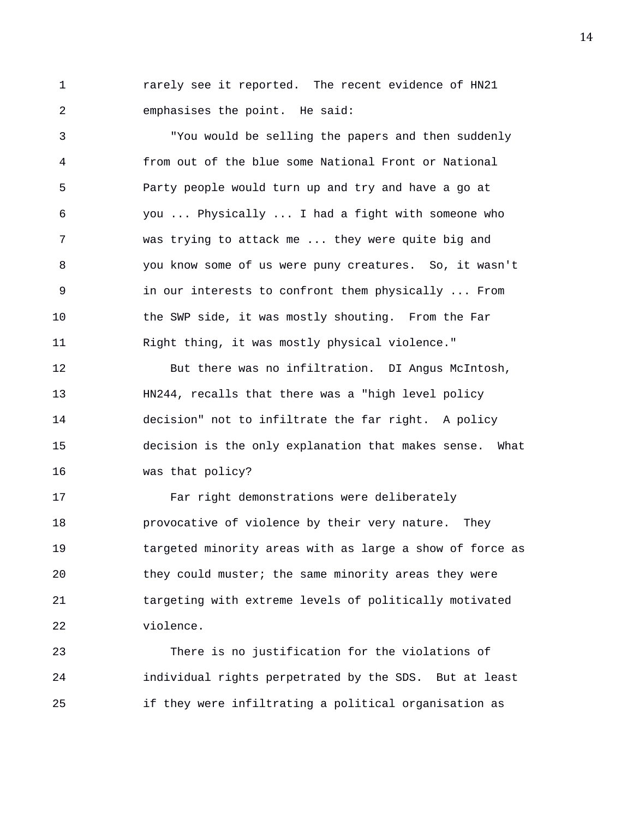1 **rarely see it reported.** The recent evidence of HN21 2 emphasises the point. He said:

3 "You would be selling the papers and then suddenly 4 from out of the blue some National Front or National 5 Party people would turn up and try and have a go at 6 you ... Physically ... I had a fight with someone who 7 was trying to attack me ... they were quite big and 8 you know some of us were puny creatures. So, it wasn't 9 in our interests to confront them physically ... From 10 the SWP side, it was mostly shouting. From the Far 11 Right thing, it was mostly physical violence."

12 But there was no infiltration. DI Angus McIntosh, 13 HN244, recalls that there was a "high level policy 14 decision" not to infiltrate the far right. A policy 15 decision is the only explanation that makes sense. What 16 was that policy?

17 Far right demonstrations were deliberately 18 provocative of violence by their very nature. They 19 targeted minority areas with as large a show of force as 20 they could muster; the same minority areas they were 21 targeting with extreme levels of politically motivated 22 violence.

23 There is no justification for the violations of 24 individual rights perpetrated by the SDS. But at least 25 if they were infiltrating a political organisation as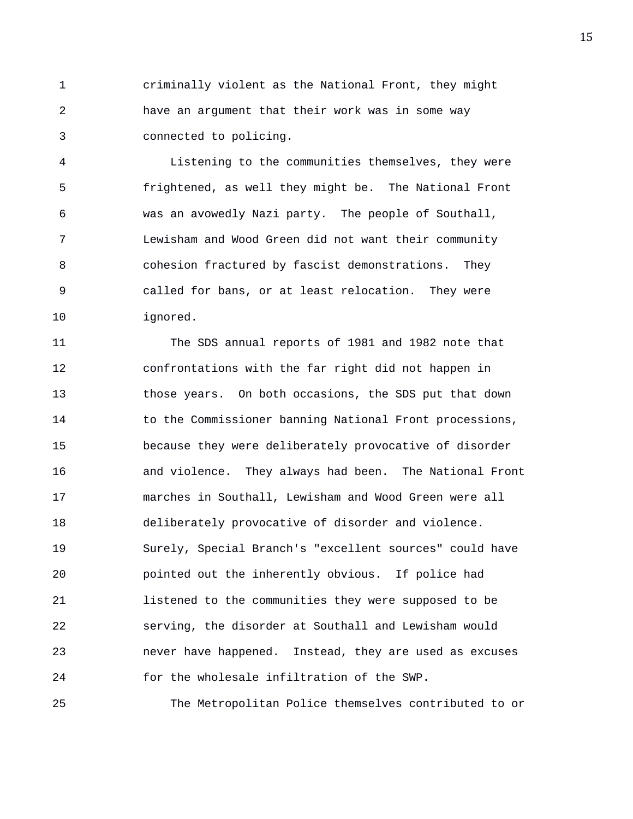1 criminally violent as the National Front, they might 2 have an argument that their work was in some way 3 connected to policing.

4 Listening to the communities themselves, they were 5 frightened, as well they might be. The National Front 6 was an avowedly Nazi party. The people of Southall, 7 Lewisham and Wood Green did not want their community 8 cohesion fractured by fascist demonstrations. They 9 called for bans, or at least relocation. They were 10 ignored.

11 The SDS annual reports of 1981 and 1982 note that 12 confrontations with the far right did not happen in 13 those years. On both occasions, the SDS put that down 14 to the Commissioner banning National Front processions, 15 because they were deliberately provocative of disorder 16 and violence. They always had been. The National Front 17 marches in Southall, Lewisham and Wood Green were all 18 deliberately provocative of disorder and violence. 19 Surely, Special Branch's "excellent sources" could have 20 pointed out the inherently obvious. If police had 21 listened to the communities they were supposed to be 22 serving, the disorder at Southall and Lewisham would 23 never have happened. Instead, they are used as excuses 24 for the wholesale infiltration of the SWP.

25 The Metropolitan Police themselves contributed to or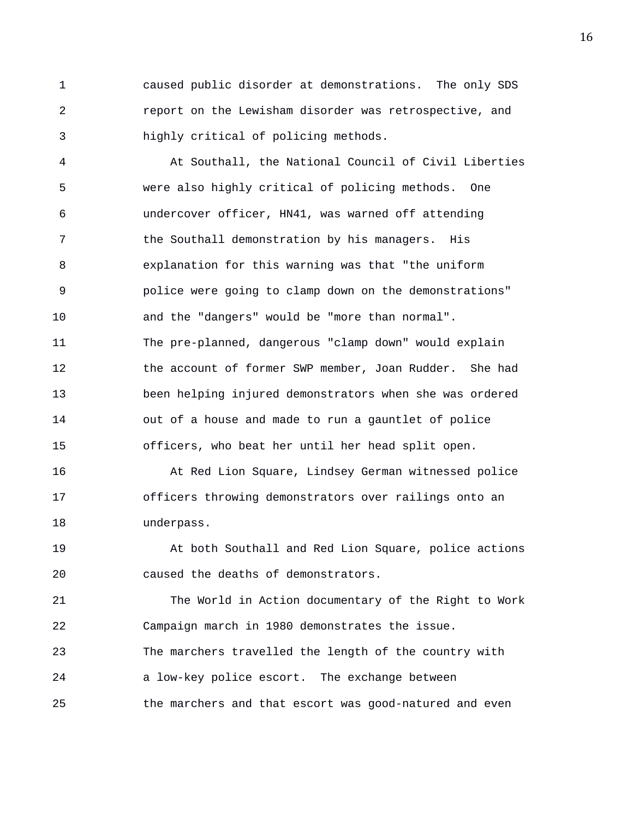1 caused public disorder at demonstrations. The only SDS 2 report on the Lewisham disorder was retrospective, and 3 highly critical of policing methods.

4 At Southall, the National Council of Civil Liberties 5 were also highly critical of policing methods. One 6 undercover officer, HN41, was warned off attending 7 the Southall demonstration by his managers. His 8 explanation for this warning was that "the uniform 9 police were going to clamp down on the demonstrations" 10 and the "dangers" would be "more than normal". 11 The pre-planned, dangerous "clamp down" would explain 12 the account of former SWP member, Joan Rudder. She had 13 been helping injured demonstrators when she was ordered 14 out of a house and made to run a gauntlet of police 15 officers, who beat her until her head split open.

16 At Red Lion Square, Lindsey German witnessed police 17 officers throwing demonstrators over railings onto an 18 underpass.

19 At both Southall and Red Lion Square, police actions 20 caused the deaths of demonstrators.

21 The World in Action documentary of the Right to Work 22 Campaign march in 1980 demonstrates the issue. 23 The marchers travelled the length of the country with 24 a low-key police escort. The exchange between 25 the marchers and that escort was good-natured and even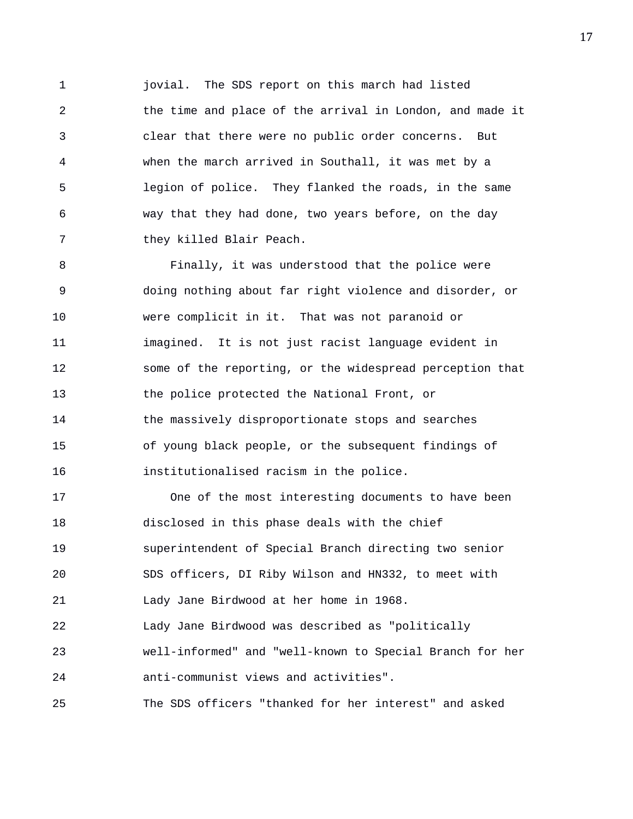1 jovial. The SDS report on this march had listed 2 the time and place of the arrival in London, and made it 3 clear that there were no public order concerns. But 4 when the march arrived in Southall, it was met by a 5 legion of police. They flanked the roads, in the same 6 way that they had done, two years before, on the day 7 they killed Blair Peach.

8 Finally, it was understood that the police were 9 doing nothing about far right violence and disorder, or 10 were complicit in it. That was not paranoid or 11 imagined. It is not just racist language evident in 12 some of the reporting, or the widespread perception that 13 the police protected the National Front, or 14 the massively disproportionate stops and searches 15 of young black people, or the subsequent findings of 16 institutionalised racism in the police.

17 One of the most interesting documents to have been 18 disclosed in this phase deals with the chief 19 superintendent of Special Branch directing two senior 20 SDS officers, DI Riby Wilson and HN332, to meet with 21 Lady Jane Birdwood at her home in 1968. 22 Lady Jane Birdwood was described as "politically 23 well-informed" and "well-known to Special Branch for her 24 anti-communist views and activities". 25 The SDS officers "thanked for her interest" and asked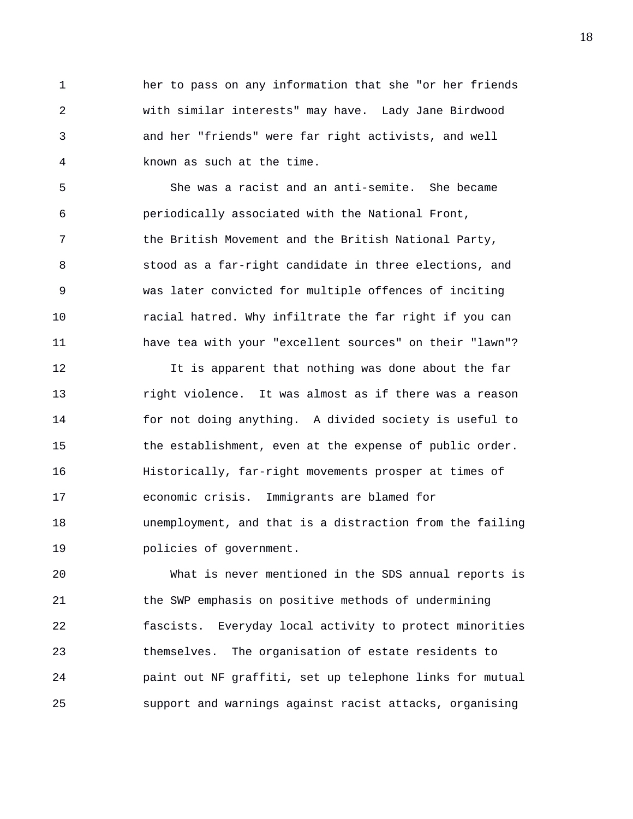1 her to pass on any information that she "or her friends 2 with similar interests" may have. Lady Jane Birdwood 3 and her "friends" were far right activists, and well 4 known as such at the time.

5 She was a racist and an anti-semite. She became 6 periodically associated with the National Front, 7 the British Movement and the British National Party, 8 stood as a far-right candidate in three elections, and 9 was later convicted for multiple offences of inciting 10 racial hatred. Why infiltrate the far right if you can 11 have tea with your "excellent sources" on their "lawn"?

12 It is apparent that nothing was done about the far 13 right violence. It was almost as if there was a reason 14 for not doing anything. A divided society is useful to 15 the establishment, even at the expense of public order. 16 Historically, far-right movements prosper at times of 17 economic crisis. Immigrants are blamed for 18 unemployment, and that is a distraction from the failing 19 policies of government.

20 What is never mentioned in the SDS annual reports is 21 the SWP emphasis on positive methods of undermining 22 fascists. Everyday local activity to protect minorities 23 themselves. The organisation of estate residents to 24 paint out NF graffiti, set up telephone links for mutual 25 support and warnings against racist attacks, organising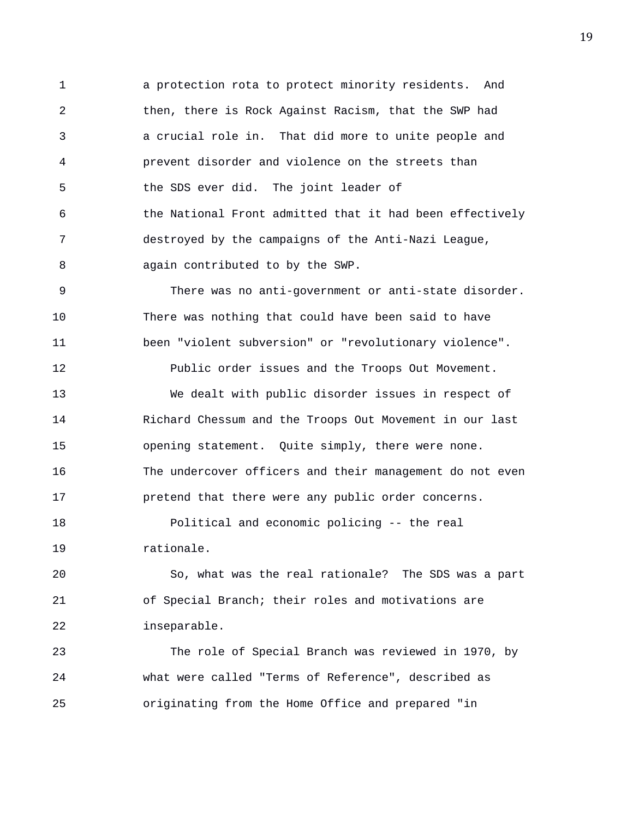1 a protection rota to protect minority residents. And 2 then, there is Rock Against Racism, that the SWP had 3 a crucial role in. That did more to unite people and 4 prevent disorder and violence on the streets than 5 the SDS ever did. The joint leader of 6 the National Front admitted that it had been effectively 7 destroyed by the campaigns of the Anti-Nazi League, 8 again contributed to by the SWP.

9 There was no anti-government or anti-state disorder. 10 There was nothing that could have been said to have 11 been "violent subversion" or "revolutionary violence".

12 Public order issues and the Troops Out Movement. 13 We dealt with public disorder issues in respect of 14 Richard Chessum and the Troops Out Movement in our last 15 opening statement. Quite simply, there were none. 16 The undercover officers and their management do not even

18 Political and economic policing -- the real 19 rationale.

17 pretend that there were any public order concerns.

20 So, what was the real rationale? The SDS was a part 21 of Special Branch; their roles and motivations are 22 inseparable.

23 The role of Special Branch was reviewed in 1970, by 24 what were called "Terms of Reference", described as 25 originating from the Home Office and prepared "in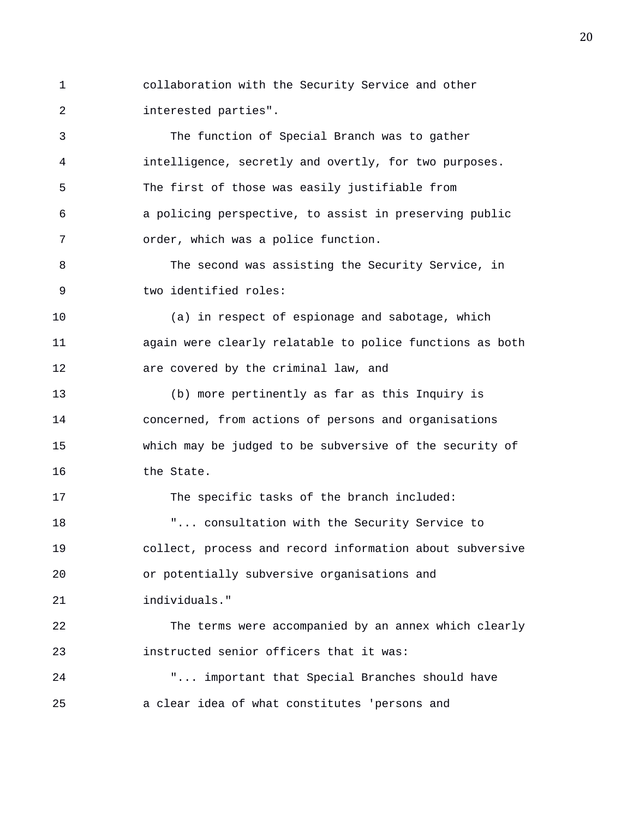1 collaboration with the Security Service and other 2 interested parties".

3 The function of Special Branch was to gather 4 intelligence, secretly and overtly, for two purposes. 5 The first of those was easily justifiable from 6 a policing perspective, to assist in preserving public 7 order, which was a police function.

8 The second was assisting the Security Service, in 9 two identified roles:

10 (a) in respect of espionage and sabotage, which 11 again were clearly relatable to police functions as both 12 are covered by the criminal law, and

13 (b) more pertinently as far as this Inquiry is 14 concerned, from actions of persons and organisations 15 which may be judged to be subversive of the security of 16 the State.

17 The specific tasks of the branch included: 18 T... consultation with the Security Service to 19 collect, process and record information about subversive 20 or potentially subversive organisations and 21 individuals."

22 The terms were accompanied by an annex which clearly 23 instructed senior officers that it was:

24 "... important that Special Branches should have 25 a clear idea of what constitutes 'persons and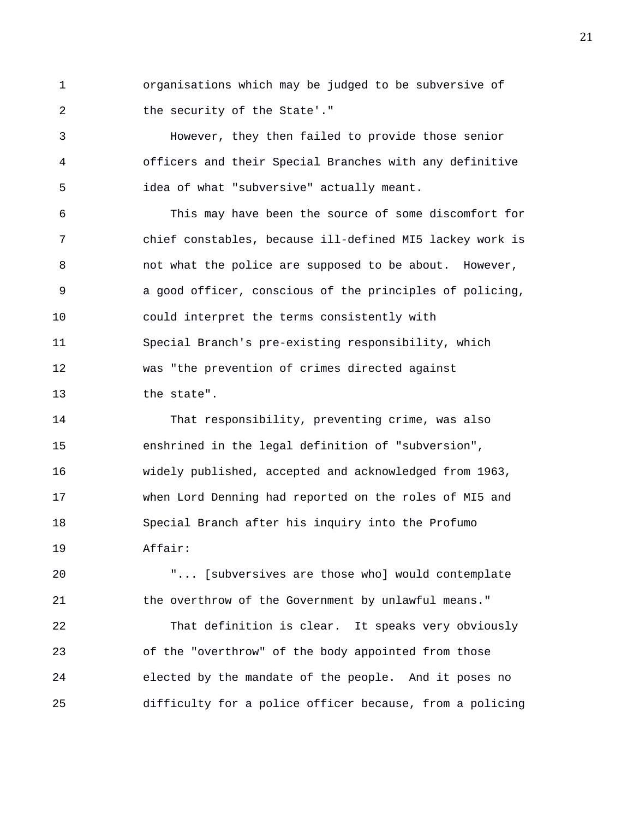1 organisations which may be judged to be subversive of 2 the security of the State'."

3 However, they then failed to provide those senior 4 officers and their Special Branches with any definitive 5 idea of what "subversive" actually meant.

6 This may have been the source of some discomfort for 7 chief constables, because ill-defined MI5 lackey work is 8 not what the police are supposed to be about. However, 9 a good officer, conscious of the principles of policing, 10 could interpret the terms consistently with 11 Special Branch's pre-existing responsibility, which 12 was "the prevention of crimes directed against 13 the state".

14 That responsibility, preventing crime, was also 15 enshrined in the legal definition of "subversion", 16 widely published, accepted and acknowledged from 1963, 17 when Lord Denning had reported on the roles of MI5 and 18 Special Branch after his inquiry into the Profumo 19 Affair:

20 "... [subversives are those who] would contemplate 21 the overthrow of the Government by unlawful means."

22 That definition is clear. It speaks very obviously 23 of the "overthrow" of the body appointed from those 24 elected by the mandate of the people. And it poses no 25 difficulty for a police officer because, from a policing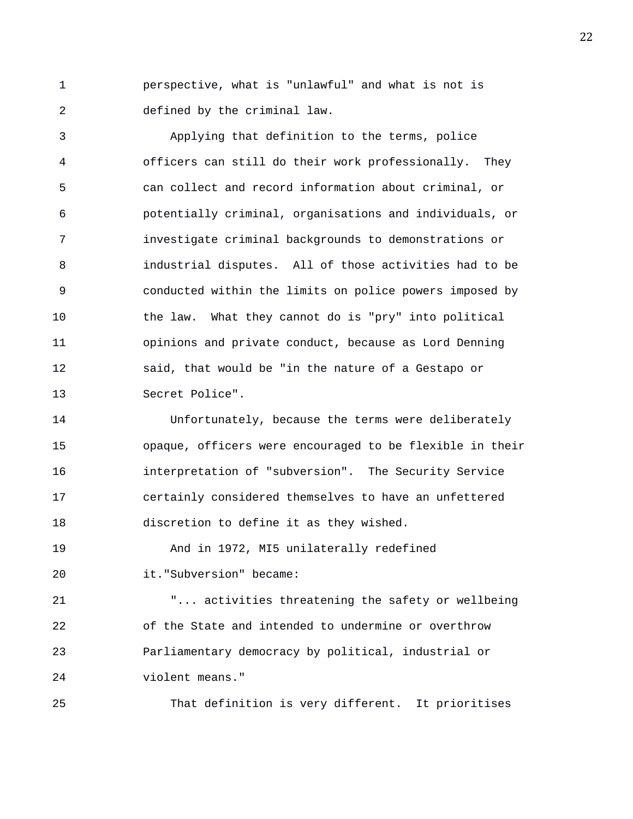1 perspective, what is "unlawful" and what is not is 2 defined by the criminal law.

3 Applying that definition to the terms, police 4 officers can still do their work professionally. They 5 can collect and record information about criminal, or 6 potentially criminal, organisations and individuals, or 7 investigate criminal backgrounds to demonstrations or 8 industrial disputes. All of those activities had to be 9 conducted within the limits on police powers imposed by 10 the law. What they cannot do is "pry" into political 11 opinions and private conduct, because as Lord Denning 12 said, that would be "in the nature of a Gestapo or 13 Secret Police".

14 Unfortunately, because the terms were deliberately 15 opaque, officers were encouraged to be flexible in their 16 interpretation of "subversion". The Security Service 17 certainly considered themselves to have an unfettered 18 discretion to define it as they wished.

19 And in 1972, MI5 unilaterally redefined 20 it."Subversion" became:

21 "... activities threatening the safety or wellbeing 22 of the State and intended to undermine or overthrow 23 Parliamentary democracy by political, industrial or 24 violent means."

25 That definition is very different. It prioritises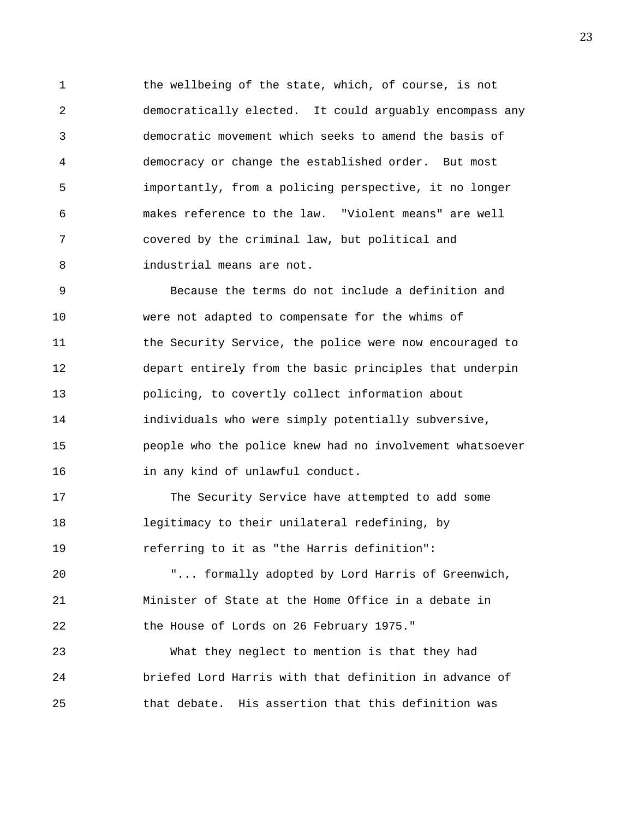1 the wellbeing of the state, which, of course, is not 2 democratically elected. It could arguably encompass any 3 democratic movement which seeks to amend the basis of 4 democracy or change the established order. But most 5 importantly, from a policing perspective, it no longer 6 makes reference to the law. "Violent means" are well 7 covered by the criminal law, but political and 8 industrial means are not.

9 Because the terms do not include a definition and 10 were not adapted to compensate for the whims of 11 the Security Service, the police were now encouraged to 12 depart entirely from the basic principles that underpin 13 policing, to covertly collect information about 14 individuals who were simply potentially subversive, 15 people who the police knew had no involvement whatsoever 16 in any kind of unlawful conduct.

17 The Security Service have attempted to add some 18 legitimacy to their unilateral redefining, by 19 referring to it as "the Harris definition":

20 "... formally adopted by Lord Harris of Greenwich, 21 Minister of State at the Home Office in a debate in 22 the House of Lords on 26 February 1975."

23 What they neglect to mention is that they had 24 briefed Lord Harris with that definition in advance of 25 that debate. His assertion that this definition was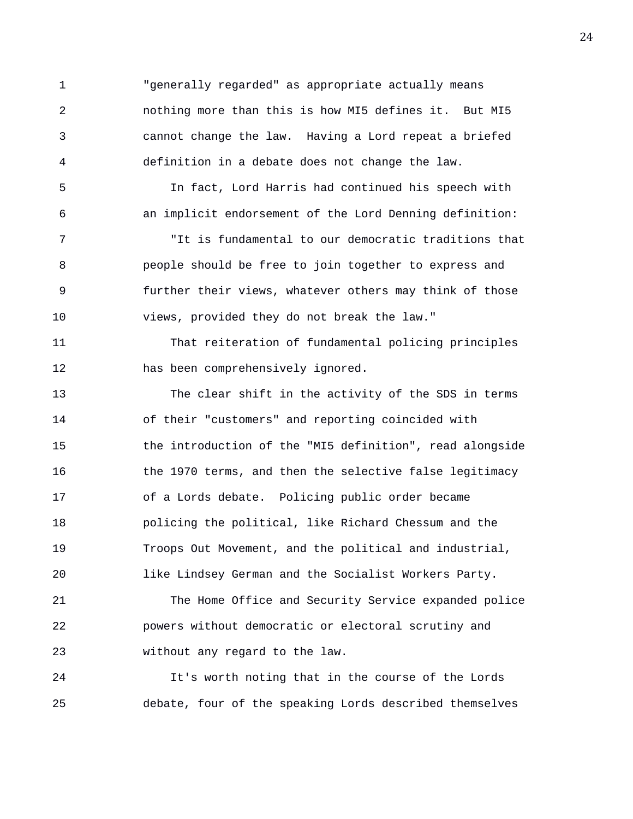1 "generally regarded" as appropriate actually means 2 nothing more than this is how MI5 defines it. But MI5 3 cannot change the law. Having a Lord repeat a briefed 4 definition in a debate does not change the law.

5 In fact, Lord Harris had continued his speech with 6 an implicit endorsement of the Lord Denning definition:

7 "It is fundamental to our democratic traditions that 8 people should be free to join together to express and 9 further their views, whatever others may think of those 10 views, provided they do not break the law."

11 That reiteration of fundamental policing principles 12 has been comprehensively ignored.

13 The clear shift in the activity of the SDS in terms 14 of their "customers" and reporting coincided with 15 the introduction of the "MI5 definition", read alongside 16 the 1970 terms, and then the selective false legitimacy 17 of a Lords debate. Policing public order became 18 policing the political, like Richard Chessum and the 19 Troops Out Movement, and the political and industrial, 20 like Lindsey German and the Socialist Workers Party.

21 The Home Office and Security Service expanded police 22 powers without democratic or electoral scrutiny and 23 without any regard to the law.

24 It's worth noting that in the course of the Lords 25 debate, four of the speaking Lords described themselves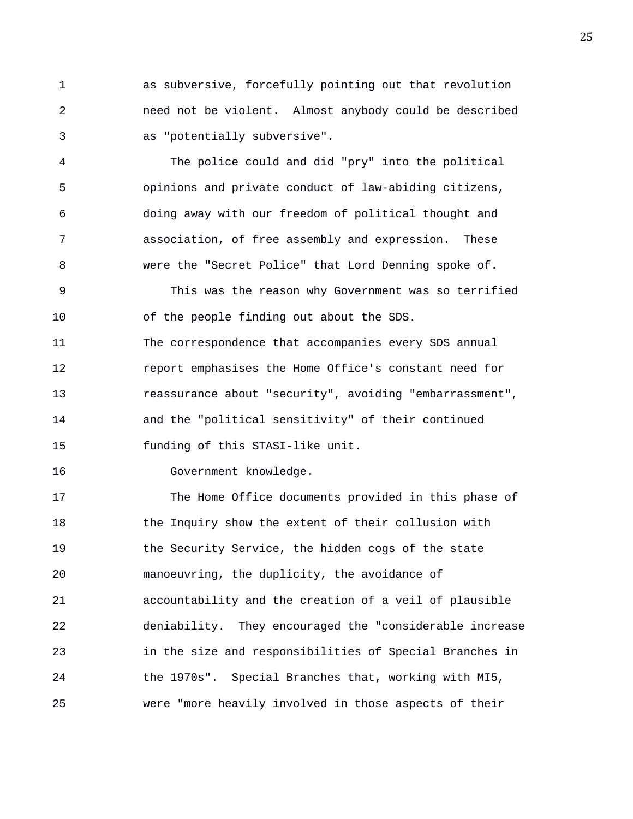1 as subversive, forcefully pointing out that revolution 2 need not be violent. Almost anybody could be described 3 as "potentially subversive".

4 The police could and did "pry" into the political 5 opinions and private conduct of law-abiding citizens, 6 doing away with our freedom of political thought and 7 association, of free assembly and expression. These 8 were the "Secret Police" that Lord Denning spoke of.

9 This was the reason why Government was so terrified 10 of the people finding out about the SDS.

11 The correspondence that accompanies every SDS annual 12 report emphasises the Home Office's constant need for 13 reassurance about "security", avoiding "embarrassment", 14 and the "political sensitivity" of their continued 15 funding of this STASI-like unit.

16 Government knowledge.

17 The Home Office documents provided in this phase of 18 the Inquiry show the extent of their collusion with 19 the Security Service, the hidden cogs of the state 20 manoeuvring, the duplicity, the avoidance of 21 accountability and the creation of a veil of plausible 22 deniability. They encouraged the "considerable increase 23 in the size and responsibilities of Special Branches in 24 the 1970s". Special Branches that, working with MI5, 25 were "more heavily involved in those aspects of their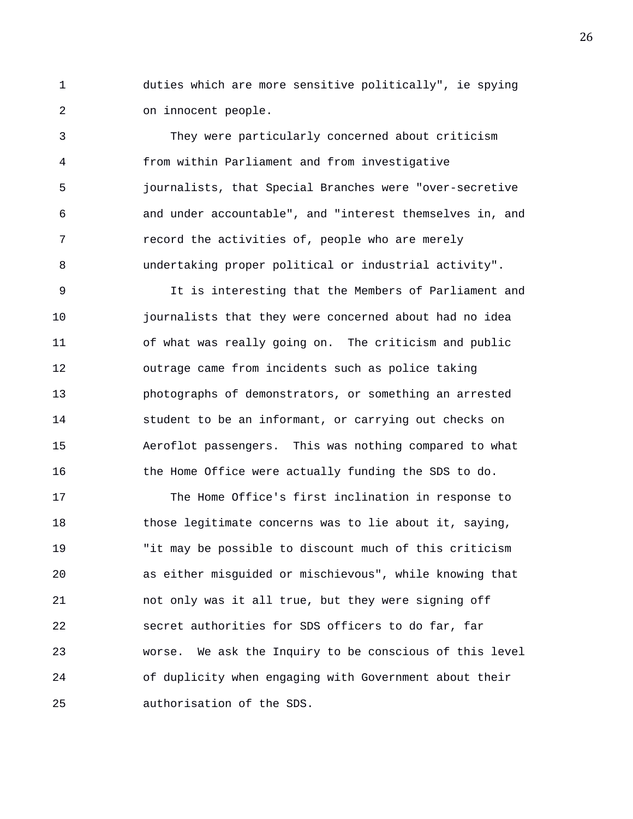1 duties which are more sensitive politically", ie spying 2 on innocent people.

3 They were particularly concerned about criticism 4 from within Parliament and from investigative 5 journalists, that Special Branches were "over-secretive 6 and under accountable", and "interest themselves in, and 7 record the activities of, people who are merely 8 undertaking proper political or industrial activity".

9 It is interesting that the Members of Parliament and 10 journalists that they were concerned about had no idea 11 of what was really going on. The criticism and public 12 outrage came from incidents such as police taking 13 photographs of demonstrators, or something an arrested 14 student to be an informant, or carrying out checks on 15 Aeroflot passengers. This was nothing compared to what 16 the Home Office were actually funding the SDS to do.

17 The Home Office's first inclination in response to 18 those legitimate concerns was to lie about it, saying, 19 "it may be possible to discount much of this criticism 20 as either misguided or mischievous", while knowing that 21 not only was it all true, but they were signing off 22 secret authorities for SDS officers to do far, far 23 worse. We ask the Inquiry to be conscious of this level 24 of duplicity when engaging with Government about their 25 authorisation of the SDS.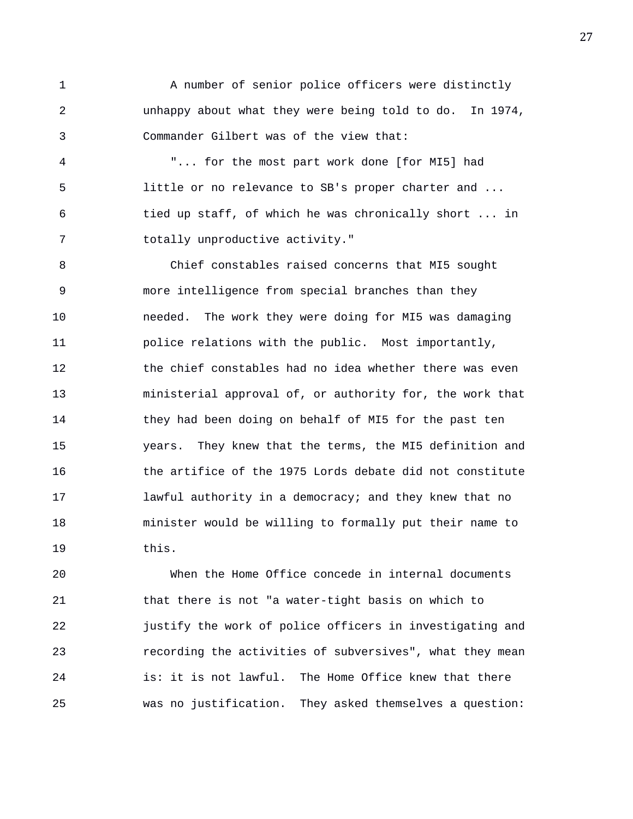1 A number of senior police officers were distinctly 2 unhappy about what they were being told to do. In 1974, 3 Commander Gilbert was of the view that:

4 "... for the most part work done [for MI5] had 5 little or no relevance to SB's proper charter and ... 6 tied up staff, of which he was chronically short ... in 7 totally unproductive activity."

8 Chief constables raised concerns that MI5 sought 9 more intelligence from special branches than they 10 needed. The work they were doing for MI5 was damaging 11 police relations with the public. Most importantly, 12 the chief constables had no idea whether there was even 13 ministerial approval of, or authority for, the work that 14 they had been doing on behalf of MI5 for the past ten 15 years. They knew that the terms, the MI5 definition and 16 the artifice of the 1975 Lords debate did not constitute 17 lawful authority in a democracy; and they knew that no 18 minister would be willing to formally put their name to 19 this.

20 When the Home Office concede in internal documents 21 that there is not "a water-tight basis on which to 22 justify the work of police officers in investigating and 23 recording the activities of subversives", what they mean 24 is: it is not lawful. The Home Office knew that there 25 was no justification. They asked themselves a question: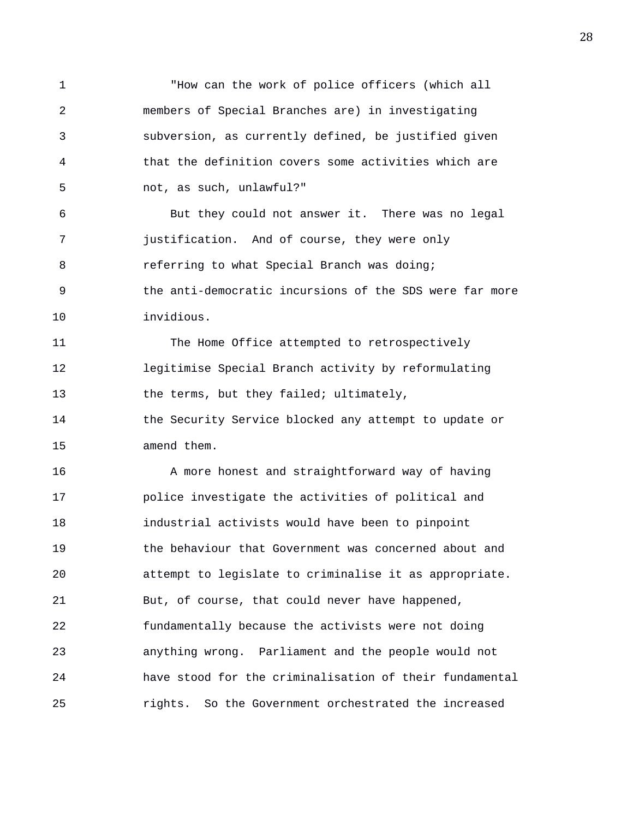1 "How can the work of police officers (which all 2 members of Special Branches are) in investigating 3 subversion, as currently defined, be justified given 4 that the definition covers some activities which are 5 not, as such, unlawful?" 6 But they could not answer it. There was no legal 7 justification. And of course, they were only 8 **8** referring to what Special Branch was doing; 9 the anti-democratic incursions of the SDS were far more 10 invidious. 11 The Home Office attempted to retrospectively 12 legitimise Special Branch activity by reformulating 13 the terms, but they failed; ultimately, 14 the Security Service blocked any attempt to update or 15 amend them. 16 A more honest and straightforward way of having 17 police investigate the activities of political and 18 industrial activists would have been to pinpoint 19 the behaviour that Government was concerned about and 20 attempt to legislate to criminalise it as appropriate. 21 But, of course, that could never have happened, 22 fundamentally because the activists were not doing 23 anything wrong. Parliament and the people would not 24 have stood for the criminalisation of their fundamental 25 rights. So the Government orchestrated the increased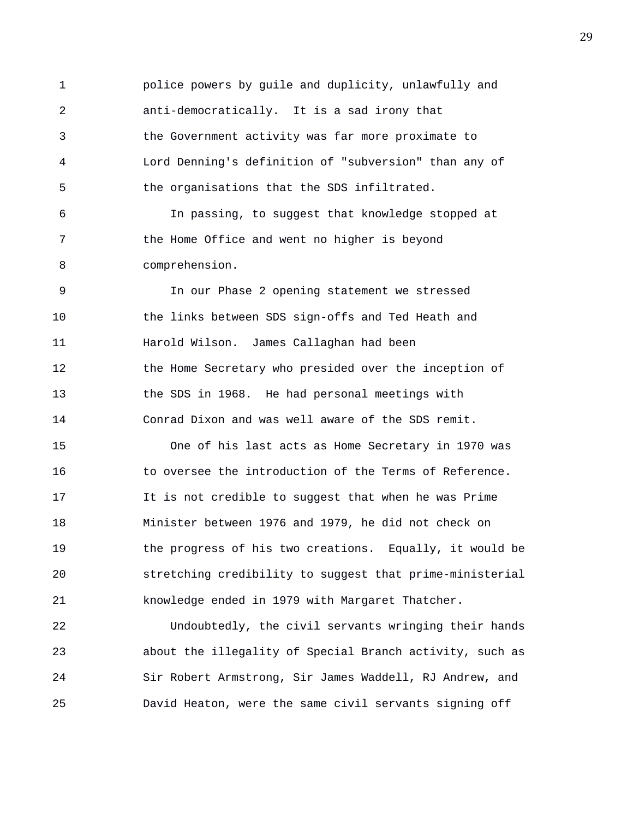1 police powers by guile and duplicity, unlawfully and 2 anti-democratically. It is a sad irony that 3 the Government activity was far more proximate to 4 Lord Denning's definition of "subversion" than any of 5 the organisations that the SDS infiltrated. 6 In passing, to suggest that knowledge stopped at

7 the Home Office and went no higher is beyond 8 comprehension.

9 In our Phase 2 opening statement we stressed 10 the links between SDS sign-offs and Ted Heath and 11 Harold Wilson. James Callaghan had been 12 the Home Secretary who presided over the inception of 13 the SDS in 1968. He had personal meetings with 14 Conrad Dixon and was well aware of the SDS remit.

15 One of his last acts as Home Secretary in 1970 was 16 to oversee the introduction of the Terms of Reference. 17 It is not credible to suggest that when he was Prime 18 Minister between 1976 and 1979, he did not check on 19 the progress of his two creations. Equally, it would be 20 stretching credibility to suggest that prime-ministerial 21 knowledge ended in 1979 with Margaret Thatcher.

22 Undoubtedly, the civil servants wringing their hands 23 about the illegality of Special Branch activity, such as 24 Sir Robert Armstrong, Sir James Waddell, RJ Andrew, and 25 David Heaton, were the same civil servants signing off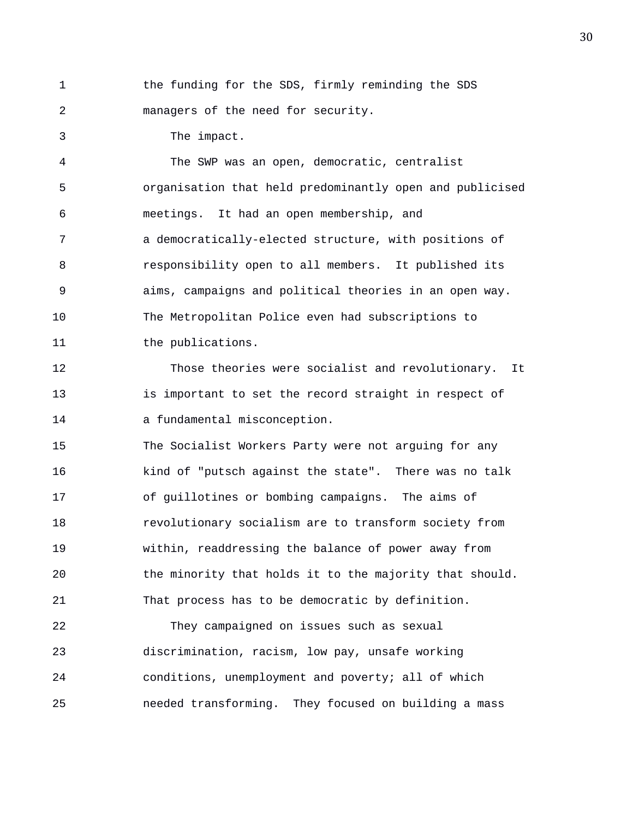1 the funding for the SDS, firmly reminding the SDS 2 managers of the need for security.

3 The impact.

4 The SWP was an open, democratic, centralist 5 organisation that held predominantly open and publicised 6 meetings. It had an open membership, and 7 a democratically-elected structure, with positions of 8 responsibility open to all members. It published its 9 aims, campaigns and political theories in an open way. 10 The Metropolitan Police even had subscriptions to 11 the publications.

12 Those theories were socialist and revolutionary. It 13 is important to set the record straight in respect of 14 a fundamental misconception.

15 The Socialist Workers Party were not arguing for any 16 kind of "putsch against the state". There was no talk 17 of guillotines or bombing campaigns. The aims of 18 revolutionary socialism are to transform society from 19 within, readdressing the balance of power away from 20 the minority that holds it to the majority that should. 21 That process has to be democratic by definition.

22 They campaigned on issues such as sexual 23 discrimination, racism, low pay, unsafe working 24 conditions, unemployment and poverty; all of which 25 needed transforming. They focused on building a mass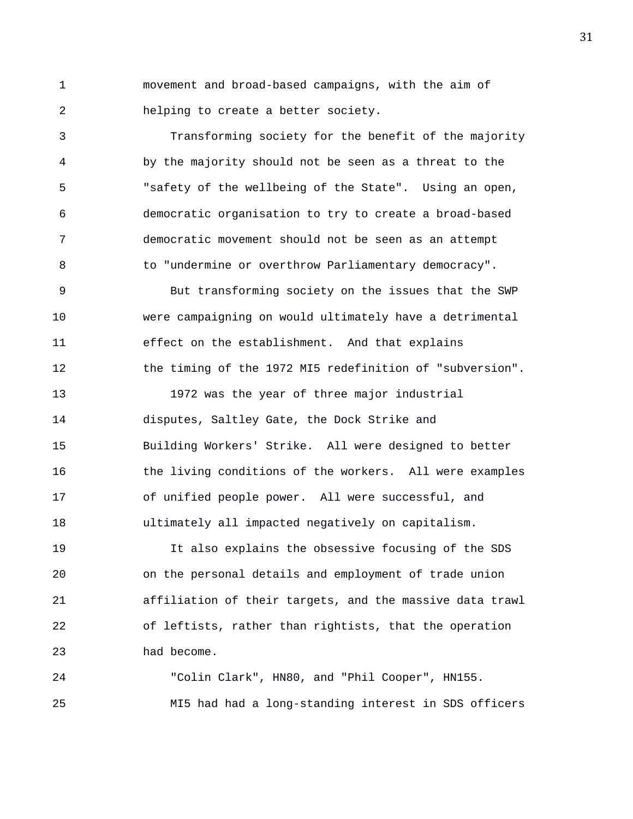1 movement and broad-based campaigns, with the aim of 2 helping to create a better society.

3 Transforming society for the benefit of the majority 4 by the majority should not be seen as a threat to the 5 "safety of the wellbeing of the State". Using an open, 6 democratic organisation to try to create a broad-based 7 democratic movement should not be seen as an attempt 8 to "undermine or overthrow Parliamentary democracy".

9 But transforming society on the issues that the SWP 10 were campaigning on would ultimately have a detrimental 11 effect on the establishment. And that explains 12 the timing of the 1972 MI5 redefinition of "subversion".

13 1972 was the year of three major industrial 14 disputes, Saltley Gate, the Dock Strike and 15 Building Workers' Strike. All were designed to better 16 the living conditions of the workers. All were examples 17 of unified people power. All were successful, and 18 ultimately all impacted negatively on capitalism.

19 It also explains the obsessive focusing of the SDS 20 on the personal details and employment of trade union 21 affiliation of their targets, and the massive data trawl 22 of leftists, rather than rightists, that the operation 23 had become.

24 "Colin Clark", HN80, and "Phil Cooper", HN155. 25 MI5 had had a long-standing interest in SDS officers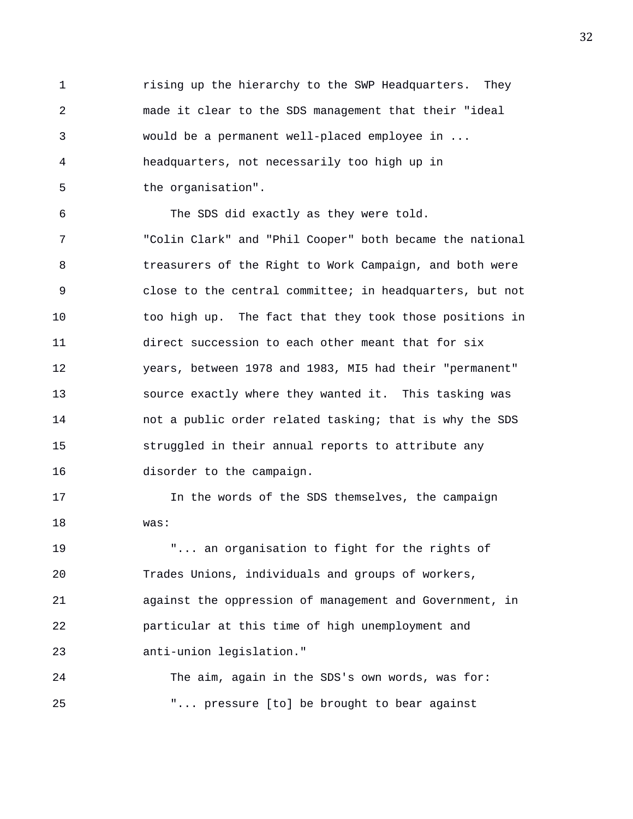1 rising up the hierarchy to the SWP Headquarters. They 2 made it clear to the SDS management that their "ideal 3 would be a permanent well-placed employee in ... 4 headquarters, not necessarily too high up in 5 the organisation".

6 The SDS did exactly as they were told. 7 "Colin Clark" and "Phil Cooper" both became the national 8 treasurers of the Right to Work Campaign, and both were 9 close to the central committee; in headquarters, but not 10 too high up. The fact that they took those positions in 11 direct succession to each other meant that for six 12 years, between 1978 and 1983, MI5 had their "permanent" 13 source exactly where they wanted it. This tasking was 14 not a public order related tasking; that is why the SDS 15 struggled in their annual reports to attribute any 16 disorder to the campaign.

17 In the words of the SDS themselves, the campaign 18 was:

19 "... an organisation to fight for the rights of 20 Trades Unions, individuals and groups of workers, 21 against the oppression of management and Government, in 22 particular at this time of high unemployment and 23 anti-union legislation."

24 The aim, again in the SDS's own words, was for: 25 "... pressure [to] be brought to bear against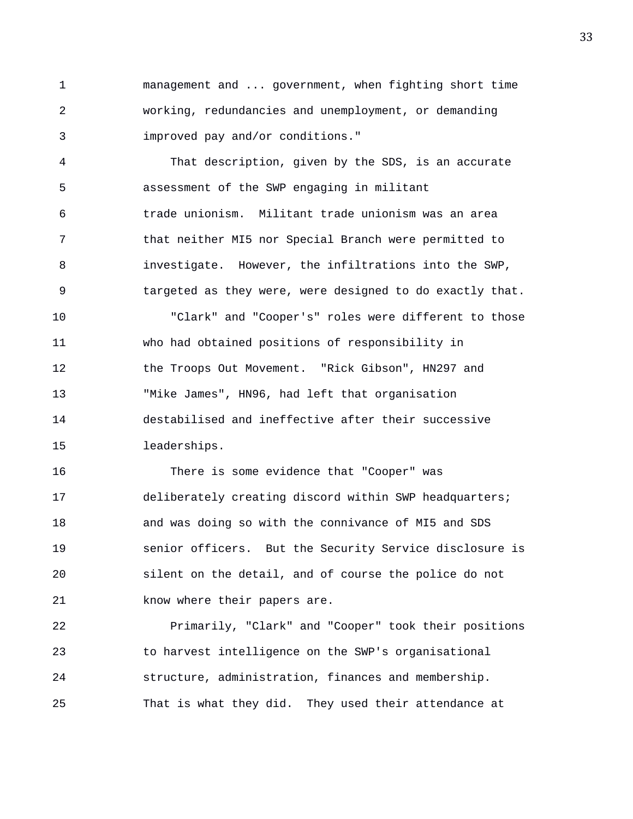1 management and ... government, when fighting short time 2 working, redundancies and unemployment, or demanding 3 improved pay and/or conditions."

4 That description, given by the SDS, is an accurate 5 assessment of the SWP engaging in militant 6 trade unionism. Militant trade unionism was an area 7 that neither MI5 nor Special Branch were permitted to 8 investigate. However, the infiltrations into the SWP, 9 targeted as they were, were designed to do exactly that.

10 "Clark" and "Cooper's" roles were different to those 11 who had obtained positions of responsibility in 12 the Troops Out Movement. "Rick Gibson", HN297 and 13 "Mike James", HN96, had left that organisation 14 destabilised and ineffective after their successive 15 leaderships.

16 There is some evidence that "Cooper" was 17 deliberately creating discord within SWP headquarters; 18 and was doing so with the connivance of MI5 and SDS 19 senior officers. But the Security Service disclosure is 20 silent on the detail, and of course the police do not 21 know where their papers are.

22 Primarily, "Clark" and "Cooper" took their positions 23 to harvest intelligence on the SWP's organisational 24 structure, administration, finances and membership. 25 That is what they did. They used their attendance at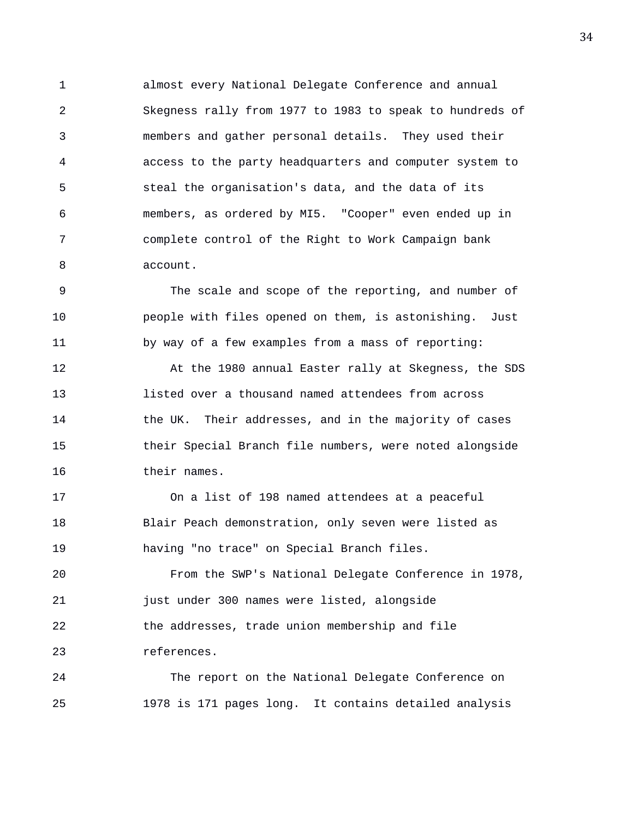1 almost every National Delegate Conference and annual 2 Skegness rally from 1977 to 1983 to speak to hundreds of 3 members and gather personal details. They used their 4 access to the party headquarters and computer system to 5 steal the organisation's data, and the data of its 6 members, as ordered by MI5. "Cooper" even ended up in 7 complete control of the Right to Work Campaign bank 8 account.

9 The scale and scope of the reporting, and number of 10 people with files opened on them, is astonishing. Just 11 by way of a few examples from a mass of reporting:

12 At the 1980 annual Easter rally at Skegness, the SDS 13 listed over a thousand named attendees from across 14 the UK. Their addresses, and in the majority of cases 15 their Special Branch file numbers, were noted alongside 16 their names.

17 On a list of 198 named attendees at a peaceful 18 Blair Peach demonstration, only seven were listed as 19 having "no trace" on Special Branch files.

20 From the SWP's National Delegate Conference in 1978, 21 just under 300 names were listed, alongside 22 the addresses, trade union membership and file 23 references.

24 The report on the National Delegate Conference on 25 1978 is 171 pages long. It contains detailed analysis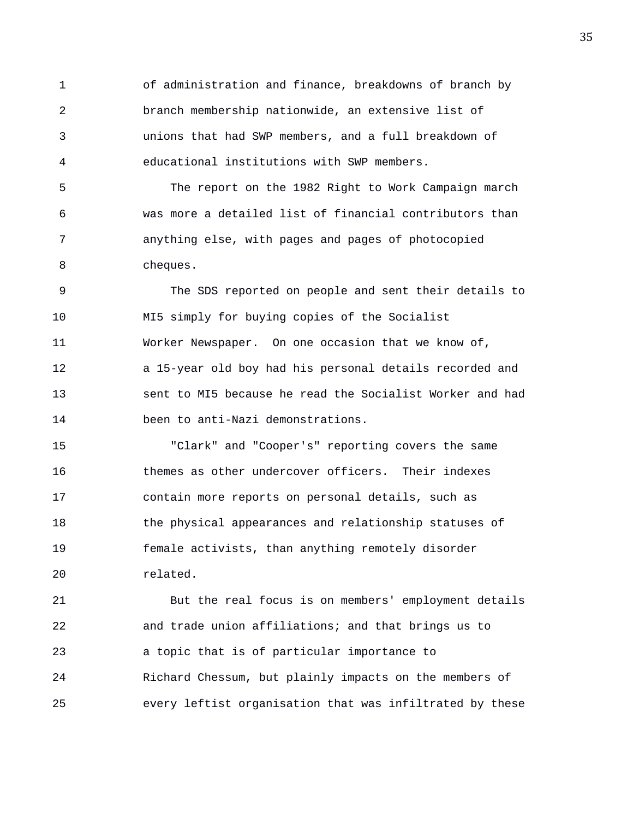1 of administration and finance, breakdowns of branch by 2 branch membership nationwide, an extensive list of 3 unions that had SWP members, and a full breakdown of 4 educational institutions with SWP members.

5 The report on the 1982 Right to Work Campaign march 6 was more a detailed list of financial contributors than 7 anything else, with pages and pages of photocopied 8 cheques.

9 The SDS reported on people and sent their details to 10 MI5 simply for buying copies of the Socialist 11 Worker Newspaper. On one occasion that we know of, 12 a 15-year old boy had his personal details recorded and 13 sent to MI5 because he read the Socialist Worker and had 14 been to anti-Nazi demonstrations.

15 "Clark" and "Cooper's" reporting covers the same 16 themes as other undercover officers. Their indexes 17 contain more reports on personal details, such as 18 the physical appearances and relationship statuses of 19 female activists, than anything remotely disorder 20 related.

21 But the real focus is on members' employment details 22 and trade union affiliations; and that brings us to 23 a topic that is of particular importance to 24 Richard Chessum, but plainly impacts on the members of 25 every leftist organisation that was infiltrated by these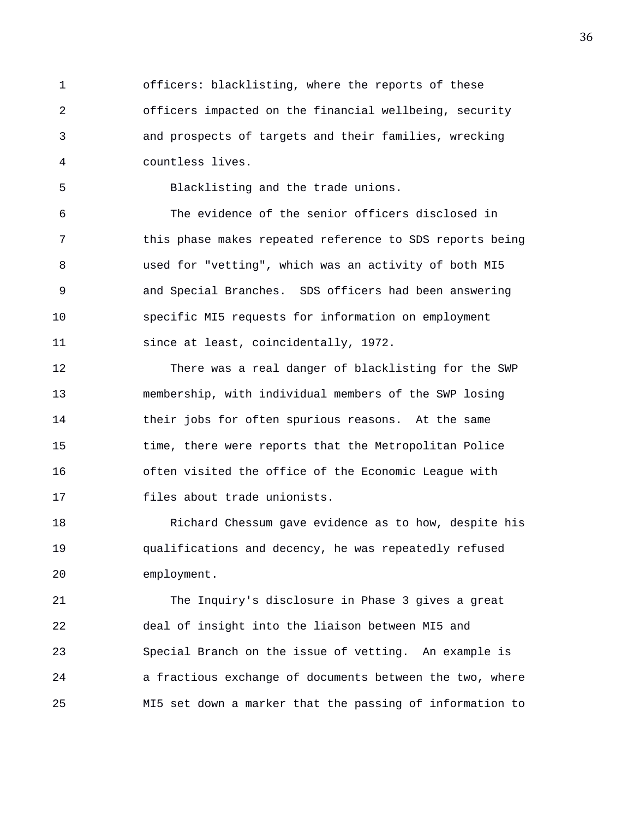1 officers: blacklisting, where the reports of these 2 officers impacted on the financial wellbeing, security 3 and prospects of targets and their families, wrecking 4 countless lives.

5 Blacklisting and the trade unions.

6 The evidence of the senior officers disclosed in 7 this phase makes repeated reference to SDS reports being 8 used for "vetting", which was an activity of both MI5 9 and Special Branches. SDS officers had been answering 10 specific MI5 requests for information on employment 11 since at least, coincidentally, 1972.

12 There was a real danger of blacklisting for the SWP 13 membership, with individual members of the SWP losing 14 their jobs for often spurious reasons. At the same 15 time, there were reports that the Metropolitan Police 16 often visited the office of the Economic League with 17 files about trade unionists.

18 Richard Chessum gave evidence as to how, despite his 19 qualifications and decency, he was repeatedly refused 20 employment.

21 The Inquiry's disclosure in Phase 3 gives a great 22 deal of insight into the liaison between MI5 and 23 Special Branch on the issue of vetting. An example is 24 a fractious exchange of documents between the two, where 25 MI5 set down a marker that the passing of information to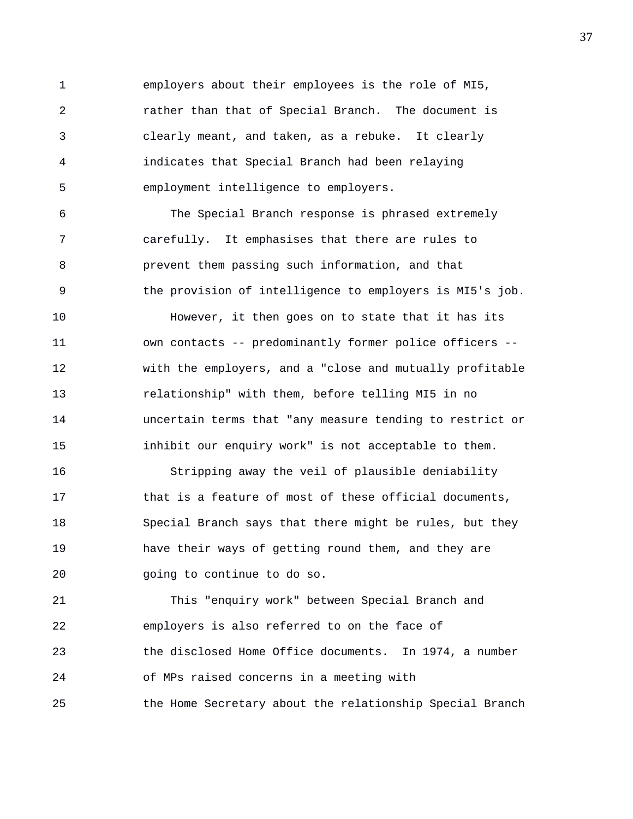1 employers about their employees is the role of MI5, 2 rather than that of Special Branch. The document is 3 clearly meant, and taken, as a rebuke. It clearly 4 indicates that Special Branch had been relaying 5 employment intelligence to employers.

6 The Special Branch response is phrased extremely 7 carefully. It emphasises that there are rules to 8 prevent them passing such information, and that 9 the provision of intelligence to employers is MI5's job. 10 However, it then goes on to state that it has its 11 own contacts -- predominantly former police officers -- 12 with the employers, and a "close and mutually profitable 13 relationship" with them, before telling MI5 in no 14 uncertain terms that "any measure tending to restrict or 15 inhibit our enquiry work" is not acceptable to them.

16 Stripping away the veil of plausible deniability 17 that is a feature of most of these official documents, 18 Special Branch says that there might be rules, but they 19 have their ways of getting round them, and they are 20 going to continue to do so.

21 This "enquiry work" between Special Branch and 22 employers is also referred to on the face of 23 the disclosed Home Office documents. In 1974, a number 24 of MPs raised concerns in a meeting with 25 the Home Secretary about the relationship Special Branch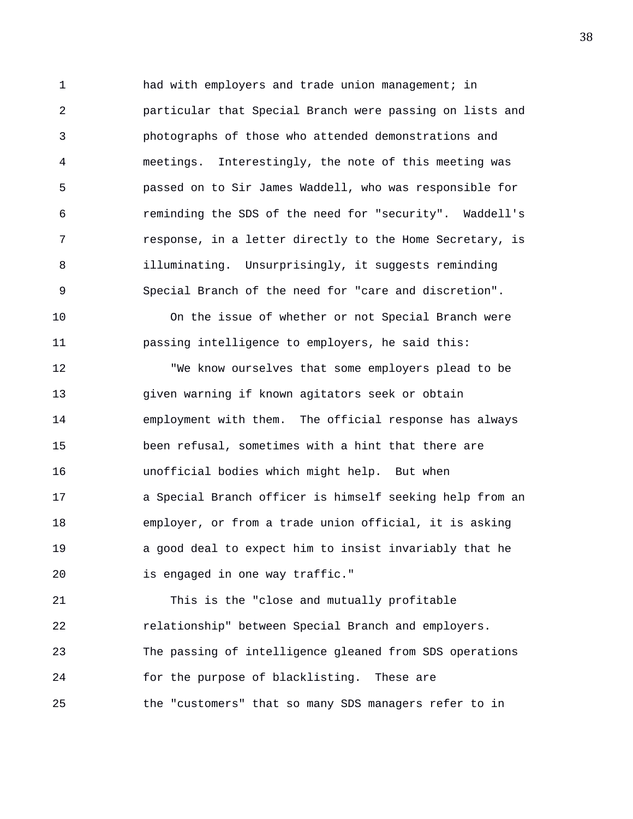1 had with employers and trade union management; in 2 particular that Special Branch were passing on lists and 3 photographs of those who attended demonstrations and 4 meetings. Interestingly, the note of this meeting was 5 passed on to Sir James Waddell, who was responsible for 6 reminding the SDS of the need for "security". Waddell's 7 response, in a letter directly to the Home Secretary, is 8 illuminating. Unsurprisingly, it suggests reminding 9 Special Branch of the need for "care and discretion".

10 On the issue of whether or not Special Branch were 11 passing intelligence to employers, he said this:

12 "We know ourselves that some employers plead to be 13 given warning if known agitators seek or obtain 14 employment with them. The official response has always 15 been refusal, sometimes with a hint that there are 16 unofficial bodies which might help. But when 17 a Special Branch officer is himself seeking help from an 18 employer, or from a trade union official, it is asking 19 a good deal to expect him to insist invariably that he 20 is engaged in one way traffic."

21 This is the "close and mutually profitable 22 relationship" between Special Branch and employers. 23 The passing of intelligence gleaned from SDS operations 24 for the purpose of blacklisting. These are 25 the "customers" that so many SDS managers refer to in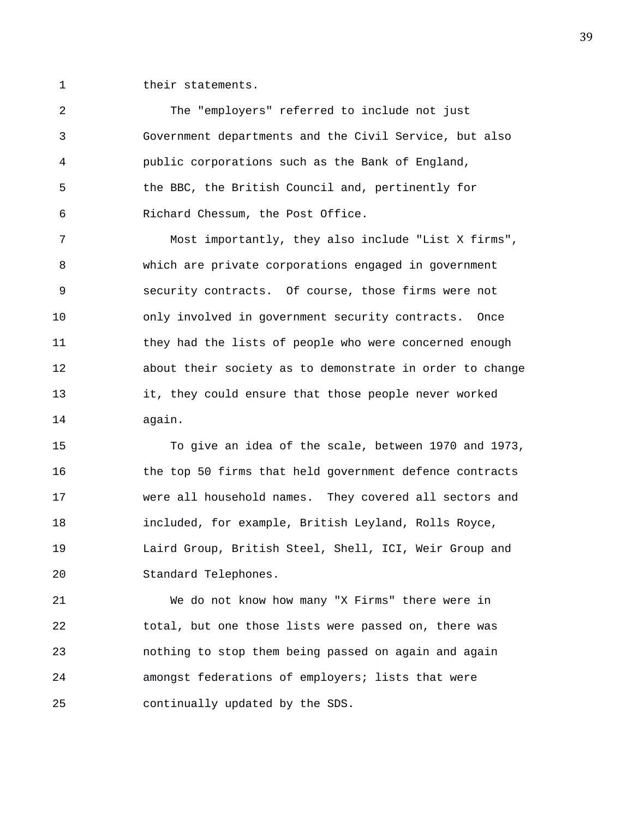1 their statements.

2 The "employers" referred to include not just 3 Government departments and the Civil Service, but also 4 public corporations such as the Bank of England, 5 the BBC, the British Council and, pertinently for 6 Richard Chessum, the Post Office.

7 Most importantly, they also include "List X firms", 8 which are private corporations engaged in government 9 security contracts. Of course, those firms were not 10 only involved in government security contracts. Once 11 they had the lists of people who were concerned enough 12 about their society as to demonstrate in order to change 13 it, they could ensure that those people never worked 14 again.

15 To give an idea of the scale, between 1970 and 1973, 16 the top 50 firms that held government defence contracts 17 were all household names. They covered all sectors and 18 included, for example, British Leyland, Rolls Royce, 19 Laird Group, British Steel, Shell, ICI, Weir Group and 20 Standard Telephones.

21 We do not know how many "X Firms" there were in 22 total, but one those lists were passed on, there was 23 nothing to stop them being passed on again and again 24 amongst federations of employers; lists that were 25 continually updated by the SDS.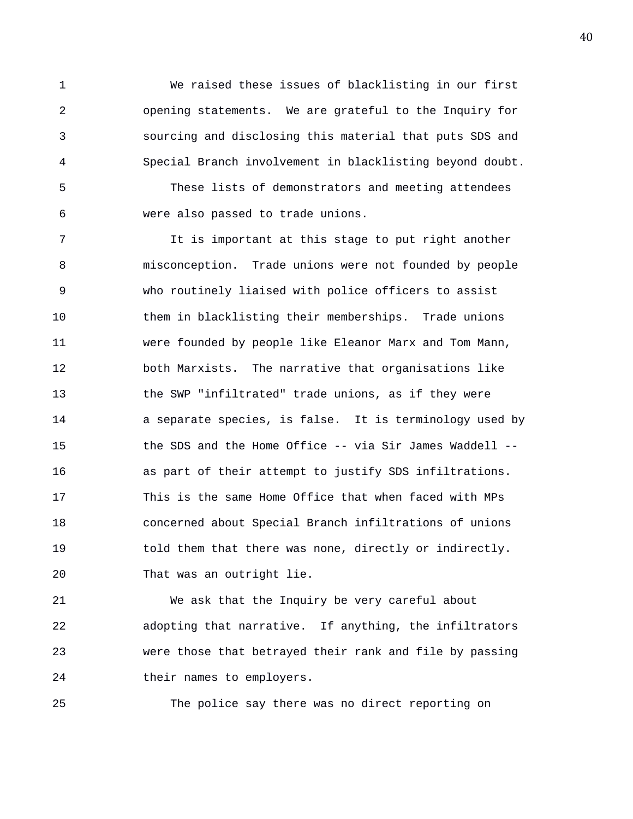1 We raised these issues of blacklisting in our first 2 opening statements. We are grateful to the Inquiry for 3 sourcing and disclosing this material that puts SDS and 4 Special Branch involvement in blacklisting beyond doubt.

5 These lists of demonstrators and meeting attendees 6 were also passed to trade unions.

7 It is important at this stage to put right another 8 misconception. Trade unions were not founded by people 9 who routinely liaised with police officers to assist 10 them in blacklisting their memberships. Trade unions 11 were founded by people like Eleanor Marx and Tom Mann, 12 both Marxists. The narrative that organisations like 13 the SWP "infiltrated" trade unions, as if they were 14 a separate species, is false. It is terminology used by 15 the SDS and the Home Office -- via Sir James Waddell -- 16 as part of their attempt to justify SDS infiltrations. 17 This is the same Home Office that when faced with MPs 18 concerned about Special Branch infiltrations of unions 19 told them that there was none, directly or indirectly. 20 That was an outright lie.

21 We ask that the Inquiry be very careful about 22 adopting that narrative. If anything, the infiltrators 23 were those that betrayed their rank and file by passing 24 their names to employers.

25 The police say there was no direct reporting on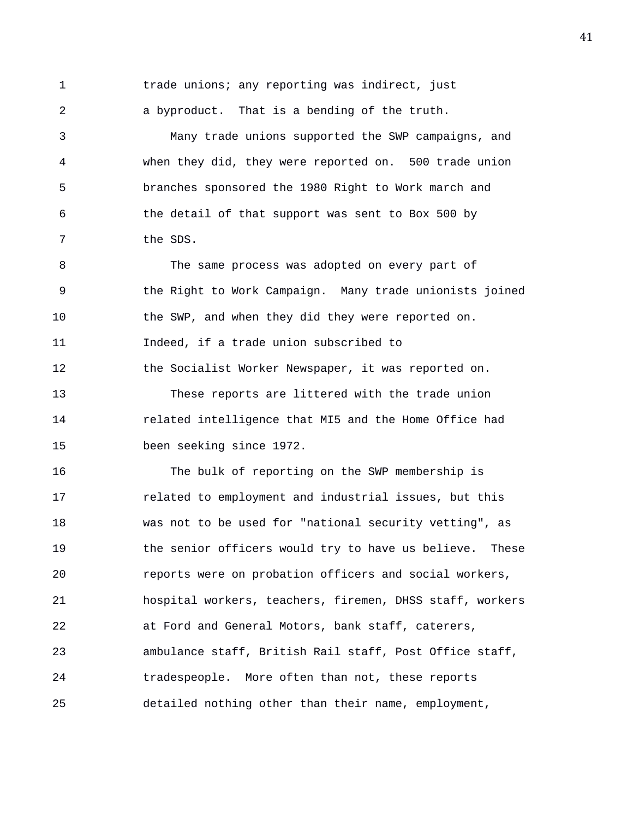1 trade unions; any reporting was indirect, just 2 a byproduct. That is a bending of the truth. 3 Many trade unions supported the SWP campaigns, and 4 when they did, they were reported on. 500 trade union 5 branches sponsored the 1980 Right to Work march and 6 the detail of that support was sent to Box 500 by 7 the SDS. 8 The same process was adopted on every part of 9 the Right to Work Campaign. Many trade unionists joined 10 the SWP, and when they did they were reported on. 11 Indeed, if a trade union subscribed to 12 the Socialist Worker Newspaper, it was reported on. 13 These reports are littered with the trade union 14 related intelligence that MI5 and the Home Office had 15 been seeking since 1972. 16 The bulk of reporting on the SWP membership is

17 related to employment and industrial issues, but this 18 was not to be used for "national security vetting", as 19 the senior officers would try to have us believe. These 20 reports were on probation officers and social workers, 21 hospital workers, teachers, firemen, DHSS staff, workers 22 at Ford and General Motors, bank staff, caterers, 23 ambulance staff, British Rail staff, Post Office staff, 24 tradespeople. More often than not, these reports 25 detailed nothing other than their name, employment,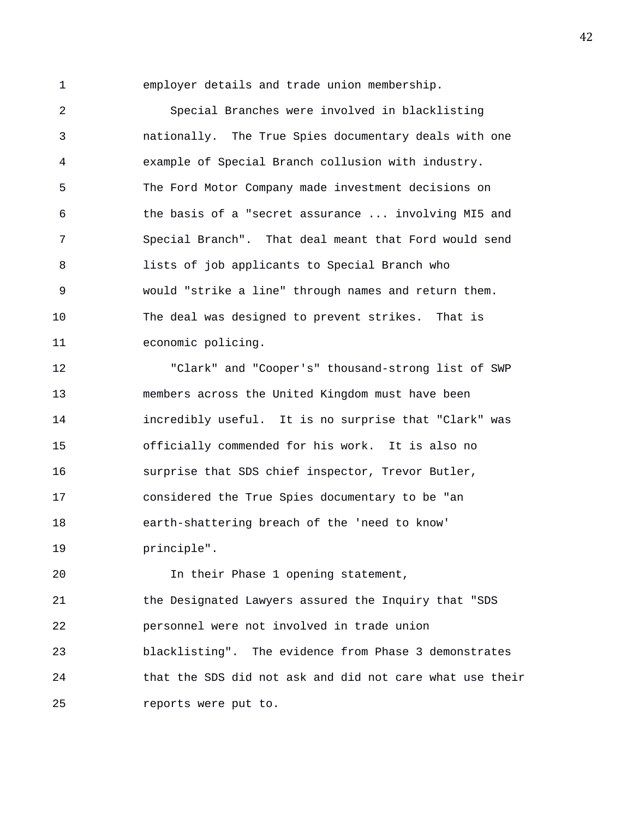1 employer details and trade union membership.

2 Special Branches were involved in blacklisting 3 nationally. The True Spies documentary deals with one 4 example of Special Branch collusion with industry. 5 The Ford Motor Company made investment decisions on 6 the basis of a "secret assurance ... involving MI5 and 7 Special Branch". That deal meant that Ford would send 8 lists of job applicants to Special Branch who 9 would "strike a line" through names and return them. 10 The deal was designed to prevent strikes. That is 11 economic policing.

12 "Clark" and "Cooper's" thousand-strong list of SWP 13 members across the United Kingdom must have been 14 incredibly useful. It is no surprise that "Clark" was 15 officially commended for his work. It is also no 16 surprise that SDS chief inspector, Trevor Butler, 17 considered the True Spies documentary to be "an 18 earth-shattering breach of the 'need to know' 19 principle".

20 10 In their Phase 1 opening statement, 21 the Designated Lawyers assured the Inquiry that "SDS 22 personnel were not involved in trade union 23 blacklisting". The evidence from Phase 3 demonstrates 24 that the SDS did not ask and did not care what use their 25 reports were put to.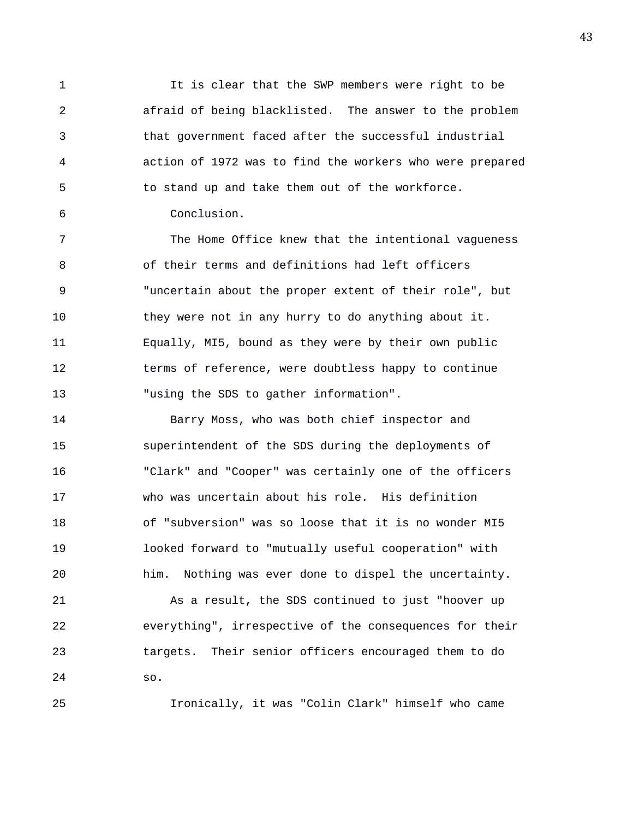1 It is clear that the SWP members were right to be 2 afraid of being blacklisted. The answer to the problem 3 that government faced after the successful industrial 4 action of 1972 was to find the workers who were prepared 5 to stand up and take them out of the workforce.

6 Conclusion.

7 The Home Office knew that the intentional vagueness 8 of their terms and definitions had left officers 9 "uncertain about the proper extent of their role", but 10 they were not in any hurry to do anything about it. 11 Equally, MI5, bound as they were by their own public 12 terms of reference, were doubtless happy to continue 13 "using the SDS to gather information".

14 Barry Moss, who was both chief inspector and 15 superintendent of the SDS during the deployments of 16 "Clark" and "Cooper" was certainly one of the officers 17 who was uncertain about his role. His definition 18 of "subversion" was so loose that it is no wonder MI5 19 looked forward to "mutually useful cooperation" with 20 him. Nothing was ever done to dispel the uncertainty. 21 As a result, the SDS continued to just "hoover up 22 everything", irrespective of the consequences for their

23 targets. Their senior officers encouraged them to do 24 so.

25 Ironically, it was "Colin Clark" himself who came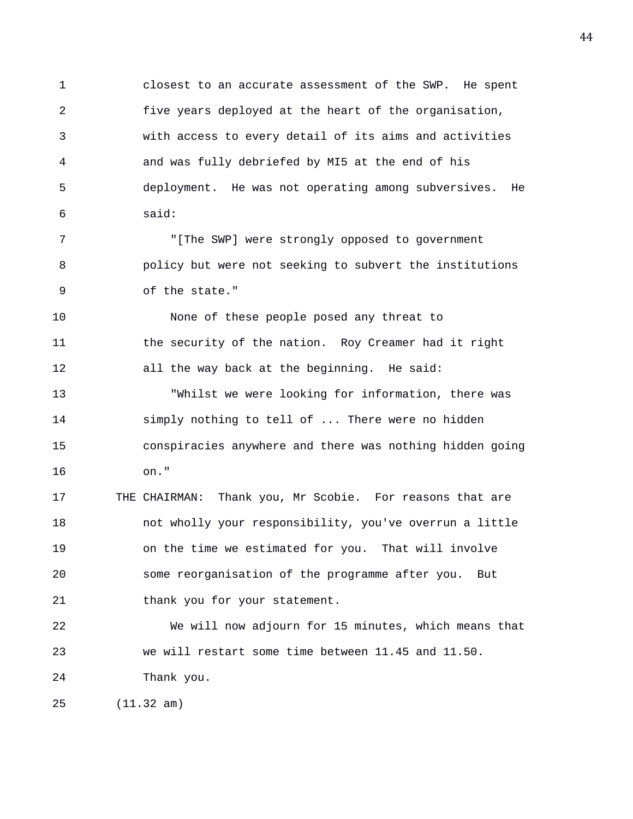1 closest to an accurate assessment of the SWP. He spent 2 five years deployed at the heart of the organisation, 3 with access to every detail of its aims and activities 4 and was fully debriefed by MI5 at the end of his 5 deployment. He was not operating among subversives. He 6 said:

7 "[The SWP] were strongly opposed to government 8 policy but were not seeking to subvert the institutions 9 of the state."

10 None of these people posed any threat to 11 the security of the nation. Roy Creamer had it right 12 all the way back at the beginning. He said:

13 "Whilst we were looking for information, there was 14 simply nothing to tell of ... There were no hidden 15 conspiracies anywhere and there was nothing hidden going 16 on."

17 THE CHAIRMAN: Thank you, Mr Scobie. For reasons that are 18 not wholly your responsibility, you've overrun a little 19 on the time we estimated for you. That will involve 20 some reorganisation of the programme after you. But 21 thank you for your statement.

22 We will now adjourn for 15 minutes, which means that 23 we will restart some time between 11.45 and 11.50. 24 Thank you.

25 (11.32 am)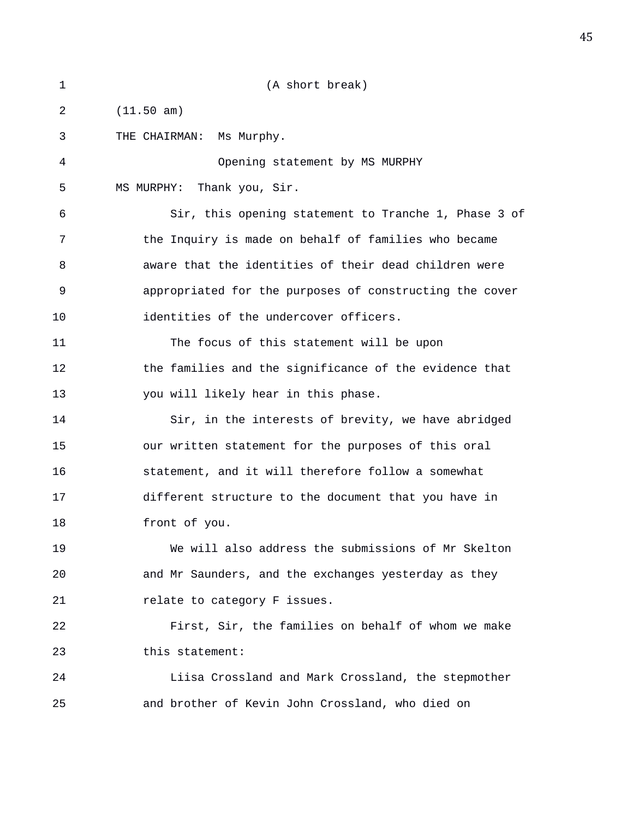| 1  | (A short break)                                         |
|----|---------------------------------------------------------|
| 2  | (11.50 am)                                              |
| 3  | THE CHAIRMAN: Ms Murphy.                                |
| 4  | Opening statement by MS MURPHY                          |
| 5  | Thank you, Sir.<br>MS MURPHY:                           |
| 6  | Sir, this opening statement to Tranche 1, Phase 3 of    |
| 7  | the Inquiry is made on behalf of families who became    |
| 8  | aware that the identities of their dead children were   |
| 9  | appropriated for the purposes of constructing the cover |
| 10 | identities of the undercover officers.                  |
| 11 | The focus of this statement will be upon                |
| 12 | the families and the significance of the evidence that  |
| 13 | you will likely hear in this phase.                     |
| 14 | Sir, in the interests of brevity, we have abridged      |
| 15 | our written statement for the purposes of this oral     |
| 16 | statement, and it will therefore follow a somewhat      |
| 17 | different structure to the document that you have in    |
| 18 | front of you.                                           |
| 19 | We will also address the submissions of Mr Skelton      |
| 20 | and Mr Saunders, and the exchanges yesterday as they    |
| 21 | relate to category F issues.                            |
| 22 | First, Sir, the families on behalf of whom we make      |
| 23 | this statement:                                         |
| 24 | Liisa Crossland and Mark Crossland, the stepmother      |
| 25 | and brother of Kevin John Crossland, who died on        |
|    |                                                         |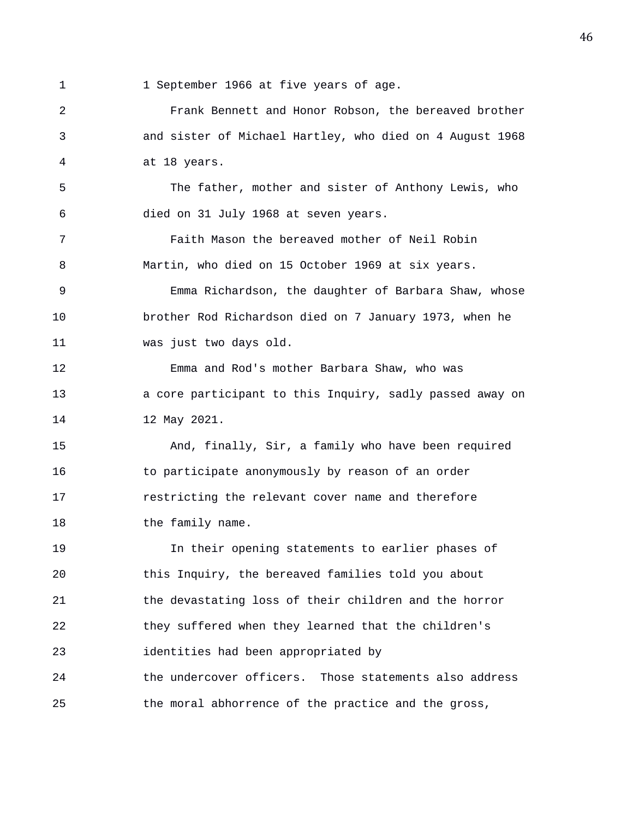1 1 September 1966 at five years of age.

2 Frank Bennett and Honor Robson, the bereaved brother 3 and sister of Michael Hartley, who died on 4 August 1968 4 at 18 years. 5 The father, mother and sister of Anthony Lewis, who 6 died on 31 July 1968 at seven years. 7 Faith Mason the bereaved mother of Neil Robin 8 Martin, who died on 15 October 1969 at six years. 9 Emma Richardson, the daughter of Barbara Shaw, whose 10 brother Rod Richardson died on 7 January 1973, when he 11 was just two days old. 12 Emma and Rod's mother Barbara Shaw, who was 13 a core participant to this Inquiry, sadly passed away on 14 12 May 2021. 15 And, finally, Sir, a family who have been required 16 to participate anonymously by reason of an order 17 restricting the relevant cover name and therefore 18 the family name. 19 In their opening statements to earlier phases of 20 this Inquiry, the bereaved families told you about 21 the devastating loss of their children and the horror 22 they suffered when they learned that the children's 23 identities had been appropriated by 24 the undercover officers. Those statements also address 25 the moral abhorrence of the practice and the gross,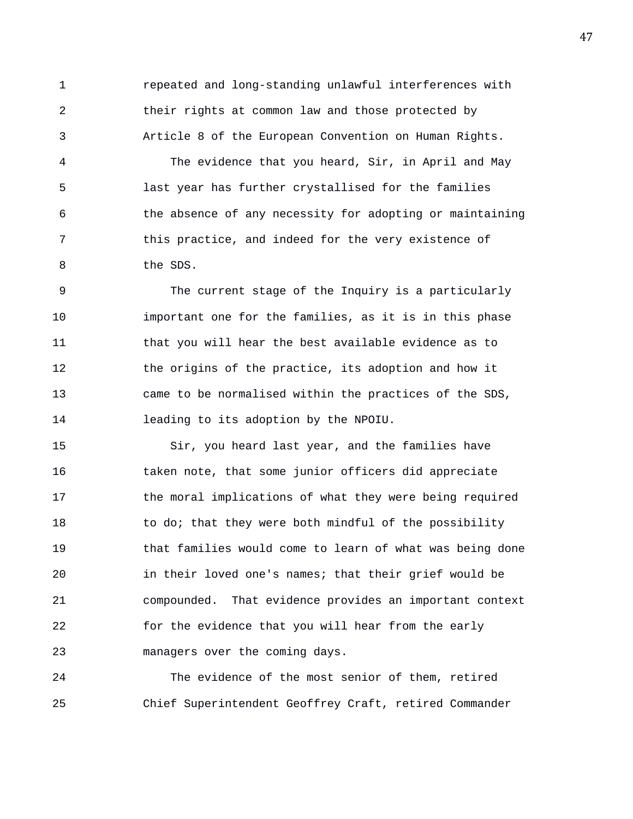1 repeated and long-standing unlawful interferences with 2 their rights at common law and those protected by 3 Article 8 of the European Convention on Human Rights.

4 The evidence that you heard, Sir, in April and May 5 last year has further crystallised for the families 6 the absence of any necessity for adopting or maintaining 7 this practice, and indeed for the very existence of 8 the SDS.

9 The current stage of the Inquiry is a particularly 10 important one for the families, as it is in this phase 11 that you will hear the best available evidence as to 12 the origins of the practice, its adoption and how it 13 came to be normalised within the practices of the SDS, 14 leading to its adoption by the NPOIU.

15 Sir, you heard last year, and the families have 16 taken note, that some junior officers did appreciate 17 the moral implications of what they were being required 18 to do; that they were both mindful of the possibility 19 that families would come to learn of what was being done 20 in their loved one's names; that their grief would be 21 compounded. That evidence provides an important context 22 for the evidence that you will hear from the early 23 managers over the coming days.

24 The evidence of the most senior of them, retired 25 Chief Superintendent Geoffrey Craft, retired Commander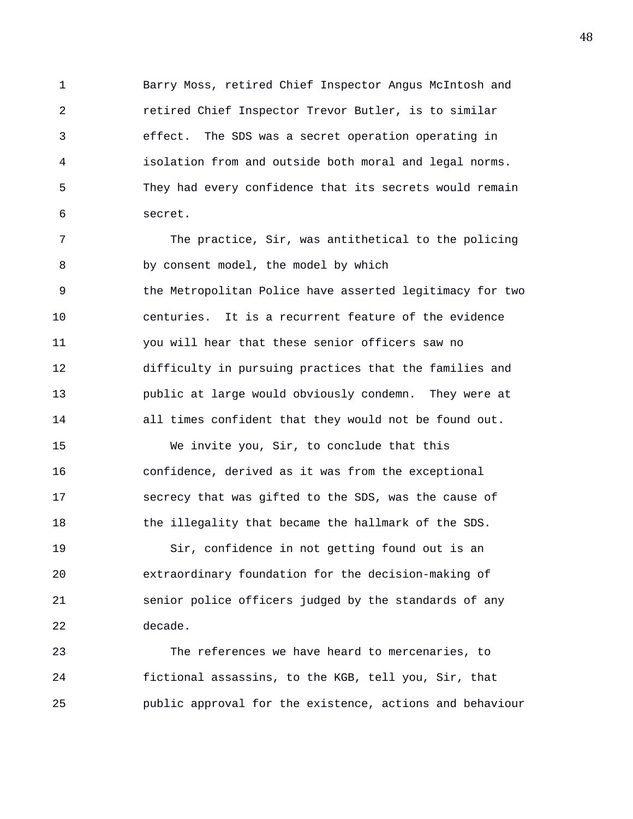1 Barry Moss, retired Chief Inspector Angus McIntosh and 2 retired Chief Inspector Trevor Butler, is to similar 3 effect. The SDS was a secret operation operating in 4 isolation from and outside both moral and legal norms. 5 They had every confidence that its secrets would remain 6 secret.

7 The practice, Sir, was antithetical to the policing 8 by consent model, the model by which 9 the Metropolitan Police have asserted legitimacy for two 10 centuries. It is a recurrent feature of the evidence 11 you will hear that these senior officers saw no 12 difficulty in pursuing practices that the families and 13 public at large would obviously condemn. They were at 14 all times confident that they would not be found out.

15 We invite you, Sir, to conclude that this 16 confidence, derived as it was from the exceptional 17 secrecy that was gifted to the SDS, was the cause of 18 the illegality that became the hallmark of the SDS.

19 Sir, confidence in not getting found out is an 20 extraordinary foundation for the decision-making of 21 senior police officers judged by the standards of any 22 decade.

23 The references we have heard to mercenaries, to 24 fictional assassins, to the KGB, tell you, Sir, that 25 public approval for the existence, actions and behaviour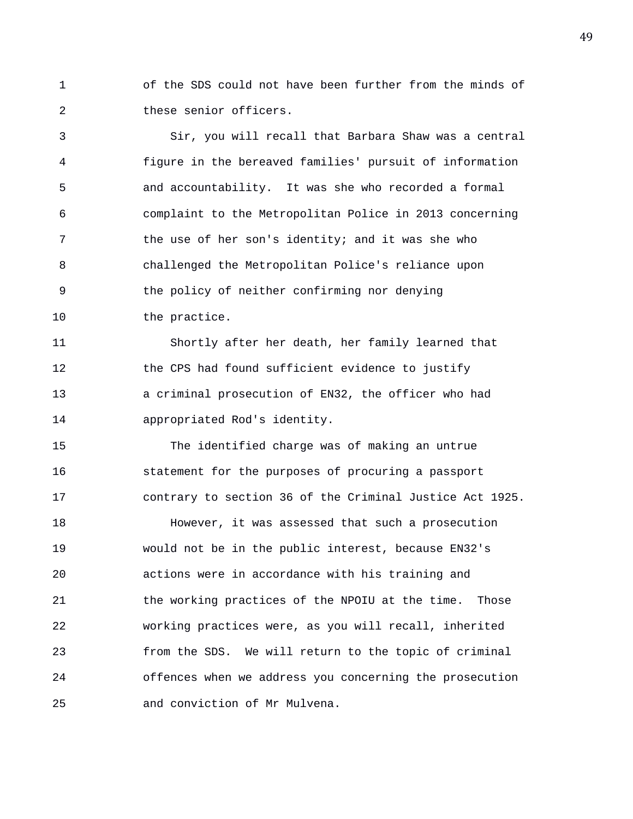1 of the SDS could not have been further from the minds of 2 these senior officers.

3 Sir, you will recall that Barbara Shaw was a central 4 figure in the bereaved families' pursuit of information 5 and accountability. It was she who recorded a formal 6 complaint to the Metropolitan Police in 2013 concerning 7 the use of her son's identity; and it was she who 8 challenged the Metropolitan Police's reliance upon 9 the policy of neither confirming nor denying 10 the practice.

11 Shortly after her death, her family learned that 12 the CPS had found sufficient evidence to justify 13 a criminal prosecution of EN32, the officer who had 14 appropriated Rod's identity.

15 The identified charge was of making an untrue 16 statement for the purposes of procuring a passport 17 contrary to section 36 of the Criminal Justice Act 1925.

18 However, it was assessed that such a prosecution 19 would not be in the public interest, because EN32's 20 actions were in accordance with his training and 21 the working practices of the NPOIU at the time. Those 22 working practices were, as you will recall, inherited 23 from the SDS. We will return to the topic of criminal 24 offences when we address you concerning the prosecution 25 and conviction of Mr Mulvena.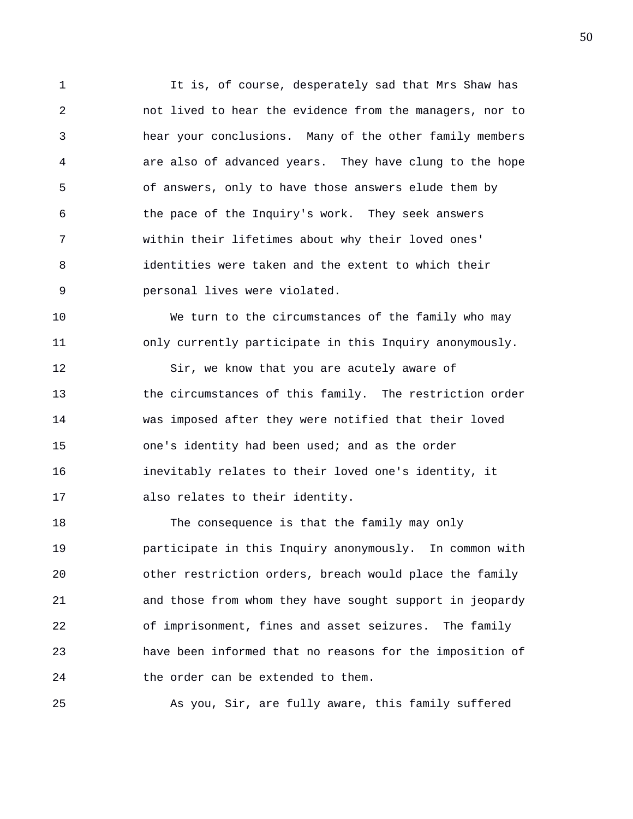1 It is, of course, desperately sad that Mrs Shaw has 2 not lived to hear the evidence from the managers, nor to 3 hear your conclusions. Many of the other family members 4 are also of advanced years. They have clung to the hope 5 of answers, only to have those answers elude them by 6 the pace of the Inquiry's work. They seek answers 7 within their lifetimes about why their loved ones' 8 identities were taken and the extent to which their 9 personal lives were violated.

10 We turn to the circumstances of the family who may 11 only currently participate in this Inquiry anonymously.

12 Sir, we know that you are acutely aware of 13 the circumstances of this family. The restriction order 14 was imposed after they were notified that their loved 15 one's identity had been used; and as the order 16 inevitably relates to their loved one's identity, it 17 also relates to their identity.

18 The consequence is that the family may only 19 participate in this Inquiry anonymously. In common with 20 other restriction orders, breach would place the family 21 and those from whom they have sought support in jeopardy 22 of imprisonment, fines and asset seizures. The family 23 have been informed that no reasons for the imposition of 24 the order can be extended to them.

25 As you, Sir, are fully aware, this family suffered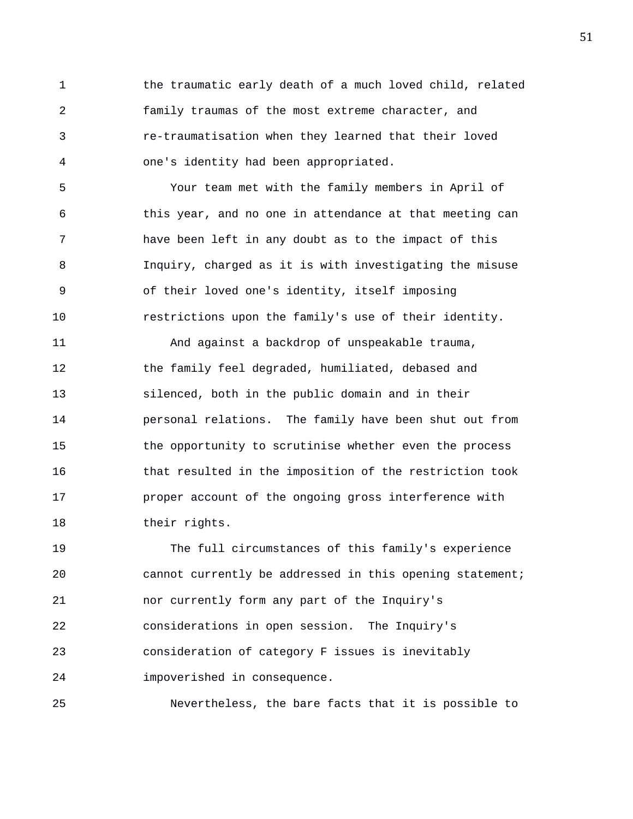1 the traumatic early death of a much loved child, related 2 family traumas of the most extreme character, and 3 re-traumatisation when they learned that their loved 4 one's identity had been appropriated.

5 Your team met with the family members in April of 6 this year, and no one in attendance at that meeting can 7 have been left in any doubt as to the impact of this 8 Inquiry, charged as it is with investigating the misuse 9 of their loved one's identity, itself imposing 10 restrictions upon the family's use of their identity.

11 And against a backdrop of unspeakable trauma, 12 the family feel degraded, humiliated, debased and 13 silenced, both in the public domain and in their 14 personal relations. The family have been shut out from 15 the opportunity to scrutinise whether even the process 16 that resulted in the imposition of the restriction took 17 proper account of the ongoing gross interference with 18 their rights.

19 The full circumstances of this family's experience 20 cannot currently be addressed in this opening statement; 21 nor currently form any part of the Inquiry's 22 considerations in open session. The Inquiry's 23 consideration of category F issues is inevitably 24 impoverished in consequence.

25 Nevertheless, the bare facts that it is possible to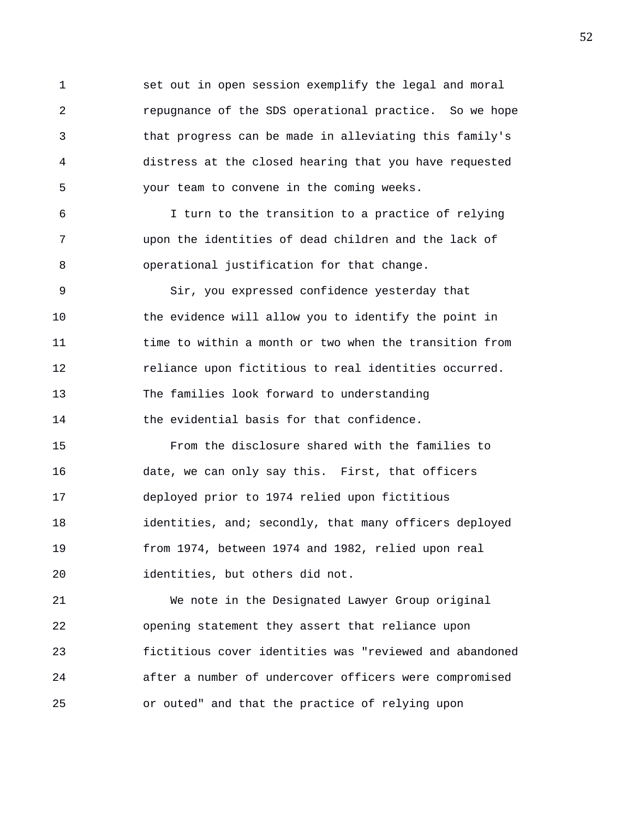1 set out in open session exemplify the legal and moral 2 repugnance of the SDS operational practice. So we hope 3 that progress can be made in alleviating this family's 4 distress at the closed hearing that you have requested 5 your team to convene in the coming weeks.

6 I turn to the transition to a practice of relying 7 upon the identities of dead children and the lack of 8 operational justification for that change.

9 Sir, you expressed confidence yesterday that 10 the evidence will allow you to identify the point in 11 time to within a month or two when the transition from 12 reliance upon fictitious to real identities occurred. 13 The families look forward to understanding 14 the evidential basis for that confidence.

15 From the disclosure shared with the families to 16 date, we can only say this. First, that officers 17 deployed prior to 1974 relied upon fictitious 18 identities, and; secondly, that many officers deployed 19 from 1974, between 1974 and 1982, relied upon real 20 identities, but others did not.

21 We note in the Designated Lawyer Group original 22 opening statement they assert that reliance upon 23 fictitious cover identities was "reviewed and abandoned 24 after a number of undercover officers were compromised 25 or outed" and that the practice of relying upon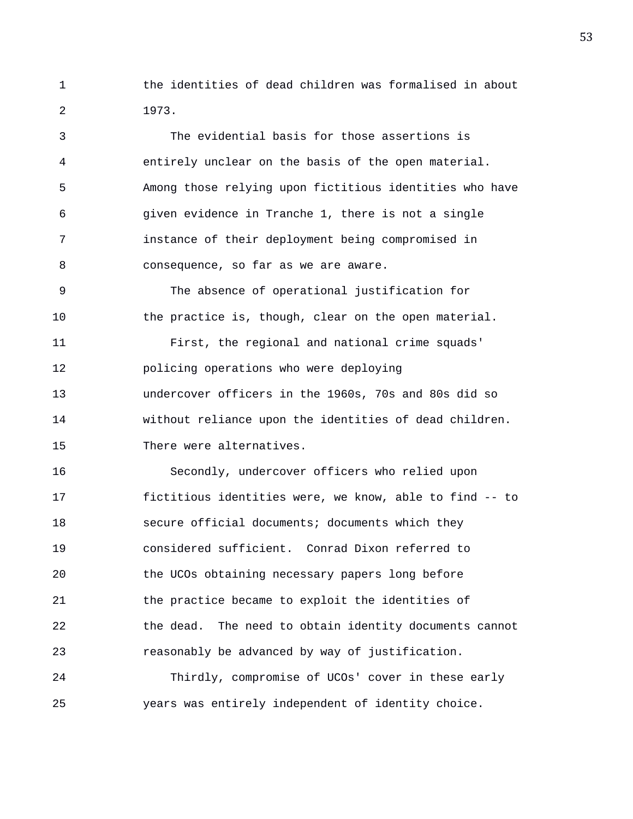1 the identities of dead children was formalised in about 2 1973.

3 The evidential basis for those assertions is 4 entirely unclear on the basis of the open material. 5 Among those relying upon fictitious identities who have 6 given evidence in Tranche 1, there is not a single 7 instance of their deployment being compromised in 8 consequence, so far as we are aware. 9 The absence of operational justification for 10 the practice is, though, clear on the open material. 11 First, the regional and national crime squads' 12 policing operations who were deploying 13 undercover officers in the 1960s, 70s and 80s did so 14 without reliance upon the identities of dead children. 15 There were alternatives. 16 Secondly, undercover officers who relied upon

17 fictitious identities were, we know, able to find -- to 18 secure official documents; documents which they 19 considered sufficient. Conrad Dixon referred to 20 the UCOs obtaining necessary papers long before 21 the practice became to exploit the identities of 22 the dead. The need to obtain identity documents cannot 23 reasonably be advanced by way of justification.

24 Thirdly, compromise of UCOs' cover in these early 25 years was entirely independent of identity choice.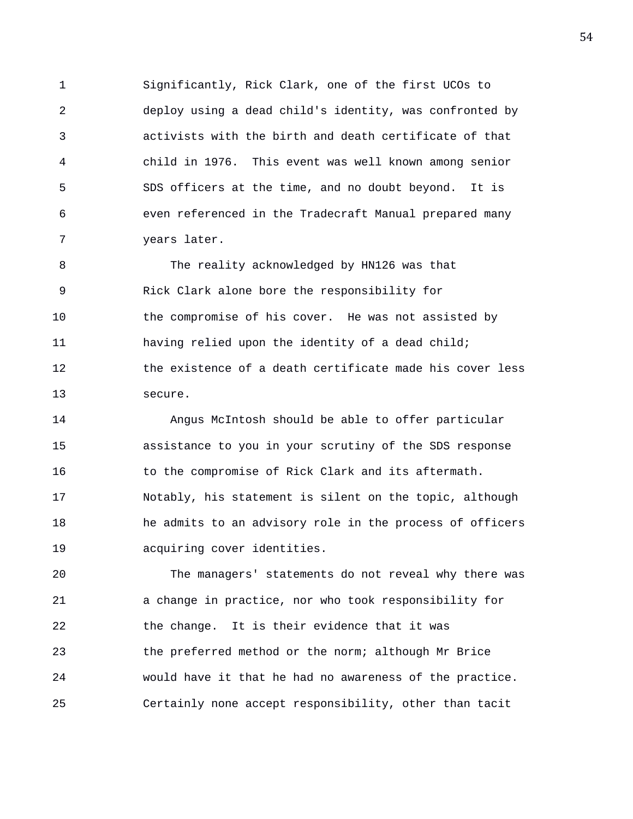1 Significantly, Rick Clark, one of the first UCOs to 2 deploy using a dead child's identity, was confronted by 3 activists with the birth and death certificate of that 4 child in 1976. This event was well known among senior 5 SDS officers at the time, and no doubt beyond. It is 6 even referenced in the Tradecraft Manual prepared many 7 years later.

8 The reality acknowledged by HN126 was that 9 Rick Clark alone bore the responsibility for 10 the compromise of his cover. He was not assisted by 11 having relied upon the identity of a dead child; 12 the existence of a death certificate made his cover less 13 secure.

14 Angus McIntosh should be able to offer particular 15 assistance to you in your scrutiny of the SDS response 16 to the compromise of Rick Clark and its aftermath. 17 Notably, his statement is silent on the topic, although 18 he admits to an advisory role in the process of officers 19 acquiring cover identities.

20 The managers' statements do not reveal why there was 21 a change in practice, nor who took responsibility for 22 the change. It is their evidence that it was 23 the preferred method or the norm; although Mr Brice 24 would have it that he had no awareness of the practice. 25 Certainly none accept responsibility, other than tacit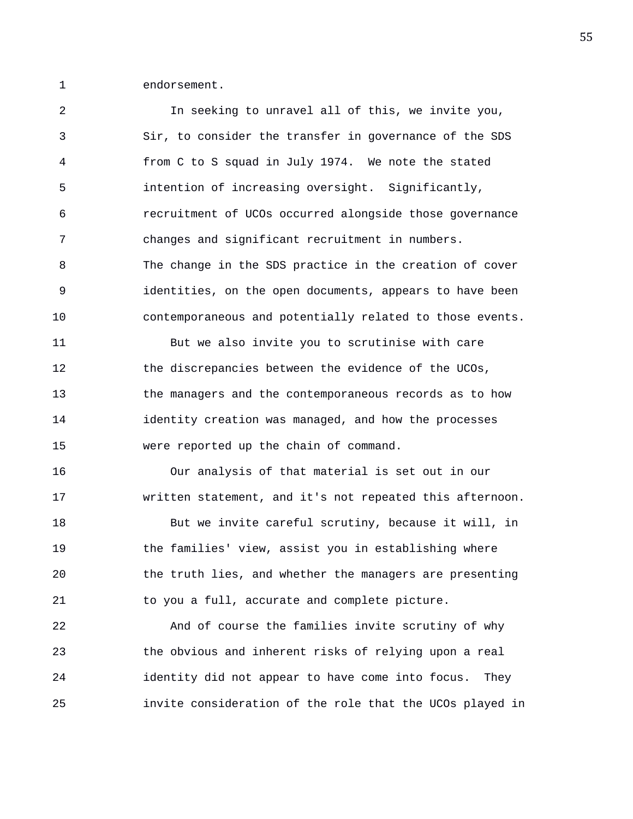1 endorsement.

2 In seeking to unravel all of this, we invite you, 3 Sir, to consider the transfer in governance of the SDS 4 from C to S squad in July 1974. We note the stated 5 intention of increasing oversight. Significantly, 6 recruitment of UCOs occurred alongside those governance 7 changes and significant recruitment in numbers. 8 The change in the SDS practice in the creation of cover 9 identities, on the open documents, appears to have been 10 contemporaneous and potentially related to those events. 11 But we also invite you to scrutinise with care 12 the discrepancies between the evidence of the UCOs, 13 the managers and the contemporaneous records as to how 14 identity creation was managed, and how the processes 15 were reported up the chain of command. 16 Our analysis of that material is set out in our 17 written statement, and it's not repeated this afternoon. 18 But we invite careful scrutiny, because it will, in 19 the families' view, assist you in establishing where 20 the truth lies, and whether the managers are presenting 21 to you a full, accurate and complete picture. 22 And of course the families invite scrutiny of why 23 the obvious and inherent risks of relying upon a real 24 identity did not appear to have come into focus. They 25 invite consideration of the role that the UCOs played in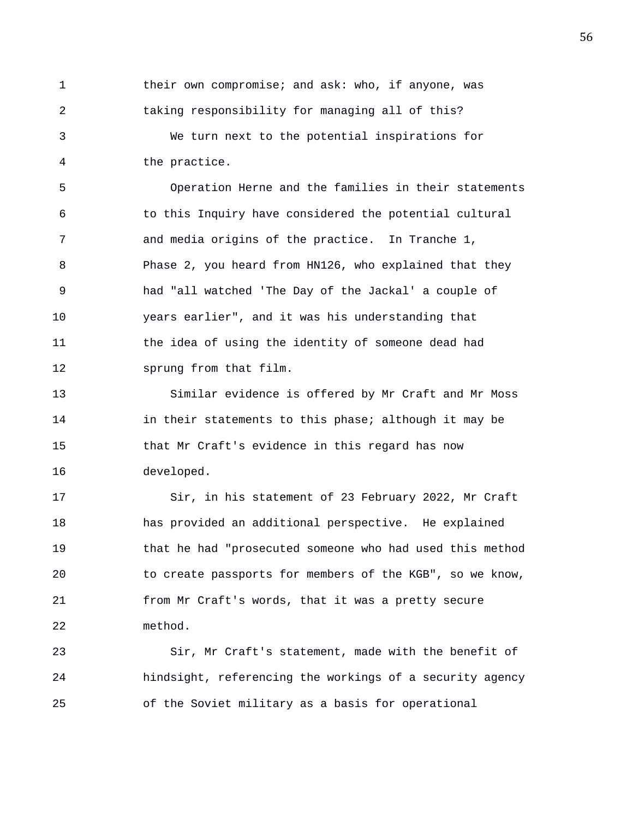1 their own compromise; and ask: who, if anyone, was 2 taking responsibility for managing all of this? 3 We turn next to the potential inspirations for 4 the practice.

5 Operation Herne and the families in their statements 6 to this Inquiry have considered the potential cultural 7 and media origins of the practice. In Tranche 1, 8 Phase 2, you heard from HN126, who explained that they 9 had "all watched 'The Day of the Jackal' a couple of 10 years earlier", and it was his understanding that 11 the idea of using the identity of someone dead had 12 sprung from that film.

13 Similar evidence is offered by Mr Craft and Mr Moss 14 in their statements to this phase; although it may be 15 that Mr Craft's evidence in this regard has now 16 developed.

17 Sir, in his statement of 23 February 2022, Mr Craft 18 has provided an additional perspective. He explained 19 that he had "prosecuted someone who had used this method 20 to create passports for members of the KGB", so we know, 21 from Mr Craft's words, that it was a pretty secure 22 method.

23 Sir, Mr Craft's statement, made with the benefit of 24 hindsight, referencing the workings of a security agency 25 of the Soviet military as a basis for operational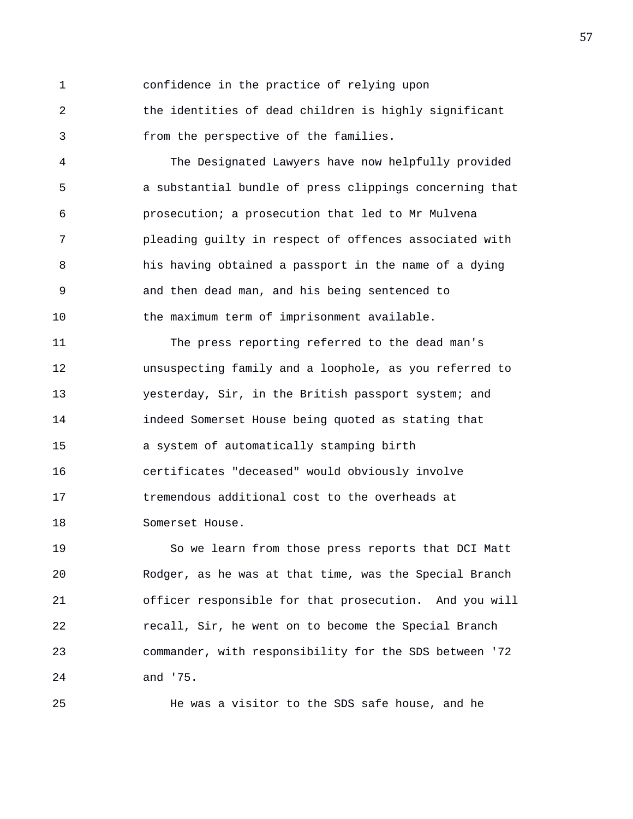1 confidence in the practice of relying upon 2 the identities of dead children is highly significant 3 from the perspective of the families.

4 The Designated Lawyers have now helpfully provided 5 a substantial bundle of press clippings concerning that 6 prosecution; a prosecution that led to Mr Mulvena 7 pleading guilty in respect of offences associated with 8 his having obtained a passport in the name of a dying 9 and then dead man, and his being sentenced to 10 the maximum term of imprisonment available.

11 The press reporting referred to the dead man's 12 unsuspecting family and a loophole, as you referred to 13 yesterday, Sir, in the British passport system; and 14 indeed Somerset House being quoted as stating that 15 a system of automatically stamping birth 16 certificates "deceased" would obviously involve 17 tremendous additional cost to the overheads at 18 Somerset House.

19 So we learn from those press reports that DCI Matt 20 Rodger, as he was at that time, was the Special Branch 21 officer responsible for that prosecution. And you will 22 recall, Sir, he went on to become the Special Branch 23 commander, with responsibility for the SDS between '72 24 and '75.

25 He was a visitor to the SDS safe house, and he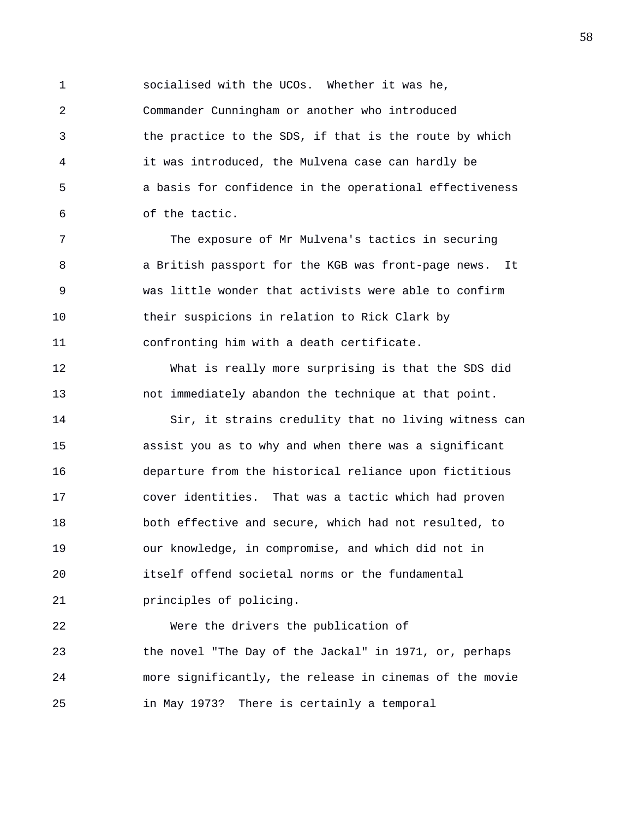1 socialised with the UCOs. Whether it was he, 2 Commander Cunningham or another who introduced 3 the practice to the SDS, if that is the route by which 4 it was introduced, the Mulvena case can hardly be 5 a basis for confidence in the operational effectiveness 6 of the tactic.

7 The exposure of Mr Mulvena's tactics in securing 8 a British passport for the KGB was front-page news. It 9 was little wonder that activists were able to confirm 10 their suspicions in relation to Rick Clark by 11 confronting him with a death certificate.

12 What is really more surprising is that the SDS did 13 not immediately abandon the technique at that point.

14 Sir, it strains credulity that no living witness can 15 assist you as to why and when there was a significant 16 departure from the historical reliance upon fictitious 17 cover identities. That was a tactic which had proven 18 both effective and secure, which had not resulted, to 19 our knowledge, in compromise, and which did not in 20 itself offend societal norms or the fundamental 21 principles of policing.

22 Were the drivers the publication of 23 the novel "The Day of the Jackal" in 1971, or, perhaps 24 more significantly, the release in cinemas of the movie 25 in May 1973? There is certainly a temporal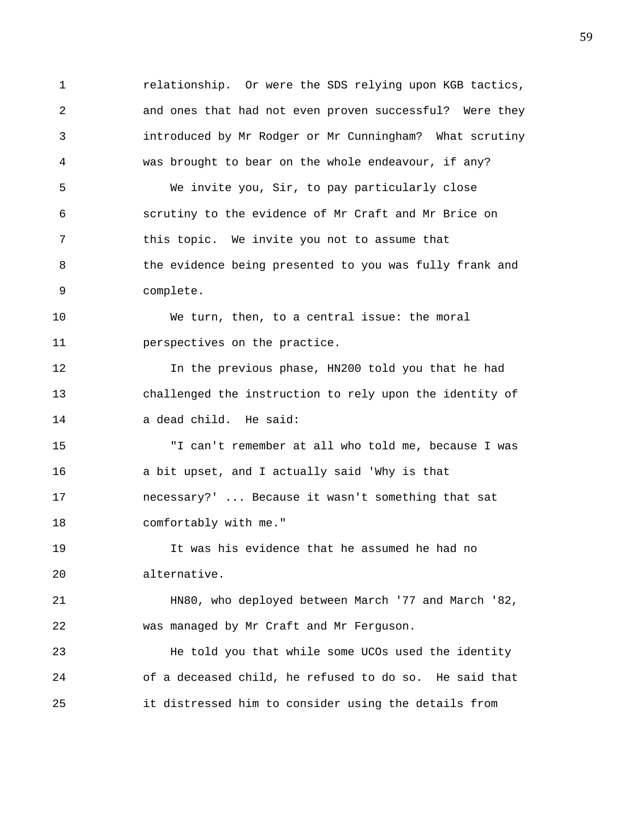1 relationship. Or were the SDS relying upon KGB tactics, 2 and ones that had not even proven successful? Were they 3 introduced by Mr Rodger or Mr Cunningham? What scrutiny 4 was brought to bear on the whole endeavour, if any? 5 We invite you, Sir, to pay particularly close 6 scrutiny to the evidence of Mr Craft and Mr Brice on 7 this topic. We invite you not to assume that 8 the evidence being presented to you was fully frank and 9 complete.

10 We turn, then, to a central issue: the moral 11 perspectives on the practice.

12 In the previous phase, HN200 told you that he had 13 challenged the instruction to rely upon the identity of 14 a dead child. He said:

15 "I can't remember at all who told me, because I was 16 a bit upset, and I actually said 'Why is that 17 necessary?' ... Because it wasn't something that sat 18 comfortably with me."

19 It was his evidence that he assumed he had no 20 alternative.

21 HN80, who deployed between March '77 and March '82, 22 was managed by Mr Craft and Mr Ferguson.

23 He told you that while some UCOs used the identity 24 of a deceased child, he refused to do so. He said that 25 it distressed him to consider using the details from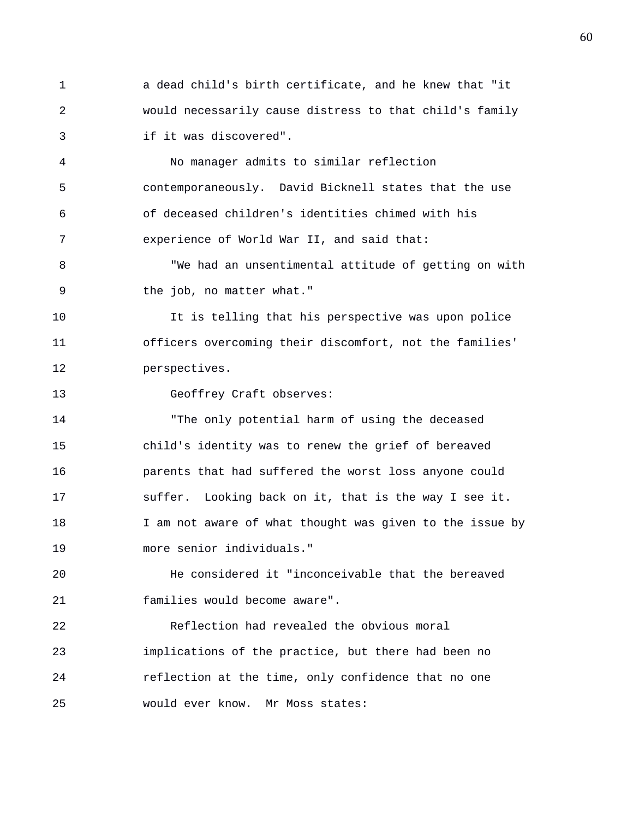1 a dead child's birth certificate, and he knew that "it 2 would necessarily cause distress to that child's family 3 if it was discovered".

4 No manager admits to similar reflection 5 contemporaneously. David Bicknell states that the use 6 of deceased children's identities chimed with his 7 experience of World War II, and said that:

8 "We had an unsentimental attitude of getting on with 9 the job, no matter what."

10 It is telling that his perspective was upon police 11 officers overcoming their discomfort, not the families' 12 perspectives.

13 Geoffrey Craft observes:

14 "The only potential harm of using the deceased 15 child's identity was to renew the grief of bereaved 16 parents that had suffered the worst loss anyone could 17 suffer. Looking back on it, that is the way I see it. 18 I am not aware of what thought was given to the issue by 19 more senior individuals."

20 He considered it "inconceivable that the bereaved 21 families would become aware".

22 Reflection had revealed the obvious moral 23 implications of the practice, but there had been no 24 reflection at the time, only confidence that no one 25 would ever know. Mr Moss states: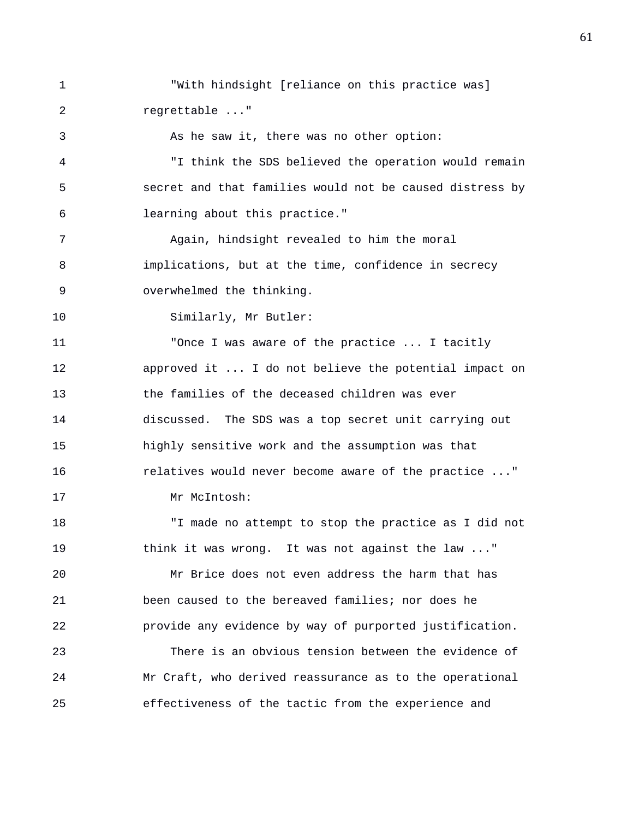1 "With hindsight [reliance on this practice was] 2 regrettable ..." 3 As he saw it, there was no other option: 4 "I think the SDS believed the operation would remain 5 secret and that families would not be caused distress by 6 learning about this practice." 7 Again, hindsight revealed to him the moral 8 implications, but at the time, confidence in secrecy 9 overwhelmed the thinking. 10 Similarly, Mr Butler: 11 "Once I was aware of the practice ... I tacitly 12 approved it ... I do not believe the potential impact on 13 the families of the deceased children was ever 14 discussed. The SDS was a top secret unit carrying out 15 highly sensitive work and the assumption was that 16 relatives would never become aware of the practice ..." 17 Mr McIntosh: 18 "I made no attempt to stop the practice as I did not 19 think it was wrong. It was not against the law ..." 20 Mr Brice does not even address the harm that has 21 been caused to the bereaved families; nor does he 22 provide any evidence by way of purported justification. 23 There is an obvious tension between the evidence of 24 Mr Craft, who derived reassurance as to the operational 25 effectiveness of the tactic from the experience and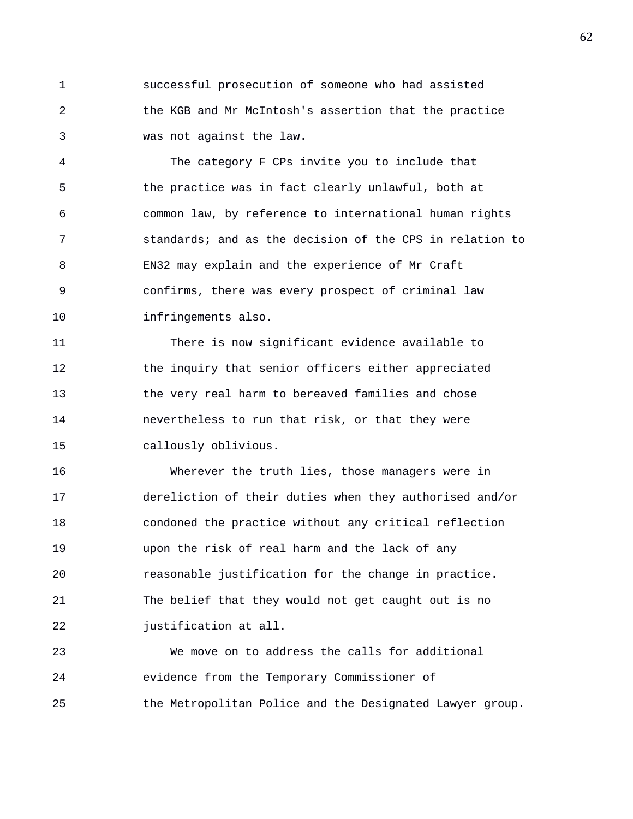1 successful prosecution of someone who had assisted 2 the KGB and Mr McIntosh's assertion that the practice 3 was not against the law.

4 The category F CPs invite you to include that 5 the practice was in fact clearly unlawful, both at 6 common law, by reference to international human rights 7 standards; and as the decision of the CPS in relation to 8 EN32 may explain and the experience of Mr Craft 9 confirms, there was every prospect of criminal law 10 infringements also.

11 There is now significant evidence available to 12 the inquiry that senior officers either appreciated 13 the very real harm to bereaved families and chose 14 nevertheless to run that risk, or that they were 15 callously oblivious.

16 Wherever the truth lies, those managers were in 17 dereliction of their duties when they authorised and/or 18 condoned the practice without any critical reflection 19 upon the risk of real harm and the lack of any 20 reasonable justification for the change in practice. 21 The belief that they would not get caught out is no 22 justification at all.

23 We move on to address the calls for additional 24 evidence from the Temporary Commissioner of 25 the Metropolitan Police and the Designated Lawyer group.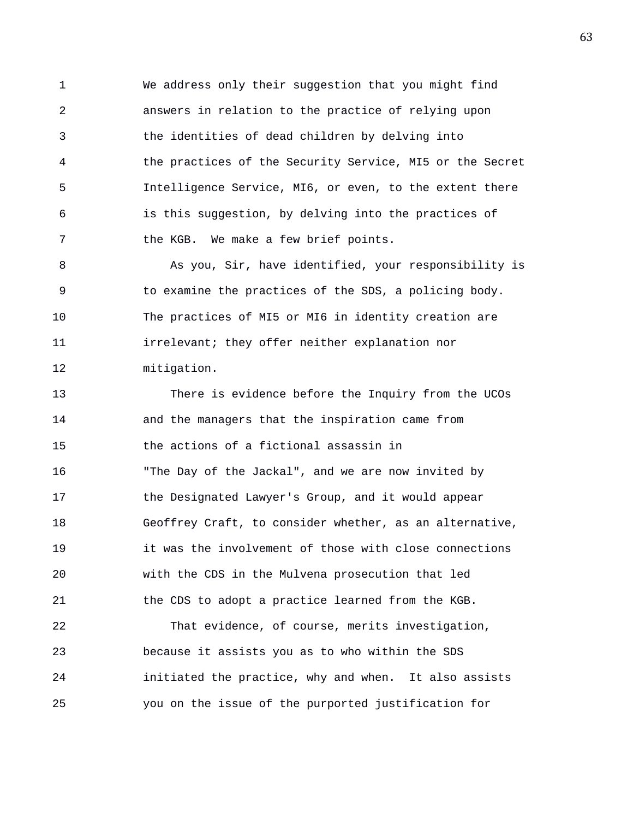1 We address only their suggestion that you might find 2 answers in relation to the practice of relying upon 3 the identities of dead children by delving into 4 the practices of the Security Service, MI5 or the Secret 5 Intelligence Service, MI6, or even, to the extent there 6 is this suggestion, by delving into the practices of 7 the KGB. We make a few brief points.

8 As you, Sir, have identified, your responsibility is 9 to examine the practices of the SDS, a policing body. 10 The practices of MI5 or MI6 in identity creation are 11 irrelevant; they offer neither explanation nor 12 mitigation.

13 There is evidence before the Inquiry from the UCOs 14 and the managers that the inspiration came from 15 the actions of a fictional assassin in 16 "The Day of the Jackal", and we are now invited by 17 the Designated Lawyer's Group, and it would appear 18 Geoffrey Craft, to consider whether, as an alternative, 19 it was the involvement of those with close connections 20 with the CDS in the Mulvena prosecution that led 21 the CDS to adopt a practice learned from the KGB.

22 That evidence, of course, merits investigation, 23 because it assists you as to who within the SDS 24 initiated the practice, why and when. It also assists 25 you on the issue of the purported justification for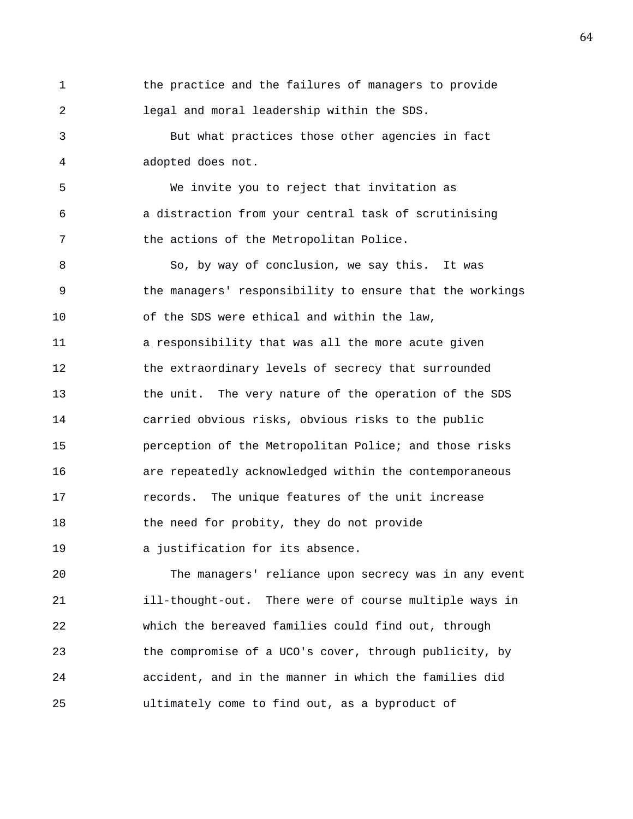1 the practice and the failures of managers to provide 2 legal and moral leadership within the SDS. 3 But what practices those other agencies in fact 4 adopted does not. 5 We invite you to reject that invitation as 6 a distraction from your central task of scrutinising 7 the actions of the Metropolitan Police. 8 So, by way of conclusion, we say this. It was 9 the managers' responsibility to ensure that the workings 10 of the SDS were ethical and within the law, 11 a responsibility that was all the more acute given 12 the extraordinary levels of secrecy that surrounded 13 the unit. The very nature of the operation of the SDS 14 carried obvious risks, obvious risks to the public 15 perception of the Metropolitan Police; and those risks 16 are repeatedly acknowledged within the contemporaneous 17 records. The unique features of the unit increase 18 the need for probity, they do not provide 19 a justification for its absence.

20 The managers' reliance upon secrecy was in any event 21 ill-thought-out. There were of course multiple ways in 22 which the bereaved families could find out, through 23 the compromise of a UCO's cover, through publicity, by 24 accident, and in the manner in which the families did 25 ultimately come to find out, as a byproduct of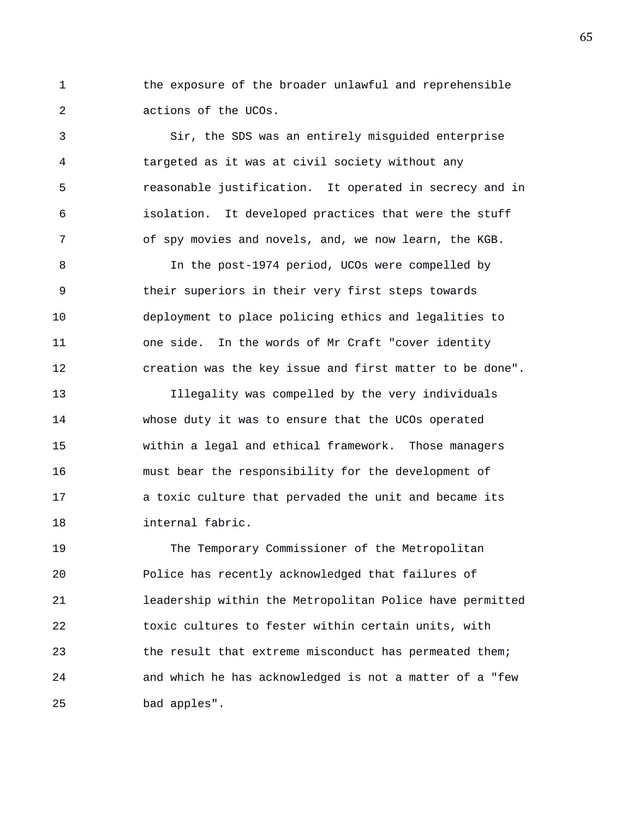1 the exposure of the broader unlawful and reprehensible 2 actions of the UCOs.

3 Sir, the SDS was an entirely misguided enterprise 4 targeted as it was at civil society without any 5 reasonable justification. It operated in secrecy and in 6 isolation. It developed practices that were the stuff 7 of spy movies and novels, and, we now learn, the KGB.

8 In the post-1974 period, UCOs were compelled by 9 their superiors in their very first steps towards 10 deployment to place policing ethics and legalities to 11 one side. In the words of Mr Craft "cover identity 12 creation was the key issue and first matter to be done".

13 Illegality was compelled by the very individuals 14 whose duty it was to ensure that the UCOs operated 15 within a legal and ethical framework. Those managers 16 must bear the responsibility for the development of 17 a toxic culture that pervaded the unit and became its 18 internal fabric.

19 The Temporary Commissioner of the Metropolitan 20 Police has recently acknowledged that failures of 21 leadership within the Metropolitan Police have permitted 22 toxic cultures to fester within certain units, with 23 the result that extreme misconduct has permeated them; 24 and which he has acknowledged is not a matter of a "few 25 bad apples".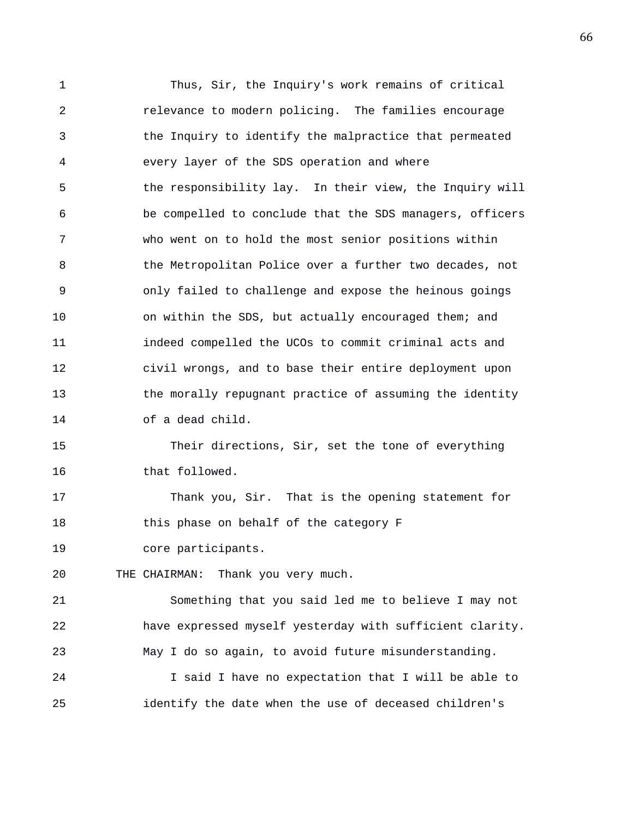1 Thus, Sir, the Inquiry's work remains of critical 2 relevance to modern policing. The families encourage 3 the Inquiry to identify the malpractice that permeated 4 every layer of the SDS operation and where 5 the responsibility lay. In their view, the Inquiry will 6 be compelled to conclude that the SDS managers, officers 7 who went on to hold the most senior positions within 8 the Metropolitan Police over a further two decades, not 9 only failed to challenge and expose the heinous goings 10 on within the SDS, but actually encouraged them; and 11 indeed compelled the UCOs to commit criminal acts and 12 civil wrongs, and to base their entire deployment upon 13 the morally repugnant practice of assuming the identity 14 of a dead child. 15 Their directions, Sir, set the tone of everything 16 that followed.

17 Thank you, Sir. That is the opening statement for 18 this phase on behalf of the category F

19 core participants.

20 THE CHAIRMAN: Thank you very much.

21 Something that you said led me to believe I may not 22 have expressed myself yesterday with sufficient clarity. 23 May I do so again, to avoid future misunderstanding.

24 I said I have no expectation that I will be able to 25 identify the date when the use of deceased children's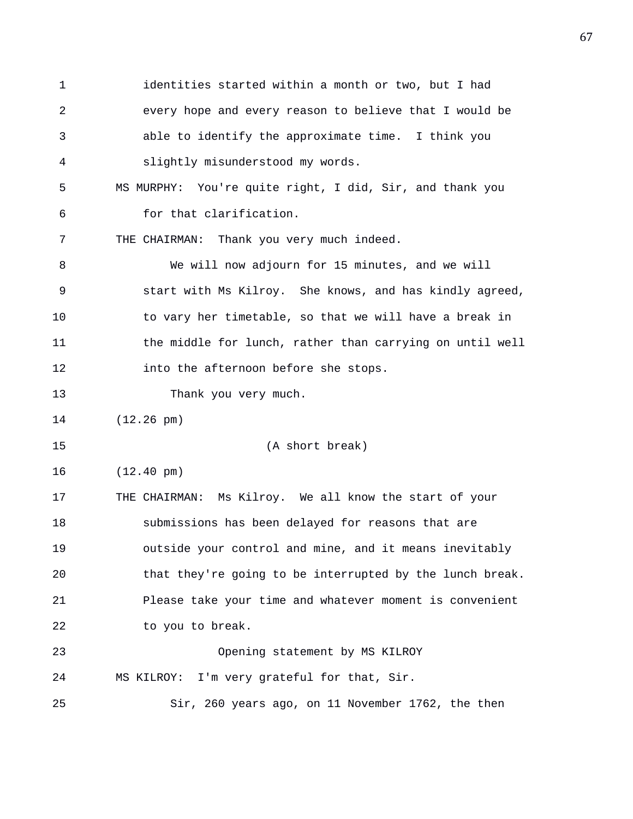1 identities started within a month or two, but I had 2 every hope and every reason to believe that I would be 3 able to identify the approximate time. I think you 4 slightly misunderstood my words. 5 MS MURPHY: You're quite right, I did, Sir, and thank you 6 for that clarification. 7 THE CHAIRMAN: Thank you very much indeed. 8 We will now adjourn for 15 minutes, and we will 9 start with Ms Kilroy. She knows, and has kindly agreed, 10 to vary her timetable, so that we will have a break in 11 the middle for lunch, rather than carrying on until well 12 into the afternoon before she stops. 13 Thank you very much. 14 (12.26 pm) 15 (A short break) 16 (12.40 pm) 17 THE CHAIRMAN: Ms Kilroy. We all know the start of your 18 submissions has been delayed for reasons that are 19 outside your control and mine, and it means inevitably 20 that they're going to be interrupted by the lunch break. 21 Please take your time and whatever moment is convenient 22 to you to break. 23 Opening statement by MS KILROY 24 MS KILROY: I'm very grateful for that, Sir. 25 Sir, 260 years ago, on 11 November 1762, the then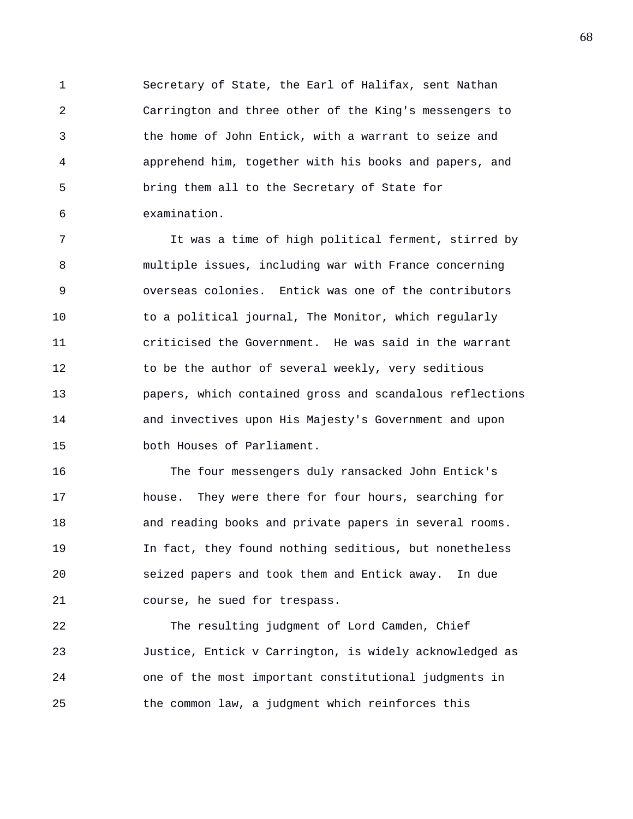1 Secretary of State, the Earl of Halifax, sent Nathan 2 Carrington and three other of the King's messengers to 3 the home of John Entick, with a warrant to seize and 4 apprehend him, together with his books and papers, and 5 bring them all to the Secretary of State for 6 examination.

7 It was a time of high political ferment, stirred by 8 multiple issues, including war with France concerning 9 overseas colonies. Entick was one of the contributors 10 to a political journal, The Monitor, which regularly 11 criticised the Government. He was said in the warrant 12 to be the author of several weekly, very seditious 13 papers, which contained gross and scandalous reflections 14 and invectives upon His Majesty's Government and upon 15 both Houses of Parliament.

16 The four messengers duly ransacked John Entick's 17 house. They were there for four hours, searching for 18 and reading books and private papers in several rooms. 19 In fact, they found nothing seditious, but nonetheless 20 seized papers and took them and Entick away. In due 21 course, he sued for trespass.

22 The resulting judgment of Lord Camden, Chief 23 Justice, Entick v Carrington, is widely acknowledged as 24 one of the most important constitutional judgments in 25 the common law, a judgment which reinforces this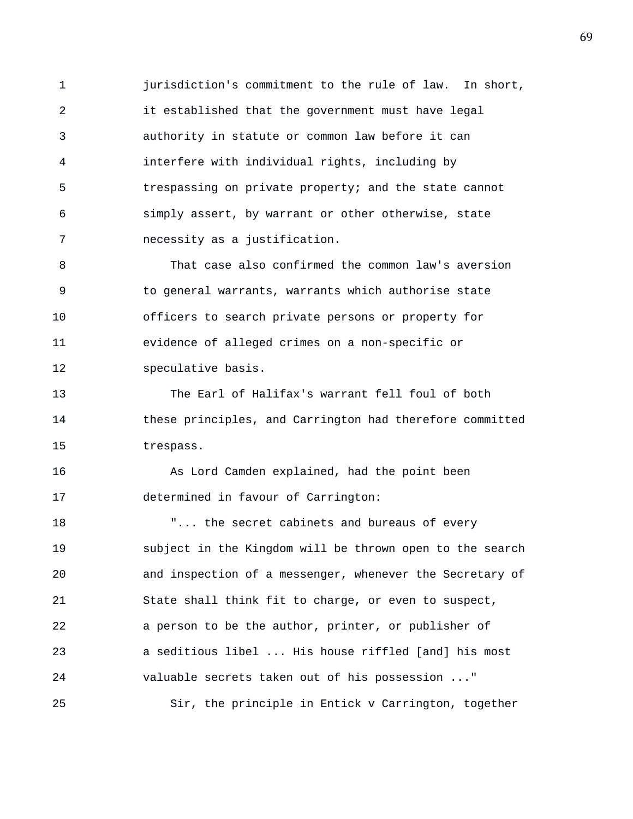1 jurisdiction's commitment to the rule of law. In short, 2 it established that the government must have legal 3 authority in statute or common law before it can 4 interfere with individual rights, including by 5 trespassing on private property; and the state cannot 6 simply assert, by warrant or other otherwise, state 7 necessity as a justification.

8 That case also confirmed the common law's aversion 9 to general warrants, warrants which authorise state 10 officers to search private persons or property for 11 evidence of alleged crimes on a non-specific or 12 speculative basis.

13 The Earl of Halifax's warrant fell foul of both 14 these principles, and Carrington had therefore committed 15 trespass.

16 As Lord Camden explained, had the point been 17 determined in favour of Carrington:

18 T... the secret cabinets and bureaus of every 19 subject in the Kingdom will be thrown open to the search 20 and inspection of a messenger, whenever the Secretary of 21 State shall think fit to charge, or even to suspect, 22 a person to be the author, printer, or publisher of 23 a seditious libel ... His house riffled [and] his most 24 valuable secrets taken out of his possession ..." 25 Sir, the principle in Entick v Carrington, together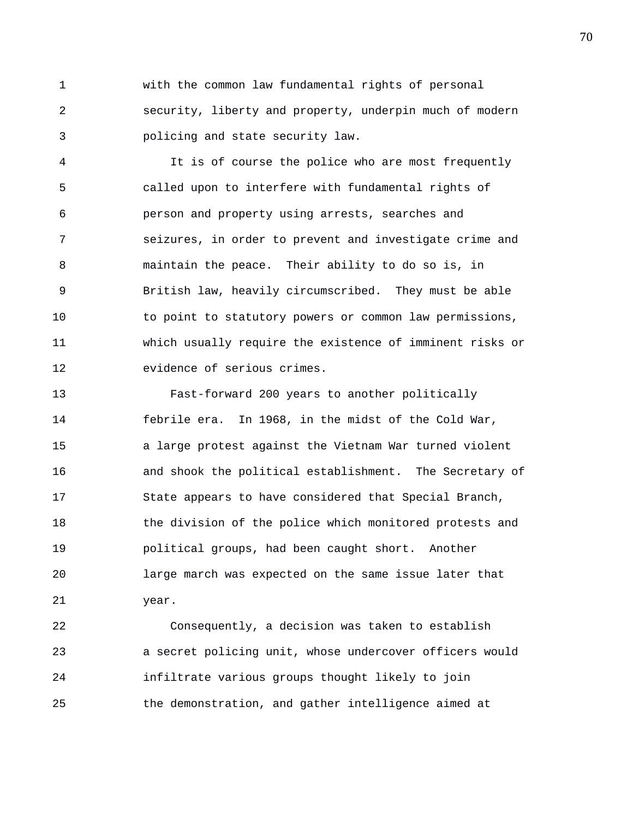1 with the common law fundamental rights of personal 2 security, liberty and property, underpin much of modern 3 policing and state security law.

4 It is of course the police who are most frequently 5 called upon to interfere with fundamental rights of 6 person and property using arrests, searches and 7 seizures, in order to prevent and investigate crime and 8 maintain the peace. Their ability to do so is, in 9 British law, heavily circumscribed. They must be able 10 to point to statutory powers or common law permissions, 11 which usually require the existence of imminent risks or 12 evidence of serious crimes.

13 Fast-forward 200 years to another politically 14 febrile era. In 1968, in the midst of the Cold War, 15 a large protest against the Vietnam War turned violent 16 and shook the political establishment. The Secretary of 17 State appears to have considered that Special Branch, 18 the division of the police which monitored protests and 19 political groups, had been caught short. Another 20 large march was expected on the same issue later that 21 year.

22 Consequently, a decision was taken to establish 23 a secret policing unit, whose undercover officers would 24 infiltrate various groups thought likely to join 25 the demonstration, and gather intelligence aimed at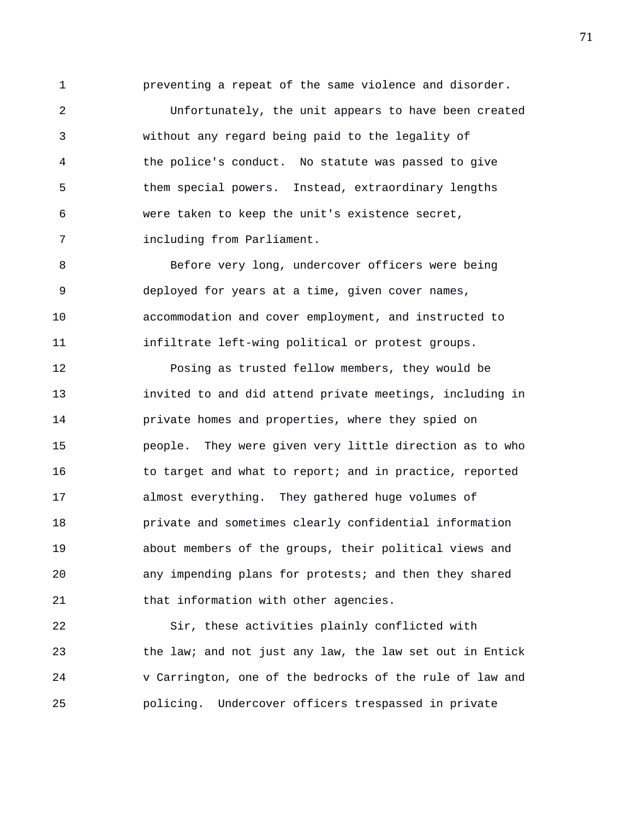1 preventing a repeat of the same violence and disorder.

2 Unfortunately, the unit appears to have been created 3 without any regard being paid to the legality of 4 the police's conduct. No statute was passed to give 5 them special powers. Instead, extraordinary lengths 6 were taken to keep the unit's existence secret, 7 including from Parliament.

8 Before very long, undercover officers were being 9 deployed for years at a time, given cover names, 10 accommodation and cover employment, and instructed to 11 infiltrate left-wing political or protest groups.

12 Posing as trusted fellow members, they would be 13 invited to and did attend private meetings, including in 14 private homes and properties, where they spied on 15 people. They were given very little direction as to who 16 to target and what to report; and in practice, reported 17 almost everything. They gathered huge volumes of 18 private and sometimes clearly confidential information 19 about members of the groups, their political views and 20 any impending plans for protests; and then they shared 21 that information with other agencies.

22 Sir, these activities plainly conflicted with 23 the law; and not just any law, the law set out in Entick 24 v Carrington, one of the bedrocks of the rule of law and 25 policing. Undercover officers trespassed in private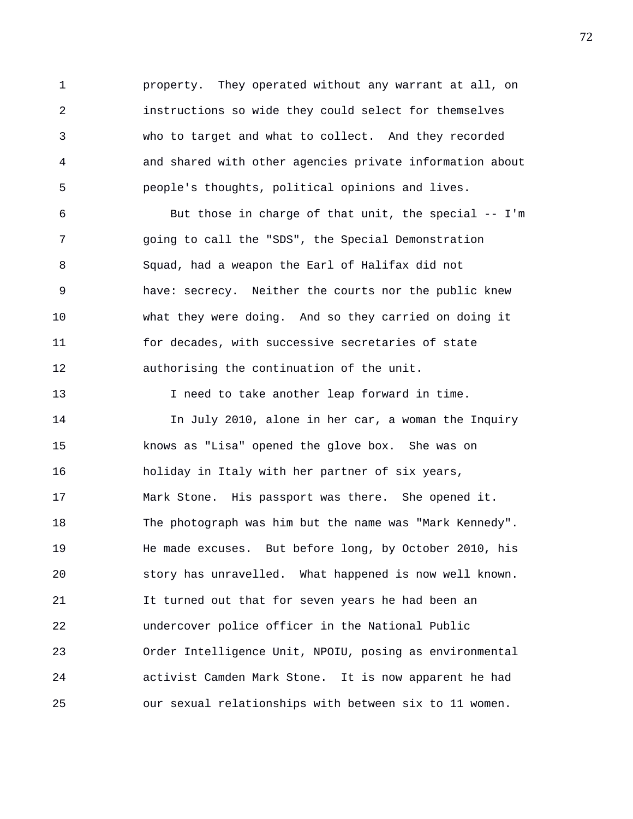1 property. They operated without any warrant at all, on 2 instructions so wide they could select for themselves 3 who to target and what to collect. And they recorded 4 and shared with other agencies private information about 5 people's thoughts, political opinions and lives.

6 But those in charge of that unit, the special -- I'm 7 going to call the "SDS", the Special Demonstration 8 Squad, had a weapon the Earl of Halifax did not 9 have: secrecy. Neither the courts nor the public knew 10 what they were doing. And so they carried on doing it 11 for decades, with successive secretaries of state 12 authorising the continuation of the unit.

13 I need to take another leap forward in time. 14 In July 2010, alone in her car, a woman the Inquiry 15 knows as "Lisa" opened the glove box. She was on 16 holiday in Italy with her partner of six years, 17 Mark Stone. His passport was there. She opened it. 18 The photograph was him but the name was "Mark Kennedy". 19 He made excuses. But before long, by October 2010, his 20 story has unravelled. What happened is now well known. 21 It turned out that for seven years he had been an 22 undercover police officer in the National Public 23 Order Intelligence Unit, NPOIU, posing as environmental 24 activist Camden Mark Stone. It is now apparent he had 25 our sexual relationships with between six to 11 women.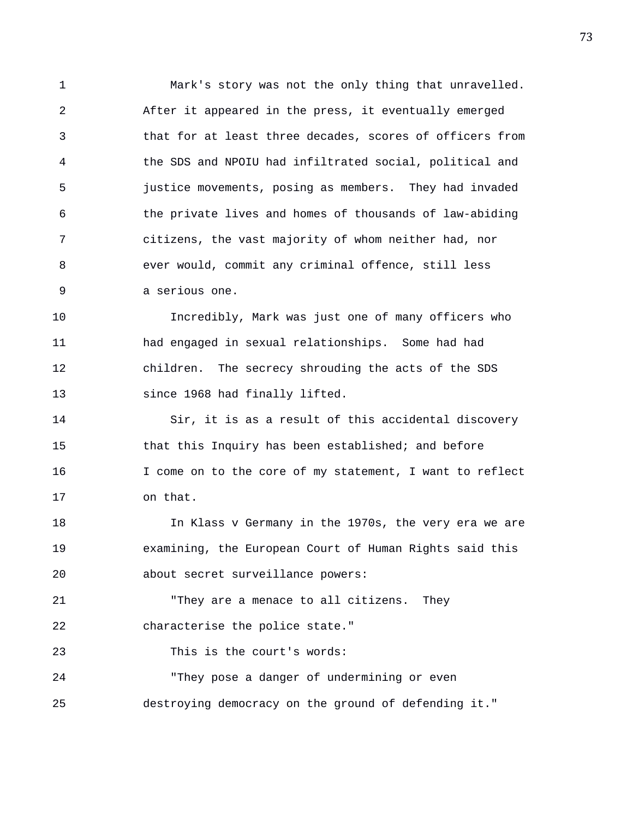1 Mark's story was not the only thing that unravelled. 2 After it appeared in the press, it eventually emerged 3 that for at least three decades, scores of officers from 4 the SDS and NPOIU had infiltrated social, political and 5 justice movements, posing as members. They had invaded 6 the private lives and homes of thousands of law-abiding 7 citizens, the vast majority of whom neither had, nor 8 ever would, commit any criminal offence, still less 9 a serious one.

10 Incredibly, Mark was just one of many officers who 11 had engaged in sexual relationships. Some had had 12 children. The secrecy shrouding the acts of the SDS 13 since 1968 had finally lifted.

14 Sir, it is as a result of this accidental discovery 15 that this Inquiry has been established; and before 16 I come on to the core of my statement, I want to reflect 17 on that.

18 In Klass v Germany in the 1970s, the very era we are 19 examining, the European Court of Human Rights said this 20 about secret surveillance powers:

21 "They are a menace to all citizens. They 22 characterise the police state."

23 This is the court's words:

24 "They pose a danger of undermining or even 25 destroying democracy on the ground of defending it."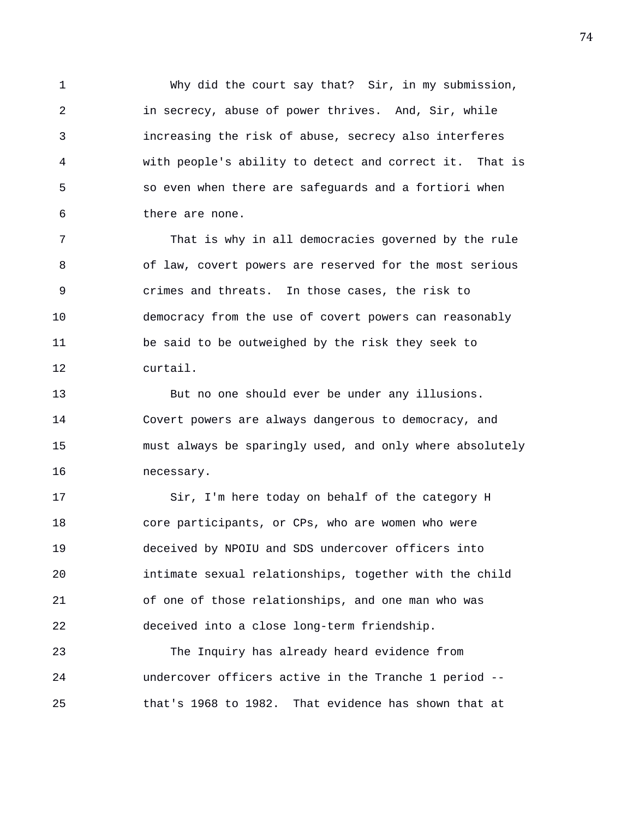1 Why did the court say that? Sir, in my submission, 2 in secrecy, abuse of power thrives. And, Sir, while 3 increasing the risk of abuse, secrecy also interferes 4 with people's ability to detect and correct it. That is 5 so even when there are safeguards and a fortiori when 6 there are none.

7 That is why in all democracies governed by the rule 8 of law, covert powers are reserved for the most serious 9 crimes and threats. In those cases, the risk to 10 democracy from the use of covert powers can reasonably 11 be said to be outweighed by the risk they seek to 12 curtail.

13 But no one should ever be under any illusions. 14 Covert powers are always dangerous to democracy, and 15 must always be sparingly used, and only where absolutely 16 necessary.

17 Sir, I'm here today on behalf of the category H 18 core participants, or CPs, who are women who were 19 deceived by NPOIU and SDS undercover officers into 20 intimate sexual relationships, together with the child 21 of one of those relationships, and one man who was 22 deceived into a close long-term friendship.

23 The Inquiry has already heard evidence from 24 undercover officers active in the Tranche 1 period -- 25 that's 1968 to 1982. That evidence has shown that at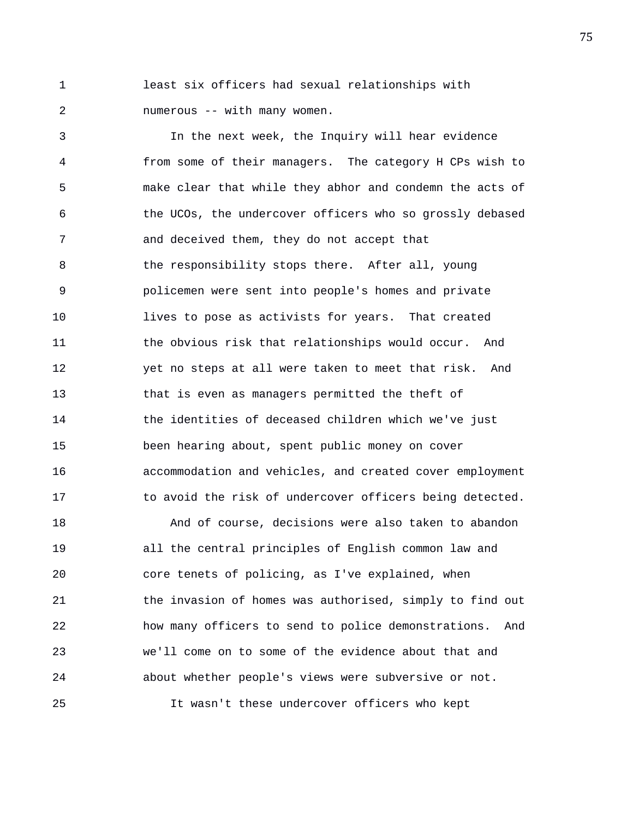1 least six officers had sexual relationships with 2 numerous -- with many women.

3 In the next week, the Inquiry will hear evidence 4 from some of their managers. The category H CPs wish to 5 make clear that while they abhor and condemn the acts of 6 the UCOs, the undercover officers who so grossly debased 7 and deceived them, they do not accept that 8 the responsibility stops there. After all, young 9 policemen were sent into people's homes and private 10 lives to pose as activists for years. That created 11 the obvious risk that relationships would occur. And 12 yet no steps at all were taken to meet that risk. And 13 that is even as managers permitted the theft of 14 the identities of deceased children which we've just 15 been hearing about, spent public money on cover 16 accommodation and vehicles, and created cover employment 17 to avoid the risk of undercover officers being detected.

18 And of course, decisions were also taken to abandon 19 all the central principles of English common law and 20 core tenets of policing, as I've explained, when 21 the invasion of homes was authorised, simply to find out 22 how many officers to send to police demonstrations. And 23 we'll come on to some of the evidence about that and 24 about whether people's views were subversive or not. 25 It wasn't these undercover officers who kept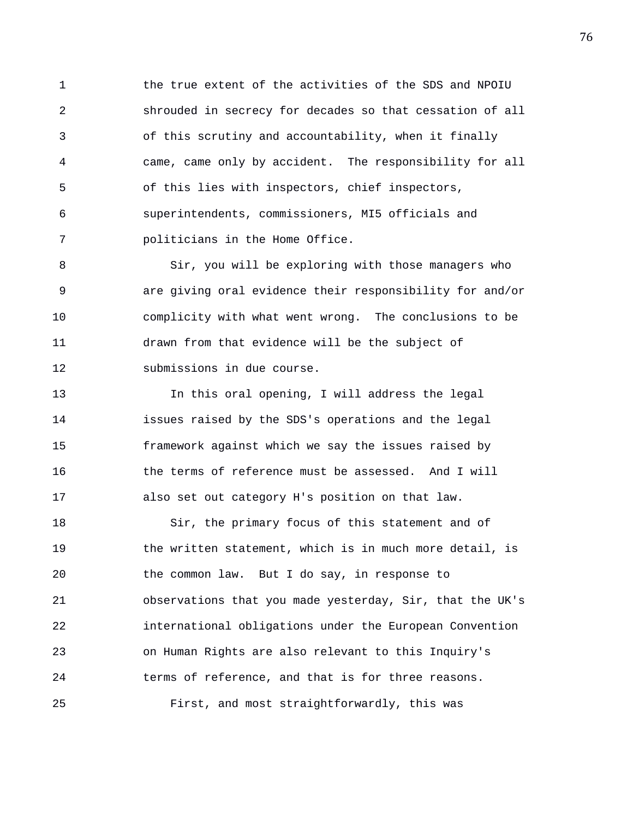1 the true extent of the activities of the SDS and NPOIU 2 shrouded in secrecy for decades so that cessation of all 3 of this scrutiny and accountability, when it finally 4 came, came only by accident. The responsibility for all 5 of this lies with inspectors, chief inspectors, 6 superintendents, commissioners, MI5 officials and 7 politicians in the Home Office.

8 Sir, you will be exploring with those managers who 9 are giving oral evidence their responsibility for and/or 10 complicity with what went wrong. The conclusions to be 11 drawn from that evidence will be the subject of 12 submissions in due course.

13 In this oral opening, I will address the legal 14 issues raised by the SDS's operations and the legal 15 framework against which we say the issues raised by 16 the terms of reference must be assessed. And I will 17 also set out category H's position on that law.

18 Sir, the primary focus of this statement and of 19 the written statement, which is in much more detail, is 20 the common law. But I do say, in response to 21 observations that you made yesterday, Sir, that the UK's 22 international obligations under the European Convention 23 on Human Rights are also relevant to this Inquiry's 24 terms of reference, and that is for three reasons. 25 First, and most straightforwardly, this was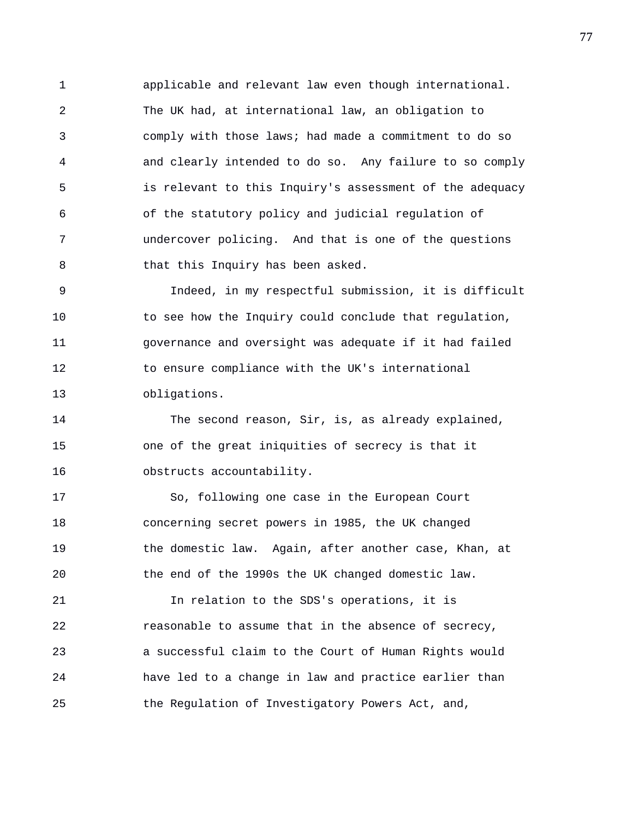1 applicable and relevant law even though international. 2 The UK had, at international law, an obligation to 3 comply with those laws; had made a commitment to do so 4 and clearly intended to do so. Any failure to so comply 5 is relevant to this Inquiry's assessment of the adequacy 6 of the statutory policy and judicial regulation of 7 undercover policing. And that is one of the questions 8 that this Inquiry has been asked.

9 Indeed, in my respectful submission, it is difficult 10 to see how the Inquiry could conclude that regulation, 11 governance and oversight was adequate if it had failed 12 to ensure compliance with the UK's international 13 obligations.

14 The second reason, Sir, is, as already explained, 15 one of the great iniquities of secrecy is that it 16 obstructs accountability.

17 So, following one case in the European Court 18 concerning secret powers in 1985, the UK changed 19 the domestic law. Again, after another case, Khan, at 20 the end of the 1990s the UK changed domestic law.

21 In relation to the SDS's operations, it is 22 reasonable to assume that in the absence of secrecy, 23 a successful claim to the Court of Human Rights would 24 have led to a change in law and practice earlier than 25 the Regulation of Investigatory Powers Act, and,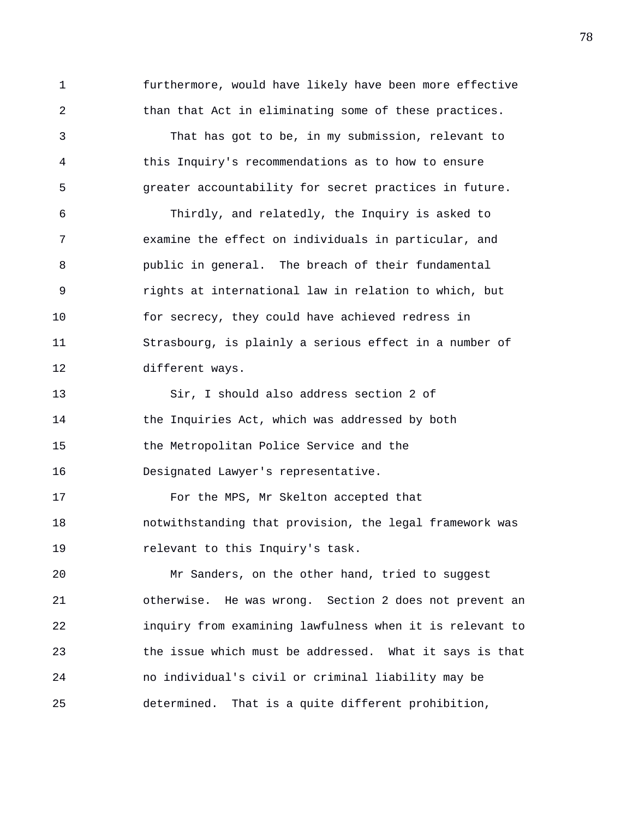1 furthermore, would have likely have been more effective 2 than that Act in eliminating some of these practices. 3 That has got to be, in my submission, relevant to 4 this Inquiry's recommendations as to how to ensure 5 greater accountability for secret practices in future. 6 Thirdly, and relatedly, the Inquiry is asked to 7 examine the effect on individuals in particular, and 8 public in general. The breach of their fundamental 9 rights at international law in relation to which, but 10 for secrecy, they could have achieved redress in 11 Strasbourg, is plainly a serious effect in a number of 12 different ways. 13 Sir, I should also address section 2 of 14 the Inquiries Act, which was addressed by both 15 the Metropolitan Police Service and the 16 Designated Lawyer's representative. 17 For the MPS, Mr Skelton accepted that 18 notwithstanding that provision, the legal framework was 19 relevant to this Inquiry's task. 20 Mr Sanders, on the other hand, tried to suggest 21 otherwise. He was wrong. Section 2 does not prevent an 22 inquiry from examining lawfulness when it is relevant to 23 the issue which must be addressed. What it says is that 24 no individual's civil or criminal liability may be 25 determined. That is a quite different prohibition,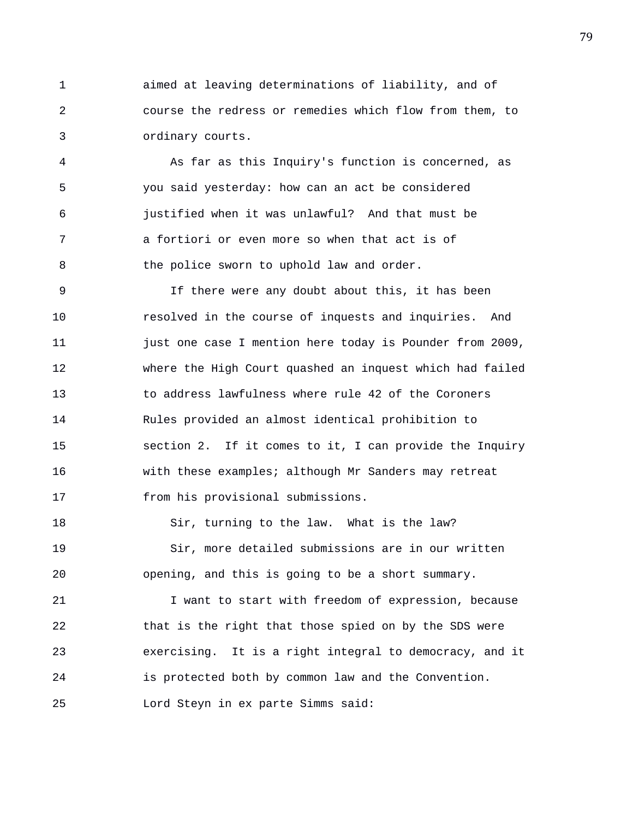1 aimed at leaving determinations of liability, and of 2 course the redress or remedies which flow from them, to 3 ordinary courts.

4 As far as this Inquiry's function is concerned, as 5 you said yesterday: how can an act be considered 6 justified when it was unlawful? And that must be 7 a fortiori or even more so when that act is of 8 the police sworn to uphold law and order.

9 If there were any doubt about this, it has been 10 resolved in the course of inquests and inquiries. And 11 just one case I mention here today is Pounder from 2009, 12 where the High Court quashed an inquest which had failed 13 to address lawfulness where rule 42 of the Coroners 14 Rules provided an almost identical prohibition to 15 section 2. If it comes to it, I can provide the Inquiry 16 with these examples; although Mr Sanders may retreat 17 from his provisional submissions.

18 Sir, turning to the law. What is the law? 19 Sir, more detailed submissions are in our written 20 opening, and this is going to be a short summary.

21 I want to start with freedom of expression, because 22 that is the right that those spied on by the SDS were 23 exercising. It is a right integral to democracy, and it 24 is protected both by common law and the Convention. 25 Lord Steyn in ex parte Simms said: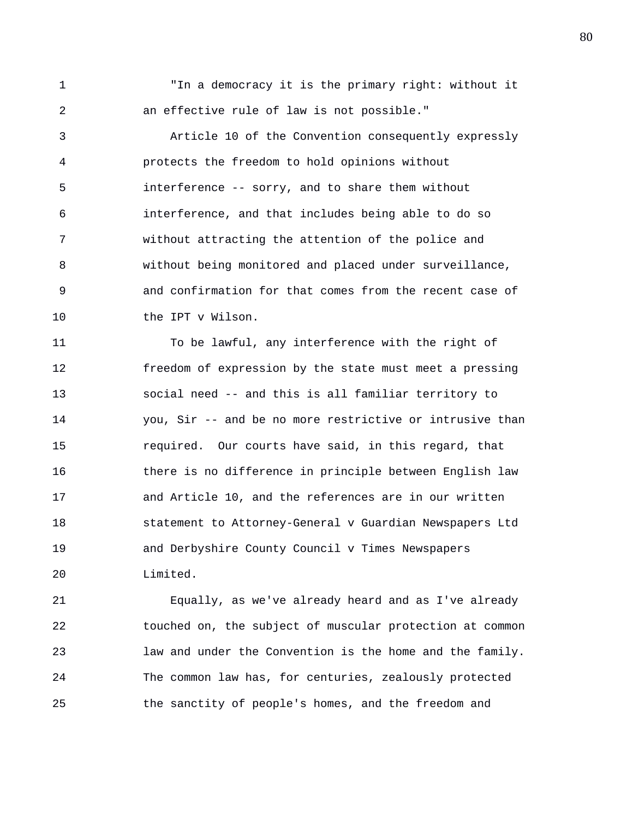1 "In a democracy it is the primary right: without it 2 an effective rule of law is not possible."

3 Article 10 of the Convention consequently expressly 4 protects the freedom to hold opinions without 5 interference -- sorry, and to share them without 6 interference, and that includes being able to do so 7 without attracting the attention of the police and 8 without being monitored and placed under surveillance, 9 and confirmation for that comes from the recent case of 10 the IPT v Wilson.

11 To be lawful, any interference with the right of 12 freedom of expression by the state must meet a pressing 13 social need -- and this is all familiar territory to 14 you, Sir -- and be no more restrictive or intrusive than 15 required. Our courts have said, in this regard, that 16 there is no difference in principle between English law 17 and Article 10, and the references are in our written 18 statement to Attorney-General v Guardian Newspapers Ltd 19 and Derbyshire County Council v Times Newspapers 20 Limited.

21 Equally, as we've already heard and as I've already 22 touched on, the subject of muscular protection at common 23 law and under the Convention is the home and the family. 24 The common law has, for centuries, zealously protected 25 the sanctity of people's homes, and the freedom and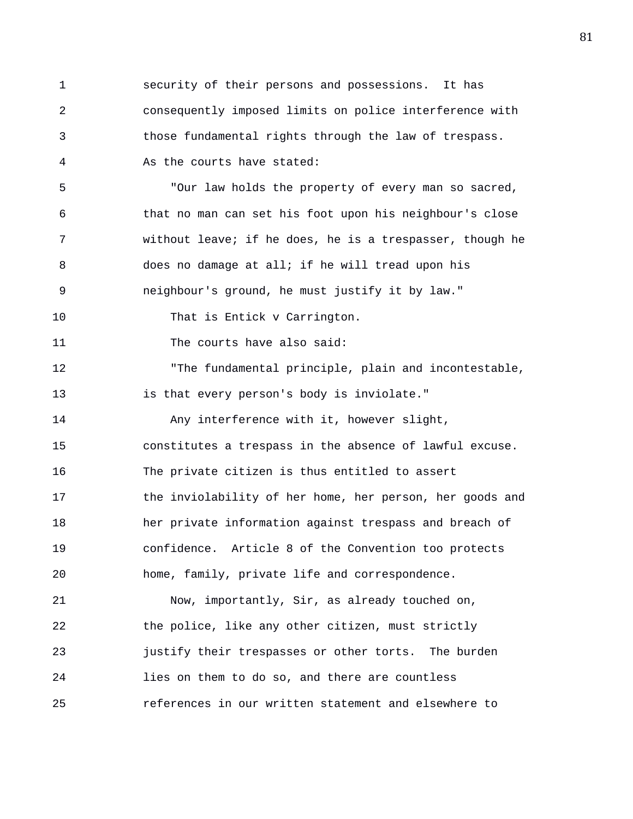1 security of their persons and possessions. It has 2 consequently imposed limits on police interference with 3 those fundamental rights through the law of trespass. 4 As the courts have stated: 5 "Our law holds the property of every man so sacred, 6 that no man can set his foot upon his neighbour's close 7 without leave; if he does, he is a trespasser, though he 8 does no damage at all; if he will tread upon his 9 neighbour's ground, he must justify it by law." 10 That is Entick v Carrington. 11 The courts have also said: 12 "The fundamental principle, plain and incontestable, 13 is that every person's body is inviolate." 14 Any interference with it, however slight, 15 constitutes a trespass in the absence of lawful excuse. 16 The private citizen is thus entitled to assert 17 the inviolability of her home, her person, her goods and 18 her private information against trespass and breach of 19 confidence. Article 8 of the Convention too protects 20 home, family, private life and correspondence. 21 Now, importantly, Sir, as already touched on, 22 the police, like any other citizen, must strictly 23 justify their trespasses or other torts. The burden 24 lies on them to do so, and there are countless 25 references in our written statement and elsewhere to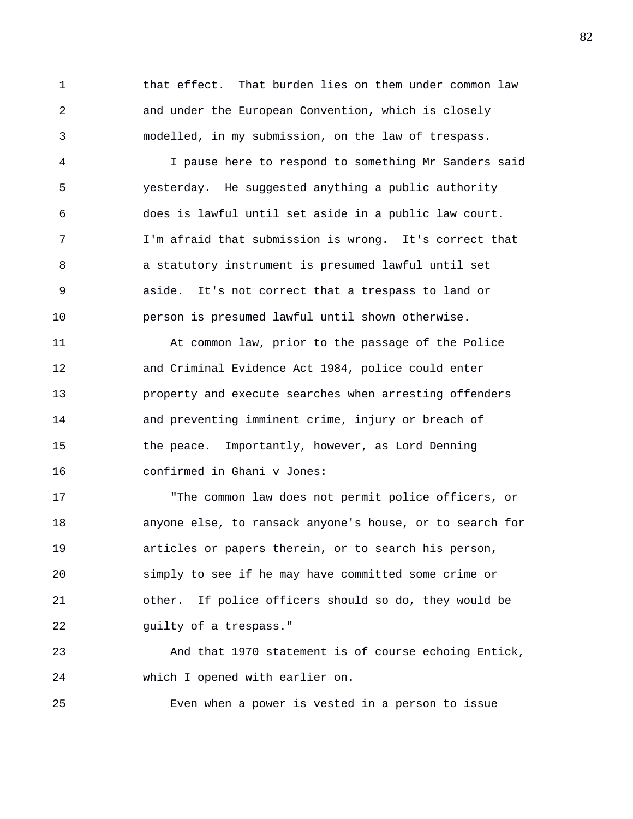1 that effect. That burden lies on them under common law 2 and under the European Convention, which is closely 3 modelled, in my submission, on the law of trespass.

4 I pause here to respond to something Mr Sanders said 5 yesterday. He suggested anything a public authority 6 does is lawful until set aside in a public law court. 7 I'm afraid that submission is wrong. It's correct that 8 a statutory instrument is presumed lawful until set 9 aside. It's not correct that a trespass to land or 10 person is presumed lawful until shown otherwise.

11 At common law, prior to the passage of the Police 12 and Criminal Evidence Act 1984, police could enter 13 property and execute searches when arresting offenders 14 and preventing imminent crime, injury or breach of 15 the peace. Importantly, however, as Lord Denning 16 confirmed in Ghani v Jones:

17 "The common law does not permit police officers, or 18 anyone else, to ransack anyone's house, or to search for 19 articles or papers therein, or to search his person, 20 simply to see if he may have committed some crime or 21 other. If police officers should so do, they would be 22 guilty of a trespass."

23 And that 1970 statement is of course echoing Entick, 24 which I opened with earlier on.

25 Even when a power is vested in a person to issue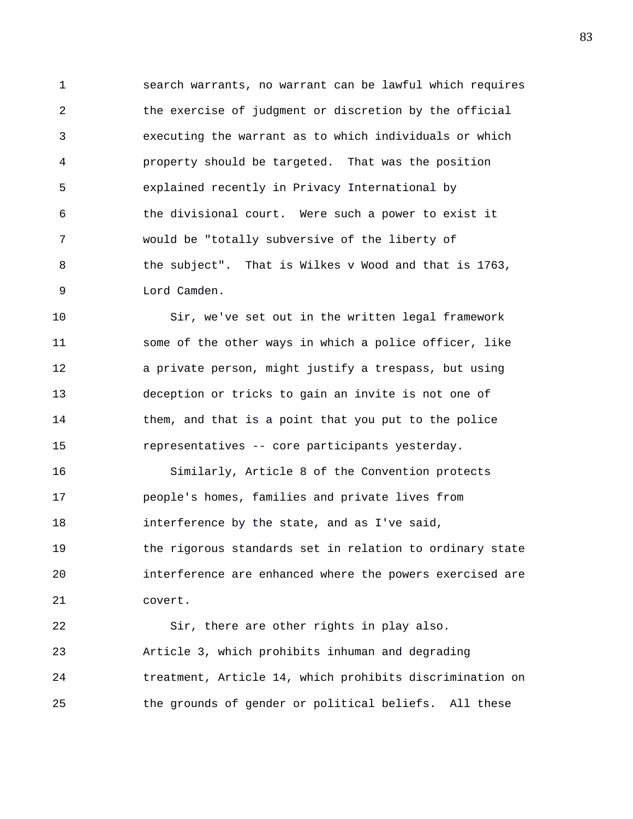1 search warrants, no warrant can be lawful which requires 2 the exercise of judgment or discretion by the official 3 executing the warrant as to which individuals or which 4 property should be targeted. That was the position 5 explained recently in Privacy International by 6 the divisional court. Were such a power to exist it 7 would be "totally subversive of the liberty of 8 the subject". That is Wilkes v Wood and that is 1763, 9 Lord Camden.

10 Sir, we've set out in the written legal framework 11 some of the other ways in which a police officer, like 12 a private person, might justify a trespass, but using 13 deception or tricks to gain an invite is not one of 14 them, and that is a point that you put to the police 15 representatives -- core participants yesterday.

16 Similarly, Article 8 of the Convention protects 17 people's homes, families and private lives from 18 interference by the state, and as I've said, 19 the rigorous standards set in relation to ordinary state 20 interference are enhanced where the powers exercised are 21 covert.

22 Sir, there are other rights in play also. 23 Article 3, which prohibits inhuman and degrading 24 treatment, Article 14, which prohibits discrimination on 25 the grounds of gender or political beliefs. All these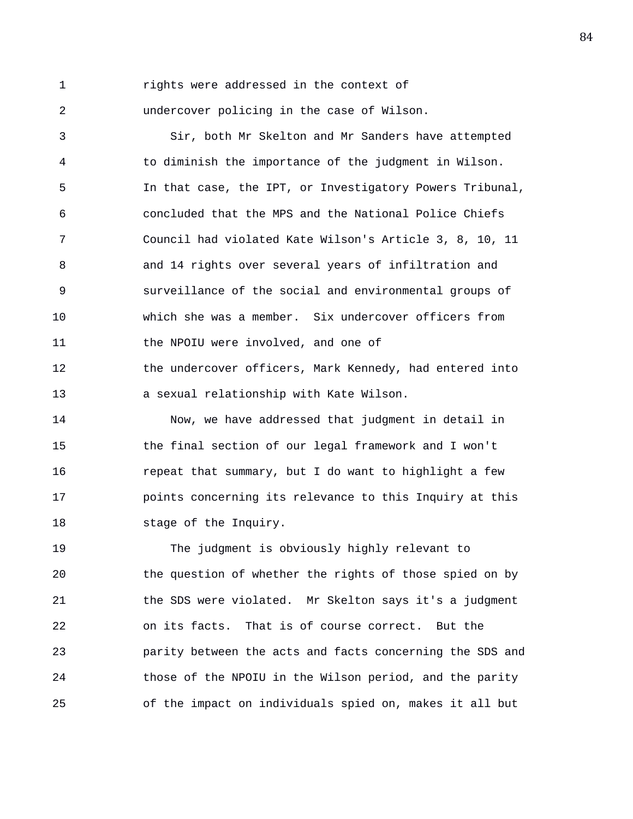1 rights were addressed in the context of 2 undercover policing in the case of Wilson.

3 Sir, both Mr Skelton and Mr Sanders have attempted 4 to diminish the importance of the judgment in Wilson. 5 In that case, the IPT, or Investigatory Powers Tribunal, 6 concluded that the MPS and the National Police Chiefs 7 Council had violated Kate Wilson's Article 3, 8, 10, 11 8 and 14 rights over several years of infiltration and 9 surveillance of the social and environmental groups of 10 which she was a member. Six undercover officers from 11 the NPOIU were involved, and one of 12 the undercover officers, Mark Kennedy, had entered into 13 a sexual relationship with Kate Wilson.

14 Now, we have addressed that judgment in detail in 15 the final section of our legal framework and I won't 16 repeat that summary, but I do want to highlight a few 17 points concerning its relevance to this Inquiry at this 18 stage of the Inquiry.

19 The judgment is obviously highly relevant to 20 the question of whether the rights of those spied on by 21 the SDS were violated. Mr Skelton says it's a judgment 22 on its facts. That is of course correct. But the 23 parity between the acts and facts concerning the SDS and 24 those of the NPOIU in the Wilson period, and the parity 25 of the impact on individuals spied on, makes it all but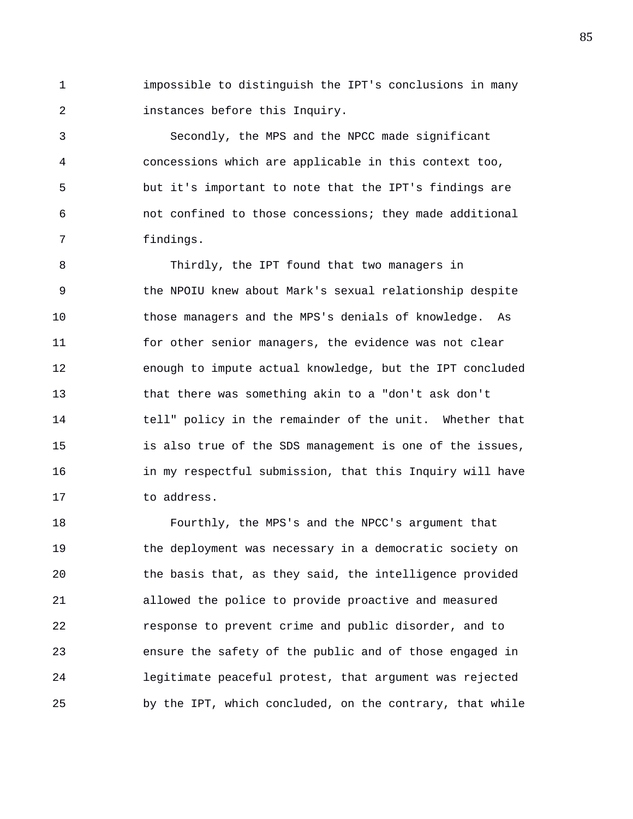1 impossible to distinguish the IPT's conclusions in many 2 instances before this Inquiry.

3 Secondly, the MPS and the NPCC made significant 4 concessions which are applicable in this context too, 5 but it's important to note that the IPT's findings are 6 not confined to those concessions; they made additional 7 findings.

8 Thirdly, the IPT found that two managers in 9 the NPOIU knew about Mark's sexual relationship despite 10 those managers and the MPS's denials of knowledge. As 11 for other senior managers, the evidence was not clear 12 enough to impute actual knowledge, but the IPT concluded 13 that there was something akin to a "don't ask don't 14 tell" policy in the remainder of the unit. Whether that 15 is also true of the SDS management is one of the issues, 16 in my respectful submission, that this Inquiry will have 17 to address.

18 Fourthly, the MPS's and the NPCC's argument that 19 the deployment was necessary in a democratic society on 20 the basis that, as they said, the intelligence provided 21 allowed the police to provide proactive and measured 22 response to prevent crime and public disorder, and to 23 ensure the safety of the public and of those engaged in 24 legitimate peaceful protest, that argument was rejected 25 by the IPT, which concluded, on the contrary, that while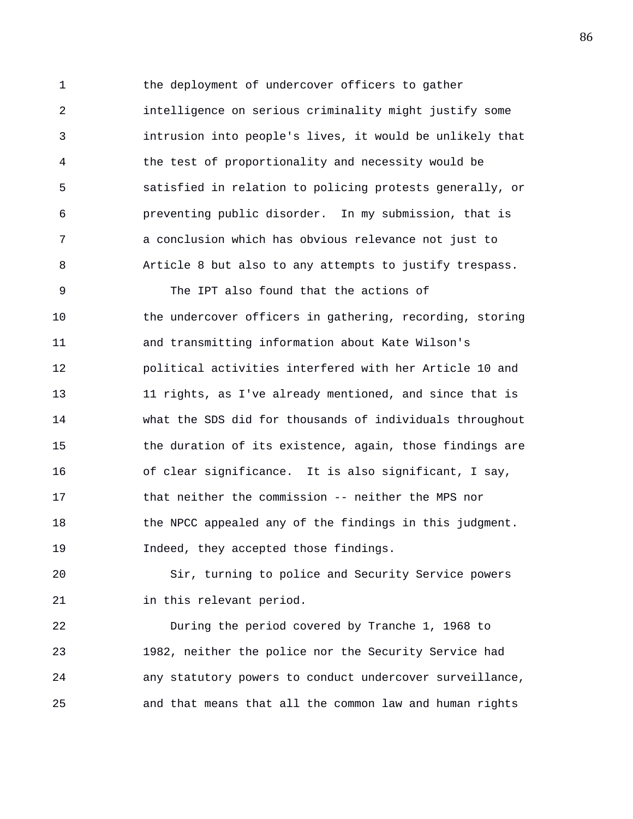1 the deployment of undercover officers to gather 2 intelligence on serious criminality might justify some 3 intrusion into people's lives, it would be unlikely that 4 the test of proportionality and necessity would be 5 satisfied in relation to policing protests generally, or 6 preventing public disorder. In my submission, that is 7 a conclusion which has obvious relevance not just to 8 Article 8 but also to any attempts to justify trespass.

9 The IPT also found that the actions of 10 the undercover officers in gathering, recording, storing 11 and transmitting information about Kate Wilson's 12 political activities interfered with her Article 10 and 13 11 rights, as I've already mentioned, and since that is 14 what the SDS did for thousands of individuals throughout 15 the duration of its existence, again, those findings are 16 of clear significance. It is also significant, I say, 17 that neither the commission -- neither the MPS nor 18 the NPCC appealed any of the findings in this judgment. 19 Indeed, they accepted those findings.

20 Sir, turning to police and Security Service powers 21 in this relevant period.

22 During the period covered by Tranche 1, 1968 to 23 1982, neither the police nor the Security Service had 24 any statutory powers to conduct undercover surveillance, 25 and that means that all the common law and human rights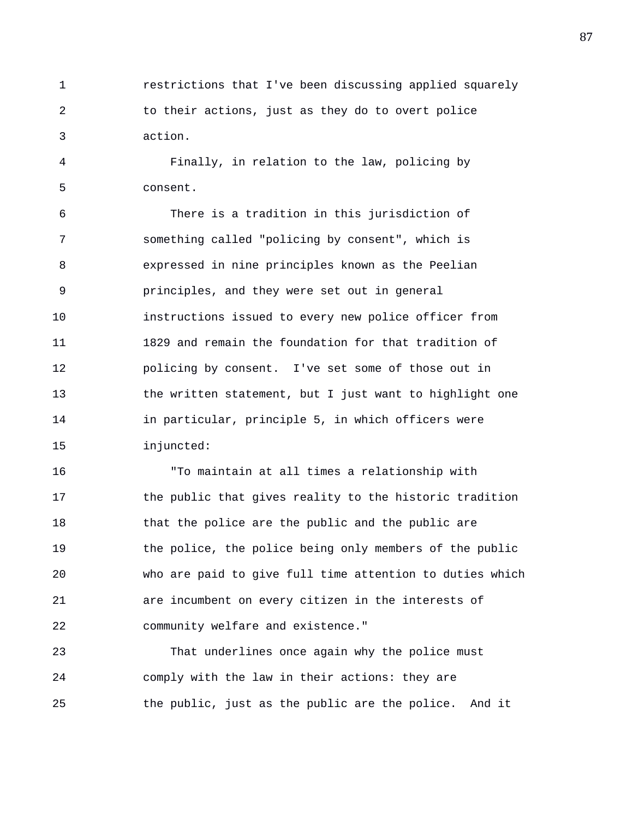1 restrictions that I've been discussing applied squarely 2 to their actions, just as they do to overt police 3 action.

4 Finally, in relation to the law, policing by 5 consent.

6 There is a tradition in this jurisdiction of 7 something called "policing by consent", which is 8 expressed in nine principles known as the Peelian 9 principles, and they were set out in general 10 instructions issued to every new police officer from 11 1829 and remain the foundation for that tradition of 12 policing by consent. I've set some of those out in 13 the written statement, but I just want to highlight one 14 in particular, principle 5, in which officers were 15 injuncted:

16 "To maintain at all times a relationship with 17 the public that gives reality to the historic tradition 18 that the police are the public and the public are 19 the police, the police being only members of the public 20 who are paid to give full time attention to duties which 21 are incumbent on every citizen in the interests of 22 community welfare and existence."

23 That underlines once again why the police must 24 comply with the law in their actions: they are 25 the public, just as the public are the police. And it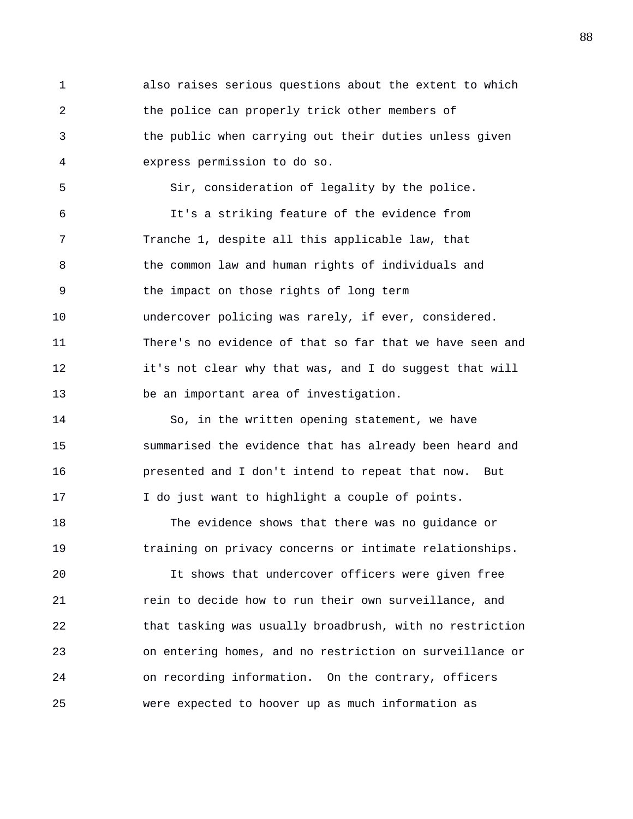1 also raises serious questions about the extent to which 2 the police can properly trick other members of 3 the public when carrying out their duties unless given 4 express permission to do so. 5 Sir, consideration of legality by the police. 6 It's a striking feature of the evidence from 7 Tranche 1, despite all this applicable law, that 8 the common law and human rights of individuals and 9 the impact on those rights of long term 10 undercover policing was rarely, if ever, considered. 11 There's no evidence of that so far that we have seen and 12 it's not clear why that was, and I do suggest that will 13 be an important area of investigation. 14 So, in the written opening statement, we have 15 summarised the evidence that has already been heard and 16 presented and I don't intend to repeat that now. But 17 I do just want to highlight a couple of points. 18 The evidence shows that there was no guidance or 19 training on privacy concerns or intimate relationships. 20 It shows that undercover officers were given free 21 rein to decide how to run their own surveillance, and 22 that tasking was usually broadbrush, with no restriction 23 on entering homes, and no restriction on surveillance or 24 on recording information. On the contrary, officers

25 were expected to hoover up as much information as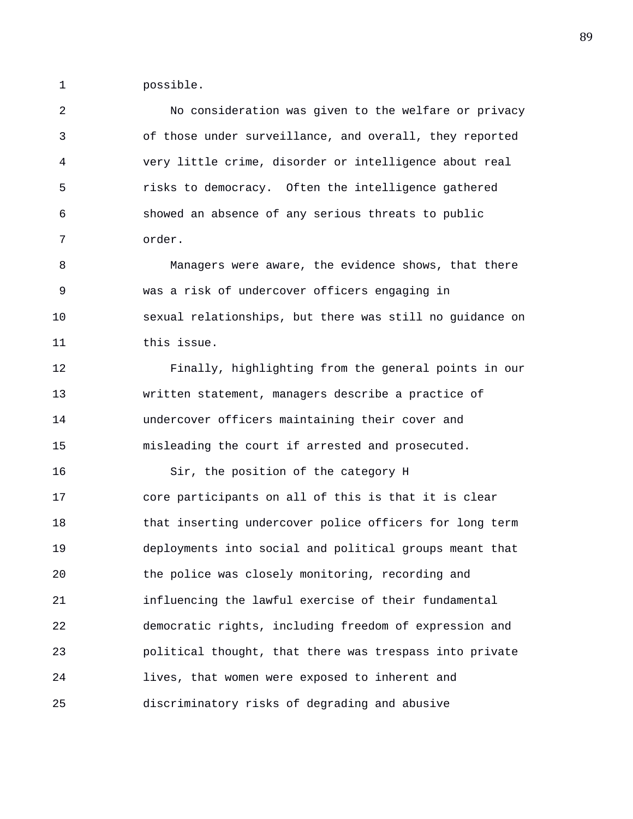1 possible.

2 No consideration was given to the welfare or privacy 3 of those under surveillance, and overall, they reported 4 very little crime, disorder or intelligence about real 5 risks to democracy. Often the intelligence gathered 6 showed an absence of any serious threats to public 7 order.

8 Managers were aware, the evidence shows, that there 9 was a risk of undercover officers engaging in 10 sexual relationships, but there was still no guidance on 11 this issue.

12 Finally, highlighting from the general points in our 13 written statement, managers describe a practice of 14 undercover officers maintaining their cover and 15 misleading the court if arrested and prosecuted.

16 Sir, the position of the category H 17 core participants on all of this is that it is clear 18 that inserting undercover police officers for long term 19 deployments into social and political groups meant that 20 the police was closely monitoring, recording and 21 influencing the lawful exercise of their fundamental 22 democratic rights, including freedom of expression and 23 political thought, that there was trespass into private 24 lives, that women were exposed to inherent and 25 discriminatory risks of degrading and abusive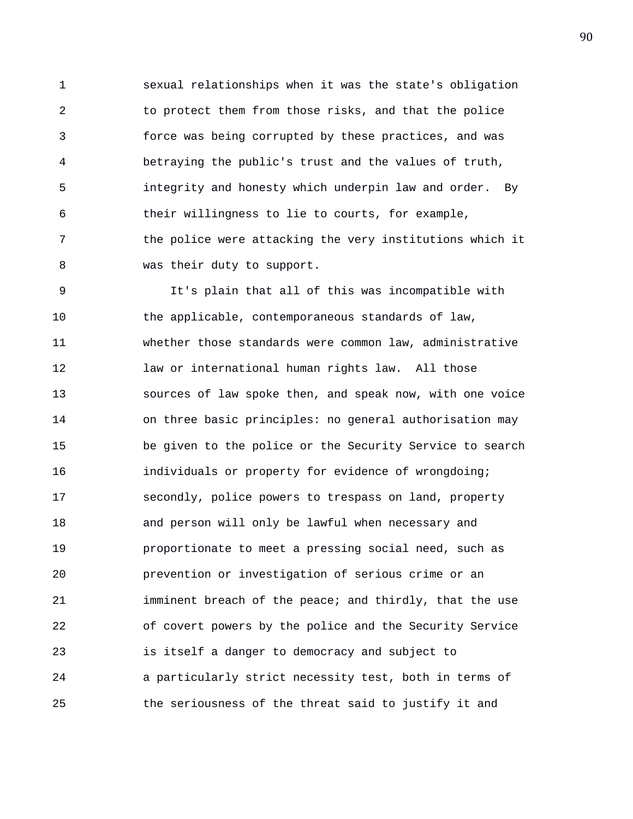1 sexual relationships when it was the state's obligation 2 to protect them from those risks, and that the police 3 force was being corrupted by these practices, and was 4 betraying the public's trust and the values of truth, 5 integrity and honesty which underpin law and order. By 6 their willingness to lie to courts, for example, 7 the police were attacking the very institutions which it 8 was their duty to support.

9 It's plain that all of this was incompatible with 10 the applicable, contemporaneous standards of law, 11 whether those standards were common law, administrative 12 law or international human rights law. All those 13 sources of law spoke then, and speak now, with one voice 14 on three basic principles: no general authorisation may 15 be given to the police or the Security Service to search 16 individuals or property for evidence of wrongdoing; 17 secondly, police powers to trespass on land, property 18 and person will only be lawful when necessary and 19 proportionate to meet a pressing social need, such as 20 prevention or investigation of serious crime or an 21 imminent breach of the peace; and thirdly, that the use 22 of covert powers by the police and the Security Service 23 is itself a danger to democracy and subject to 24 a particularly strict necessity test, both in terms of 25 the seriousness of the threat said to justify it and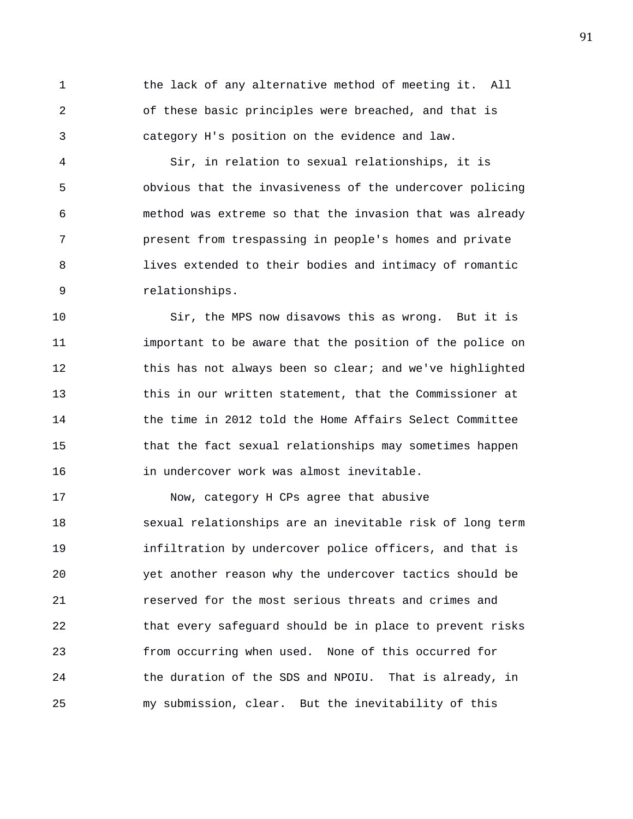1 the lack of any alternative method of meeting it. All 2 of these basic principles were breached, and that is 3 category H's position on the evidence and law.

4 Sir, in relation to sexual relationships, it is 5 obvious that the invasiveness of the undercover policing 6 method was extreme so that the invasion that was already 7 present from trespassing in people's homes and private 8 lives extended to their bodies and intimacy of romantic 9 relationships.

10 Sir, the MPS now disavows this as wrong. But it is 11 important to be aware that the position of the police on 12 this has not always been so clear; and we've highlighted 13 this in our written statement, that the Commissioner at 14 the time in 2012 told the Home Affairs Select Committee 15 that the fact sexual relationships may sometimes happen 16 in undercover work was almost inevitable.

17 Now, category H CPs agree that abusive 18 sexual relationships are an inevitable risk of long term 19 infiltration by undercover police officers, and that is 20 yet another reason why the undercover tactics should be 21 reserved for the most serious threats and crimes and 22 that every safeguard should be in place to prevent risks 23 from occurring when used. None of this occurred for 24 the duration of the SDS and NPOIU. That is already, in 25 my submission, clear. But the inevitability of this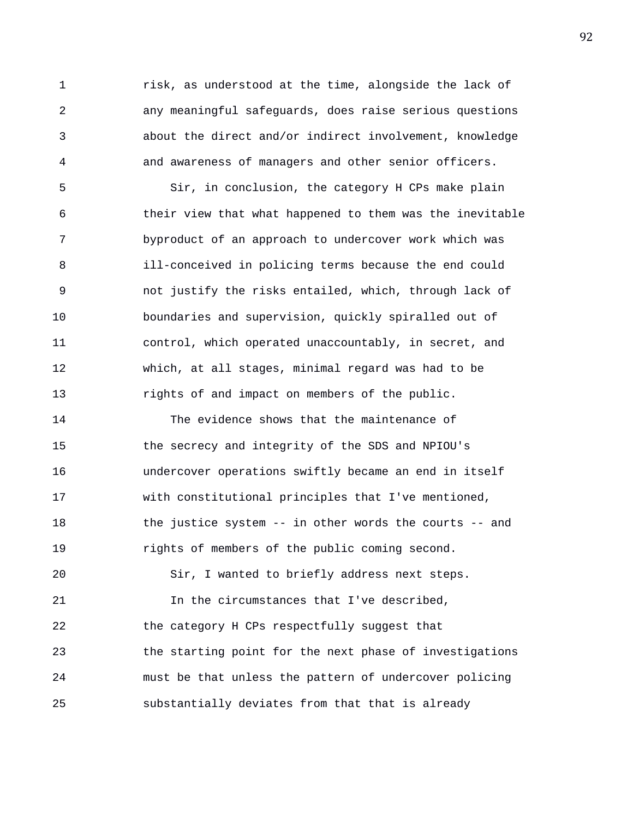1 risk, as understood at the time, alongside the lack of 2 any meaningful safeguards, does raise serious questions 3 about the direct and/or indirect involvement, knowledge 4 and awareness of managers and other senior officers.

5 Sir, in conclusion, the category H CPs make plain 6 their view that what happened to them was the inevitable 7 byproduct of an approach to undercover work which was 8 ill-conceived in policing terms because the end could 9 not justify the risks entailed, which, through lack of 10 boundaries and supervision, quickly spiralled out of 11 control, which operated unaccountably, in secret, and 12 which, at all stages, minimal regard was had to be 13 rights of and impact on members of the public.

14 The evidence shows that the maintenance of 15 the secrecy and integrity of the SDS and NPIOU's 16 undercover operations swiftly became an end in itself 17 with constitutional principles that I've mentioned, 18 the justice system -- in other words the courts -- and 19 rights of members of the public coming second.

20 Sir, I wanted to briefly address next steps. 21 In the circumstances that I've described, 22 the category H CPs respectfully suggest that 23 the starting point for the next phase of investigations 24 must be that unless the pattern of undercover policing 25 substantially deviates from that that is already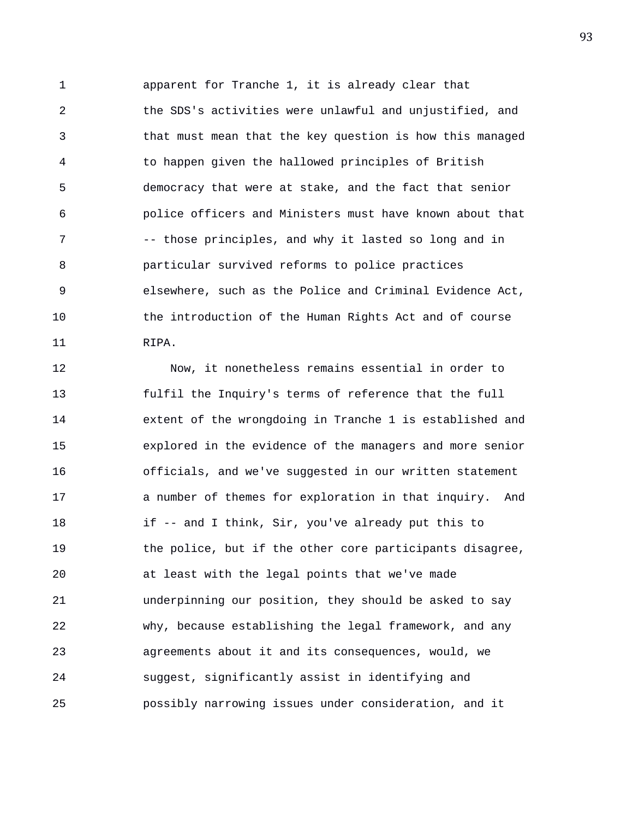1 apparent for Tranche 1, it is already clear that 2 the SDS's activities were unlawful and unjustified, and 3 that must mean that the key question is how this managed 4 to happen given the hallowed principles of British 5 democracy that were at stake, and the fact that senior 6 police officers and Ministers must have known about that 7 -- those principles, and why it lasted so long and in 8 particular survived reforms to police practices 9 elsewhere, such as the Police and Criminal Evidence Act, 10 the introduction of the Human Rights Act and of course 11 RIPA.

12 Now, it nonetheless remains essential in order to 13 fulfil the Inquiry's terms of reference that the full 14 extent of the wrongdoing in Tranche 1 is established and 15 explored in the evidence of the managers and more senior 16 officials, and we've suggested in our written statement 17 a number of themes for exploration in that inquiry. And 18 if -- and I think, Sir, you've already put this to 19 the police, but if the other core participants disagree, 20 at least with the legal points that we've made 21 underpinning our position, they should be asked to say 22 why, because establishing the legal framework, and any 23 agreements about it and its consequences, would, we 24 suggest, significantly assist in identifying and 25 possibly narrowing issues under consideration, and it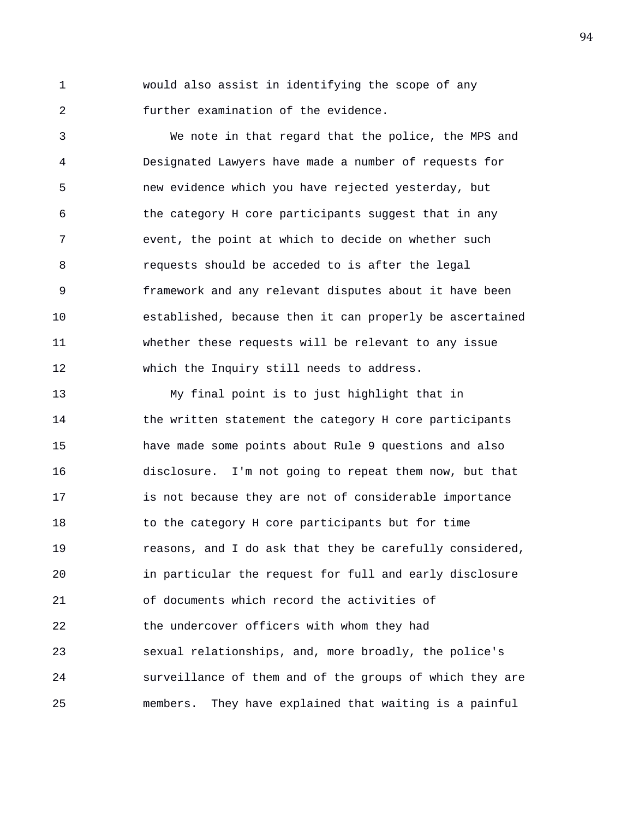1 would also assist in identifying the scope of any 2 further examination of the evidence.

3 We note in that regard that the police, the MPS and 4 Designated Lawyers have made a number of requests for 5 new evidence which you have rejected yesterday, but 6 the category H core participants suggest that in any 7 event, the point at which to decide on whether such 8 requests should be acceded to is after the legal 9 framework and any relevant disputes about it have been 10 established, because then it can properly be ascertained 11 whether these requests will be relevant to any issue 12 which the Inquiry still needs to address.

13 My final point is to just highlight that in 14 the written statement the category H core participants 15 have made some points about Rule 9 questions and also 16 disclosure. I'm not going to repeat them now, but that 17 is not because they are not of considerable importance 18 to the category H core participants but for time 19 reasons, and I do ask that they be carefully considered, 20 in particular the request for full and early disclosure 21 of documents which record the activities of 22 the undercover officers with whom they had 23 sexual relationships, and, more broadly, the police's 24 surveillance of them and of the groups of which they are 25 members. They have explained that waiting is a painful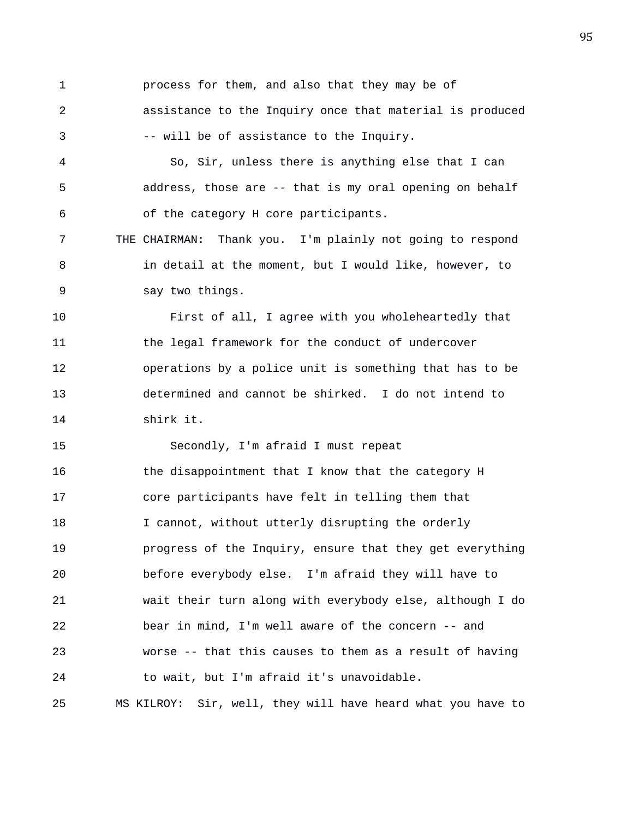1 process for them, and also that they may be of 2 assistance to the Inquiry once that material is produced 3 -- will be of assistance to the Inquiry.

4 So, Sir, unless there is anything else that I can 5 address, those are -- that is my oral opening on behalf 6 of the category H core participants.

7 THE CHAIRMAN: Thank you. I'm plainly not going to respond 8 in detail at the moment, but I would like, however, to 9 say two things.

10 First of all, I agree with you wholeheartedly that 11 the legal framework for the conduct of undercover 12 operations by a police unit is something that has to be 13 determined and cannot be shirked. I do not intend to 14 shirk it.

15 Secondly, I'm afraid I must repeat 16 the disappointment that I know that the category H 17 core participants have felt in telling them that 18 I cannot, without utterly disrupting the orderly 19 progress of the Inquiry, ensure that they get everything 20 before everybody else. I'm afraid they will have to 21 wait their turn along with everybody else, although I do 22 bear in mind, I'm well aware of the concern -- and 23 worse -- that this causes to them as a result of having 24 to wait, but I'm afraid it's unavoidable. 25 MS KILROY: Sir, well, they will have heard what you have to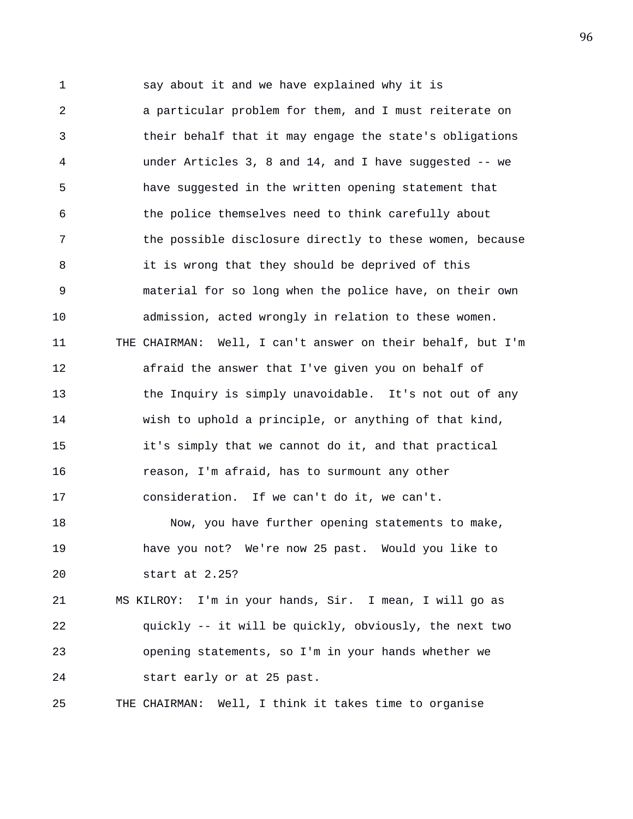1 say about it and we have explained why it is 2 a particular problem for them, and I must reiterate on 3 their behalf that it may engage the state's obligations 4 under Articles 3, 8 and 14, and I have suggested -- we 5 have suggested in the written opening statement that 6 the police themselves need to think carefully about 7 the possible disclosure directly to these women, because 8 it is wrong that they should be deprived of this 9 material for so long when the police have, on their own 10 admission, acted wrongly in relation to these women. 11 THE CHAIRMAN: Well, I can't answer on their behalf, but I'm 12 afraid the answer that I've given you on behalf of 13 the Inquiry is simply unavoidable. It's not out of any 14 wish to uphold a principle, or anything of that kind, 15 it's simply that we cannot do it, and that practical 16 reason, I'm afraid, has to surmount any other 17 consideration. If we can't do it, we can't. 18 Now, you have further opening statements to make, 19 have you not? We're now 25 past. Would you like to 20 start at 2.25? 21 MS KILROY: I'm in your hands, Sir. I mean, I will go as 22 quickly -- it will be quickly, obviously, the next two 23 opening statements, so I'm in your hands whether we

25 THE CHAIRMAN: Well, I think it takes time to organise

24 start early or at 25 past.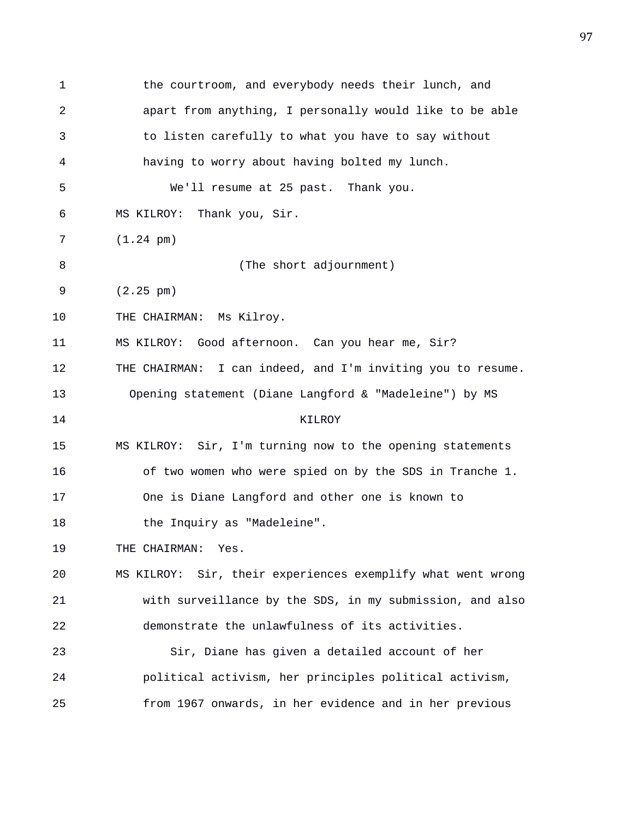| $\mathbf{1}$ | the courtroom, and everybody needs their lunch, and         |
|--------------|-------------------------------------------------------------|
| 2            | apart from anything, I personally would like to be able     |
| 3            | to listen carefully to what you have to say without         |
| 4            | having to worry about having bolted my lunch.               |
| 5            | We'll resume at 25 past. Thank you.                         |
| 6            | MS KILROY: Thank you, Sir.                                  |
| 7            | $(1.24 \text{ pm})$                                         |
| 8            | (The short adjournment)                                     |
| 9            | $(2.25 \text{ pm})$                                         |
| 10           | THE CHAIRMAN: Ms Kilroy.                                    |
| 11           | MS KILROY: Good afternoon. Can you hear me, Sir?            |
| 12           | THE CHAIRMAN: I can indeed, and I'm inviting you to resume. |
| 13           | Opening statement (Diane Langford & "Madeleine") by MS      |
| 14           | KILROY                                                      |
| 15           | MS KILROY: Sir, I'm turning now to the opening statements   |
| 16           | of two women who were spied on by the SDS in Tranche 1.     |
| 17           | One is Diane Langford and other one is known to             |
| 18           | the Inquiry as "Madeleine".                                 |
| 19           | THE CHAIRMAN:<br>Yes.                                       |
| 20           | MS KILROY: Sir, their experiences exemplify what went wrong |
| 21           | with surveillance by the SDS, in my submission, and also    |
| 22           | demonstrate the unlawfulness of its activities.             |
| 23           | Sir, Diane has given a detailed account of her              |
| 24           | political activism, her principles political activism,      |
| 25           | from 1967 onwards, in her evidence and in her previous      |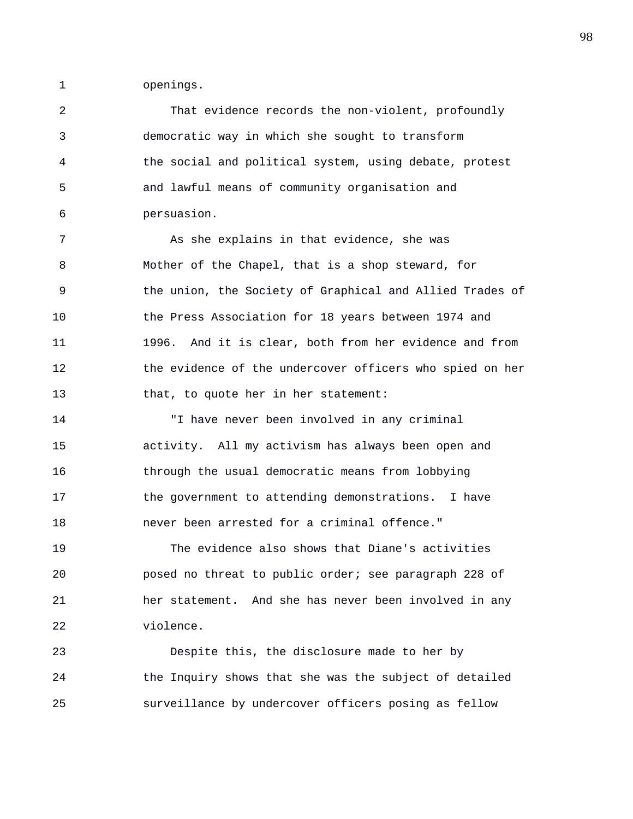1 openings.

2 That evidence records the non-violent, profoundly 3 democratic way in which she sought to transform 4 the social and political system, using debate, protest 5 and lawful means of community organisation and 6 persuasion.

7 As she explains in that evidence, she was 8 Mother of the Chapel, that is a shop steward, for 9 the union, the Society of Graphical and Allied Trades of 10 the Press Association for 18 years between 1974 and 11 1996. And it is clear, both from her evidence and from 12 the evidence of the undercover officers who spied on her 13 that, to quote her in her statement:

14 "I have never been involved in any criminal 15 activity. All my activism has always been open and 16 through the usual democratic means from lobbying 17 the government to attending demonstrations. I have 18 never been arrested for a criminal offence."

19 The evidence also shows that Diane's activities 20 posed no threat to public order; see paragraph 228 of 21 her statement. And she has never been involved in any 22 violence.

23 Despite this, the disclosure made to her by 24 the Inquiry shows that she was the subject of detailed 25 surveillance by undercover officers posing as fellow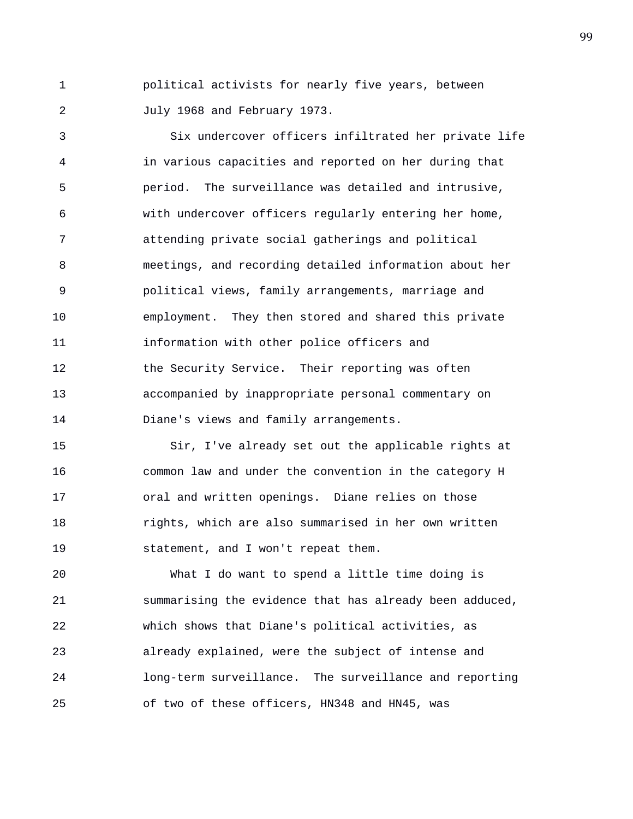1 political activists for nearly five years, between 2 July 1968 and February 1973.

3 Six undercover officers infiltrated her private life 4 in various capacities and reported on her during that 5 period. The surveillance was detailed and intrusive, 6 with undercover officers regularly entering her home, 7 attending private social gatherings and political 8 meetings, and recording detailed information about her 9 political views, family arrangements, marriage and 10 employment. They then stored and shared this private 11 information with other police officers and 12 the Security Service. Their reporting was often 13 accompanied by inappropriate personal commentary on 14 Diane's views and family arrangements.

15 Sir, I've already set out the applicable rights at 16 common law and under the convention in the category H 17 oral and written openings. Diane relies on those 18 rights, which are also summarised in her own written 19 statement, and I won't repeat them.

20 What I do want to spend a little time doing is 21 summarising the evidence that has already been adduced, 22 which shows that Diane's political activities, as 23 already explained, were the subject of intense and 24 long-term surveillance. The surveillance and reporting 25 of two of these officers, HN348 and HN45, was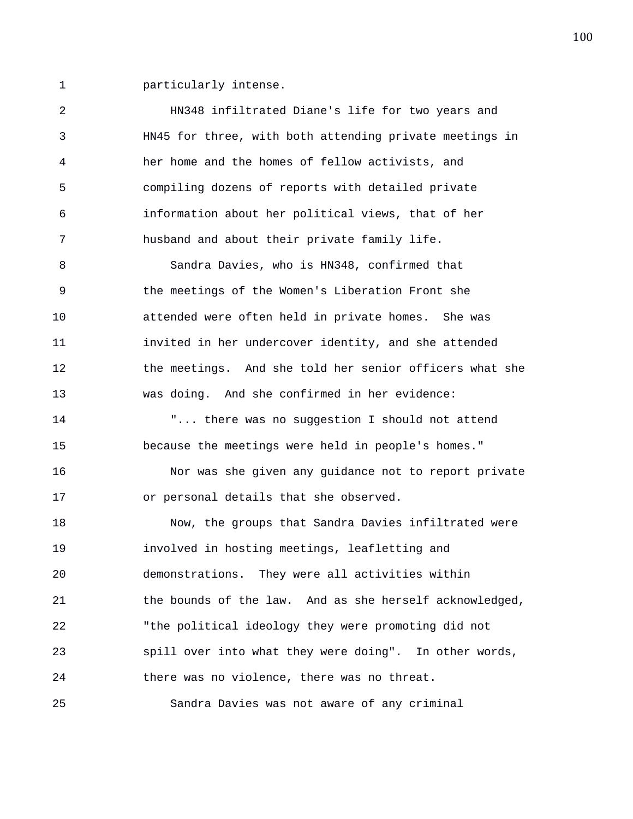1 particularly intense.

2 HN348 infiltrated Diane's life for two years and 3 HN45 for three, with both attending private meetings in 4 her home and the homes of fellow activists, and 5 compiling dozens of reports with detailed private 6 information about her political views, that of her 7 husband and about their private family life. 8 Sandra Davies, who is HN348, confirmed that 9 the meetings of the Women's Liberation Front she 10 attended were often held in private homes. She was 11 invited in her undercover identity, and she attended 12 the meetings. And she told her senior officers what she 13 was doing. And she confirmed in her evidence: 14 "... there was no suggestion I should not attend 15 because the meetings were held in people's homes." 16 Nor was she given any guidance not to report private 17 or personal details that she observed. 18 Now, the groups that Sandra Davies infiltrated were 19 involved in hosting meetings, leafletting and 20 demonstrations. They were all activities within 21 the bounds of the law. And as she herself acknowledged, 22 "the political ideology they were promoting did not 23 spill over into what they were doing". In other words, 24 there was no violence, there was no threat. 25 Sandra Davies was not aware of any criminal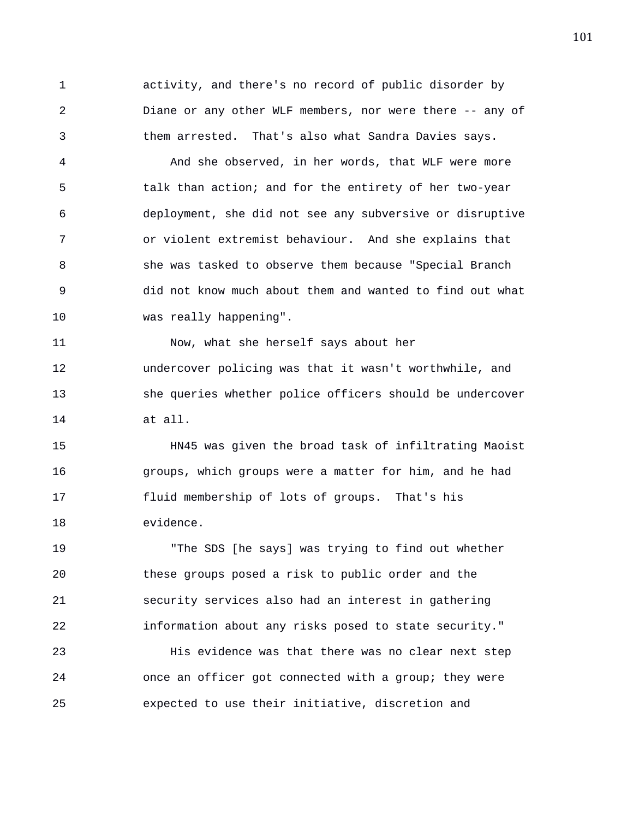1 activity, and there's no record of public disorder by 2 Diane or any other WLF members, nor were there -- any of 3 them arrested. That's also what Sandra Davies says.

4 And she observed, in her words, that WLF were more 5 talk than action; and for the entirety of her two-year 6 deployment, she did not see any subversive or disruptive 7 or violent extremist behaviour. And she explains that 8 she was tasked to observe them because "Special Branch 9 did not know much about them and wanted to find out what 10 was really happening".

11 Now, what she herself says about her 12 undercover policing was that it wasn't worthwhile, and 13 she queries whether police officers should be undercover 14 at all.

15 HN45 was given the broad task of infiltrating Maoist 16 groups, which groups were a matter for him, and he had 17 fluid membership of lots of groups. That's his 18 evidence.

19 "The SDS [he says] was trying to find out whether 20 these groups posed a risk to public order and the 21 security services also had an interest in gathering 22 information about any risks posed to state security."

23 His evidence was that there was no clear next step 24 once an officer got connected with a group; they were 25 expected to use their initiative, discretion and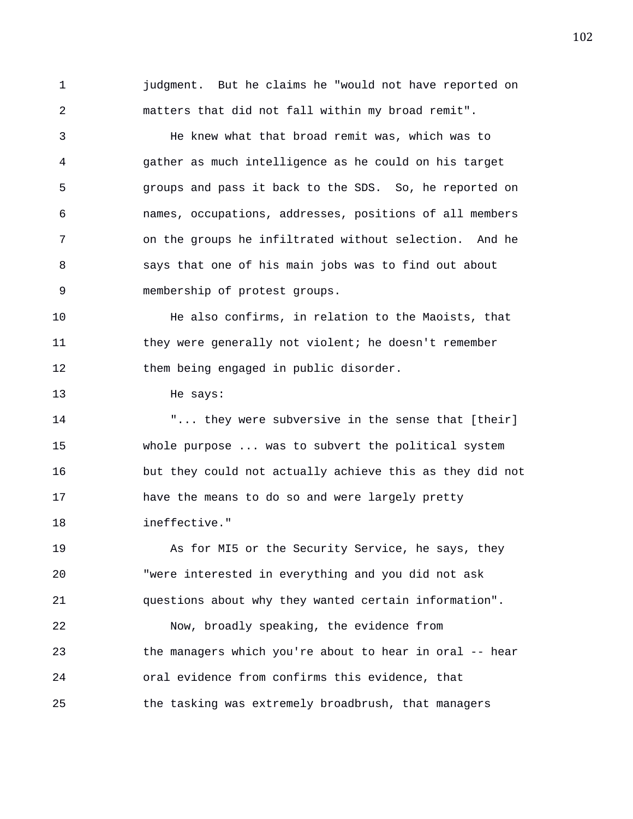1 judgment. But he claims he "would not have reported on 2 matters that did not fall within my broad remit". 3 He knew what that broad remit was, which was to 4 gather as much intelligence as he could on his target 5 groups and pass it back to the SDS. So, he reported on

6 names, occupations, addresses, positions of all members 7 on the groups he infiltrated without selection. And he 8 says that one of his main jobs was to find out about 9 membership of protest groups.

10 He also confirms, in relation to the Maoists, that 11 they were generally not violent; he doesn't remember 12 them being engaged in public disorder.

## 13 He says:

14 The subversive in the sense that [their] 15 whole purpose ... was to subvert the political system 16 but they could not actually achieve this as they did not 17 have the means to do so and were largely pretty 18 ineffective."

19 As for MI5 or the Security Service, he says, they 20 "were interested in everything and you did not ask 21 questions about why they wanted certain information".

22 Now, broadly speaking, the evidence from 23 the managers which you're about to hear in oral -- hear 24 oral evidence from confirms this evidence, that 25 the tasking was extremely broadbrush, that managers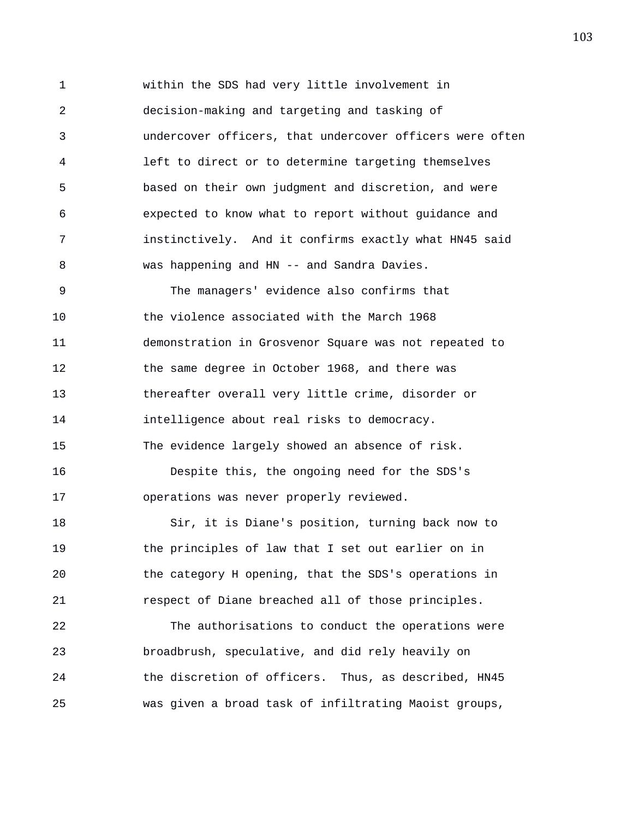1 within the SDS had very little involvement in 2 decision-making and targeting and tasking of 3 undercover officers, that undercover officers were often 4 left to direct or to determine targeting themselves 5 based on their own judgment and discretion, and were 6 expected to know what to report without guidance and 7 instinctively. And it confirms exactly what HN45 said 8 was happening and HN -- and Sandra Davies. 9 The managers' evidence also confirms that 10 the violence associated with the March 1968 11 demonstration in Grosvenor Square was not repeated to 12 the same degree in October 1968, and there was 13 thereafter overall very little crime, disorder or 14 intelligence about real risks to democracy. 15 The evidence largely showed an absence of risk. 16 Despite this, the ongoing need for the SDS's 17 operations was never properly reviewed. 18 Sir, it is Diane's position, turning back now to 19 the principles of law that I set out earlier on in 20 the category H opening, that the SDS's operations in 21 respect of Diane breached all of those principles.

22 The authorisations to conduct the operations were 23 broadbrush, speculative, and did rely heavily on 24 the discretion of officers. Thus, as described, HN45 25 was given a broad task of infiltrating Maoist groups,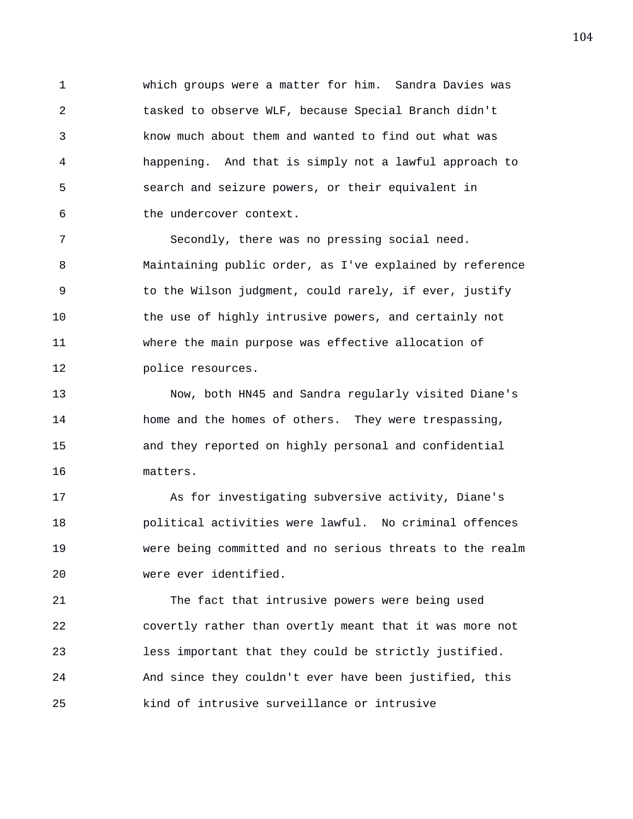1 which groups were a matter for him. Sandra Davies was 2 tasked to observe WLF, because Special Branch didn't 3 know much about them and wanted to find out what was 4 happening. And that is simply not a lawful approach to 5 search and seizure powers, or their equivalent in 6 the undercover context.

7 Secondly, there was no pressing social need. 8 Maintaining public order, as I've explained by reference 9 to the Wilson judgment, could rarely, if ever, justify 10 the use of highly intrusive powers, and certainly not 11 where the main purpose was effective allocation of 12 police resources.

13 Now, both HN45 and Sandra regularly visited Diane's 14 home and the homes of others. They were trespassing, 15 and they reported on highly personal and confidential 16 matters.

17 As for investigating subversive activity, Diane's 18 political activities were lawful. No criminal offences 19 were being committed and no serious threats to the realm 20 were ever identified.

21 The fact that intrusive powers were being used 22 covertly rather than overtly meant that it was more not 23 less important that they could be strictly justified. 24 And since they couldn't ever have been justified, this 25 kind of intrusive surveillance or intrusive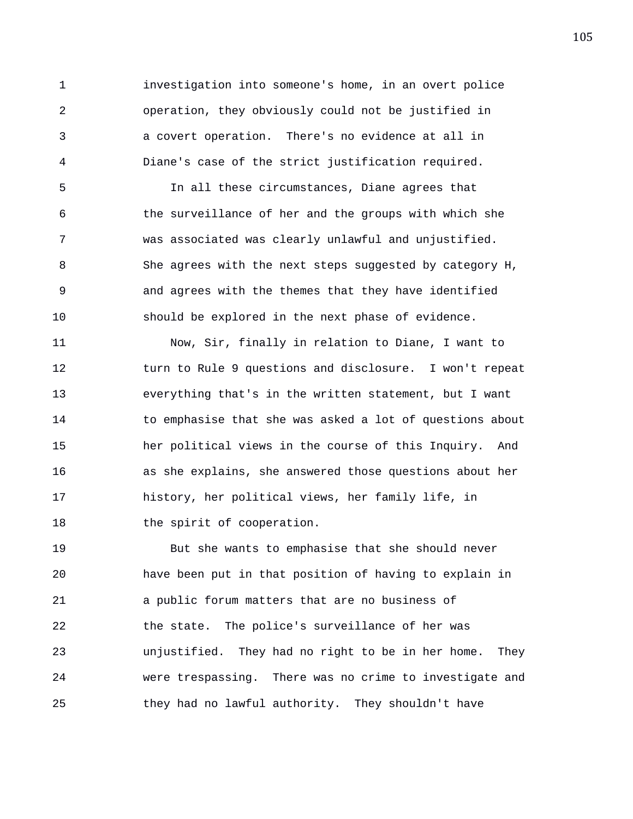1 investigation into someone's home, in an overt police 2 operation, they obviously could not be justified in 3 a covert operation. There's no evidence at all in 4 Diane's case of the strict justification required.

5 In all these circumstances, Diane agrees that 6 the surveillance of her and the groups with which she 7 was associated was clearly unlawful and unjustified. 8 She agrees with the next steps suggested by category H, 9 and agrees with the themes that they have identified 10 should be explored in the next phase of evidence.

11 Now, Sir, finally in relation to Diane, I want to 12 turn to Rule 9 questions and disclosure. I won't repeat 13 everything that's in the written statement, but I want 14 to emphasise that she was asked a lot of questions about 15 her political views in the course of this Inquiry. And 16 as she explains, she answered those questions about her 17 history, her political views, her family life, in 18 the spirit of cooperation.

19 But she wants to emphasise that she should never 20 have been put in that position of having to explain in 21 a public forum matters that are no business of 22 the state. The police's surveillance of her was 23 unjustified. They had no right to be in her home. They 24 were trespassing. There was no crime to investigate and 25 they had no lawful authority. They shouldn't have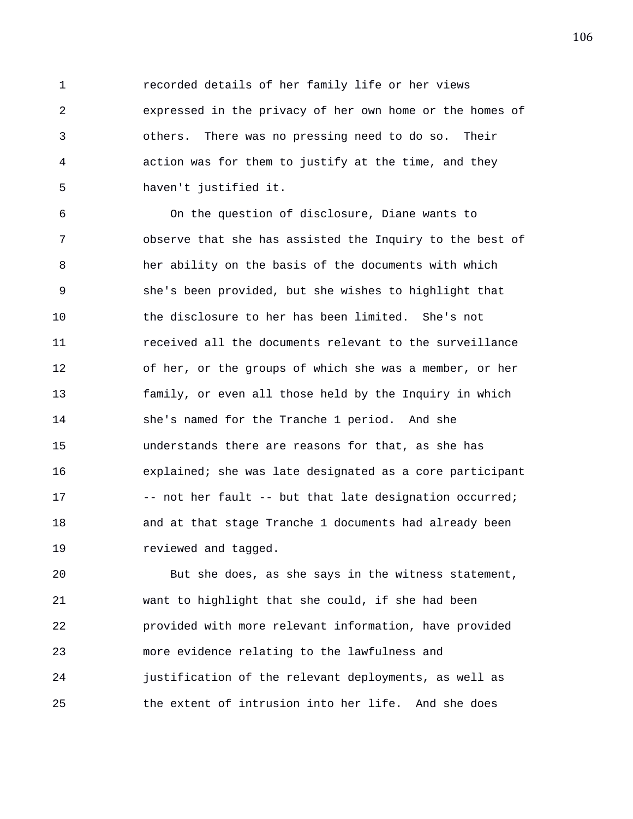1 recorded details of her family life or her views 2 expressed in the privacy of her own home or the homes of 3 others. There was no pressing need to do so. Their 4 action was for them to justify at the time, and they 5 haven't justified it.

6 On the question of disclosure, Diane wants to 7 observe that she has assisted the Inquiry to the best of 8 her ability on the basis of the documents with which 9 she's been provided, but she wishes to highlight that 10 the disclosure to her has been limited. She's not 11 received all the documents relevant to the surveillance 12 of her, or the groups of which she was a member, or her 13 family, or even all those held by the Inquiry in which 14 she's named for the Tranche 1 period. And she 15 understands there are reasons for that, as she has 16 explained; she was late designated as a core participant 17 -- not her fault -- but that late designation occurred; 18 and at that stage Tranche 1 documents had already been 19 *reviewed and tagged.* 

20 But she does, as she says in the witness statement, 21 want to highlight that she could, if she had been 22 provided with more relevant information, have provided 23 more evidence relating to the lawfulness and 24 justification of the relevant deployments, as well as 25 the extent of intrusion into her life. And she does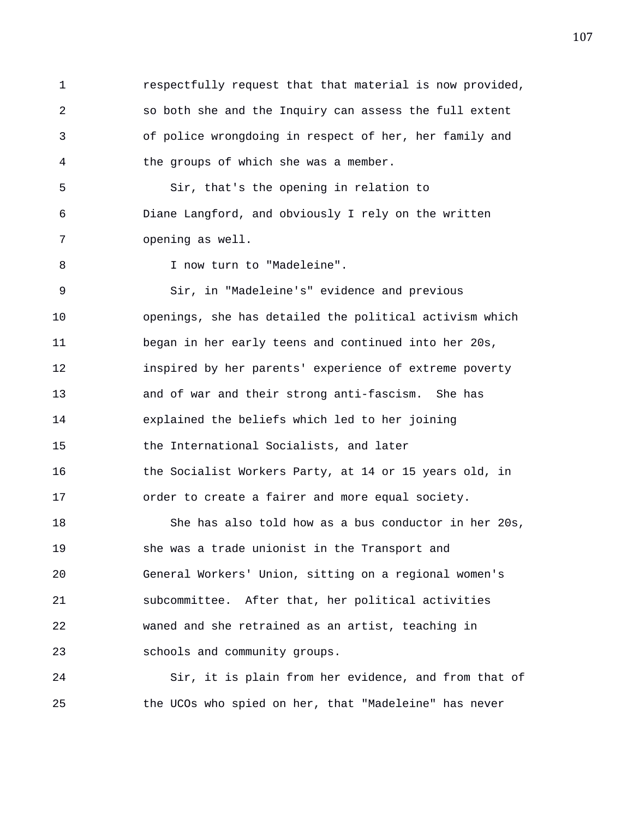1 respectfully request that that material is now provided, 2 so both she and the Inquiry can assess the full extent 3 of police wrongdoing in respect of her, her family and 4 the groups of which she was a member. 5 Sir, that's the opening in relation to 6 Diane Langford, and obviously I rely on the written 7 opening as well. 8 I now turn to "Madeleine". 9 Sir, in "Madeleine's" evidence and previous 10 openings, she has detailed the political activism which 11 began in her early teens and continued into her 20s, 12 inspired by her parents' experience of extreme poverty 13 and of war and their strong anti-fascism. She has

14 explained the beliefs which led to her joining 15 the International Socialists, and later 16 the Socialist Workers Party, at 14 or 15 years old, in 17 order to create a fairer and more equal society.

18 She has also told how as a bus conductor in her 20s, 19 she was a trade unionist in the Transport and 20 General Workers' Union, sitting on a regional women's 21 subcommittee. After that, her political activities 22 waned and she retrained as an artist, teaching in 23 schools and community groups.

24 Sir, it is plain from her evidence, and from that of 25 the UCOs who spied on her, that "Madeleine" has never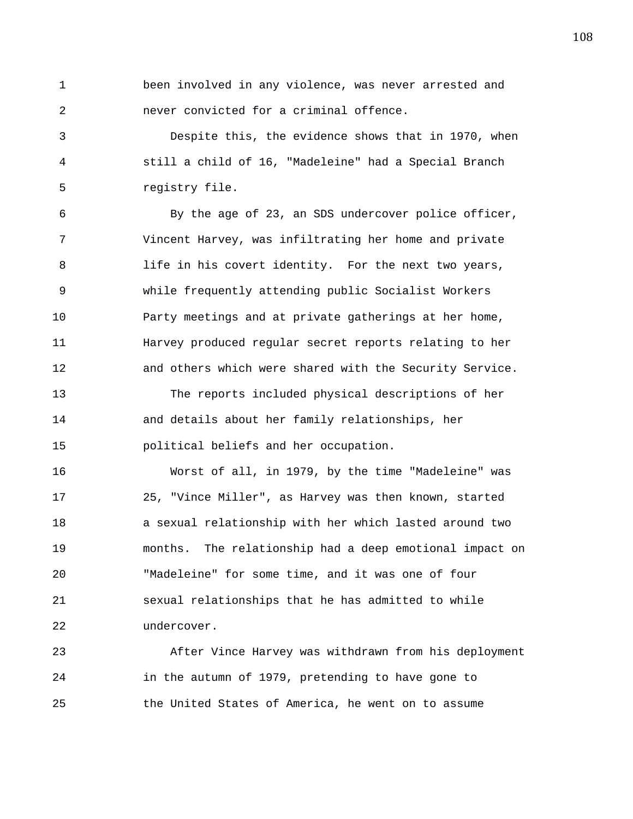1 been involved in any violence, was never arrested and 2 never convicted for a criminal offence.

3 Despite this, the evidence shows that in 1970, when 4 still a child of 16, "Madeleine" had a Special Branch 5 registry file.

6 By the age of 23, an SDS undercover police officer, 7 Vincent Harvey, was infiltrating her home and private 8 life in his covert identity. For the next two years, 9 while frequently attending public Socialist Workers 10 Party meetings and at private gatherings at her home, 11 Harvey produced regular secret reports relating to her 12 and others which were shared with the Security Service. 13 The reports included physical descriptions of her 14 and details about her family relationships, her 15 political beliefs and her occupation.

16 Worst of all, in 1979, by the time "Madeleine" was 17 25, "Vince Miller", as Harvey was then known, started 18 a sexual relationship with her which lasted around two 19 months. The relationship had a deep emotional impact on 20 "Madeleine" for some time, and it was one of four 21 sexual relationships that he has admitted to while 22 undercover.

23 After Vince Harvey was withdrawn from his deployment 24 in the autumn of 1979, pretending to have gone to 25 the United States of America, he went on to assume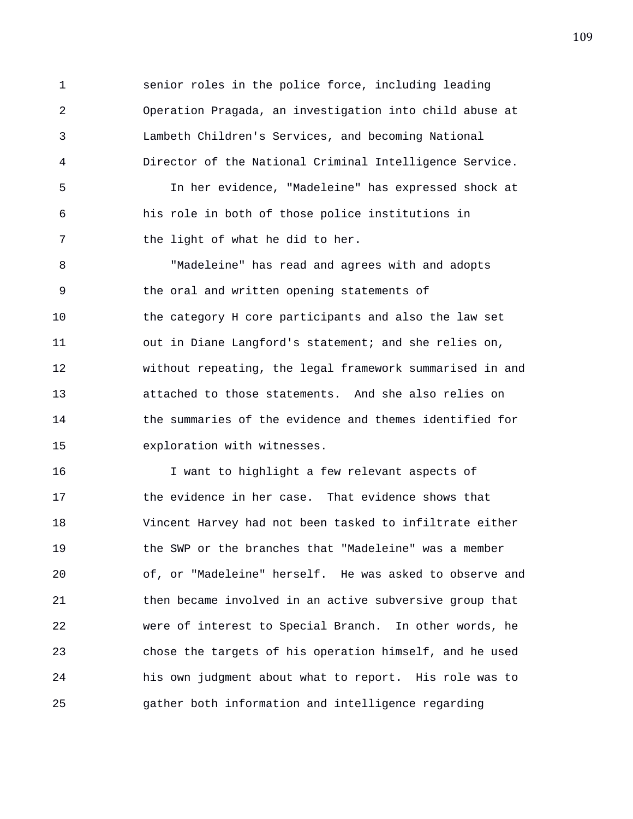1 senior roles in the police force, including leading 2 Operation Pragada, an investigation into child abuse at 3 Lambeth Children's Services, and becoming National 4 Director of the National Criminal Intelligence Service. 5 In her evidence, "Madeleine" has expressed shock at 6 his role in both of those police institutions in 7 the light of what he did to her.

8 "Madeleine" has read and agrees with and adopts 9 the oral and written opening statements of 10 the category H core participants and also the law set 11 out in Diane Langford's statement; and she relies on, 12 without repeating, the legal framework summarised in and 13 attached to those statements. And she also relies on 14 the summaries of the evidence and themes identified for 15 exploration with witnesses.

16 I want to highlight a few relevant aspects of 17 the evidence in her case. That evidence shows that 18 Vincent Harvey had not been tasked to infiltrate either 19 the SWP or the branches that "Madeleine" was a member 20 of, or "Madeleine" herself. He was asked to observe and 21 then became involved in an active subversive group that 22 were of interest to Special Branch. In other words, he 23 chose the targets of his operation himself, and he used 24 his own judgment about what to report. His role was to 25 gather both information and intelligence regarding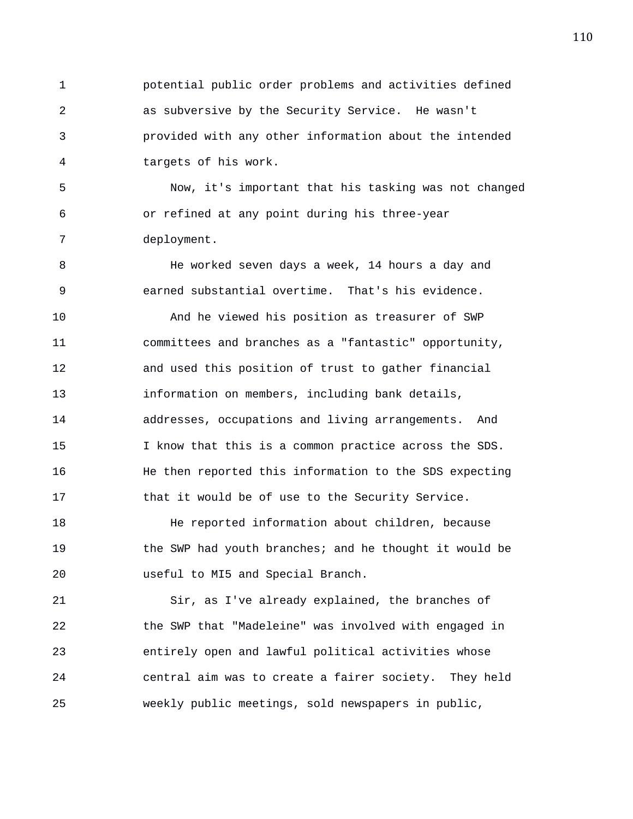1 potential public order problems and activities defined 2 as subversive by the Security Service. He wasn't 3 provided with any other information about the intended 4 targets of his work.

5 Now, it's important that his tasking was not changed 6 or refined at any point during his three-year 7 deployment.

8 He worked seven days a week, 14 hours a day and 9 earned substantial overtime. That's his evidence.

10 And he viewed his position as treasurer of SWP 11 committees and branches as a "fantastic" opportunity, 12 and used this position of trust to gather financial 13 information on members, including bank details, 14 addresses, occupations and living arrangements. And 15 I know that this is a common practice across the SDS. 16 He then reported this information to the SDS expecting 17 that it would be of use to the Security Service.

18 He reported information about children, because 19 the SWP had youth branches; and he thought it would be 20 useful to MI5 and Special Branch.

21 Sir, as I've already explained, the branches of 22 the SWP that "Madeleine" was involved with engaged in 23 entirely open and lawful political activities whose 24 central aim was to create a fairer society. They held 25 weekly public meetings, sold newspapers in public,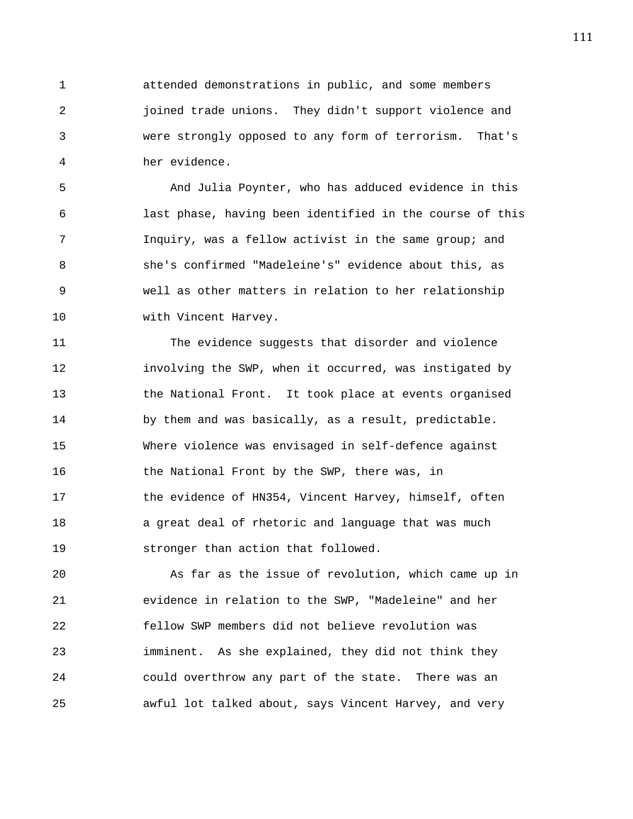1 attended demonstrations in public, and some members 2 joined trade unions. They didn't support violence and 3 were strongly opposed to any form of terrorism. That's 4 her evidence.

5 And Julia Poynter, who has adduced evidence in this 6 last phase, having been identified in the course of this 7 Inquiry, was a fellow activist in the same group; and 8 she's confirmed "Madeleine's" evidence about this, as 9 well as other matters in relation to her relationship 10 with Vincent Harvey.

11 The evidence suggests that disorder and violence 12 involving the SWP, when it occurred, was instigated by 13 the National Front. It took place at events organised 14 by them and was basically, as a result, predictable. 15 Where violence was envisaged in self-defence against 16 the National Front by the SWP, there was, in 17 the evidence of HN354, Vincent Harvey, himself, often 18 a great deal of rhetoric and language that was much 19 stronger than action that followed.

20 As far as the issue of revolution, which came up in 21 evidence in relation to the SWP, "Madeleine" and her 22 fellow SWP members did not believe revolution was 23 imminent. As she explained, they did not think they 24 could overthrow any part of the state. There was an 25 awful lot talked about, says Vincent Harvey, and very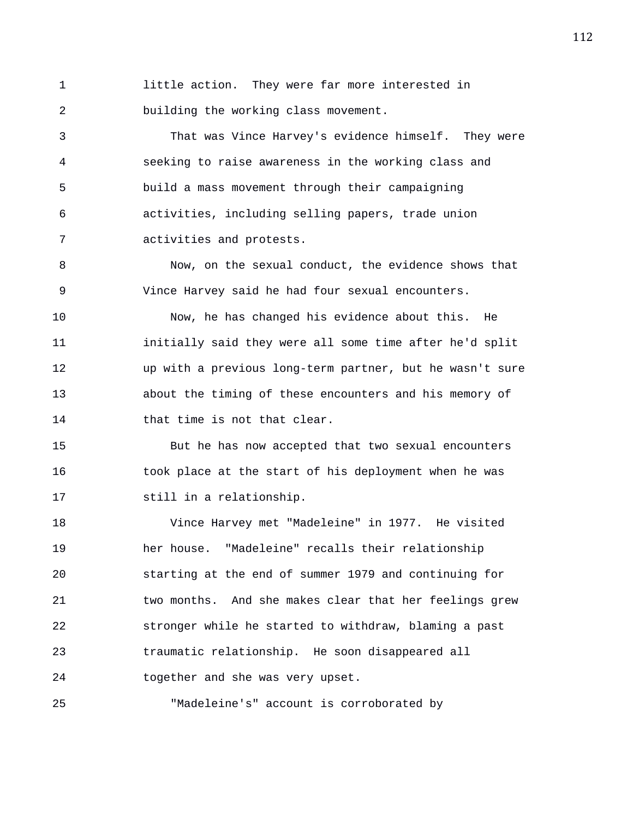1 little action. They were far more interested in 2 building the working class movement.

3 That was Vince Harvey's evidence himself. They were 4 seeking to raise awareness in the working class and 5 build a mass movement through their campaigning 6 activities, including selling papers, trade union 7 activities and protests.

8 Now, on the sexual conduct, the evidence shows that 9 Vince Harvey said he had four sexual encounters.

10 Now, he has changed his evidence about this. He 11 initially said they were all some time after he'd split 12 up with a previous long-term partner, but he wasn't sure 13 about the timing of these encounters and his memory of 14 that time is not that clear.

15 But he has now accepted that two sexual encounters 16 took place at the start of his deployment when he was 17 still in a relationship.

18 Vince Harvey met "Madeleine" in 1977. He visited 19 her house. "Madeleine" recalls their relationship 20 starting at the end of summer 1979 and continuing for 21 two months. And she makes clear that her feelings grew 22 stronger while he started to withdraw, blaming a past 23 traumatic relationship. He soon disappeared all 24 together and she was very upset.

25 "Madeleine's" account is corroborated by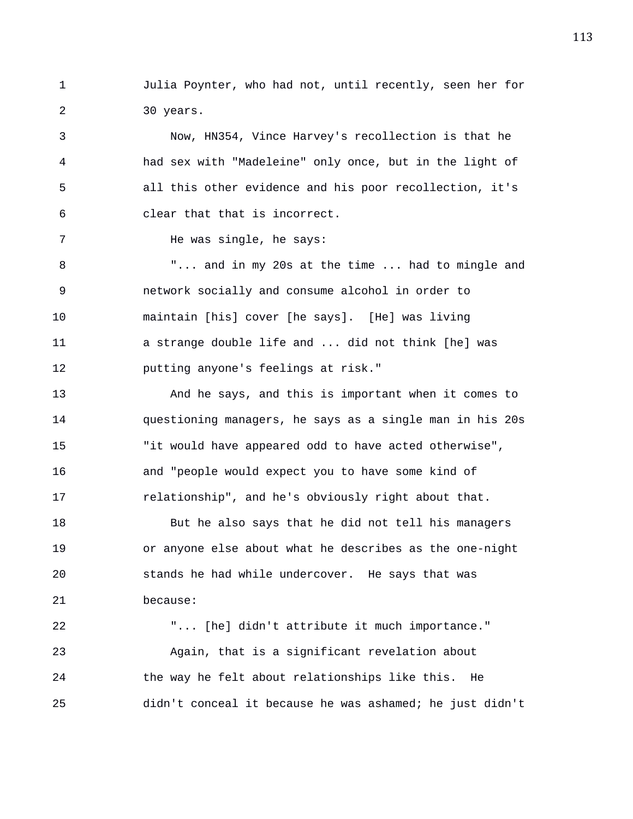1 Julia Poynter, who had not, until recently, seen her for 2 30 years.

3 Now, HN354, Vince Harvey's recollection is that he 4 had sex with "Madeleine" only once, but in the light of 5 all this other evidence and his poor recollection, it's 6 clear that that is incorrect.

7 He was single, he says:

8 "... and in my 20s at the time ... had to mingle and 9 network socially and consume alcohol in order to 10 maintain [his] cover [he says]. [He] was living 11 a strange double life and ... did not think [he] was 12 putting anyone's feelings at risk."

13 And he says, and this is important when it comes to 14 questioning managers, he says as a single man in his 20s 15 "it would have appeared odd to have acted otherwise", 16 and "people would expect you to have some kind of 17 relationship", and he's obviously right about that.

18 But he also says that he did not tell his managers 19 or anyone else about what he describes as the one-night 20 stands he had while undercover. He says that was 21 because:

22 "... [he] didn't attribute it much importance." 23 Again, that is a significant revelation about 24 the way he felt about relationships like this. He 25 didn't conceal it because he was ashamed; he just didn't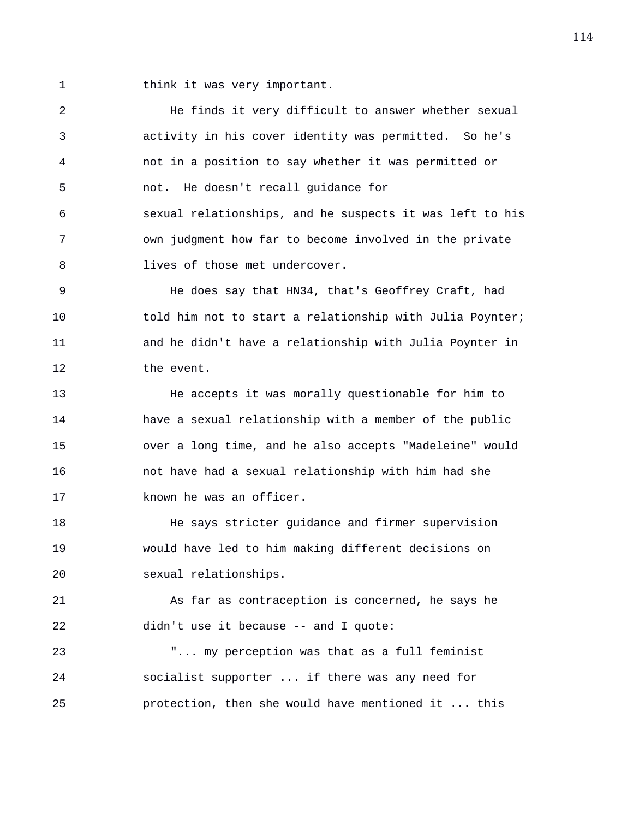1 think it was very important.

2 He finds it very difficult to answer whether sexual 3 activity in his cover identity was permitted. So he's 4 not in a position to say whether it was permitted or 5 not. He doesn't recall guidance for 6 sexual relationships, and he suspects it was left to his 7 own judgment how far to become involved in the private 8 lives of those met undercover. 9 He does say that HN34, that's Geoffrey Craft, had 10 told him not to start a relationship with Julia Poynter; 11 and he didn't have a relationship with Julia Poynter in 12 the event. 13 He accepts it was morally questionable for him to 14 have a sexual relationship with a member of the public 15 over a long time, and he also accepts "Madeleine" would 16 not have had a sexual relationship with him had she 17 known he was an officer. 18 He says stricter guidance and firmer supervision 19 would have led to him making different decisions on 20 sexual relationships. 21 As far as contraception is concerned, he says he 22 didn't use it because -- and I quote: 23 "... my perception was that as a full feminist 24 socialist supporter ... if there was any need for 25 protection, then she would have mentioned it ... this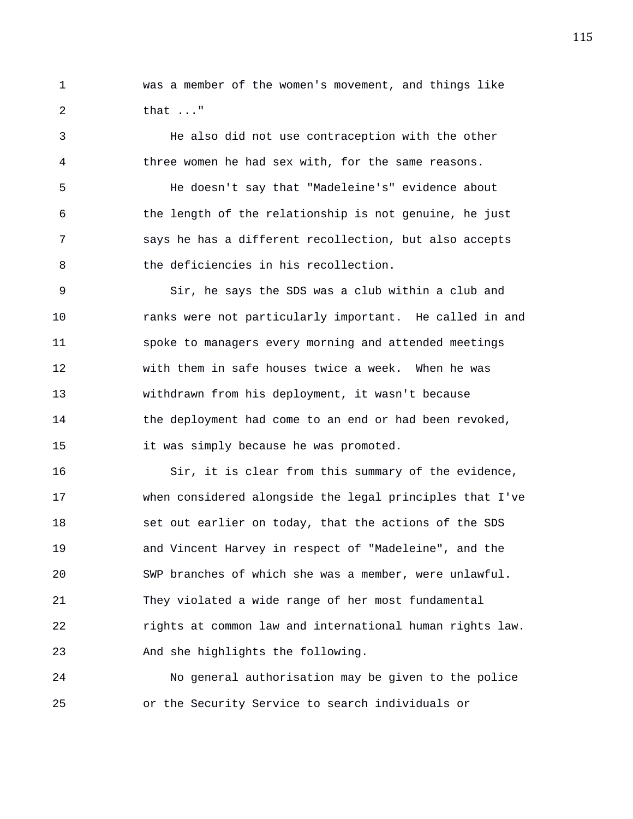1 was a member of the women's movement, and things like 2 that ..."

3 He also did not use contraception with the other 4 three women he had sex with, for the same reasons. 5 He doesn't say that "Madeleine's" evidence about 6 the length of the relationship is not genuine, he just 7 says he has a different recollection, but also accepts 8 the deficiencies in his recollection.

9 Sir, he says the SDS was a club within a club and 10 ranks were not particularly important. He called in and 11 spoke to managers every morning and attended meetings 12 with them in safe houses twice a week. When he was 13 withdrawn from his deployment, it wasn't because 14 the deployment had come to an end or had been revoked, 15 it was simply because he was promoted.

16 Sir, it is clear from this summary of the evidence, 17 when considered alongside the legal principles that I've 18 set out earlier on today, that the actions of the SDS 19 and Vincent Harvey in respect of "Madeleine", and the 20 SWP branches of which she was a member, were unlawful. 21 They violated a wide range of her most fundamental 22 rights at common law and international human rights law. 23 And she highlights the following.

24 No general authorisation may be given to the police 25 or the Security Service to search individuals or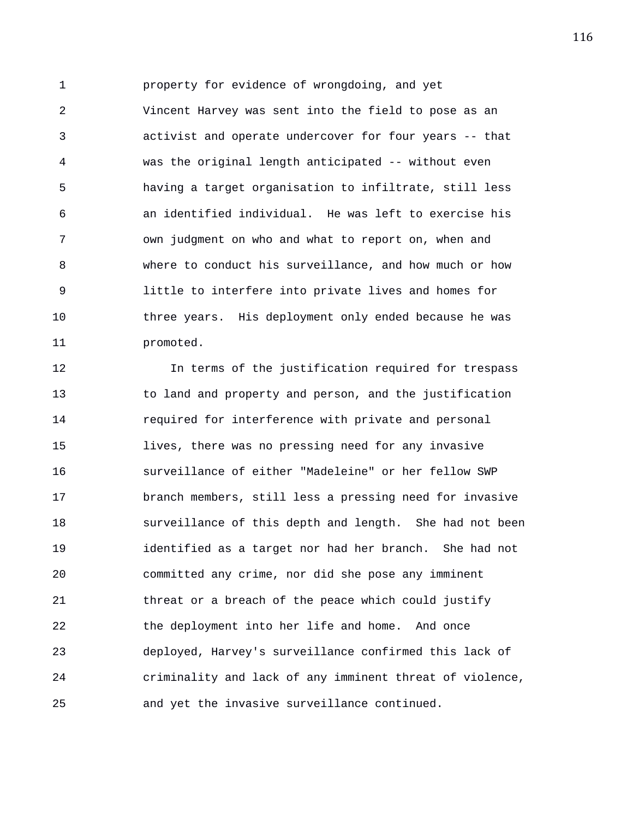1 property for evidence of wrongdoing, and yet 2 Vincent Harvey was sent into the field to pose as an 3 activist and operate undercover for four years -- that 4 was the original length anticipated -- without even 5 having a target organisation to infiltrate, still less 6 an identified individual. He was left to exercise his 7 own judgment on who and what to report on, when and 8 where to conduct his surveillance, and how much or how 9 little to interfere into private lives and homes for 10 three years. His deployment only ended because he was 11 promoted.

12 In terms of the justification required for trespass 13 to land and property and person, and the justification 14 required for interference with private and personal 15 lives, there was no pressing need for any invasive 16 surveillance of either "Madeleine" or her fellow SWP 17 branch members, still less a pressing need for invasive 18 surveillance of this depth and length. She had not been 19 identified as a target nor had her branch. She had not 20 committed any crime, nor did she pose any imminent 21 threat or a breach of the peace which could justify 22 the deployment into her life and home. And once 23 deployed, Harvey's surveillance confirmed this lack of 24 criminality and lack of any imminent threat of violence, 25 and yet the invasive surveillance continued.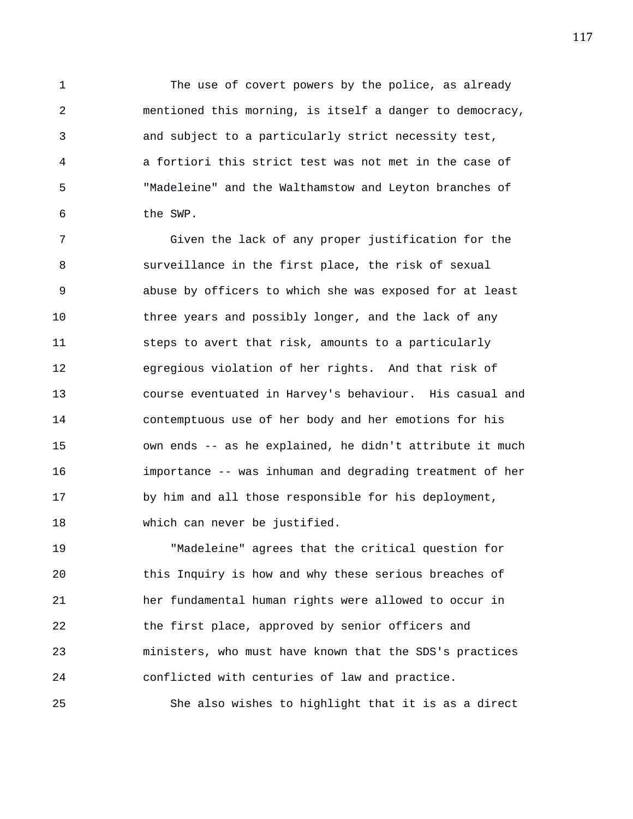1 The use of covert powers by the police, as already 2 mentioned this morning, is itself a danger to democracy, 3 and subject to a particularly strict necessity test, 4 a fortiori this strict test was not met in the case of 5 "Madeleine" and the Walthamstow and Leyton branches of 6 the SWP.

7 Given the lack of any proper justification for the 8 surveillance in the first place, the risk of sexual 9 abuse by officers to which she was exposed for at least 10 three years and possibly longer, and the lack of any 11 steps to avert that risk, amounts to a particularly 12 egregious violation of her rights. And that risk of 13 course eventuated in Harvey's behaviour. His casual and 14 contemptuous use of her body and her emotions for his 15 own ends -- as he explained, he didn't attribute it much 16 importance -- was inhuman and degrading treatment of her 17 by him and all those responsible for his deployment, 18 which can never be justified.

19 "Madeleine" agrees that the critical question for 20 this Inquiry is how and why these serious breaches of 21 her fundamental human rights were allowed to occur in 22 the first place, approved by senior officers and 23 ministers, who must have known that the SDS's practices 24 conflicted with centuries of law and practice.

25 She also wishes to highlight that it is as a direct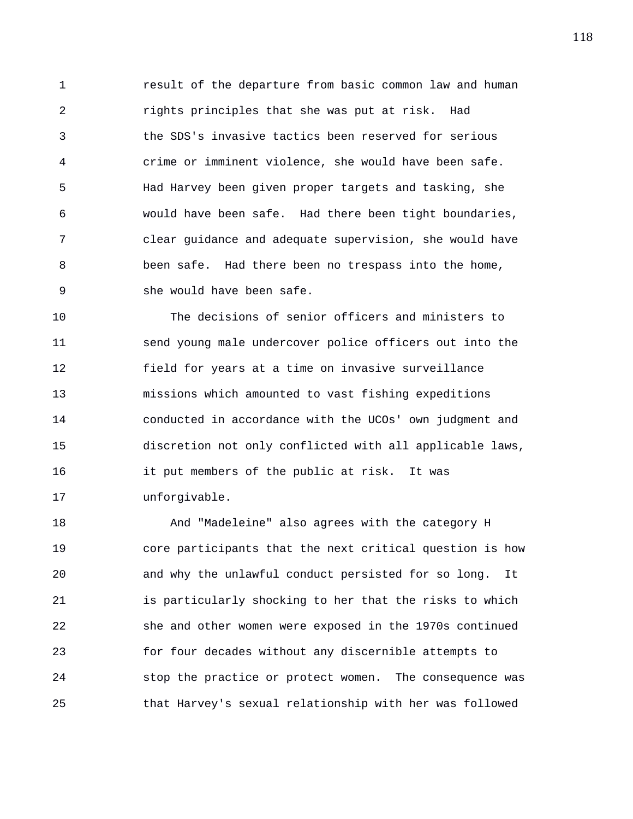1 result of the departure from basic common law and human 2 rights principles that she was put at risk. Had 3 the SDS's invasive tactics been reserved for serious 4 crime or imminent violence, she would have been safe. 5 Had Harvey been given proper targets and tasking, she 6 would have been safe. Had there been tight boundaries, 7 clear guidance and adequate supervision, she would have 8 been safe. Had there been no trespass into the home, 9 she would have been safe.

10 The decisions of senior officers and ministers to 11 send young male undercover police officers out into the 12 field for years at a time on invasive surveillance 13 missions which amounted to vast fishing expeditions 14 conducted in accordance with the UCOs' own judgment and 15 discretion not only conflicted with all applicable laws, 16 it put members of the public at risk. It was 17 unforgivable.

18 And "Madeleine" also agrees with the category H 19 core participants that the next critical question is how 20 and why the unlawful conduct persisted for so long. It 21 is particularly shocking to her that the risks to which 22 she and other women were exposed in the 1970s continued 23 for four decades without any discernible attempts to 24 stop the practice or protect women. The consequence was 25 that Harvey's sexual relationship with her was followed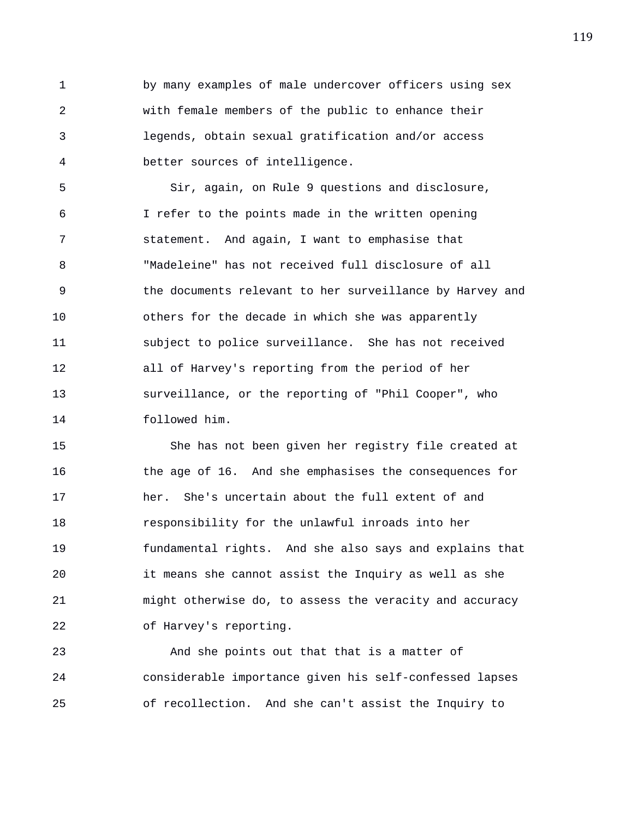1 by many examples of male undercover officers using sex 2 with female members of the public to enhance their 3 legends, obtain sexual gratification and/or access 4 better sources of intelligence.

5 Sir, again, on Rule 9 questions and disclosure, 6 I refer to the points made in the written opening 7 statement. And again, I want to emphasise that 8 "Madeleine" has not received full disclosure of all 9 the documents relevant to her surveillance by Harvey and 10 others for the decade in which she was apparently 11 subject to police surveillance. She has not received 12 all of Harvey's reporting from the period of her 13 surveillance, or the reporting of "Phil Cooper", who 14 followed him.

15 She has not been given her registry file created at 16 the age of 16. And she emphasises the consequences for 17 her. She's uncertain about the full extent of and 18 responsibility for the unlawful inroads into her 19 fundamental rights. And she also says and explains that 20 it means she cannot assist the Inquiry as well as she 21 might otherwise do, to assess the veracity and accuracy 22 of Harvey's reporting.

23 And she points out that that is a matter of 24 considerable importance given his self-confessed lapses 25 of recollection. And she can't assist the Inquiry to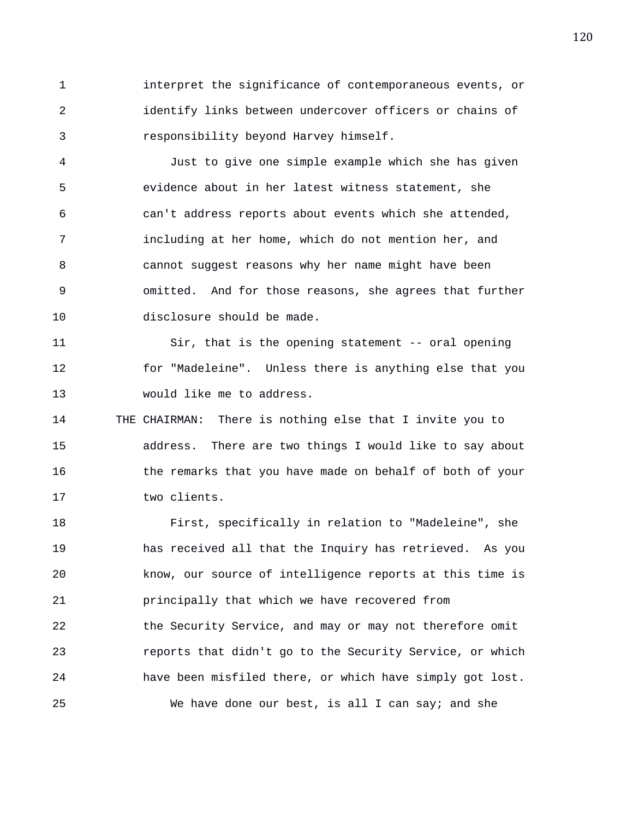1 interpret the significance of contemporaneous events, or 2 identify links between undercover officers or chains of 3 responsibility beyond Harvey himself.

4 Just to give one simple example which she has given 5 evidence about in her latest witness statement, she 6 can't address reports about events which she attended, 7 including at her home, which do not mention her, and 8 cannot suggest reasons why her name might have been 9 omitted. And for those reasons, she agrees that further 10 disclosure should be made.

11 Sir, that is the opening statement -- oral opening 12 for "Madeleine". Unless there is anything else that you 13 would like me to address.

14 THE CHAIRMAN: There is nothing else that I invite you to 15 address. There are two things I would like to say about 16 the remarks that you have made on behalf of both of your 17 two clients.

18 First, specifically in relation to "Madeleine", she 19 has received all that the Inquiry has retrieved. As you 20 know, our source of intelligence reports at this time is 21 principally that which we have recovered from 22 the Security Service, and may or may not therefore omit 23 reports that didn't go to the Security Service, or which 24 have been misfiled there, or which have simply got lost. 25 We have done our best, is all I can say; and she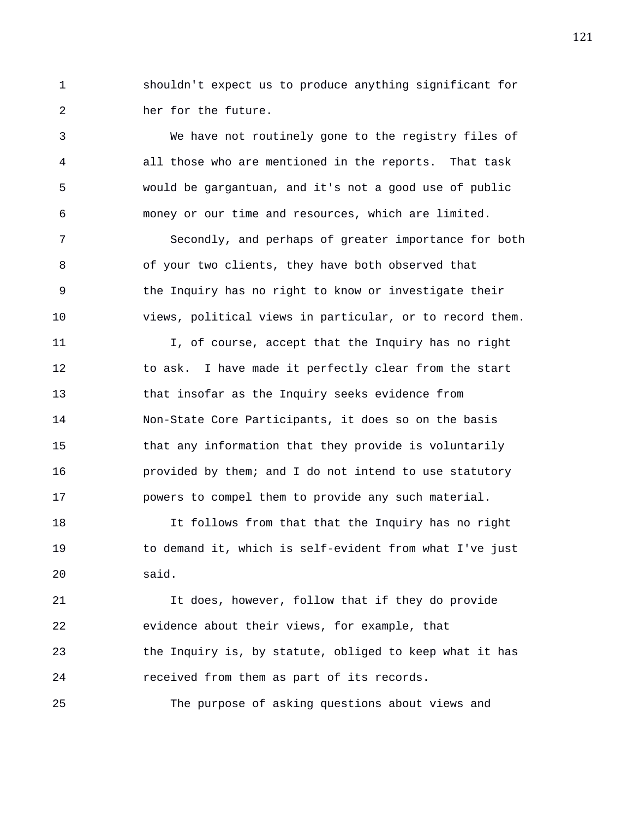1 shouldn't expect us to produce anything significant for 2 her for the future.

3 We have not routinely gone to the registry files of 4 all those who are mentioned in the reports. That task 5 would be gargantuan, and it's not a good use of public 6 money or our time and resources, which are limited. 7 Secondly, and perhaps of greater importance for both 8 of your two clients, they have both observed that 9 the Inquiry has no right to know or investigate their 10 views, political views in particular, or to record them. 11 I, of course, accept that the Inquiry has no right 12 to ask. I have made it perfectly clear from the start 13 that insofar as the Inquiry seeks evidence from 14 Non-State Core Participants, it does so on the basis 15 that any information that they provide is voluntarily 16 provided by them; and I do not intend to use statutory 17 powers to compel them to provide any such material.

18 It follows from that that the Inquiry has no right 19 to demand it, which is self-evident from what I've just 20 said.

21 It does, however, follow that if they do provide 22 evidence about their views, for example, that 23 the Inquiry is, by statute, obliged to keep what it has 24 received from them as part of its records.

25 The purpose of asking questions about views and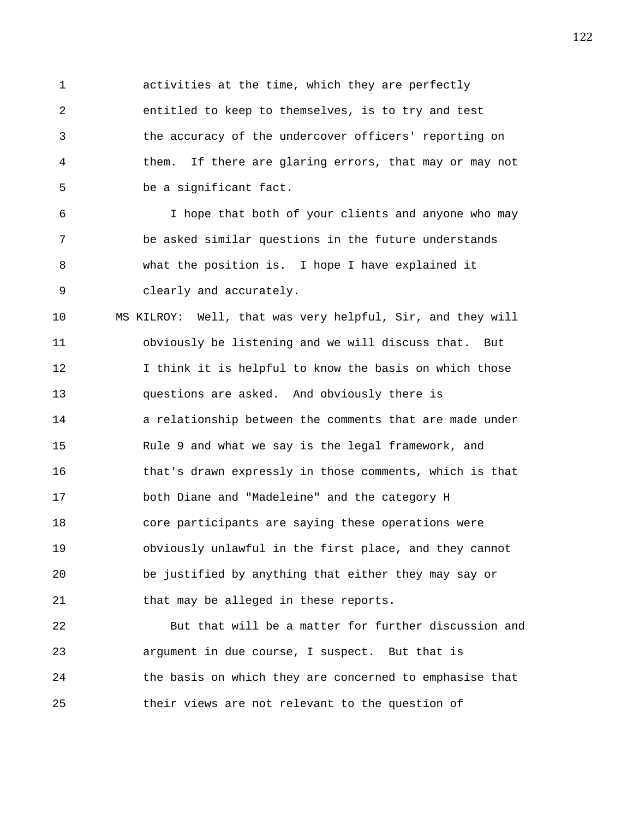1 activities at the time, which they are perfectly 2 entitled to keep to themselves, is to try and test 3 the accuracy of the undercover officers' reporting on 4 them. If there are glaring errors, that may or may not 5 be a significant fact. 6 I hope that both of your clients and anyone who may 7 be asked similar questions in the future understands 8 what the position is. I hope I have explained it 9 clearly and accurately. 10 MS KILROY: Well, that was very helpful, Sir, and they will 11 obviously be listening and we will discuss that. But 12 I think it is helpful to know the basis on which those 13 questions are asked. And obviously there is 14 a relationship between the comments that are made under 15 Rule 9 and what we say is the legal framework, and 16 that's drawn expressly in those comments, which is that 17 both Diane and "Madeleine" and the category H 18 core participants are saying these operations were 19 obviously unlawful in the first place, and they cannot 20 be justified by anything that either they may say or 21 that may be alleged in these reports.

22 But that will be a matter for further discussion and 23 argument in due course, I suspect. But that is 24 the basis on which they are concerned to emphasise that 25 their views are not relevant to the question of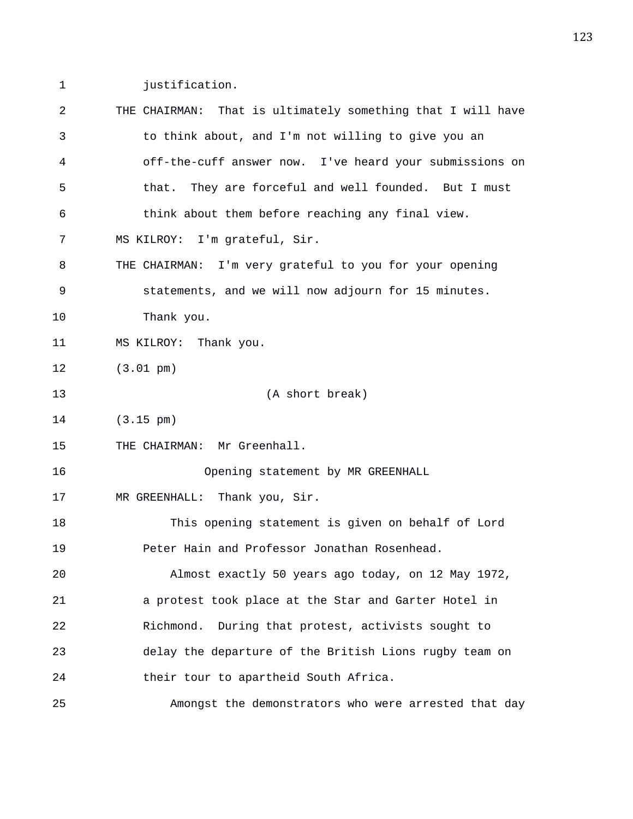1 justification.

| 2  | THE CHAIRMAN: That is ultimately something that I will have |
|----|-------------------------------------------------------------|
| 3  | to think about, and I'm not willing to give you an          |
| 4  | off-the-cuff answer now. I've heard your submissions on     |
| 5  | They are forceful and well founded. But I must<br>that.     |
| 6  | think about them before reaching any final view.            |
| 7  | MS KILROY: I'm grateful, Sir.                               |
| 8  | THE CHAIRMAN: I'm very grateful to you for your opening     |
| 9  | statements, and we will now adjourn for 15 minutes.         |
| 10 | Thank you.                                                  |
| 11 | MS KILROY: Thank you.                                       |
| 12 | $(3.01 \text{ pm})$                                         |
| 13 | (A short break)                                             |
| 14 | $(3.15 \text{ pm})$                                         |
| 15 | THE CHAIRMAN: Mr Greenhall.                                 |
| 16 | Opening statement by MR GREENHALL                           |
| 17 | MR GREENHALL: Thank you, Sir.                               |
| 18 | This opening statement is given on behalf of Lord           |
| 19 | Peter Hain and Professor Jonathan Rosenhead.                |
| 20 | Almost exactly 50 years ago today, on 12 May 1972,          |
| 21 | a protest took place at the Star and Garter Hotel in        |
| 22 | During that protest, activists sought to<br>Richmond.       |
| 23 | delay the departure of the British Lions rugby team on      |
| 24 | their tour to apartheid South Africa.                       |
| 25 | Amongst the demonstrators who were arrested that day        |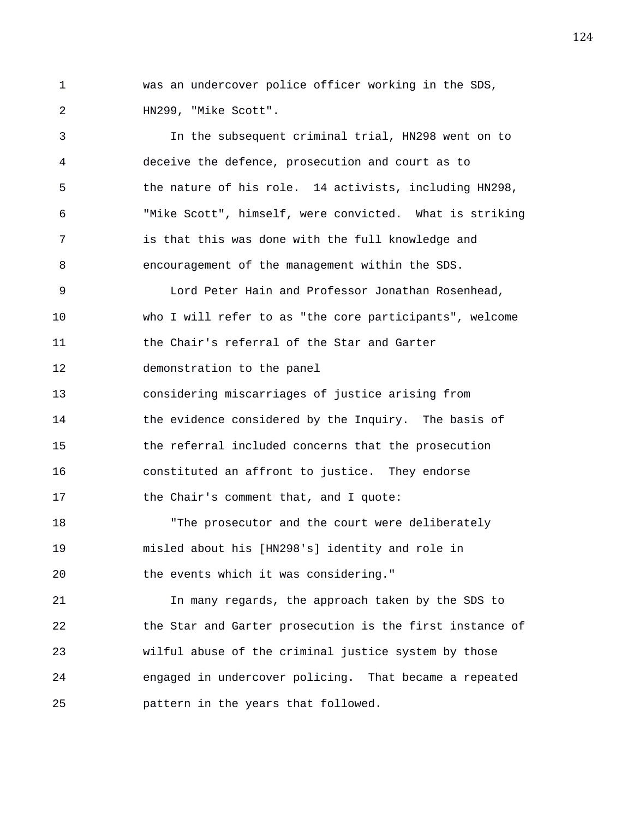1 was an undercover police officer working in the SDS, 2 HN299, "Mike Scott".

3 In the subsequent criminal trial, HN298 went on to 4 deceive the defence, prosecution and court as to 5 the nature of his role. 14 activists, including HN298, 6 "Mike Scott", himself, were convicted. What is striking 7 is that this was done with the full knowledge and 8 encouragement of the management within the SDS. 9 Lord Peter Hain and Professor Jonathan Rosenhead, 10 who I will refer to as "the core participants", welcome 11 the Chair's referral of the Star and Garter 12 demonstration to the panel 13 considering miscarriages of justice arising from 14 the evidence considered by the Inquiry. The basis of 15 the referral included concerns that the prosecution 16 constituted an affront to justice. They endorse 17 the Chair's comment that, and I quote: 18 The prosecutor and the court were deliberately 19 misled about his [HN298's] identity and role in 20 the events which it was considering." 21 In many regards, the approach taken by the SDS to 22 the Star and Garter prosecution is the first instance of 23 wilful abuse of the criminal justice system by those 24 engaged in undercover policing. That became a repeated 25 pattern in the years that followed.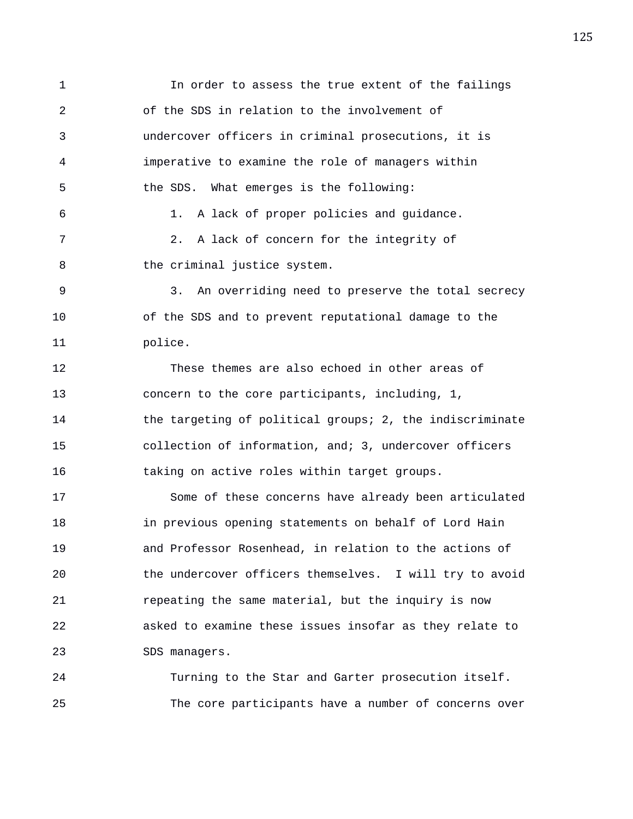1 In order to assess the true extent of the failings 2 of the SDS in relation to the involvement of 3 undercover officers in criminal prosecutions, it is 4 imperative to examine the role of managers within 5 the SDS. What emerges is the following: 6 1. A lack of proper policies and guidance. 7 2. A lack of concern for the integrity of 8 the criminal justice system. 9 3. An overriding need to preserve the total secrecy 10 of the SDS and to prevent reputational damage to the 11 police. 12 These themes are also echoed in other areas of 13 concern to the core participants, including, 1, 14 the targeting of political groups; 2, the indiscriminate 15 collection of information, and; 3, undercover officers 16 taking on active roles within target groups. 17 Some of these concerns have already been articulated 18 in previous opening statements on behalf of Lord Hain 19 and Professor Rosenhead, in relation to the actions of 20 the undercover officers themselves. I will try to avoid 21 repeating the same material, but the inquiry is now 22 asked to examine these issues insofar as they relate to 23 SDS managers. 24 Turning to the Star and Garter prosecution itself.

25 The core participants have a number of concerns over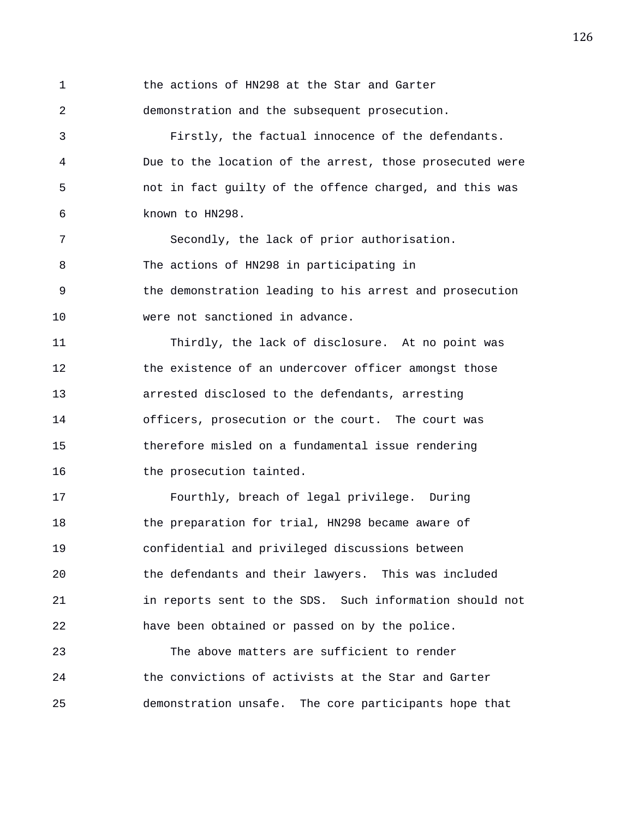1 the actions of HN298 at the Star and Garter 2 demonstration and the subsequent prosecution. 3 Firstly, the factual innocence of the defendants. 4 Due to the location of the arrest, those prosecuted were 5 not in fact guilty of the offence charged, and this was 6 known to HN298. 7 Secondly, the lack of prior authorisation. 8 The actions of HN298 in participating in 9 the demonstration leading to his arrest and prosecution 10 were not sanctioned in advance. 11 Thirdly, the lack of disclosure. At no point was 12 the existence of an undercover officer amongst those 13 arrested disclosed to the defendants, arresting 14 officers, prosecution or the court. The court was 15 therefore misled on a fundamental issue rendering 16 the prosecution tainted. 17 Fourthly, breach of legal privilege. During 18 the preparation for trial, HN298 became aware of 19 confidential and privileged discussions between 20 the defendants and their lawyers. This was included

21 in reports sent to the SDS. Such information should not 22 have been obtained or passed on by the police.

23 The above matters are sufficient to render 24 the convictions of activists at the Star and Garter 25 demonstration unsafe. The core participants hope that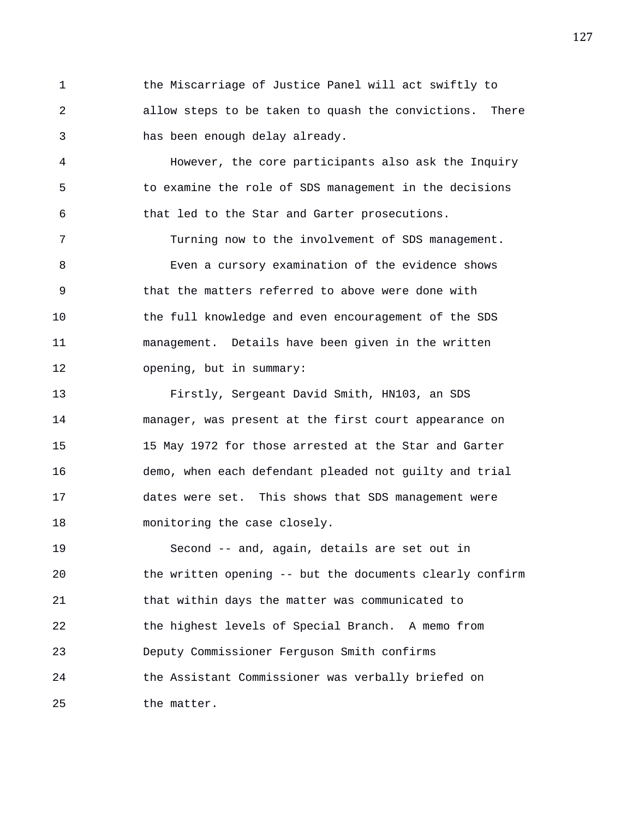1 the Miscarriage of Justice Panel will act swiftly to 2 allow steps to be taken to quash the convictions. There 3 has been enough delay already.

4 However, the core participants also ask the Inquiry 5 to examine the role of SDS management in the decisions 6 that led to the Star and Garter prosecutions.

7 Turning now to the involvement of SDS management. 8 Even a cursory examination of the evidence shows 9 that the matters referred to above were done with 10 the full knowledge and even encouragement of the SDS 11 management. Details have been given in the written 12 opening, but in summary:

13 Firstly, Sergeant David Smith, HN103, an SDS 14 manager, was present at the first court appearance on 15 15 May 1972 for those arrested at the Star and Garter 16 demo, when each defendant pleaded not guilty and trial 17 dates were set. This shows that SDS management were 18 monitoring the case closely.

19 Second -- and, again, details are set out in 20 the written opening -- but the documents clearly confirm 21 that within days the matter was communicated to 22 the highest levels of Special Branch. A memo from 23 Deputy Commissioner Ferguson Smith confirms 24 the Assistant Commissioner was verbally briefed on 25 the matter.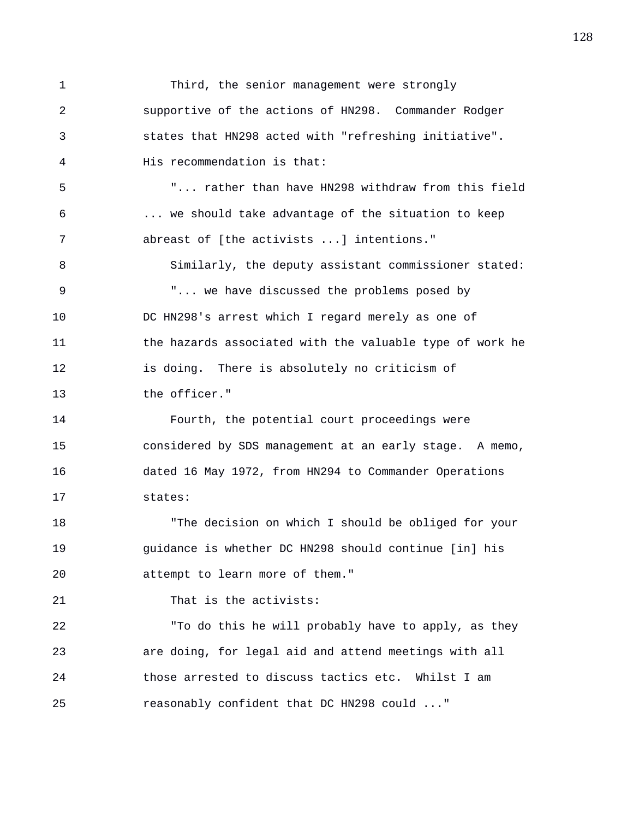1 Third, the senior management were strongly 2 supportive of the actions of HN298. Commander Rodger 3 states that HN298 acted with "refreshing initiative". 4 His recommendation is that: 5 "... rather than have HN298 withdraw from this field 6 ... we should take advantage of the situation to keep 7 abreast of [the activists ...] intentions." 8 Similarly, the deputy assistant commissioner stated: 9 "... we have discussed the problems posed by 10 DC HN298's arrest which I regard merely as one of 11 the hazards associated with the valuable type of work he 12 is doing. There is absolutely no criticism of 13 the officer." 14 Fourth, the potential court proceedings were 15 considered by SDS management at an early stage. A memo, 16 dated 16 May 1972, from HN294 to Commander Operations 17 states: 18 "The decision on which I should be obliged for your 19 guidance is whether DC HN298 should continue [in] his 20 attempt to learn more of them." 21 That is the activists: 22 "To do this he will probably have to apply, as they 23 are doing, for legal aid and attend meetings with all 24 those arrested to discuss tactics etc. Whilst I am 25 reasonably confident that DC HN298 could ..."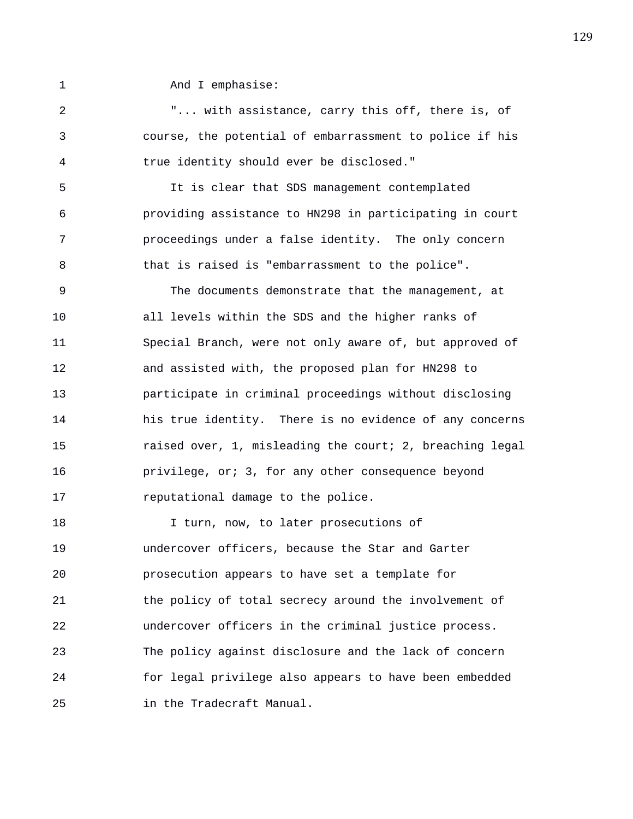1 And I emphasise:

2 "... with assistance, carry this off, there is, of 3 course, the potential of embarrassment to police if his 4 true identity should ever be disclosed."

5 It is clear that SDS management contemplated 6 providing assistance to HN298 in participating in court 7 proceedings under a false identity. The only concern 8 that is raised is "embarrassment to the police".

9 The documents demonstrate that the management, at 10 all levels within the SDS and the higher ranks of 11 Special Branch, were not only aware of, but approved of 12 and assisted with, the proposed plan for HN298 to 13 participate in criminal proceedings without disclosing 14 his true identity. There is no evidence of any concerns 15 raised over, 1, misleading the court; 2, breaching legal 16 privilege, or; 3, for any other consequence beyond 17 reputational damage to the police.

18 I turn, now, to later prosecutions of 19 undercover officers, because the Star and Garter 20 prosecution appears to have set a template for 21 the policy of total secrecy around the involvement of 22 undercover officers in the criminal justice process. 23 The policy against disclosure and the lack of concern 24 for legal privilege also appears to have been embedded 25 in the Tradecraft Manual.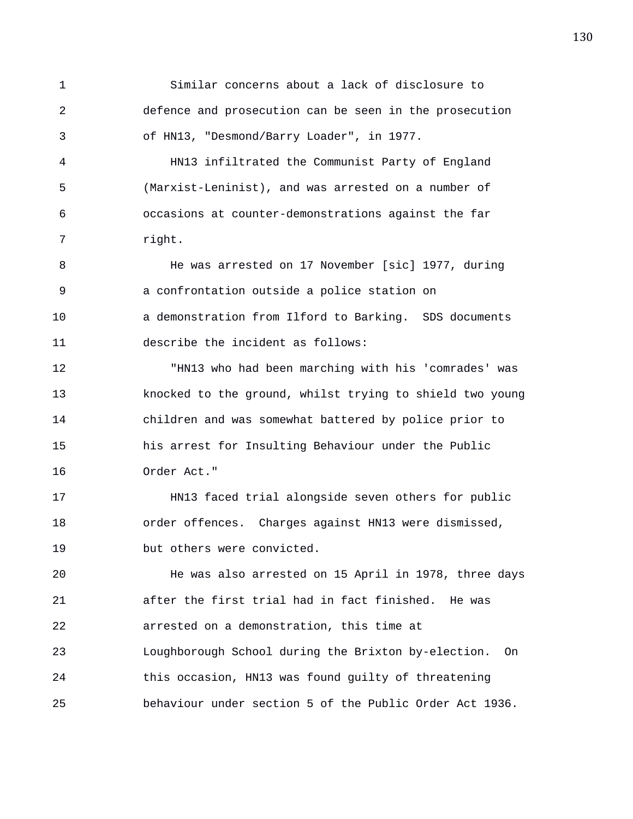1 Similar concerns about a lack of disclosure to 2 defence and prosecution can be seen in the prosecution 3 of HN13, "Desmond/Barry Loader", in 1977. 4 HN13 infiltrated the Communist Party of England 5 (Marxist-Leninist), and was arrested on a number of 6 occasions at counter-demonstrations against the far 7 right. 8 He was arrested on 17 November [sic] 1977, during 9 a confrontation outside a police station on 10 a demonstration from Ilford to Barking. SDS documents 11 describe the incident as follows: 12 "HN13 who had been marching with his 'comrades' was 13 knocked to the ground, whilst trying to shield two young 14 children and was somewhat battered by police prior to 15 his arrest for Insulting Behaviour under the Public 16 Order Act." 17 HN13 faced trial alongside seven others for public 18 order offences. Charges against HN13 were dismissed, 19 but others were convicted. 20 He was also arrested on 15 April in 1978, three days 21 after the first trial had in fact finished. He was 22 arrested on a demonstration, this time at 23 Loughborough School during the Brixton by-election. On 24 this occasion, HN13 was found guilty of threatening 25 behaviour under section 5 of the Public Order Act 1936.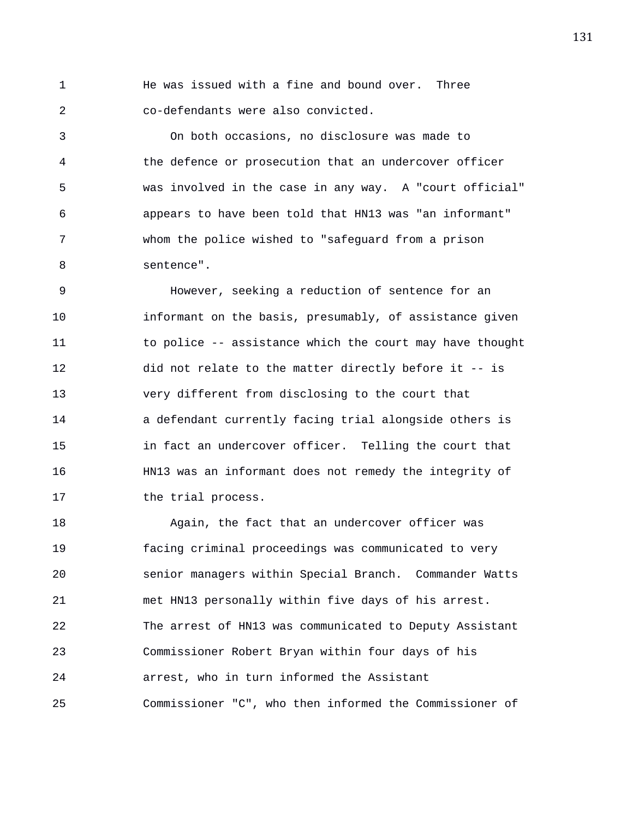1 He was issued with a fine and bound over. Three 2 co-defendants were also convicted.

3 On both occasions, no disclosure was made to 4 the defence or prosecution that an undercover officer 5 was involved in the case in any way. A "court official" 6 appears to have been told that HN13 was "an informant" 7 whom the police wished to "safeguard from a prison 8 sentence".

9 However, seeking a reduction of sentence for an 10 informant on the basis, presumably, of assistance given 11 to police -- assistance which the court may have thought 12 did not relate to the matter directly before it -- is 13 very different from disclosing to the court that 14 a defendant currently facing trial alongside others is 15 in fact an undercover officer. Telling the court that 16 HN13 was an informant does not remedy the integrity of 17 the trial process.

18 Again, the fact that an undercover officer was 19 facing criminal proceedings was communicated to very 20 senior managers within Special Branch. Commander Watts 21 met HN13 personally within five days of his arrest. 22 The arrest of HN13 was communicated to Deputy Assistant 23 Commissioner Robert Bryan within four days of his 24 arrest, who in turn informed the Assistant 25 Commissioner "C", who then informed the Commissioner of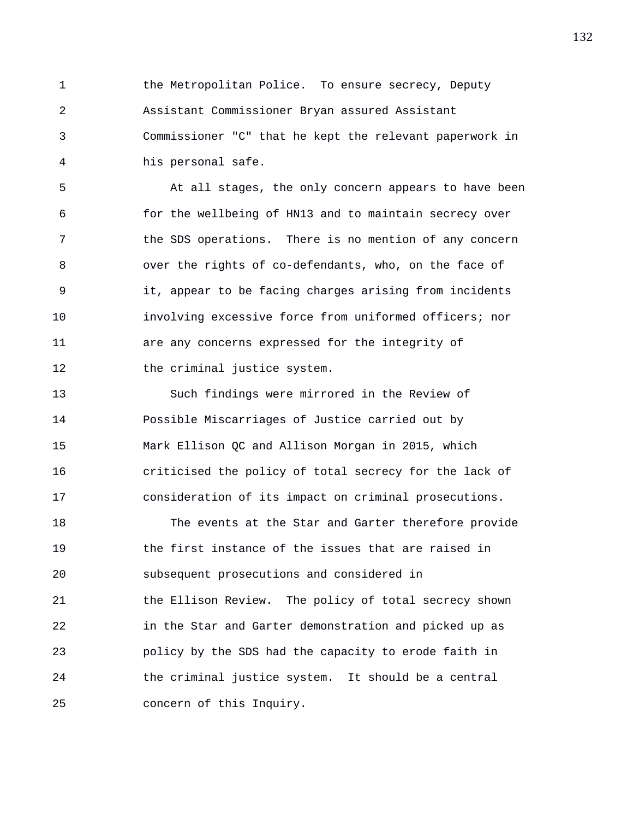1 the Metropolitan Police. To ensure secrecy, Deputy 2 Assistant Commissioner Bryan assured Assistant 3 Commissioner "C" that he kept the relevant paperwork in 4 his personal safe.

5 At all stages, the only concern appears to have been 6 for the wellbeing of HN13 and to maintain secrecy over 7 the SDS operations. There is no mention of any concern 8 over the rights of co-defendants, who, on the face of 9 it, appear to be facing charges arising from incidents 10 involving excessive force from uniformed officers; nor 11 are any concerns expressed for the integrity of 12 the criminal justice system.

13 Such findings were mirrored in the Review of 14 Possible Miscarriages of Justice carried out by 15 Mark Ellison QC and Allison Morgan in 2015, which 16 criticised the policy of total secrecy for the lack of 17 consideration of its impact on criminal prosecutions.

18 The events at the Star and Garter therefore provide 19 the first instance of the issues that are raised in 20 subsequent prosecutions and considered in 21 the Ellison Review. The policy of total secrecy shown 22 in the Star and Garter demonstration and picked up as 23 policy by the SDS had the capacity to erode faith in 24 the criminal justice system. It should be a central 25 concern of this Inquiry.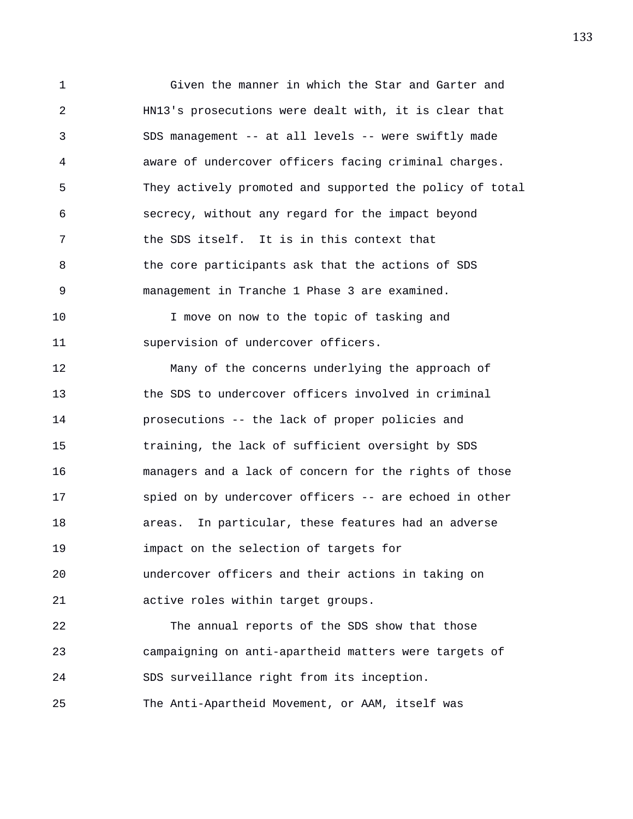1 Given the manner in which the Star and Garter and 2 HN13's prosecutions were dealt with, it is clear that 3 SDS management -- at all levels -- were swiftly made 4 aware of undercover officers facing criminal charges. 5 They actively promoted and supported the policy of total 6 secrecy, without any regard for the impact beyond 7 the SDS itself. It is in this context that 8 the core participants ask that the actions of SDS 9 management in Tranche 1 Phase 3 are examined.

10 I move on now to the topic of tasking and 11 supervision of undercover officers.

12 Many of the concerns underlying the approach of 13 the SDS to undercover officers involved in criminal 14 prosecutions -- the lack of proper policies and 15 training, the lack of sufficient oversight by SDS 16 managers and a lack of concern for the rights of those 17 spied on by undercover officers -- are echoed in other 18 areas. In particular, these features had an adverse 19 impact on the selection of targets for 20 undercover officers and their actions in taking on 21 active roles within target groups.

22 The annual reports of the SDS show that those 23 campaigning on anti-apartheid matters were targets of 24 SDS surveillance right from its inception. 25 The Anti-Apartheid Movement, or AAM, itself was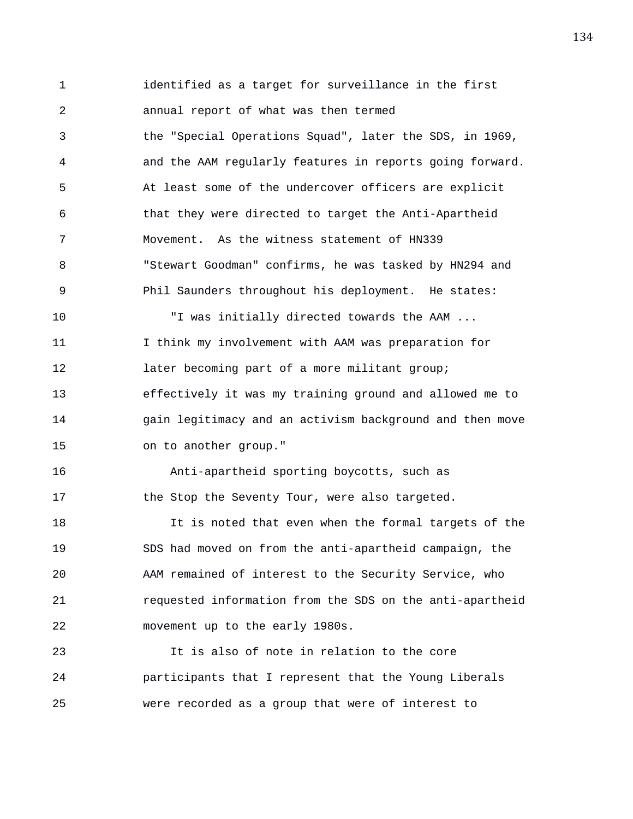1 identified as a target for surveillance in the first 2 annual report of what was then termed 3 the "Special Operations Squad", later the SDS, in 1969, 4 and the AAM regularly features in reports going forward. 5 At least some of the undercover officers are explicit 6 that they were directed to target the Anti-Apartheid 7 Movement. As the witness statement of HN339 8 "Stewart Goodman" confirms, he was tasked by HN294 and 9 Phil Saunders throughout his deployment. He states: 10 "I was initially directed towards the AAM ... 11 I think my involvement with AAM was preparation for 12 later becoming part of a more militant group; 13 effectively it was my training ground and allowed me to 14 gain legitimacy and an activism background and then move 15 on to another group." 16 Anti-apartheid sporting boycotts, such as 17 the Stop the Seventy Tour, were also targeted. 18 It is noted that even when the formal targets of the 19 SDS had moved on from the anti-apartheid campaign, the 20 AAM remained of interest to the Security Service, who 21 requested information from the SDS on the anti-apartheid 22 movement up to the early 1980s. 23 It is also of note in relation to the core 24 participants that I represent that the Young Liberals

25 were recorded as a group that were of interest to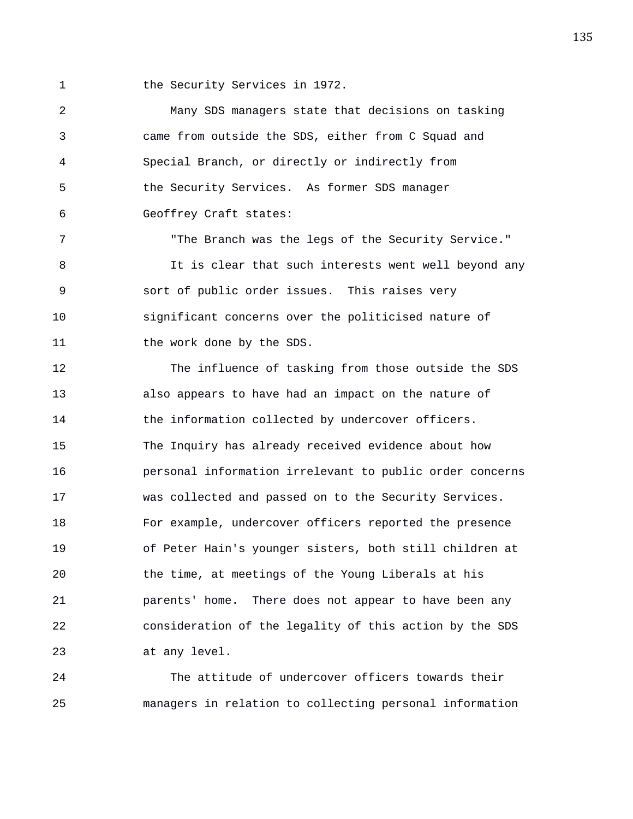1 the Security Services in 1972.

2 Many SDS managers state that decisions on tasking 3 came from outside the SDS, either from C Squad and 4 Special Branch, or directly or indirectly from 5 the Security Services. As former SDS manager 6 Geoffrey Craft states:

7 "The Branch was the legs of the Security Service." 8 It is clear that such interests went well beyond any 9 sort of public order issues. This raises very 10 significant concerns over the politicised nature of 11 the work done by the SDS.

12 The influence of tasking from those outside the SDS 13 also appears to have had an impact on the nature of 14 the information collected by undercover officers. 15 The Inquiry has already received evidence about how 16 personal information irrelevant to public order concerns 17 was collected and passed on to the Security Services. 18 For example, undercover officers reported the presence 19 of Peter Hain's younger sisters, both still children at 20 the time, at meetings of the Young Liberals at his 21 parents' home. There does not appear to have been any 22 consideration of the legality of this action by the SDS 23 at any level.

24 The attitude of undercover officers towards their 25 managers in relation to collecting personal information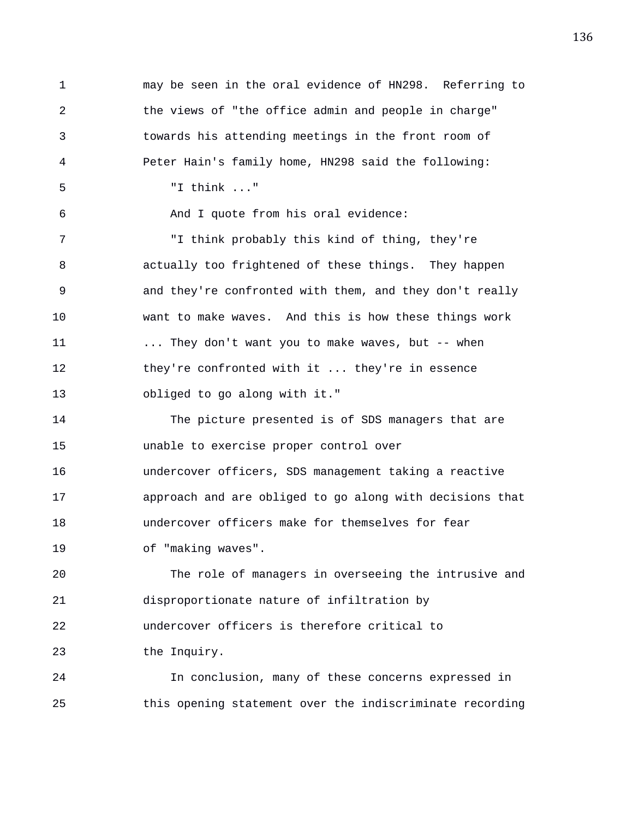1 may be seen in the oral evidence of HN298. Referring to 2 the views of "the office admin and people in charge" 3 towards his attending meetings in the front room of 4 Peter Hain's family home, HN298 said the following: 5 "I think ..." 6 And I quote from his oral evidence: 7 "I think probably this kind of thing, they're 8 actually too frightened of these things. They happen 9 and they're confronted with them, and they don't really 10 want to make waves. And this is how these things work 11 ... They don't want you to make waves, but -- when 12 they're confronted with it ... they're in essence 13 obliged to go along with it." 14 The picture presented is of SDS managers that are 15 unable to exercise proper control over 16 undercover officers, SDS management taking a reactive 17 approach and are obliged to go along with decisions that 18 undercover officers make for themselves for fear 19 of "making waves". 20 The role of managers in overseeing the intrusive and 21 disproportionate nature of infiltration by 22 undercover officers is therefore critical to 23 the Inquiry. 24 In conclusion, many of these concerns expressed in 25 this opening statement over the indiscriminate recording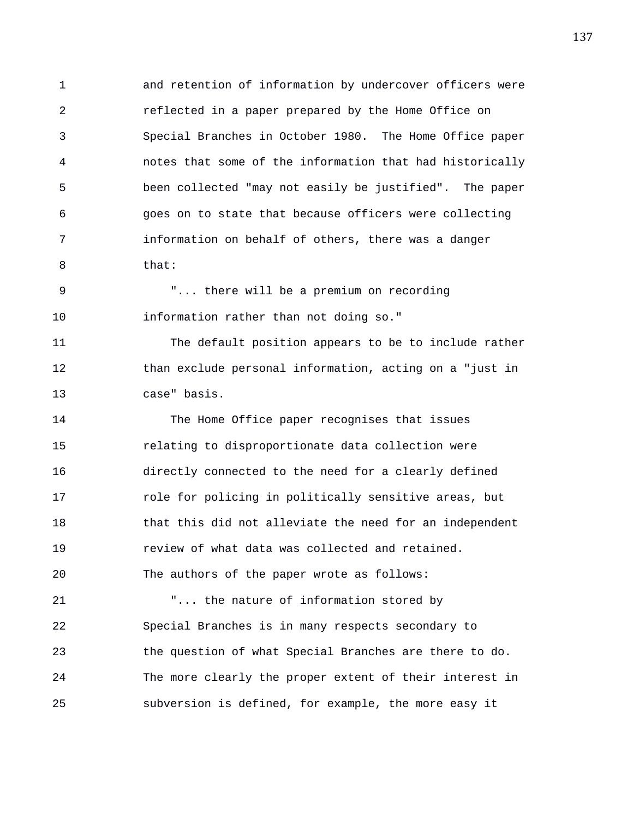1 and retention of information by undercover officers were 2 reflected in a paper prepared by the Home Office on 3 Special Branches in October 1980. The Home Office paper 4 notes that some of the information that had historically 5 been collected "may not easily be justified". The paper 6 goes on to state that because officers were collecting 7 information on behalf of others, there was a danger 8 that:

9 "... there will be a premium on recording 10 information rather than not doing so."

11 The default position appears to be to include rather 12 than exclude personal information, acting on a "just in 13 case" basis.

14 The Home Office paper recognises that issues 15 relating to disproportionate data collection were 16 directly connected to the need for a clearly defined 17 **role for policing in politically sensitive areas, but** 18 that this did not alleviate the need for an independent 19 review of what data was collected and retained. 20 The authors of the paper wrote as follows:

21 "... the nature of information stored by 22 Special Branches is in many respects secondary to 23 the question of what Special Branches are there to do. 24 The more clearly the proper extent of their interest in 25 subversion is defined, for example, the more easy it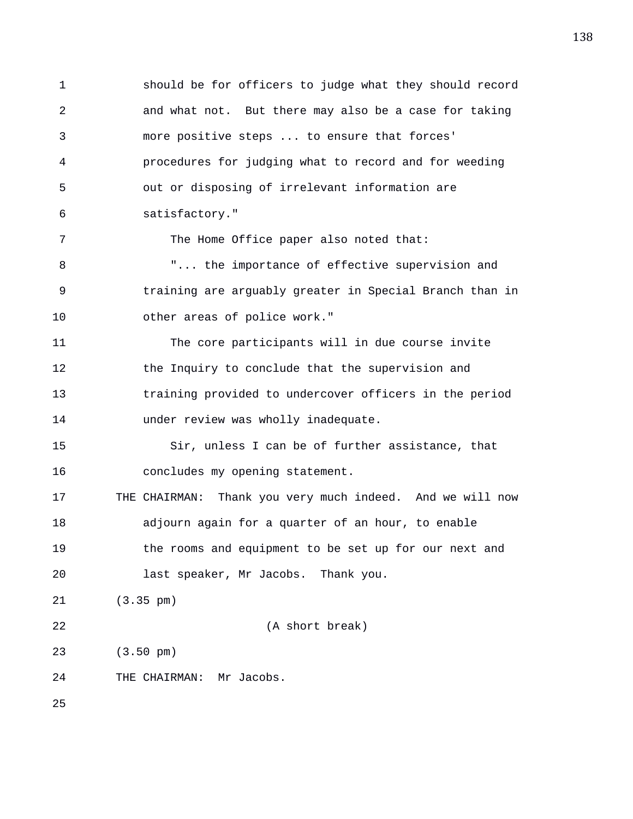1 should be for officers to judge what they should record 2 and what not. But there may also be a case for taking 3 more positive steps ... to ensure that forces' 4 procedures for judging what to record and for weeding 5 out or disposing of irrelevant information are 6 satisfactory." 7 The Home Office paper also noted that: 8 T... the importance of effective supervision and 9 training are arguably greater in Special Branch than in 10 other areas of police work." 11 The core participants will in due course invite 12 the Inquiry to conclude that the supervision and 13 training provided to undercover officers in the period 14 under review was wholly inadequate. 15 Sir, unless I can be of further assistance, that 16 concludes my opening statement. 17 THE CHAIRMAN: Thank you very much indeed. And we will now 18 adjourn again for a quarter of an hour, to enable 19 the rooms and equipment to be set up for our next and 20 last speaker, Mr Jacobs. Thank you. 21 (3.35 pm) 22 (A short break)

23 (3.50 pm)

24 THE CHAIRMAN: Mr Jacobs.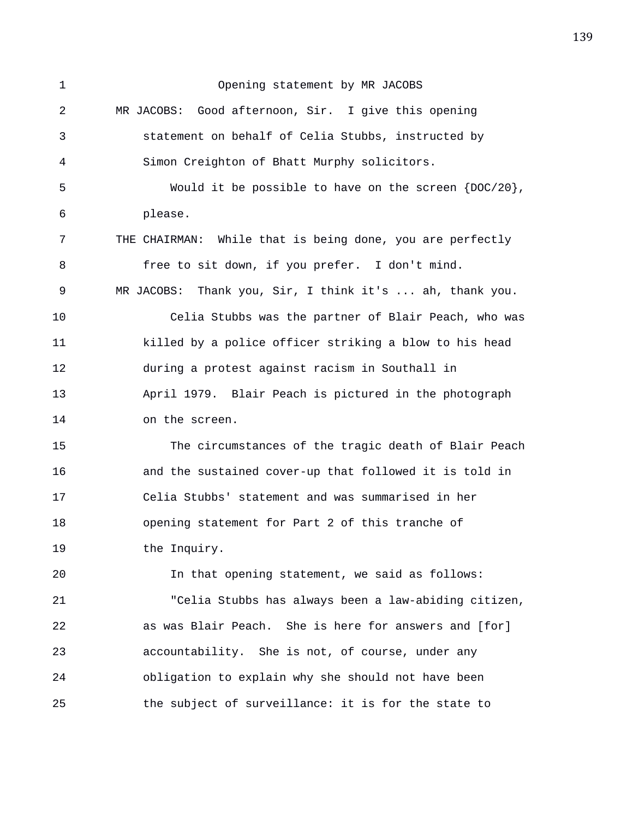1 Opening statement by MR JACOBS 2 MR JACOBS: Good afternoon, Sir. I give this opening 3 statement on behalf of Celia Stubbs, instructed by 4 Simon Creighton of Bhatt Murphy solicitors. 5 Would it be possible to have on the screen {DOC/20}, 6 please. 7 THE CHAIRMAN: While that is being done, you are perfectly 8 free to sit down, if you prefer. I don't mind. 9 MR JACOBS: Thank you, Sir, I think it's ... ah, thank you. 10 Celia Stubbs was the partner of Blair Peach, who was 11 killed by a police officer striking a blow to his head 12 during a protest against racism in Southall in 13 April 1979. Blair Peach is pictured in the photograph 14 on the screen. 15 The circumstances of the tragic death of Blair Peach 16 and the sustained cover-up that followed it is told in 17 Celia Stubbs' statement and was summarised in her 18 opening statement for Part 2 of this tranche of 19 the Inquiry. 20 In that opening statement, we said as follows: 21 "Celia Stubbs has always been a law-abiding citizen, 22 as was Blair Peach. She is here for answers and [for] 23 accountability. She is not, of course, under any 24 obligation to explain why she should not have been 25 the subject of surveillance: it is for the state to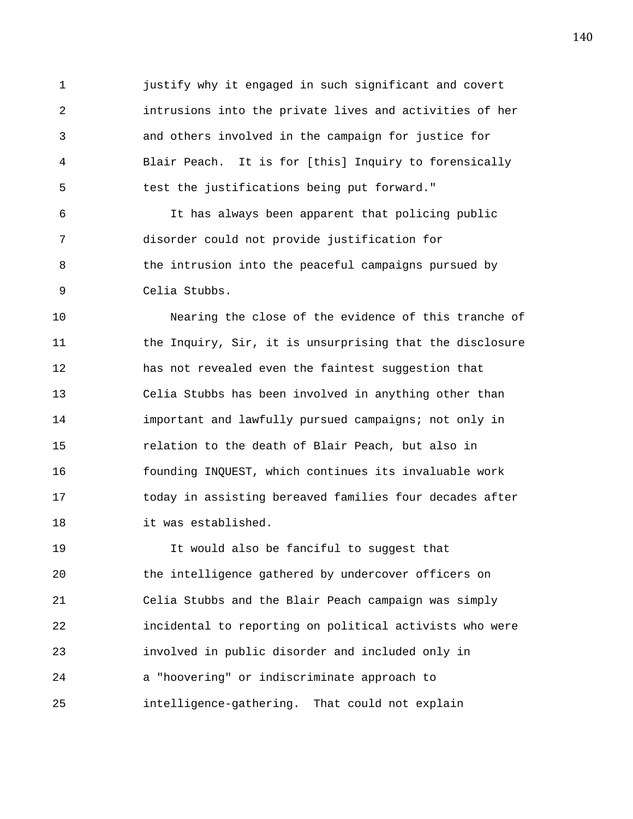1 justify why it engaged in such significant and covert 2 intrusions into the private lives and activities of her 3 and others involved in the campaign for justice for 4 Blair Peach. It is for [this] Inquiry to forensically 5 test the justifications being put forward."

6 It has always been apparent that policing public 7 disorder could not provide justification for 8 the intrusion into the peaceful campaigns pursued by 9 Celia Stubbs.

10 Nearing the close of the evidence of this tranche of 11 the Inquiry, Sir, it is unsurprising that the disclosure 12 has not revealed even the faintest suggestion that 13 Celia Stubbs has been involved in anything other than 14 important and lawfully pursued campaigns; not only in 15 relation to the death of Blair Peach, but also in 16 founding INQUEST, which continues its invaluable work 17 today in assisting bereaved families four decades after 18 it was established.

19 It would also be fanciful to suggest that 20 the intelligence gathered by undercover officers on 21 Celia Stubbs and the Blair Peach campaign was simply 22 incidental to reporting on political activists who were 23 involved in public disorder and included only in 24 a "hoovering" or indiscriminate approach to 25 intelligence-gathering. That could not explain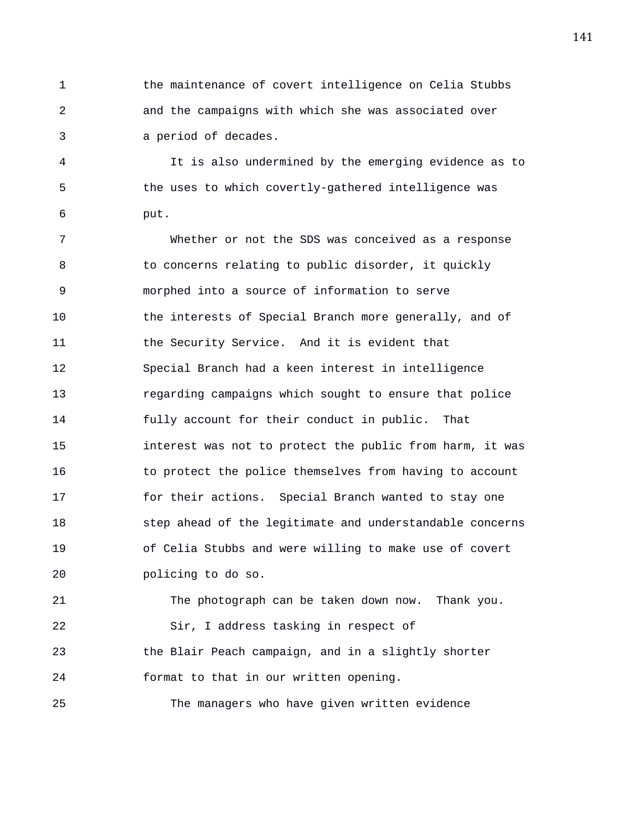1 the maintenance of covert intelligence on Celia Stubbs 2 and the campaigns with which she was associated over 3 a period of decades.

4 It is also undermined by the emerging evidence as to 5 the uses to which covertly-gathered intelligence was 6 put.

7 Whether or not the SDS was conceived as a response 8 to concerns relating to public disorder, it quickly 9 morphed into a source of information to serve 10 the interests of Special Branch more generally, and of 11 the Security Service. And it is evident that 12 Special Branch had a keen interest in intelligence 13 regarding campaigns which sought to ensure that police 14 fully account for their conduct in public. That 15 interest was not to protect the public from harm, it was 16 to protect the police themselves from having to account 17 for their actions. Special Branch wanted to stay one 18 step ahead of the legitimate and understandable concerns 19 of Celia Stubbs and were willing to make use of covert 20 policing to do so.

21 The photograph can be taken down now. Thank you. 22 Sir, I address tasking in respect of 23 the Blair Peach campaign, and in a slightly shorter 24 format to that in our written opening.

25 The managers who have given written evidence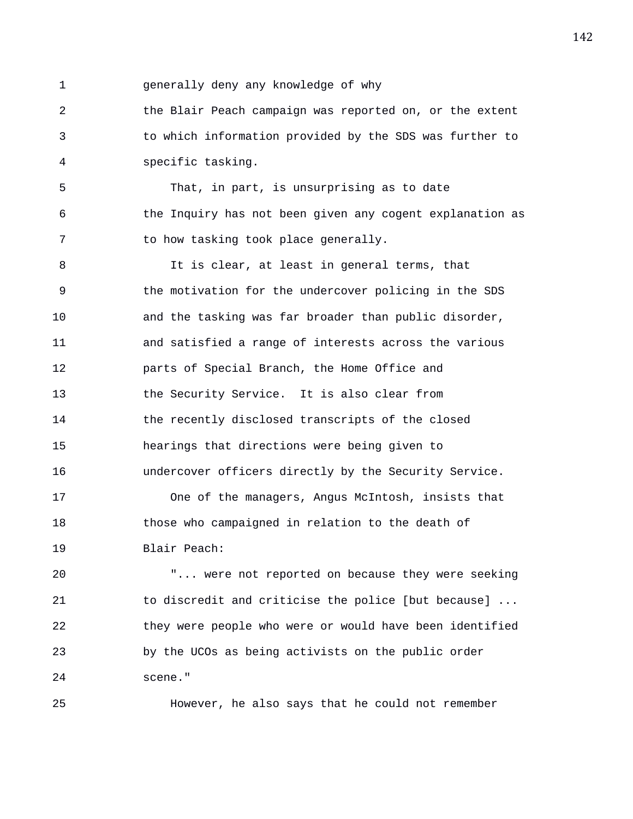1 generally deny any knowledge of why

2 the Blair Peach campaign was reported on, or the extent 3 to which information provided by the SDS was further to 4 specific tasking.

5 That, in part, is unsurprising as to date 6 the Inquiry has not been given any cogent explanation as 7 to how tasking took place generally.

8 It is clear, at least in general terms, that 9 the motivation for the undercover policing in the SDS 10 and the tasking was far broader than public disorder, 11 and satisfied a range of interests across the various 12 parts of Special Branch, the Home Office and 13 the Security Service. It is also clear from 14 the recently disclosed transcripts of the closed 15 hearings that directions were being given to 16 undercover officers directly by the Security Service.

17 One of the managers, Angus McIntosh, insists that 18 those who campaigned in relation to the death of 19 Blair Peach:

20 "... were not reported on because they were seeking 21 to discredit and criticise the police [but because] ... 22 they were people who were or would have been identified 23 by the UCOs as being activists on the public order 24 scene."

25 However, he also says that he could not remember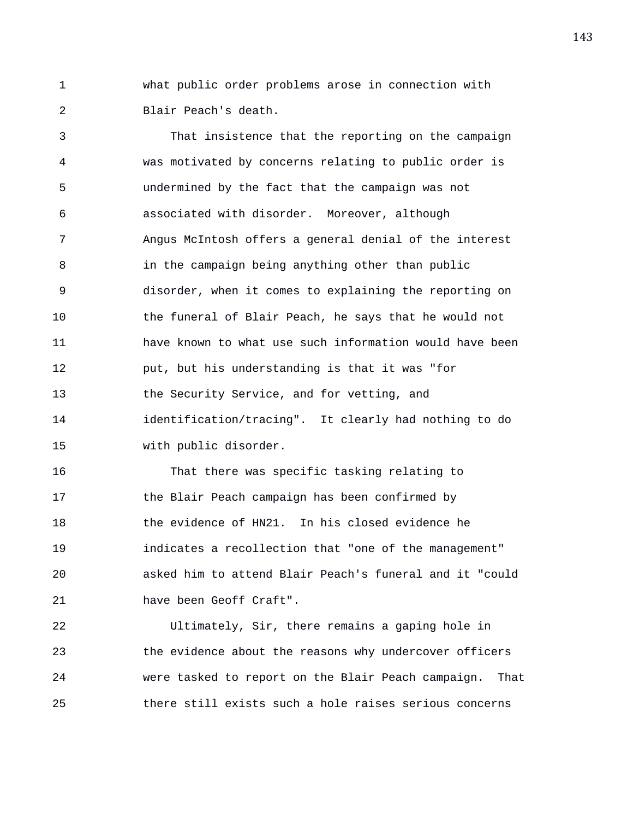1 what public order problems arose in connection with 2 Blair Peach's death.

3 That insistence that the reporting on the campaign 4 was motivated by concerns relating to public order is 5 undermined by the fact that the campaign was not 6 associated with disorder. Moreover, although 7 Angus McIntosh offers a general denial of the interest 8 in the campaign being anything other than public 9 disorder, when it comes to explaining the reporting on 10 the funeral of Blair Peach, he says that he would not 11 have known to what use such information would have been 12 put, but his understanding is that it was "for 13 the Security Service, and for vetting, and 14 identification/tracing". It clearly had nothing to do 15 with public disorder.

16 That there was specific tasking relating to 17 the Blair Peach campaign has been confirmed by 18 the evidence of HN21. In his closed evidence he 19 indicates a recollection that "one of the management" 20 asked him to attend Blair Peach's funeral and it "could 21 have been Geoff Craft".

22 Ultimately, Sir, there remains a gaping hole in 23 the evidence about the reasons why undercover officers 24 were tasked to report on the Blair Peach campaign. That 25 there still exists such a hole raises serious concerns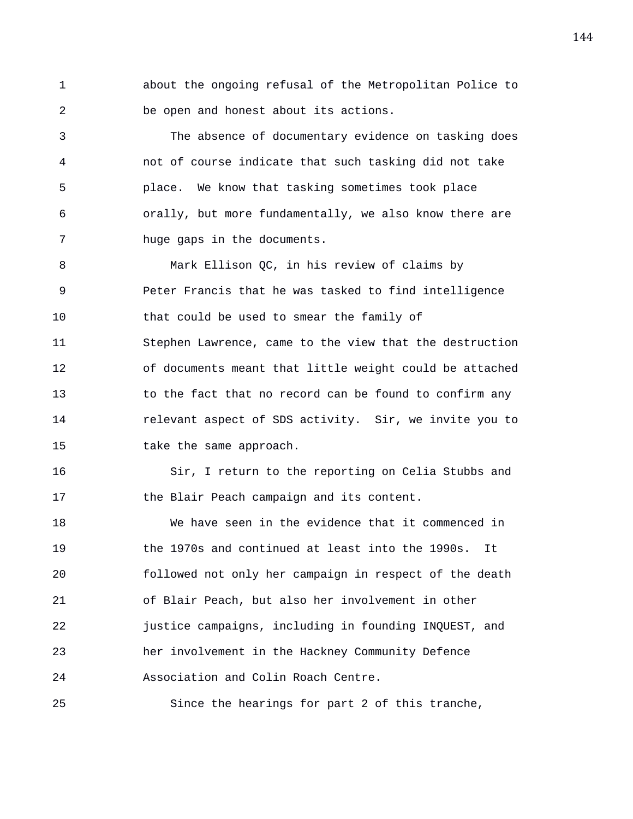1 about the ongoing refusal of the Metropolitan Police to 2 be open and honest about its actions.

3 The absence of documentary evidence on tasking does 4 not of course indicate that such tasking did not take 5 place. We know that tasking sometimes took place 6 orally, but more fundamentally, we also know there are 7 huge gaps in the documents.

8 Mark Ellison QC, in his review of claims by 9 Peter Francis that he was tasked to find intelligence 10 that could be used to smear the family of 11 Stephen Lawrence, came to the view that the destruction 12 of documents meant that little weight could be attached 13 to the fact that no record can be found to confirm any 14 relevant aspect of SDS activity. Sir, we invite you to 15 take the same approach.

16 Sir, I return to the reporting on Celia Stubbs and 17 the Blair Peach campaign and its content.

18 We have seen in the evidence that it commenced in 19 the 1970s and continued at least into the 1990s. It 20 followed not only her campaign in respect of the death 21 of Blair Peach, but also her involvement in other 22 justice campaigns, including in founding INQUEST, and 23 her involvement in the Hackney Community Defence 24 Association and Colin Roach Centre.

25 Since the hearings for part 2 of this tranche,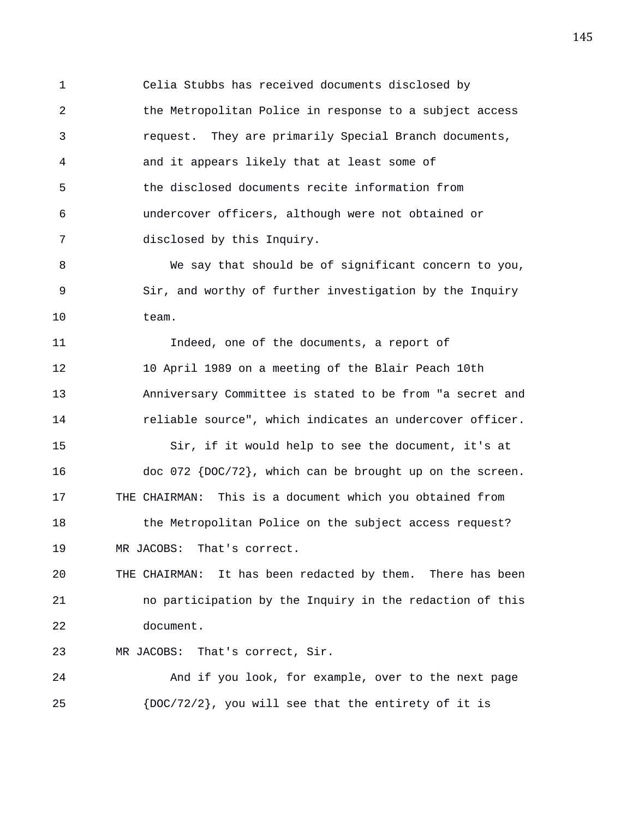1 Celia Stubbs has received documents disclosed by 2 the Metropolitan Police in response to a subject access 3 request. They are primarily Special Branch documents, 4 and it appears likely that at least some of 5 the disclosed documents recite information from 6 undercover officers, although were not obtained or 7 disclosed by this Inquiry.

8 We say that should be of significant concern to you, 9 Sir, and worthy of further investigation by the Inquiry 10 team.

11 Indeed, one of the documents, a report of 12 10 April 1989 on a meeting of the Blair Peach 10th 13 Anniversary Committee is stated to be from "a secret and 14 reliable source", which indicates an undercover officer.

15 Sir, if it would help to see the document, it's at 16 doc 072 {DOC/72}, which can be brought up on the screen. 17 THE CHAIRMAN: This is a document which you obtained from 18 the Metropolitan Police on the subject access request? 19 MR JACOBS: That's correct.

20 THE CHAIRMAN: It has been redacted by them. There has been 21 no participation by the Inquiry in the redaction of this 22 document.

23 MR JACOBS: That's correct, Sir.

24 And if you look, for example, over to the next page 25  ${DOC/72/2}$ , you will see that the entirety of it is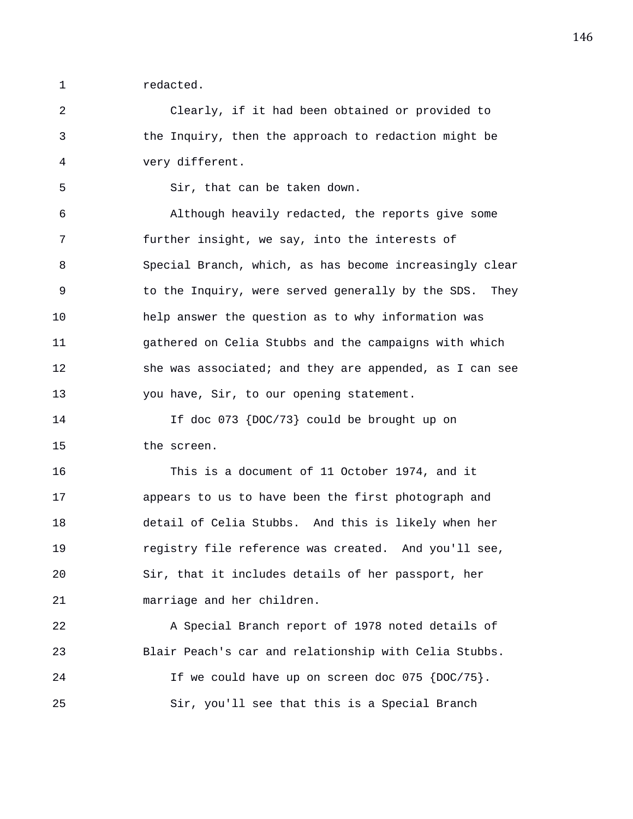1 redacted.

2 Clearly, if it had been obtained or provided to 3 the Inquiry, then the approach to redaction might be 4 very different.

5 Sir, that can be taken down.

6 Although heavily redacted, the reports give some 7 further insight, we say, into the interests of 8 Special Branch, which, as has become increasingly clear 9 to the Inquiry, were served generally by the SDS. They 10 help answer the question as to why information was 11 gathered on Celia Stubbs and the campaigns with which 12 she was associated; and they are appended, as I can see 13 you have, Sir, to our opening statement.

14 If doc 073 {DOC/73} could be brought up on 15 the screen.

16 This is a document of 11 October 1974, and it 17 appears to us to have been the first photograph and 18 detail of Celia Stubbs. And this is likely when her 19 registry file reference was created. And you'll see, 20 Sir, that it includes details of her passport, her 21 marriage and her children.

22 A Special Branch report of 1978 noted details of 23 Blair Peach's car and relationship with Celia Stubbs. 24 If we could have up on screen doc 075 {DOC/75}. 25 Sir, you'll see that this is a Special Branch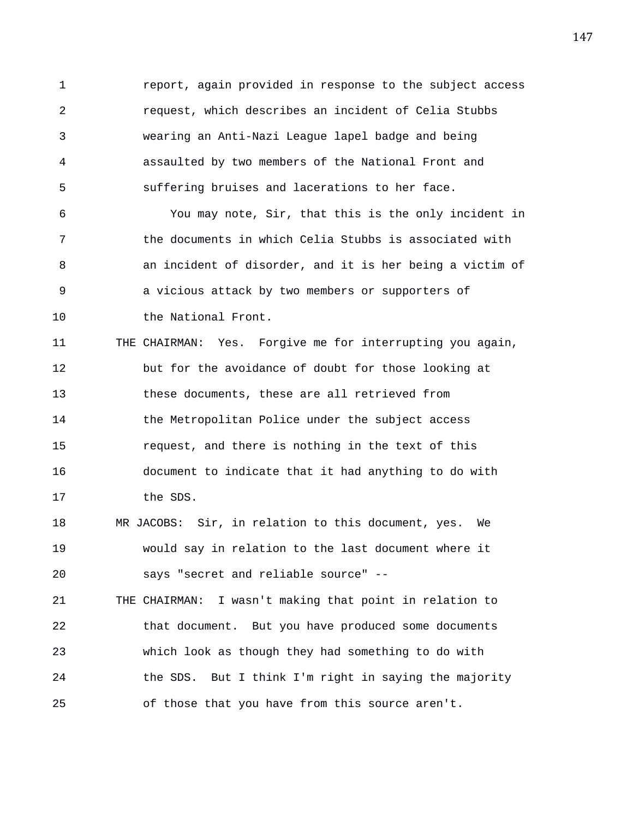1 report, again provided in response to the subject access 2 request, which describes an incident of Celia Stubbs 3 wearing an Anti-Nazi League lapel badge and being 4 assaulted by two members of the National Front and 5 suffering bruises and lacerations to her face.

6 You may note, Sir, that this is the only incident in 7 the documents in which Celia Stubbs is associated with 8 an incident of disorder, and it is her being a victim of 9 a vicious attack by two members or supporters of 10 the National Front.

11 THE CHAIRMAN: Yes. Forgive me for interrupting you again, 12 but for the avoidance of doubt for those looking at 13 these documents, these are all retrieved from 14 the Metropolitan Police under the subject access 15 request, and there is nothing in the text of this 16 document to indicate that it had anything to do with 17 the SDS.

18 MR JACOBS: Sir, in relation to this document, yes. We 19 would say in relation to the last document where it 20 says "secret and reliable source" --

21 THE CHAIRMAN: I wasn't making that point in relation to 22 that document. But you have produced some documents 23 which look as though they had something to do with 24 the SDS. But I think I'm right in saying the majority 25 of those that you have from this source aren't.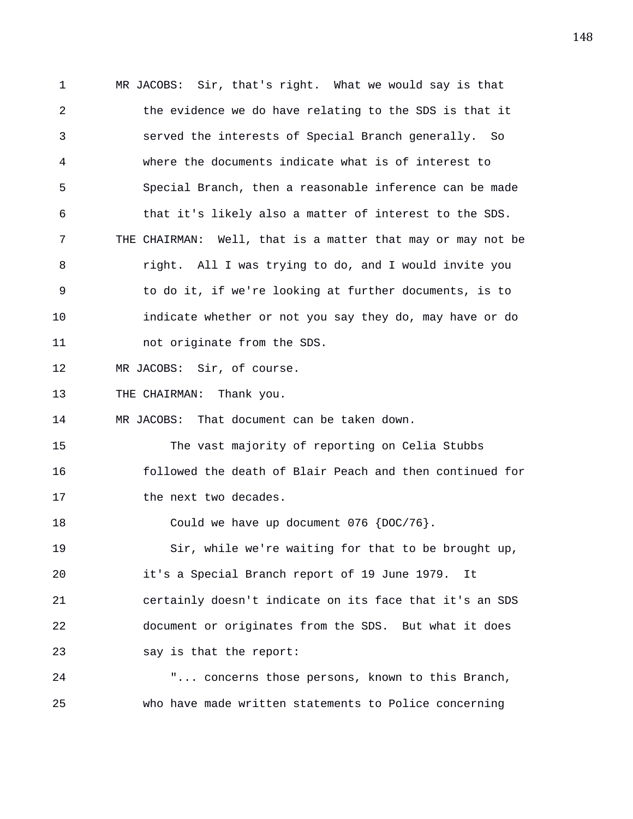1 MR JACOBS: Sir, that's right. What we would say is that 2 the evidence we do have relating to the SDS is that it 3 served the interests of Special Branch generally. So 4 where the documents indicate what is of interest to 5 Special Branch, then a reasonable inference can be made 6 that it's likely also a matter of interest to the SDS. 7 THE CHAIRMAN: Well, that is a matter that may or may not be 8 right. All I was trying to do, and I would invite you 9 to do it, if we're looking at further documents, is to 10 indicate whether or not you say they do, may have or do 11 not originate from the SDS. 12 MR JACOBS: Sir, of course. 13 THE CHAIRMAN: Thank you. 14 MR JACOBS: That document can be taken down. 15 The vast majority of reporting on Celia Stubbs 16 followed the death of Blair Peach and then continued for 17 the next two decades. 18 Could we have up document 076 {DOC/76}. 19 Sir, while we're waiting for that to be brought up, 20 it's a Special Branch report of 19 June 1979. It 21 certainly doesn't indicate on its face that it's an SDS 22 document or originates from the SDS. But what it does 23 say is that the report: 24 "... concerns those persons, known to this Branch,

25 who have made written statements to Police concerning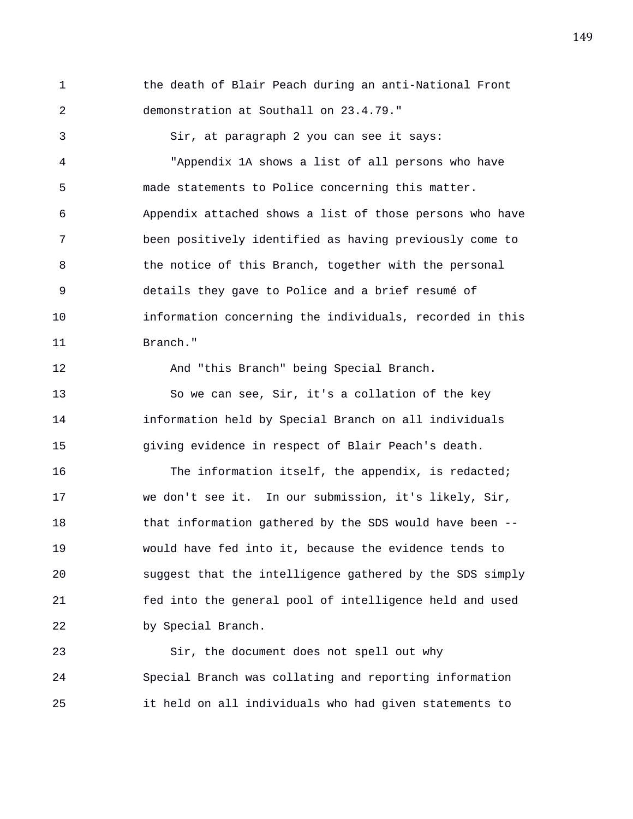1 the death of Blair Peach during an anti-National Front 2 demonstration at Southall on 23.4.79." 3 Sir, at paragraph 2 you can see it says: 4 "Appendix 1A shows a list of all persons who have 5 made statements to Police concerning this matter. 6 Appendix attached shows a list of those persons who have 7 been positively identified as having previously come to 8 the notice of this Branch, together with the personal 9 details they gave to Police and a brief resumé of 10 information concerning the individuals, recorded in this 11 Branch." 12 And "this Branch" being Special Branch. 13 So we can see, Sir, it's a collation of the key 14 information held by Special Branch on all individuals

16 The information itself, the appendix, is redacted; 17 we don't see it. In our submission, it's likely, Sir, 18 that information gathered by the SDS would have been -- 19 would have fed into it, because the evidence tends to 20 suggest that the intelligence gathered by the SDS simply 21 fed into the general pool of intelligence held and used 22 by Special Branch.

15 giving evidence in respect of Blair Peach's death.

23 Sir, the document does not spell out why 24 Special Branch was collating and reporting information 25 it held on all individuals who had given statements to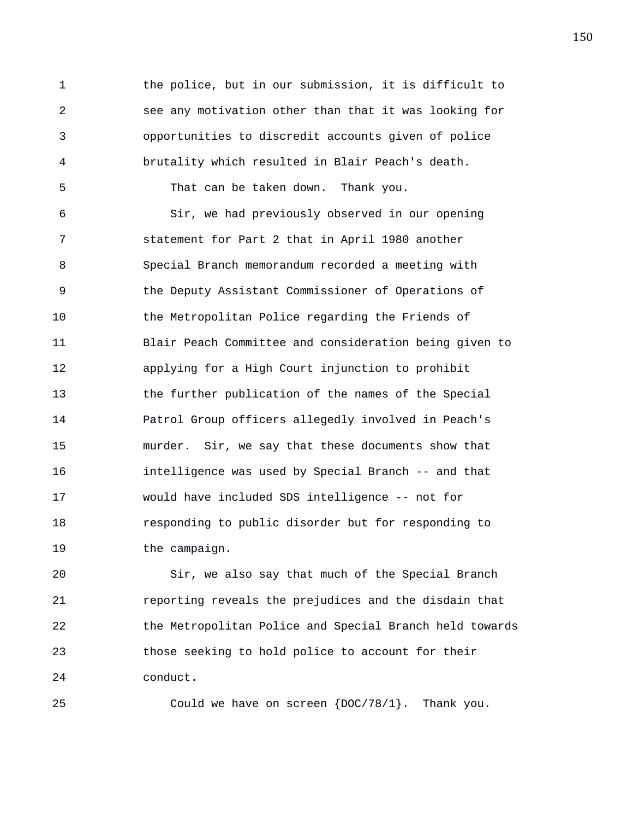1 the police, but in our submission, it is difficult to 2 see any motivation other than that it was looking for 3 opportunities to discredit accounts given of police 4 brutality which resulted in Blair Peach's death. 5 That can be taken down. Thank you. 6 Sir, we had previously observed in our opening 7 statement for Part 2 that in April 1980 another 8 Special Branch memorandum recorded a meeting with 9 the Deputy Assistant Commissioner of Operations of 10 the Metropolitan Police regarding the Friends of 11 Blair Peach Committee and consideration being given to 12 applying for a High Court injunction to prohibit 13 the further publication of the names of the Special 14 Patrol Group officers allegedly involved in Peach's 15 murder. Sir, we say that these documents show that 16 intelligence was used by Special Branch -- and that 17 would have included SDS intelligence -- not for 18 responding to public disorder but for responding to 19 the campaign.

20 Sir, we also say that much of the Special Branch 21 reporting reveals the prejudices and the disdain that 22 the Metropolitan Police and Special Branch held towards 23 those seeking to hold police to account for their 24 conduct.

25 Could we have on screen {DOC/78/1}. Thank you.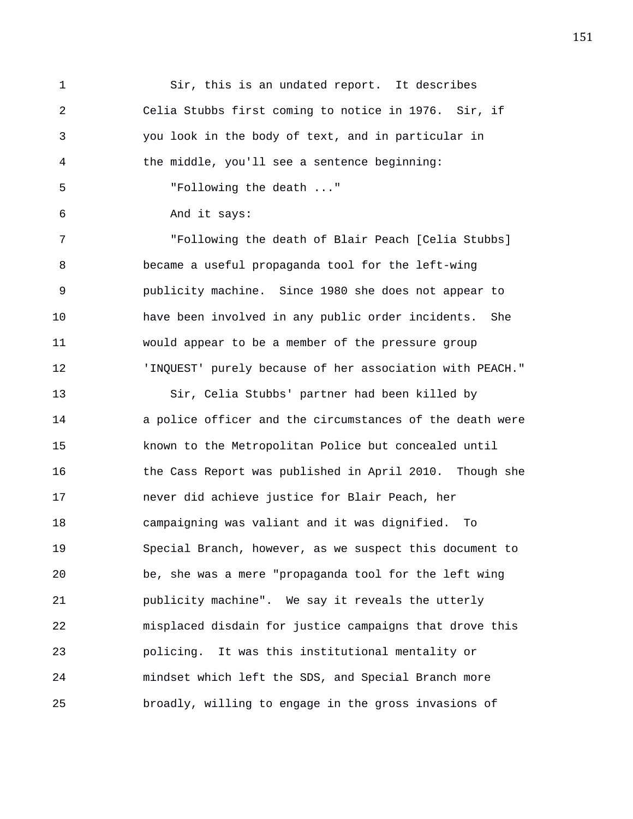1 Sir, this is an undated report. It describes 2 Celia Stubbs first coming to notice in 1976. Sir, if 3 you look in the body of text, and in particular in 4 the middle, you'll see a sentence beginning: 5 "Following the death ..." 6 And it says: 7 "Following the death of Blair Peach [Celia Stubbs] 8 became a useful propaganda tool for the left-wing 9 publicity machine. Since 1980 she does not appear to 10 have been involved in any public order incidents. She 11 would appear to be a member of the pressure group 12 'INQUEST' purely because of her association with PEACH." 13 Sir, Celia Stubbs' partner had been killed by 14 a police officer and the circumstances of the death were 15 known to the Metropolitan Police but concealed until 16 the Cass Report was published in April 2010. Though she 17 never did achieve justice for Blair Peach, her 18 campaigning was valiant and it was dignified. To 19 Special Branch, however, as we suspect this document to 20 be, she was a mere "propaganda tool for the left wing 21 publicity machine". We say it reveals the utterly 22 misplaced disdain for justice campaigns that drove this 23 policing. It was this institutional mentality or 24 mindset which left the SDS, and Special Branch more 25 broadly, willing to engage in the gross invasions of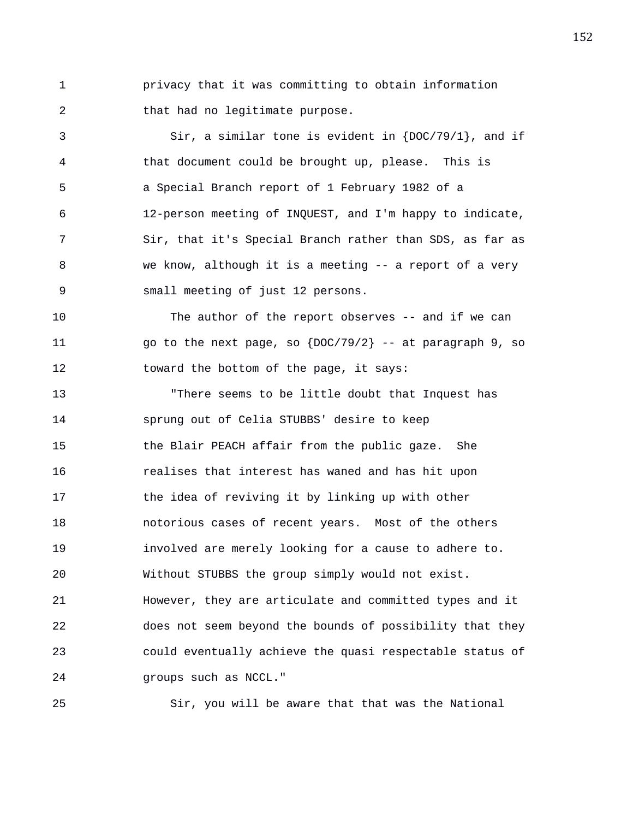1 privacy that it was committing to obtain information 2 that had no legitimate purpose.

3 Sir, a similar tone is evident in {DOC/79/1}, and if 4 that document could be brought up, please. This is 5 a Special Branch report of 1 February 1982 of a 6 12-person meeting of INQUEST, and I'm happy to indicate, 7 Sir, that it's Special Branch rather than SDS, as far as 8 we know, although it is a meeting -- a report of a very 9 small meeting of just 12 persons.

10 The author of the report observes -- and if we can 11  $\log$  go to the next page, so  $\left\{DOC/79/2\right\}$  -- at paragraph 9, so 12 toward the bottom of the page, it says:

13 "There seems to be little doubt that Inquest has 14 sprung out of Celia STUBBS' desire to keep 15 the Blair PEACH affair from the public gaze. She 16 realises that interest has waned and has hit upon 17 the idea of reviving it by linking up with other 18 notorious cases of recent years. Most of the others 19 involved are merely looking for a cause to adhere to. 20 Without STUBBS the group simply would not exist. 21 However, they are articulate and committed types and it 22 does not seem beyond the bounds of possibility that they 23 could eventually achieve the quasi respectable status of 24 groups such as NCCL."

25 Sir, you will be aware that that was the National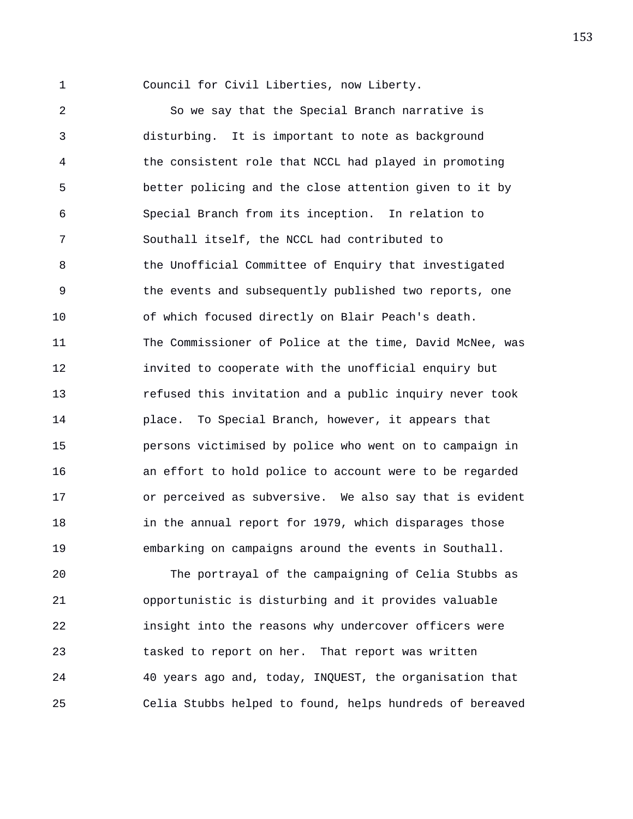1 Council for Civil Liberties, now Liberty.

2 So we say that the Special Branch narrative is 3 disturbing. It is important to note as background 4 the consistent role that NCCL had played in promoting 5 better policing and the close attention given to it by 6 Special Branch from its inception. In relation to 7 Southall itself, the NCCL had contributed to 8 6 the Unofficial Committee of Enquiry that investigated 9 the events and subsequently published two reports, one 10 of which focused directly on Blair Peach's death. 11 The Commissioner of Police at the time, David McNee, was 12 invited to cooperate with the unofficial enquiry but 13 refused this invitation and a public inquiry never took 14 place. To Special Branch, however, it appears that 15 persons victimised by police who went on to campaign in 16 an effort to hold police to account were to be regarded 17 or perceived as subversive. We also say that is evident 18 in the annual report for 1979, which disparages those 19 embarking on campaigns around the events in Southall.

20 The portrayal of the campaigning of Celia Stubbs as 21 opportunistic is disturbing and it provides valuable 22 insight into the reasons why undercover officers were 23 tasked to report on her. That report was written 24 40 years ago and, today, INQUEST, the organisation that 25 Celia Stubbs helped to found, helps hundreds of bereaved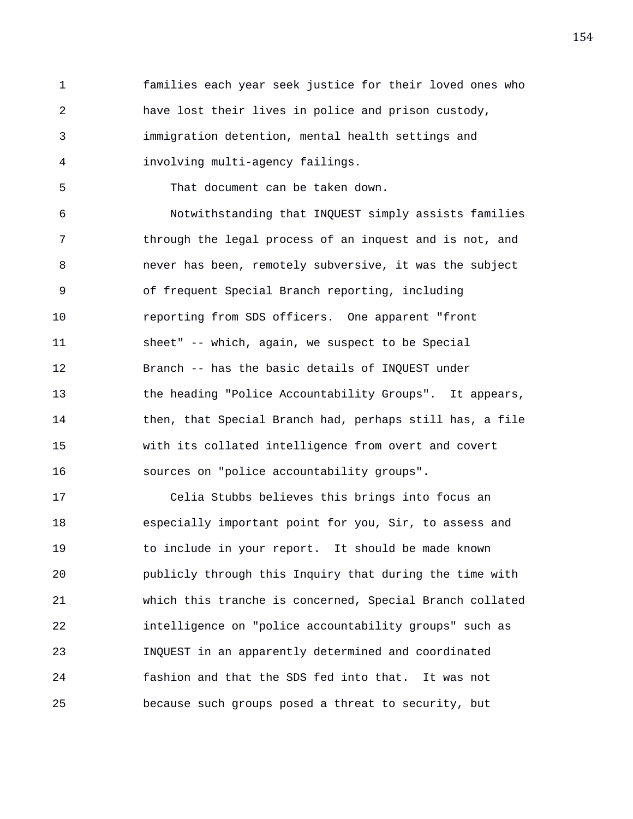1 families each year seek justice for their loved ones who 2 have lost their lives in police and prison custody, 3 immigration detention, mental health settings and 4 involving multi-agency failings.

5 That document can be taken down.

6 Notwithstanding that INQUEST simply assists families 7 through the legal process of an inquest and is not, and 8 never has been, remotely subversive, it was the subject 9 of frequent Special Branch reporting, including 10 reporting from SDS officers. One apparent "front 11 sheet" -- which, again, we suspect to be Special 12 Branch -- has the basic details of INQUEST under 13 the heading "Police Accountability Groups". It appears, 14 then, that Special Branch had, perhaps still has, a file 15 with its collated intelligence from overt and covert 16 sources on "police accountability groups".

17 Celia Stubbs believes this brings into focus an 18 especially important point for you, Sir, to assess and 19 to include in your report. It should be made known 20 publicly through this Inquiry that during the time with 21 which this tranche is concerned, Special Branch collated 22 intelligence on "police accountability groups" such as 23 INQUEST in an apparently determined and coordinated 24 fashion and that the SDS fed into that. It was not 25 because such groups posed a threat to security, but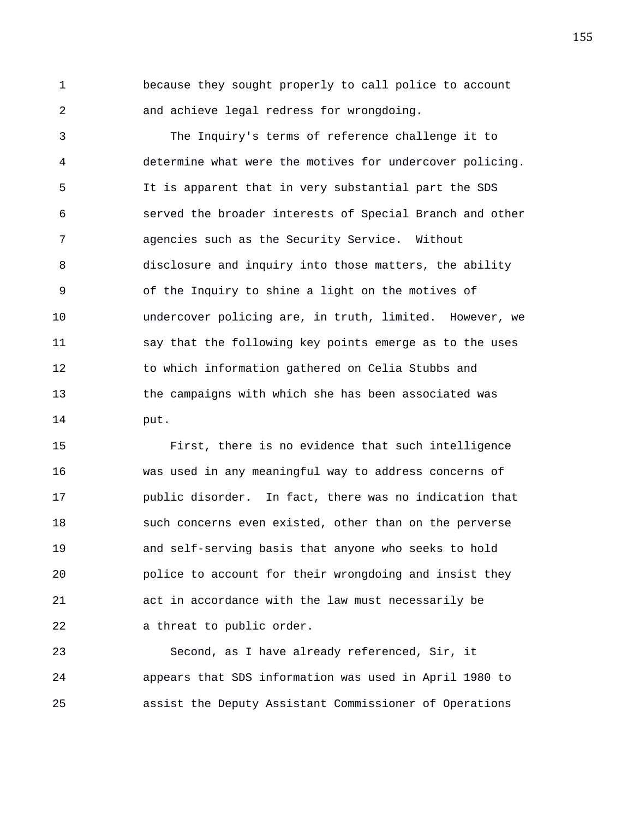1 because they sought properly to call police to account 2 and achieve legal redress for wrongdoing.

3 The Inquiry's terms of reference challenge it to 4 determine what were the motives for undercover policing. 5 It is apparent that in very substantial part the SDS 6 served the broader interests of Special Branch and other 7 agencies such as the Security Service. Without 8 disclosure and inquiry into those matters, the ability 9 of the Inquiry to shine a light on the motives of 10 undercover policing are, in truth, limited. However, we 11 say that the following key points emerge as to the uses 12 to which information gathered on Celia Stubbs and 13 the campaigns with which she has been associated was 14 put.

15 First, there is no evidence that such intelligence 16 was used in any meaningful way to address concerns of 17 public disorder. In fact, there was no indication that 18 such concerns even existed, other than on the perverse 19 and self-serving basis that anyone who seeks to hold 20 police to account for their wrongdoing and insist they 21 act in accordance with the law must necessarily be 22 a threat to public order.

23 Second, as I have already referenced, Sir, it 24 appears that SDS information was used in April 1980 to 25 assist the Deputy Assistant Commissioner of Operations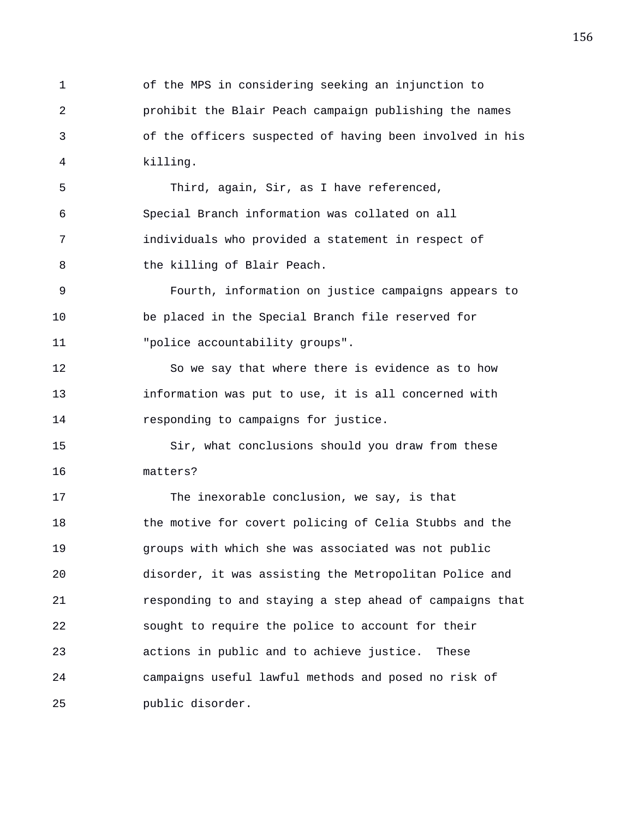1 of the MPS in considering seeking an injunction to 2 prohibit the Blair Peach campaign publishing the names 3 of the officers suspected of having been involved in his 4 killing.

5 Third, again, Sir, as I have referenced, 6 Special Branch information was collated on all 7 individuals who provided a statement in respect of 8 the killing of Blair Peach.

9 Fourth, information on justice campaigns appears to 10 be placed in the Special Branch file reserved for 11 "police accountability groups".

12 So we say that where there is evidence as to how 13 information was put to use, it is all concerned with 14 responding to campaigns for justice.

15 Sir, what conclusions should you draw from these 16 matters?

17 The inexorable conclusion, we say, is that 18 the motive for covert policing of Celia Stubbs and the 19 groups with which she was associated was not public 20 disorder, it was assisting the Metropolitan Police and 21 responding to and staying a step ahead of campaigns that 22 sought to require the police to account for their 23 actions in public and to achieve justice. These 24 campaigns useful lawful methods and posed no risk of 25 public disorder.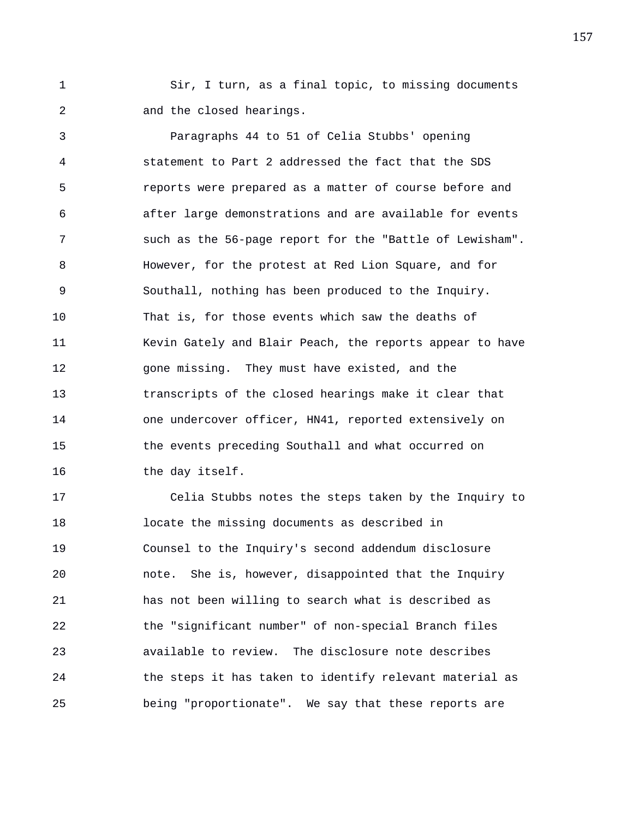1 Sir, I turn, as a final topic, to missing documents 2 and the closed hearings.

3 Paragraphs 44 to 51 of Celia Stubbs' opening 4 statement to Part 2 addressed the fact that the SDS 5 reports were prepared as a matter of course before and 6 after large demonstrations and are available for events 7 such as the 56-page report for the "Battle of Lewisham". 8 However, for the protest at Red Lion Square, and for 9 Southall, nothing has been produced to the Inquiry. 10 That is, for those events which saw the deaths of 11 Kevin Gately and Blair Peach, the reports appear to have 12 gone missing. They must have existed, and the 13 transcripts of the closed hearings make it clear that 14 one undercover officer, HN41, reported extensively on 15 the events preceding Southall and what occurred on 16 the day itself.

17 Celia Stubbs notes the steps taken by the Inquiry to 18 locate the missing documents as described in 19 Counsel to the Inquiry's second addendum disclosure 20 note. She is, however, disappointed that the Inquiry 21 has not been willing to search what is described as 22 the "significant number" of non-special Branch files 23 available to review. The disclosure note describes 24 the steps it has taken to identify relevant material as 25 being "proportionate". We say that these reports are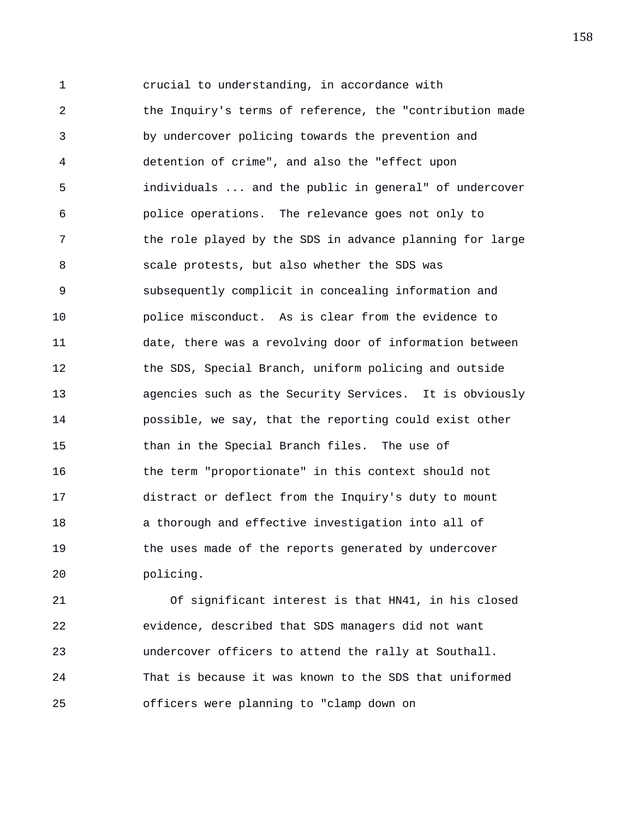1 crucial to understanding, in accordance with 2 the Inquiry's terms of reference, the "contribution made 3 by undercover policing towards the prevention and 4 detention of crime", and also the "effect upon 5 individuals ... and the public in general" of undercover 6 police operations. The relevance goes not only to 7 the role played by the SDS in advance planning for large 8 scale protests, but also whether the SDS was 9 subsequently complicit in concealing information and 10 police misconduct. As is clear from the evidence to 11 date, there was a revolving door of information between 12 the SDS, Special Branch, uniform policing and outside 13 agencies such as the Security Services. It is obviously 14 possible, we say, that the reporting could exist other 15 than in the Special Branch files. The use of 16 the term "proportionate" in this context should not 17 distract or deflect from the Inquiry's duty to mount 18 a thorough and effective investigation into all of 19 the uses made of the reports generated by undercover 20 policing.

21 Of significant interest is that HN41, in his closed 22 evidence, described that SDS managers did not want 23 undercover officers to attend the rally at Southall. 24 That is because it was known to the SDS that uniformed 25 officers were planning to "clamp down on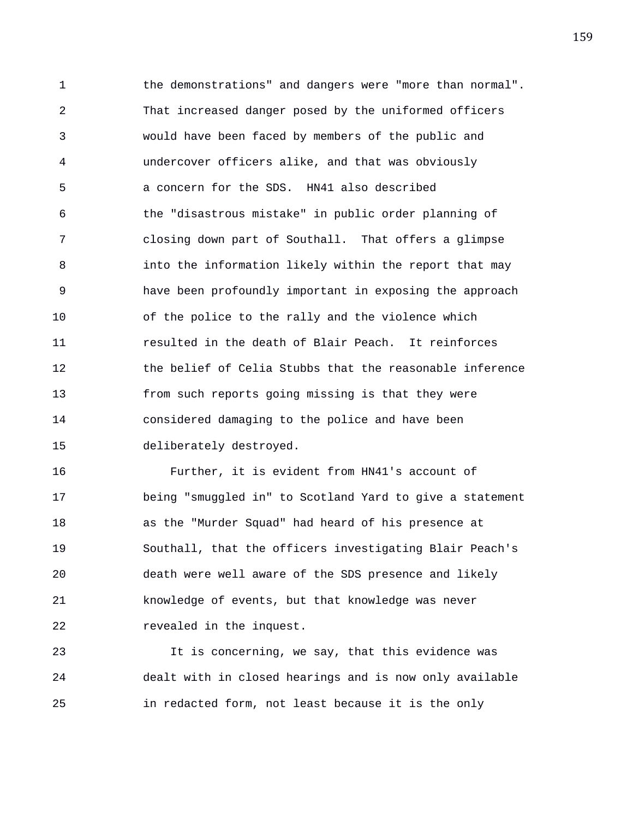1 the demonstrations" and dangers were "more than normal". 2 That increased danger posed by the uniformed officers 3 would have been faced by members of the public and 4 undercover officers alike, and that was obviously 5 a concern for the SDS. HN41 also described 6 the "disastrous mistake" in public order planning of 7 closing down part of Southall. That offers a glimpse 8 into the information likely within the report that may 9 have been profoundly important in exposing the approach 10 of the police to the rally and the violence which 11 resulted in the death of Blair Peach. It reinforces 12 the belief of Celia Stubbs that the reasonable inference 13 from such reports going missing is that they were 14 considered damaging to the police and have been 15 deliberately destroyed.

16 Further, it is evident from HN41's account of 17 being "smuggled in" to Scotland Yard to give a statement 18 as the "Murder Squad" had heard of his presence at 19 Southall, that the officers investigating Blair Peach's 20 death were well aware of the SDS presence and likely 21 knowledge of events, but that knowledge was never 22 revealed in the inquest.

23 It is concerning, we say, that this evidence was 24 dealt with in closed hearings and is now only available 25 in redacted form, not least because it is the only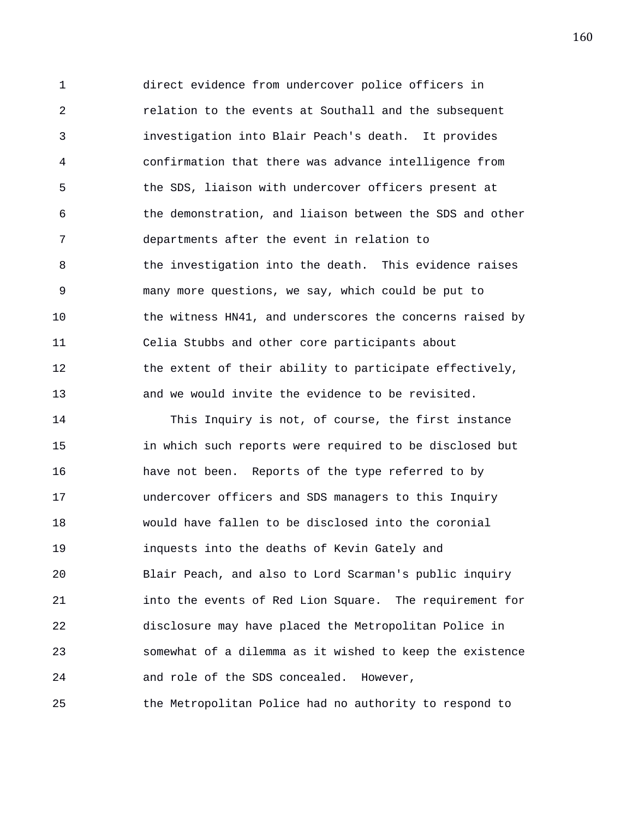1 direct evidence from undercover police officers in 2 relation to the events at Southall and the subsequent 3 investigation into Blair Peach's death. It provides 4 confirmation that there was advance intelligence from 5 the SDS, liaison with undercover officers present at 6 the demonstration, and liaison between the SDS and other 7 departments after the event in relation to 8 6 11 the investigation into the death. This evidence raises 9 many more questions, we say, which could be put to 10 the witness HN41, and underscores the concerns raised by 11 Celia Stubbs and other core participants about 12 the extent of their ability to participate effectively, 13 and we would invite the evidence to be revisited.

14 This Inquiry is not, of course, the first instance 15 in which such reports were required to be disclosed but 16 have not been. Reports of the type referred to by 17 undercover officers and SDS managers to this Inquiry 18 would have fallen to be disclosed into the coronial 19 inquests into the deaths of Kevin Gately and 20 Blair Peach, and also to Lord Scarman's public inquiry 21 into the events of Red Lion Square. The requirement for 22 disclosure may have placed the Metropolitan Police in 23 somewhat of a dilemma as it wished to keep the existence 24 and role of the SDS concealed. However, 25 the Metropolitan Police had no authority to respond to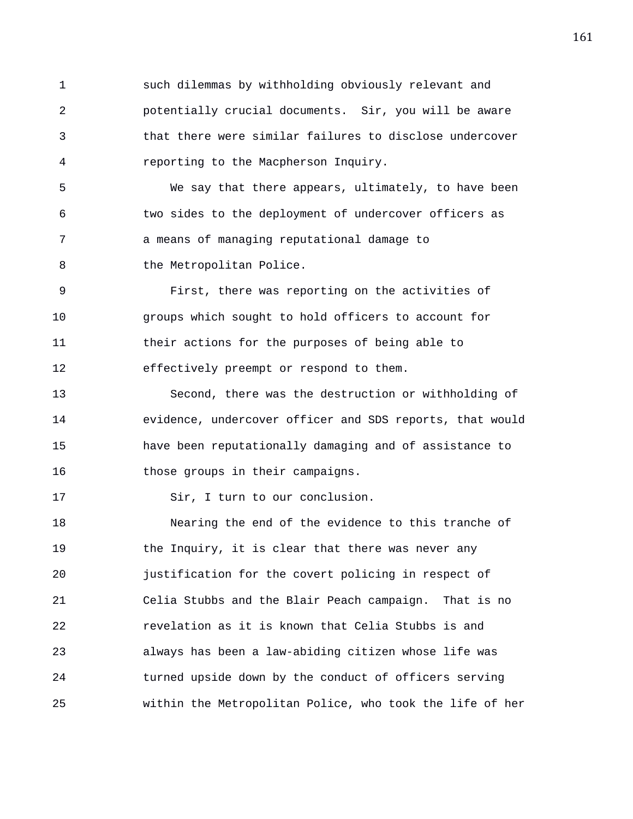1 such dilemmas by withholding obviously relevant and 2 potentially crucial documents. Sir, you will be aware 3 that there were similar failures to disclose undercover 4 reporting to the Macpherson Inquiry.

5 We say that there appears, ultimately, to have been 6 two sides to the deployment of undercover officers as 7 a means of managing reputational damage to 8 the Metropolitan Police.

9 First, there was reporting on the activities of 10 groups which sought to hold officers to account for 11 their actions for the purposes of being able to 12 effectively preempt or respond to them.

13 Second, there was the destruction or withholding of 14 evidence, undercover officer and SDS reports, that would 15 have been reputationally damaging and of assistance to 16 those groups in their campaigns.

17 Sir, I turn to our conclusion.

18 Nearing the end of the evidence to this tranche of 19 the Inquiry, it is clear that there was never any 20 justification for the covert policing in respect of 21 Celia Stubbs and the Blair Peach campaign. That is no 22 revelation as it is known that Celia Stubbs is and 23 always has been a law-abiding citizen whose life was 24 turned upside down by the conduct of officers serving 25 within the Metropolitan Police, who took the life of her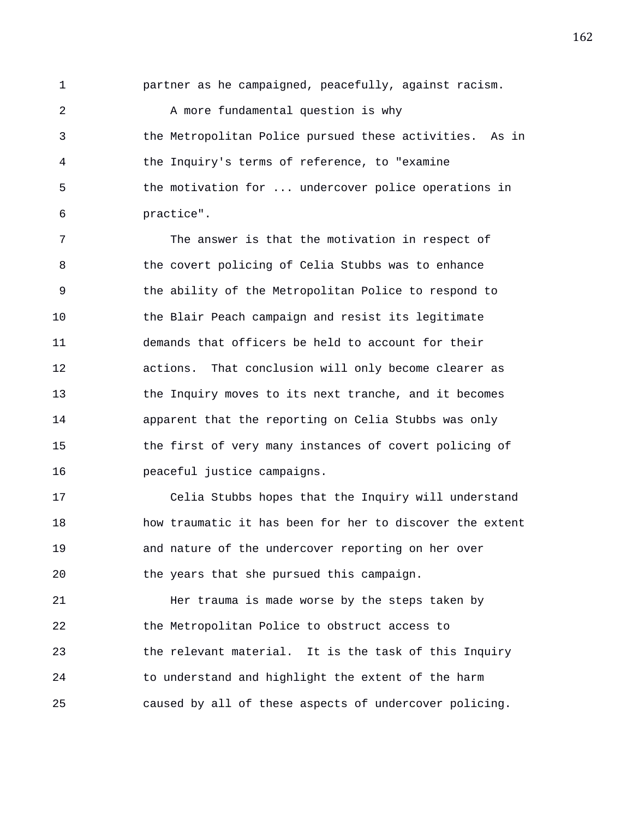1 partner as he campaigned, peacefully, against racism.

2 A more fundamental question is why 3 the Metropolitan Police pursued these activities. As in 4 the Inquiry's terms of reference, to "examine 5 the motivation for ... undercover police operations in 6 practice".

7 The answer is that the motivation in respect of 8 the covert policing of Celia Stubbs was to enhance 9 the ability of the Metropolitan Police to respond to 10 the Blair Peach campaign and resist its legitimate 11 demands that officers be held to account for their 12 actions. That conclusion will only become clearer as 13 the Inquiry moves to its next tranche, and it becomes 14 apparent that the reporting on Celia Stubbs was only 15 the first of very many instances of covert policing of 16 peaceful justice campaigns.

17 Celia Stubbs hopes that the Inquiry will understand 18 how traumatic it has been for her to discover the extent 19 and nature of the undercover reporting on her over 20 the years that she pursued this campaign.

21 Her trauma is made worse by the steps taken by 22 the Metropolitan Police to obstruct access to 23 the relevant material. It is the task of this Inquiry 24 to understand and highlight the extent of the harm 25 caused by all of these aspects of undercover policing.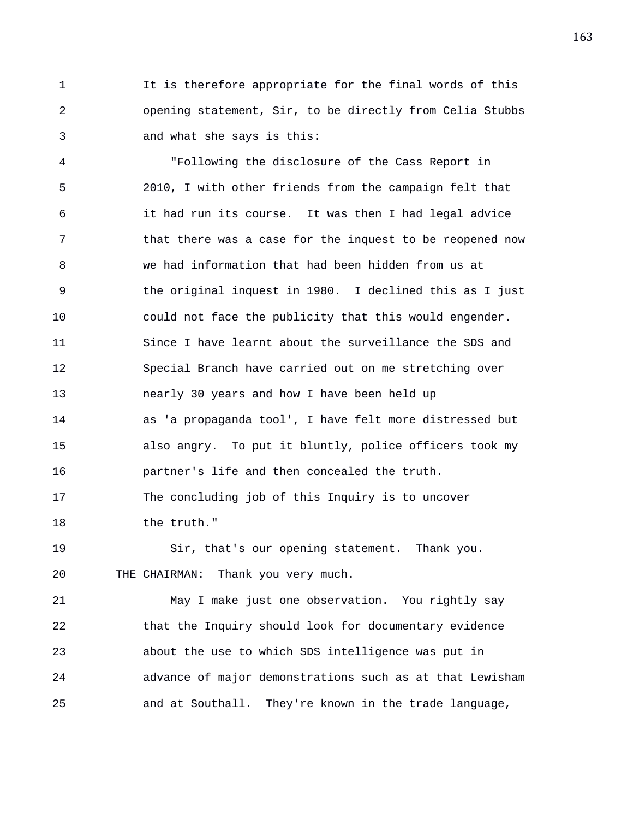1 It is therefore appropriate for the final words of this 2 opening statement, Sir, to be directly from Celia Stubbs 3 and what she says is this:

4 "Following the disclosure of the Cass Report in 5 2010, I with other friends from the campaign felt that 6 it had run its course. It was then I had legal advice 7 that there was a case for the inquest to be reopened now 8 we had information that had been hidden from us at 9 the original inquest in 1980. I declined this as I just 10 could not face the publicity that this would engender. 11 Since I have learnt about the surveillance the SDS and 12 Special Branch have carried out on me stretching over 13 nearly 30 years and how I have been held up 14 as 'a propaganda tool', I have felt more distressed but 15 also angry. To put it bluntly, police officers took my 16 partner's life and then concealed the truth. 17 The concluding job of this Inquiry is to uncover 18 the truth."

19 Sir, that's our opening statement. Thank you. 20 THE CHAIRMAN: Thank you very much.

21 May I make just one observation. You rightly say 22 that the Inquiry should look for documentary evidence 23 about the use to which SDS intelligence was put in 24 advance of major demonstrations such as at that Lewisham 25 and at Southall. They're known in the trade language,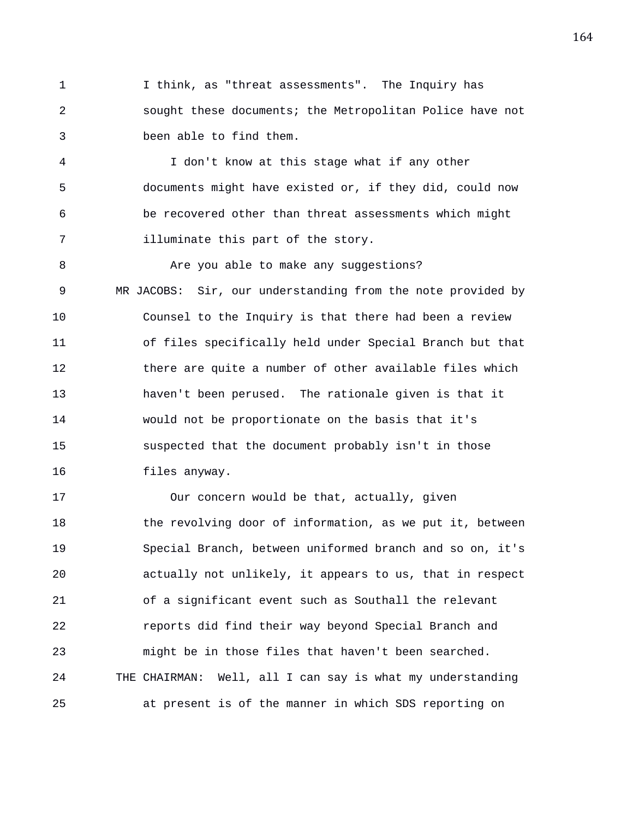1 I think, as "threat assessments". The Inquiry has 2 sought these documents; the Metropolitan Police have not 3 been able to find them.

4 I don't know at this stage what if any other 5 documents might have existed or, if they did, could now 6 be recovered other than threat assessments which might 7 illuminate this part of the story.

8 Are you able to make any suggestions? 9 MR JACOBS: Sir, our understanding from the note provided by 10 Counsel to the Inquiry is that there had been a review 11 of files specifically held under Special Branch but that 12 there are quite a number of other available files which 13 haven't been perused. The rationale given is that it 14 would not be proportionate on the basis that it's 15 suspected that the document probably isn't in those 16 files anyway.

17 Our concern would be that, actually, given 18 the revolving door of information, as we put it, between 19 Special Branch, between uniformed branch and so on, it's 20 actually not unlikely, it appears to us, that in respect 21 of a significant event such as Southall the relevant 22 reports did find their way beyond Special Branch and 23 might be in those files that haven't been searched. 24 THE CHAIRMAN: Well, all I can say is what my understanding 25 at present is of the manner in which SDS reporting on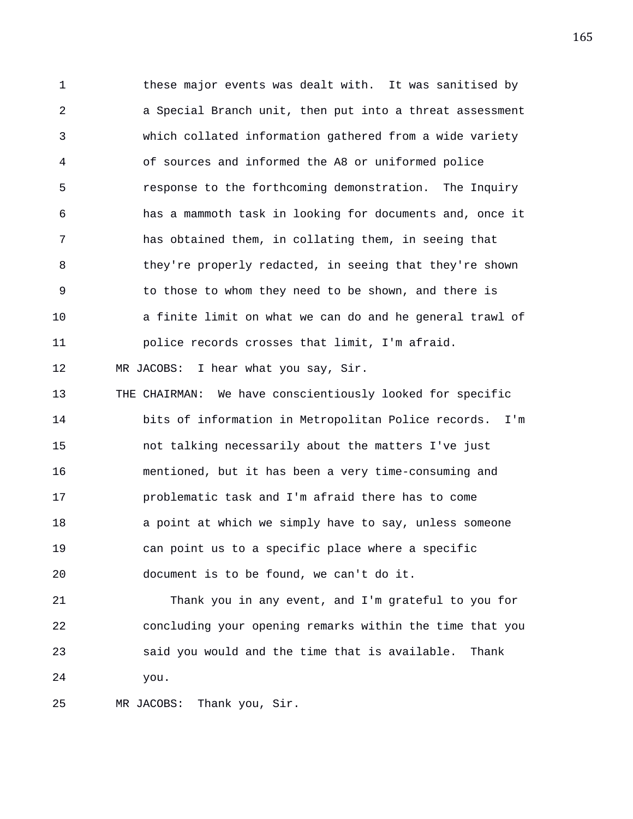1 these major events was dealt with. It was sanitised by 2 a Special Branch unit, then put into a threat assessment 3 which collated information gathered from a wide variety 4 of sources and informed the A8 or uniformed police 5 response to the forthcoming demonstration. The Inquiry 6 has a mammoth task in looking for documents and, once it 7 has obtained them, in collating them, in seeing that 8 they're properly redacted, in seeing that they're shown 9 to those to whom they need to be shown, and there is 10 a finite limit on what we can do and he general trawl of 11 police records crosses that limit, I'm afraid. 12 MR JACOBS: I hear what you say, Sir. 13 THE CHAIRMAN: We have conscientiously looked for specific 14 bits of information in Metropolitan Police records. I'm 15 not talking necessarily about the matters I've just 16 mentioned, but it has been a very time-consuming and 17 problematic task and I'm afraid there has to come 18 a point at which we simply have to say, unless someone 19 can point us to a specific place where a specific 20 document is to be found, we can't do it. 21 Thank you in any event, and I'm grateful to you for 22 concluding your opening remarks within the time that you 23 said you would and the time that is available. Thank 24 you.

25 MR JACOBS: Thank you, Sir.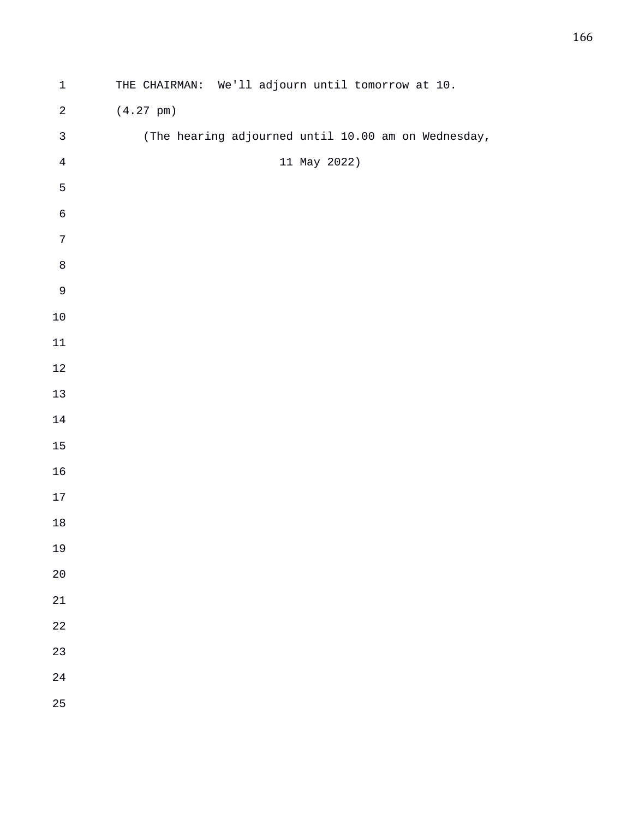| $\mathbf 1$    | THE CHAIRMAN: We'll adjourn until tomorrow at 10.   |
|----------------|-----------------------------------------------------|
| $\sqrt{2}$     | $(4.27 \text{ pm})$                                 |
| $\mathfrak{Z}$ | (The hearing adjourned until 10.00 am on Wednesday, |
| $\bf 4$        | 11 May 2022)                                        |
| 5              |                                                     |
| $\epsilon$     |                                                     |
| $\sqrt{ }$     |                                                     |
| $\,8\,$        |                                                     |
| $\mathsf 9$    |                                                     |
| $10\,$         |                                                     |
| $11\,$         |                                                     |
| $12\,$         |                                                     |
| $13\,$         |                                                     |
| $14\,$         |                                                     |
| $15\,$         |                                                     |
| $16\,$         |                                                     |
| $17\,$         |                                                     |
| $18\,$         |                                                     |
| 19             |                                                     |
| 20             |                                                     |
| $21\,$         |                                                     |
| $2\sqrt{2}$    |                                                     |
| 23             |                                                     |
| $2\sqrt{4}$    |                                                     |
| 25             |                                                     |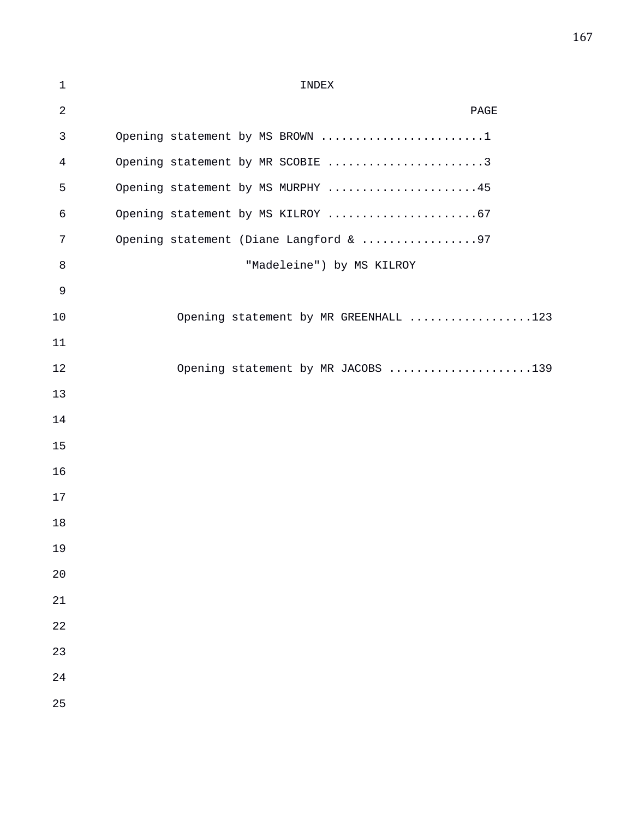| $\mathbf{1}$   | INDEX                                  |
|----------------|----------------------------------------|
| $\sqrt{2}$     | PAGE                                   |
| $\mathfrak{Z}$ | Opening statement by MS BROWN 1        |
| $\overline{4}$ | Opening statement by MR SCOBIE 3       |
| 5              | Opening statement by MS MURPHY 45      |
| 6              | Opening statement by MS KILROY 67      |
| 7              | Opening statement (Diane Langford & 97 |
| 8              | "Madeleine") by MS KILROY              |
| 9              |                                        |
| 10             | Opening statement by MR GREENHALL 123  |
| 11             |                                        |
| 12             | Opening statement by MR JACOBS 139     |
| 13             |                                        |
| 14             |                                        |
| 15             |                                        |
| 16             |                                        |
| 17             |                                        |
| 18             |                                        |
| 19             |                                        |
| 20             |                                        |
| 21             |                                        |
| 22             |                                        |
| 23             |                                        |
| 24             |                                        |
| 25             |                                        |